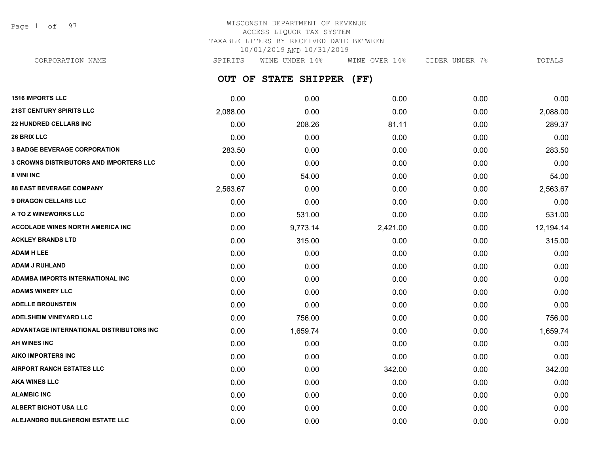Page 1 of 97

# WISCONSIN DEPARTMENT OF REVENUE ACCESS LIQUOR TAX SYSTEM TAXABLE LITERS BY RECEIVED DATE BETWEEN 10/01/2019 AND 10/31/2019

**OUT OF STATE SHIPPER (FF)** CORPORATION NAME SPIRITS WINE UNDER 14% WINE OVER 14% CIDER UNDER 7% TOTALS

| <b>1516 IMPORTS LLC</b>                        | 0.00     | 0.00     | 0.00     | 0.00 | 0.00      |
|------------------------------------------------|----------|----------|----------|------|-----------|
| <b>21ST CENTURY SPIRITS LLC</b>                | 2,088.00 | 0.00     | 0.00     | 0.00 | 2,088.00  |
| <b>22 HUNDRED CELLARS INC</b>                  | 0.00     | 208.26   | 81.11    | 0.00 | 289.37    |
| <b>26 BRIX LLC</b>                             | 0.00     | 0.00     | 0.00     | 0.00 | 0.00      |
| <b>3 BADGE BEVERAGE CORPORATION</b>            | 283.50   | 0.00     | 0.00     | 0.00 | 283.50    |
| <b>3 CROWNS DISTRIBUTORS AND IMPORTERS LLC</b> | 0.00     | 0.00     | 0.00     | 0.00 | 0.00      |
| 8 VINI INC                                     | 0.00     | 54.00    | 0.00     | 0.00 | 54.00     |
| <b>88 EAST BEVERAGE COMPANY</b>                | 2,563.67 | 0.00     | 0.00     | 0.00 | 2,563.67  |
| <b>9 DRAGON CELLARS LLC</b>                    | 0.00     | 0.00     | 0.00     | 0.00 | 0.00      |
| A TO Z WINEWORKS LLC                           | 0.00     | 531.00   | 0.00     | 0.00 | 531.00    |
| <b>ACCOLADE WINES NORTH AMERICA INC</b>        | 0.00     | 9,773.14 | 2,421.00 | 0.00 | 12,194.14 |
| <b>ACKLEY BRANDS LTD</b>                       | 0.00     | 315.00   | 0.00     | 0.00 | 315.00    |
| <b>ADAM H LEE</b>                              | 0.00     | 0.00     | 0.00     | 0.00 | 0.00      |
| <b>ADAM J RUHLAND</b>                          | 0.00     | 0.00     | 0.00     | 0.00 | 0.00      |
| <b>ADAMBA IMPORTS INTERNATIONAL INC</b>        | 0.00     | 0.00     | 0.00     | 0.00 | 0.00      |
| <b>ADAMS WINERY LLC</b>                        | 0.00     | 0.00     | 0.00     | 0.00 | 0.00      |
| <b>ADELLE BROUNSTEIN</b>                       | 0.00     | 0.00     | 0.00     | 0.00 | 0.00      |
| <b>ADELSHEIM VINEYARD LLC</b>                  | 0.00     | 756.00   | 0.00     | 0.00 | 756.00    |
| ADVANTAGE INTERNATIONAL DISTRIBUTORS INC       | 0.00     | 1,659.74 | 0.00     | 0.00 | 1,659.74  |
| <b>AH WINES INC</b>                            | 0.00     | 0.00     | 0.00     | 0.00 | 0.00      |
| <b>AIKO IMPORTERS INC</b>                      | 0.00     | 0.00     | 0.00     | 0.00 | 0.00      |
| <b>AIRPORT RANCH ESTATES LLC</b>               | 0.00     | 0.00     | 342.00   | 0.00 | 342.00    |
| <b>AKA WINES LLC</b>                           | 0.00     | 0.00     | 0.00     | 0.00 | 0.00      |
| <b>ALAMBIC INC</b>                             | 0.00     | 0.00     | 0.00     | 0.00 | 0.00      |
| ALBERT BICHOT USA LLC                          | 0.00     | 0.00     | 0.00     | 0.00 | 0.00      |
| ALEJANDRO BULGHERONI ESTATE LLC                | 0.00     | 0.00     | 0.00     | 0.00 | 0.00      |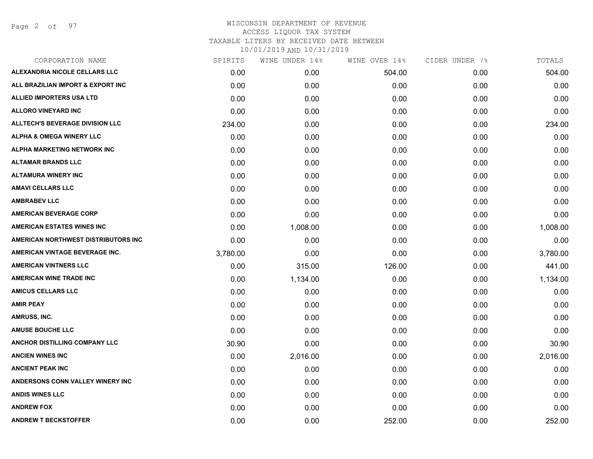Page 2 of 97

| CORPORATION NAME                       | SPIRITS  | WINE UNDER 14% | WINE OVER 14% | CIDER UNDER 7% | TOTALS   |
|----------------------------------------|----------|----------------|---------------|----------------|----------|
| ALEXANDRIA NICOLE CELLARS LLC          | 0.00     | 0.00           | 504.00        | 0.00           | 504.00   |
| ALL BRAZILIAN IMPORT & EXPORT INC      | 0.00     | 0.00           | 0.00          | 0.00           | 0.00     |
| ALLIED IMPORTERS USA LTD               | 0.00     | 0.00           | 0.00          | 0.00           | 0.00     |
| <b>ALLORO VINEYARD INC</b>             | 0.00     | 0.00           | 0.00          | 0.00           | 0.00     |
| <b>ALLTECH'S BEVERAGE DIVISION LLC</b> | 234.00   | 0.00           | 0.00          | 0.00           | 234.00   |
| <b>ALPHA &amp; OMEGA WINERY LLC</b>    | 0.00     | 0.00           | 0.00          | 0.00           | 0.00     |
| ALPHA MARKETING NETWORK INC            | 0.00     | 0.00           | 0.00          | 0.00           | 0.00     |
| <b>ALTAMAR BRANDS LLC</b>              | 0.00     | 0.00           | 0.00          | 0.00           | 0.00     |
| <b>ALTAMURA WINERY INC</b>             | 0.00     | 0.00           | 0.00          | 0.00           | 0.00     |
| <b>AMAVI CELLARS LLC</b>               | 0.00     | 0.00           | 0.00          | 0.00           | 0.00     |
| <b>AMBRABEV LLC</b>                    | 0.00     | 0.00           | 0.00          | 0.00           | 0.00     |
| <b>AMERICAN BEVERAGE CORP</b>          | 0.00     | 0.00           | 0.00          | 0.00           | 0.00     |
| <b>AMERICAN ESTATES WINES INC</b>      | 0.00     | 1,008.00       | 0.00          | 0.00           | 1,008.00 |
| AMERICAN NORTHWEST DISTRIBUTORS INC    | 0.00     | 0.00           | 0.00          | 0.00           | 0.00     |
| AMERICAN VINTAGE BEVERAGE INC.         | 3,780.00 | 0.00           | 0.00          | 0.00           | 3,780.00 |
| <b>AMERICAN VINTNERS LLC</b>           | 0.00     | 315.00         | 126.00        | 0.00           | 441.00   |
| <b>AMERICAN WINE TRADE INC</b>         | 0.00     | 1,134.00       | 0.00          | 0.00           | 1,134.00 |
| <b>AMICUS CELLARS LLC</b>              | 0.00     | 0.00           | 0.00          | 0.00           | 0.00     |
| <b>AMIR PEAY</b>                       | 0.00     | 0.00           | 0.00          | 0.00           | 0.00     |
| AMRUSS, INC.                           | 0.00     | 0.00           | 0.00          | 0.00           | 0.00     |
| <b>AMUSE BOUCHE LLC</b>                | 0.00     | 0.00           | 0.00          | 0.00           | 0.00     |
| ANCHOR DISTILLING COMPANY LLC          | 30.90    | 0.00           | 0.00          | 0.00           | 30.90    |
| <b>ANCIEN WINES INC</b>                | 0.00     | 2,016.00       | 0.00          | 0.00           | 2,016.00 |
| <b>ANCIENT PEAK INC</b>                | 0.00     | 0.00           | 0.00          | 0.00           | 0.00     |
| ANDERSONS CONN VALLEY WINERY INC       | 0.00     | 0.00           | 0.00          | 0.00           | 0.00     |
| <b>ANDIS WINES LLC</b>                 | 0.00     | 0.00           | 0.00          | 0.00           | 0.00     |
| <b>ANDREW FOX</b>                      | 0.00     | 0.00           | 0.00          | 0.00           | 0.00     |
| <b>ANDREW T BECKSTOFFER</b>            | 0.00     | 0.00           | 252.00        | 0.00           | 252.00   |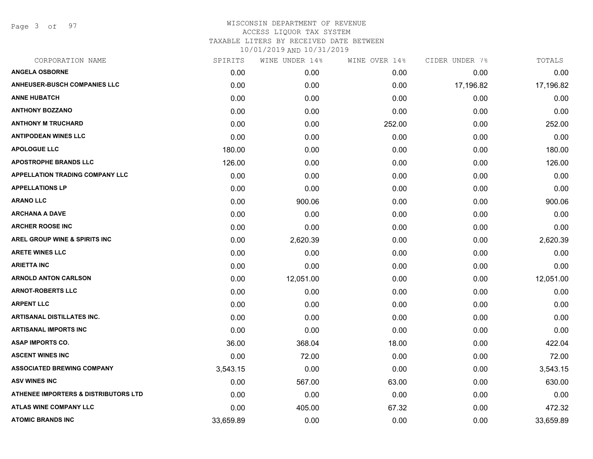Page 3 of 97

|           | WINE UNDER 14% |        |               | TOTALS         |
|-----------|----------------|--------|---------------|----------------|
| 0.00      | 0.00           | 0.00   | 0.00          | 0.00           |
| 0.00      | 0.00           | 0.00   | 17,196.82     | 17,196.82      |
| 0.00      | 0.00           | 0.00   | 0.00          | 0.00           |
| 0.00      | 0.00           | 0.00   | 0.00          | 0.00           |
| 0.00      | 0.00           | 252.00 | 0.00          | 252.00         |
| 0.00      | 0.00           | 0.00   | 0.00          | 0.00           |
| 180.00    | 0.00           | 0.00   | 0.00          | 180.00         |
| 126.00    | 0.00           | 0.00   | 0.00          | 126.00         |
| 0.00      | 0.00           | 0.00   | 0.00          | 0.00           |
| 0.00      | 0.00           | 0.00   | 0.00          | 0.00           |
| 0.00      | 900.06         | 0.00   | 0.00          | 900.06         |
| 0.00      | 0.00           | 0.00   | 0.00          | 0.00           |
| 0.00      | 0.00           | 0.00   | 0.00          | 0.00           |
| 0.00      | 2,620.39       | 0.00   | 0.00          | 2,620.39       |
| 0.00      | 0.00           | 0.00   | 0.00          | 0.00           |
| 0.00      | 0.00           | 0.00   | 0.00          | 0.00           |
| 0.00      | 12,051.00      | 0.00   | 0.00          | 12,051.00      |
| 0.00      | 0.00           | 0.00   | 0.00          | 0.00           |
| 0.00      | 0.00           | 0.00   | 0.00          | 0.00           |
| 0.00      | 0.00           | 0.00   | 0.00          | 0.00           |
| 0.00      | 0.00           | 0.00   | 0.00          | 0.00           |
| 36.00     | 368.04         | 18.00  | 0.00          | 422.04         |
| 0.00      | 72.00          | 0.00   | 0.00          | 72.00          |
| 3,543.15  | 0.00           | 0.00   | 0.00          | 3,543.15       |
| 0.00      | 567.00         | 63.00  | 0.00          | 630.00         |
| 0.00      | 0.00           | 0.00   | 0.00          | 0.00           |
| 0.00      | 405.00         | 67.32  | 0.00          | 472.32         |
| 33,659.89 | 0.00           | 0.00   | 0.00          | 33,659.89      |
|           | SPIRITS        |        | WINE OVER 14% | CIDER UNDER 7% |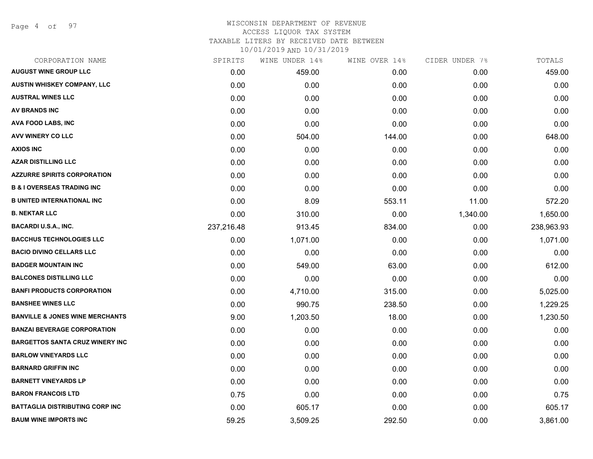Page 4 of 97

# WISCONSIN DEPARTMENT OF REVENUE ACCESS LIQUOR TAX SYSTEM

TAXABLE LITERS BY RECEIVED DATE BETWEEN

| CORPORATION NAME                           | SPIRITS    | WINE UNDER 14% | WINE OVER 14% | CIDER UNDER 7% | TOTALS     |
|--------------------------------------------|------------|----------------|---------------|----------------|------------|
| <b>AUGUST WINE GROUP LLC</b>               | 0.00       | 459.00         | 0.00          | 0.00           | 459.00     |
| AUSTIN WHISKEY COMPANY, LLC                | 0.00       | 0.00           | 0.00          | 0.00           | 0.00       |
| <b>AUSTRAL WINES LLC</b>                   | 0.00       | 0.00           | 0.00          | 0.00           | 0.00       |
| AV BRANDS INC                              | 0.00       | 0.00           | 0.00          | 0.00           | 0.00       |
| <b>AVA FOOD LABS, INC</b>                  | 0.00       | 0.00           | 0.00          | 0.00           | 0.00       |
| AVV WINERY CO LLC                          | 0.00       | 504.00         | 144.00        | 0.00           | 648.00     |
| <b>AXIOS INC</b>                           | 0.00       | 0.00           | 0.00          | 0.00           | 0.00       |
| <b>AZAR DISTILLING LLC</b>                 | 0.00       | 0.00           | 0.00          | 0.00           | 0.00       |
| <b>AZZURRE SPIRITS CORPORATION</b>         | 0.00       | 0.00           | 0.00          | 0.00           | 0.00       |
| <b>B &amp; I OVERSEAS TRADING INC</b>      | 0.00       | 0.00           | 0.00          | 0.00           | 0.00       |
| <b>B UNITED INTERNATIONAL INC</b>          | 0.00       | 8.09           | 553.11        | 11.00          | 572.20     |
| <b>B. NEKTAR LLC</b>                       | 0.00       | 310.00         | 0.00          | 1,340.00       | 1,650.00   |
| <b>BACARDI U.S.A., INC.</b>                | 237,216.48 | 913.45         | 834.00        | 0.00           | 238,963.93 |
| <b>BACCHUS TECHNOLOGIES LLC</b>            | 0.00       | 1,071.00       | 0.00          | 0.00           | 1,071.00   |
| <b>BACIO DIVINO CELLARS LLC</b>            | 0.00       | 0.00           | 0.00          | 0.00           | 0.00       |
| <b>BADGER MOUNTAIN INC</b>                 | 0.00       | 549.00         | 63.00         | 0.00           | 612.00     |
| <b>BALCONES DISTILLING LLC</b>             | 0.00       | 0.00           | 0.00          | 0.00           | 0.00       |
| <b>BANFI PRODUCTS CORPORATION</b>          | 0.00       | 4,710.00       | 315.00        | 0.00           | 5,025.00   |
| <b>BANSHEE WINES LLC</b>                   | 0.00       | 990.75         | 238.50        | 0.00           | 1,229.25   |
| <b>BANVILLE &amp; JONES WINE MERCHANTS</b> | 9.00       | 1,203.50       | 18.00         | 0.00           | 1,230.50   |
| <b>BANZAI BEVERAGE CORPORATION</b>         | 0.00       | 0.00           | 0.00          | 0.00           | 0.00       |
| <b>BARGETTOS SANTA CRUZ WINERY INC</b>     | 0.00       | 0.00           | 0.00          | 0.00           | 0.00       |
| <b>BARLOW VINEYARDS LLC</b>                | 0.00       | 0.00           | 0.00          | 0.00           | 0.00       |
| <b>BARNARD GRIFFIN INC</b>                 | 0.00       | 0.00           | 0.00          | 0.00           | 0.00       |
| <b>BARNETT VINEYARDS LP</b>                | 0.00       | 0.00           | 0.00          | 0.00           | 0.00       |
| <b>BARON FRANCOIS LTD</b>                  | 0.75       | 0.00           | 0.00          | 0.00           | 0.75       |
| <b>BATTAGLIA DISTRIBUTING CORP INC</b>     | 0.00       | 605.17         | 0.00          | 0.00           | 605.17     |
| <b>BAUM WINE IMPORTS INC</b>               | 59.25      | 3,509.25       | 292.50        | 0.00           | 3,861.00   |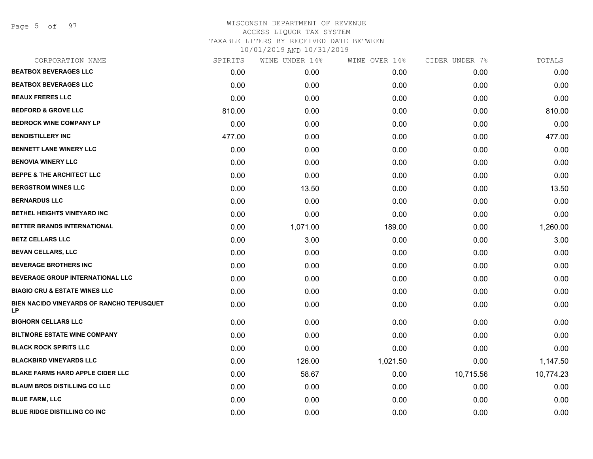Page 5 of 97

| CORPORATION NAME                                | SPIRITS | WINE UNDER 14% | WINE OVER 14% | CIDER UNDER 7% | TOTALS    |
|-------------------------------------------------|---------|----------------|---------------|----------------|-----------|
| <b>BEATBOX BEVERAGES LLC</b>                    | 0.00    | 0.00           | 0.00          | 0.00           | 0.00      |
| <b>BEATBOX BEVERAGES LLC</b>                    | 0.00    | 0.00           | 0.00          | 0.00           | 0.00      |
| <b>BEAUX FRERES LLC</b>                         | 0.00    | 0.00           | 0.00          | 0.00           | 0.00      |
| <b>BEDFORD &amp; GROVE LLC</b>                  | 810.00  | 0.00           | 0.00          | 0.00           | 810.00    |
| <b>BEDROCK WINE COMPANY LP</b>                  | 0.00    | 0.00           | 0.00          | 0.00           | 0.00      |
| <b>BENDISTILLERY INC</b>                        | 477.00  | 0.00           | 0.00          | 0.00           | 477.00    |
| <b>BENNETT LANE WINERY LLC</b>                  | 0.00    | 0.00           | 0.00          | 0.00           | 0.00      |
| <b>BENOVIA WINERY LLC</b>                       | 0.00    | 0.00           | 0.00          | 0.00           | 0.00      |
| <b>BEPPE &amp; THE ARCHITECT LLC</b>            | 0.00    | 0.00           | 0.00          | 0.00           | 0.00      |
| <b>BERGSTROM WINES LLC</b>                      | 0.00    | 13.50          | 0.00          | 0.00           | 13.50     |
| <b>BERNARDUS LLC</b>                            | 0.00    | 0.00           | 0.00          | 0.00           | 0.00      |
| BETHEL HEIGHTS VINEYARD INC                     | 0.00    | 0.00           | 0.00          | 0.00           | 0.00      |
| BETTER BRANDS INTERNATIONAL                     | 0.00    | 1,071.00       | 189.00        | 0.00           | 1,260.00  |
| <b>BETZ CELLARS LLC</b>                         | 0.00    | 3.00           | 0.00          | 0.00           | 3.00      |
| <b>BEVAN CELLARS, LLC</b>                       | 0.00    | 0.00           | 0.00          | 0.00           | 0.00      |
| <b>BEVERAGE BROTHERS INC</b>                    | 0.00    | 0.00           | 0.00          | 0.00           | 0.00      |
| BEVERAGE GROUP INTERNATIONAL LLC                | 0.00    | 0.00           | 0.00          | 0.00           | 0.00      |
| <b>BIAGIO CRU &amp; ESTATE WINES LLC</b>        | 0.00    | 0.00           | 0.00          | 0.00           | 0.00      |
| BIEN NACIDO VINEYARDS OF RANCHO TEPUSQUET<br>LP | 0.00    | 0.00           | 0.00          | 0.00           | 0.00      |
| <b>BIGHORN CELLARS LLC</b>                      | 0.00    | 0.00           | 0.00          | 0.00           | 0.00      |
| <b>BILTMORE ESTATE WINE COMPANY</b>             | 0.00    | 0.00           | 0.00          | 0.00           | 0.00      |
| <b>BLACK ROCK SPIRITS LLC</b>                   | 0.00    | 0.00           | 0.00          | 0.00           | 0.00      |
| <b>BLACKBIRD VINEYARDS LLC</b>                  | 0.00    | 126.00         | 1,021.50      | 0.00           | 1,147.50  |
| <b>BLAKE FARMS HARD APPLE CIDER LLC</b>         | 0.00    | 58.67          | 0.00          | 10,715.56      | 10,774.23 |
| <b>BLAUM BROS DISTILLING CO LLC</b>             | 0.00    | 0.00           | 0.00          | 0.00           | 0.00      |
| <b>BLUE FARM, LLC</b>                           | 0.00    | 0.00           | 0.00          | 0.00           | 0.00      |
| <b>BLUE RIDGE DISTILLING CO INC</b>             | 0.00    | 0.00           | 0.00          | 0.00           | 0.00      |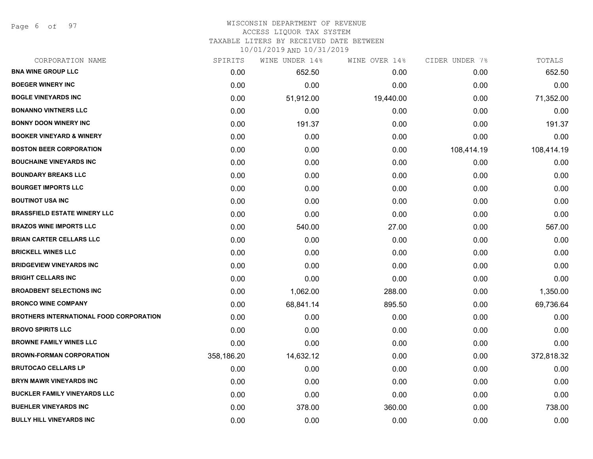Page 6 of 97

## WISCONSIN DEPARTMENT OF REVENUE ACCESS LIQUOR TAX SYSTEM TAXABLE LITERS BY RECEIVED DATE BETWEEN

| CORPORATION NAME                               | SPIRITS    | WINE UNDER 14% | WINE OVER 14% | CIDER UNDER 7% | TOTALS     |
|------------------------------------------------|------------|----------------|---------------|----------------|------------|
| <b>BNA WINE GROUP LLC</b>                      | 0.00       | 652.50         | 0.00          | 0.00           | 652.50     |
| <b>BOEGER WINERY INC</b>                       | 0.00       | 0.00           | 0.00          | 0.00           | 0.00       |
| <b>BOGLE VINEYARDS INC</b>                     | 0.00       | 51,912.00      | 19,440.00     | 0.00           | 71,352.00  |
| <b>BONANNO VINTNERS LLC</b>                    | 0.00       | 0.00           | 0.00          | 0.00           | 0.00       |
| <b>BONNY DOON WINERY INC</b>                   | 0.00       | 191.37         | 0.00          | 0.00           | 191.37     |
| <b>BOOKER VINEYARD &amp; WINERY</b>            | 0.00       | 0.00           | 0.00          | 0.00           | 0.00       |
| <b>BOSTON BEER CORPORATION</b>                 | 0.00       | 0.00           | 0.00          | 108,414.19     | 108,414.19 |
| <b>BOUCHAINE VINEYARDS INC</b>                 | 0.00       | 0.00           | 0.00          | 0.00           | 0.00       |
| <b>BOUNDARY BREAKS LLC</b>                     | 0.00       | 0.00           | 0.00          | 0.00           | 0.00       |
| <b>BOURGET IMPORTS LLC</b>                     | 0.00       | 0.00           | 0.00          | 0.00           | 0.00       |
| <b>BOUTINOT USA INC</b>                        | 0.00       | 0.00           | 0.00          | 0.00           | 0.00       |
| <b>BRASSFIELD ESTATE WINERY LLC</b>            | 0.00       | 0.00           | 0.00          | 0.00           | 0.00       |
| <b>BRAZOS WINE IMPORTS LLC</b>                 | 0.00       | 540.00         | 27.00         | 0.00           | 567.00     |
| <b>BRIAN CARTER CELLARS LLC</b>                | 0.00       | 0.00           | 0.00          | 0.00           | 0.00       |
| <b>BRICKELL WINES LLC</b>                      | 0.00       | 0.00           | 0.00          | 0.00           | 0.00       |
| <b>BRIDGEVIEW VINEYARDS INC</b>                | 0.00       | 0.00           | 0.00          | 0.00           | 0.00       |
| <b>BRIGHT CELLARS INC</b>                      | 0.00       | 0.00           | 0.00          | 0.00           | 0.00       |
| <b>BROADBENT SELECTIONS INC</b>                | 0.00       | 1,062.00       | 288.00        | 0.00           | 1,350.00   |
| <b>BRONCO WINE COMPANY</b>                     | 0.00       | 68,841.14      | 895.50        | 0.00           | 69,736.64  |
| <b>BROTHERS INTERNATIONAL FOOD CORPORATION</b> | 0.00       | 0.00           | 0.00          | 0.00           | 0.00       |
| <b>BROVO SPIRITS LLC</b>                       | 0.00       | 0.00           | 0.00          | 0.00           | 0.00       |
| <b>BROWNE FAMILY WINES LLC</b>                 | 0.00       | 0.00           | 0.00          | 0.00           | 0.00       |
| <b>BROWN-FORMAN CORPORATION</b>                | 358,186.20 | 14,632.12      | 0.00          | 0.00           | 372,818.32 |
| <b>BRUTOCAO CELLARS LP</b>                     | 0.00       | 0.00           | 0.00          | 0.00           | 0.00       |
| <b>BRYN MAWR VINEYARDS INC</b>                 | 0.00       | 0.00           | 0.00          | 0.00           | 0.00       |
| <b>BUCKLER FAMILY VINEYARDS LLC</b>            | 0.00       | 0.00           | 0.00          | 0.00           | 0.00       |
| <b>BUEHLER VINEYARDS INC</b>                   | 0.00       | 378.00         | 360.00        | 0.00           | 738.00     |
| <b>BULLY HILL VINEYARDS INC</b>                | 0.00       | 0.00           | 0.00          | 0.00           | 0.00       |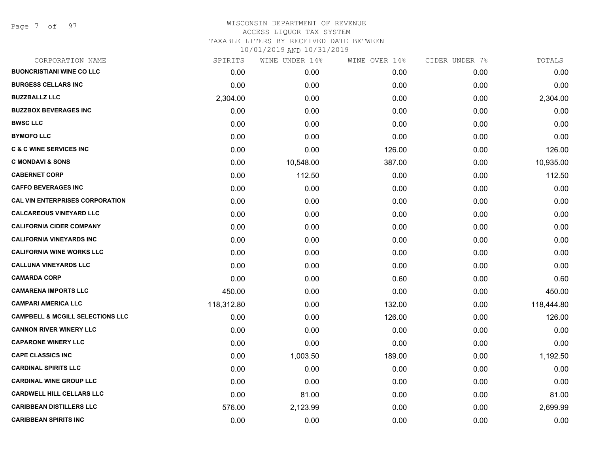Page 7 of 97

| CORPORATION NAME                            | SPIRITS    | WINE UNDER 14% | WINE OVER 14% | CIDER UNDER 7% | TOTALS     |
|---------------------------------------------|------------|----------------|---------------|----------------|------------|
| <b>BUONCRISTIANI WINE CO LLC</b>            | 0.00       | 0.00           | 0.00          | 0.00           | 0.00       |
| <b>BURGESS CELLARS INC</b>                  | 0.00       | 0.00           | 0.00          | 0.00           | 0.00       |
| <b>BUZZBALLZ LLC</b>                        | 2,304.00   | 0.00           | 0.00          | 0.00           | 2,304.00   |
| <b>BUZZBOX BEVERAGES INC</b>                | 0.00       | 0.00           | 0.00          | 0.00           | 0.00       |
| <b>BWSC LLC</b>                             | 0.00       | 0.00           | 0.00          | 0.00           | 0.00       |
| <b>BYMOFO LLC</b>                           | 0.00       | 0.00           | 0.00          | 0.00           | 0.00       |
| <b>C &amp; C WINE SERVICES INC</b>          | 0.00       | 0.00           | 126.00        | 0.00           | 126.00     |
| <b>C MONDAVI &amp; SONS</b>                 | 0.00       | 10,548.00      | 387.00        | 0.00           | 10,935.00  |
| <b>CABERNET CORP</b>                        | 0.00       | 112.50         | 0.00          | 0.00           | 112.50     |
| <b>CAFFO BEVERAGES INC</b>                  | 0.00       | 0.00           | 0.00          | 0.00           | 0.00       |
| <b>CAL VIN ENTERPRISES CORPORATION</b>      | 0.00       | 0.00           | 0.00          | 0.00           | 0.00       |
| <b>CALCAREOUS VINEYARD LLC</b>              | 0.00       | 0.00           | 0.00          | 0.00           | 0.00       |
| <b>CALIFORNIA CIDER COMPANY</b>             | 0.00       | 0.00           | 0.00          | 0.00           | 0.00       |
| <b>CALIFORNIA VINEYARDS INC</b>             | 0.00       | 0.00           | 0.00          | 0.00           | 0.00       |
| <b>CALIFORNIA WINE WORKS LLC</b>            | 0.00       | 0.00           | 0.00          | 0.00           | 0.00       |
| <b>CALLUNA VINEYARDS LLC</b>                | 0.00       | 0.00           | 0.00          | 0.00           | 0.00       |
| <b>CAMARDA CORP</b>                         | 0.00       | 0.00           | 0.60          | 0.00           | 0.60       |
| <b>CAMARENA IMPORTS LLC</b>                 | 450.00     | 0.00           | 0.00          | 0.00           | 450.00     |
| <b>CAMPARI AMERICA LLC</b>                  | 118,312.80 | 0.00           | 132.00        | 0.00           | 118,444.80 |
| <b>CAMPBELL &amp; MCGILL SELECTIONS LLC</b> | 0.00       | 0.00           | 126.00        | 0.00           | 126.00     |
| <b>CANNON RIVER WINERY LLC</b>              | 0.00       | 0.00           | 0.00          | 0.00           | 0.00       |
| <b>CAPARONE WINERY LLC</b>                  | 0.00       | 0.00           | 0.00          | 0.00           | 0.00       |
| <b>CAPE CLASSICS INC</b>                    | 0.00       | 1,003.50       | 189.00        | 0.00           | 1,192.50   |
| <b>CARDINAL SPIRITS LLC</b>                 | 0.00       | 0.00           | 0.00          | 0.00           | 0.00       |
| <b>CARDINAL WINE GROUP LLC</b>              | 0.00       | 0.00           | 0.00          | 0.00           | 0.00       |
| <b>CARDWELL HILL CELLARS LLC</b>            | 0.00       | 81.00          | 0.00          | 0.00           | 81.00      |
| <b>CARIBBEAN DISTILLERS LLC</b>             | 576.00     | 2,123.99       | 0.00          | 0.00           | 2,699.99   |
| <b>CARIBBEAN SPIRITS INC</b>                | 0.00       | 0.00           | 0.00          | 0.00           | 0.00       |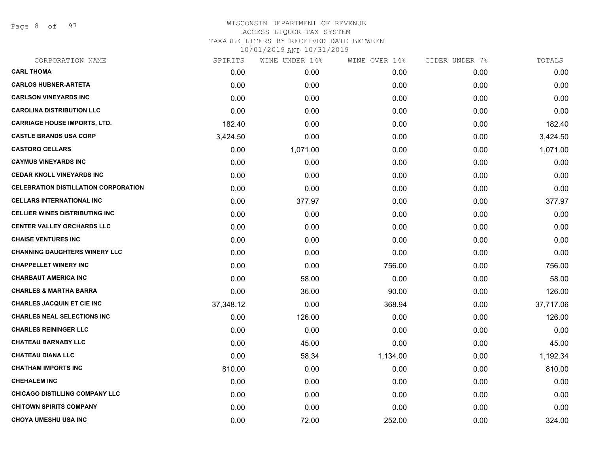Page 8 of 97

| CORPORATION NAME                            | SPIRITS   | WINE UNDER 14% | WINE OVER 14% | CIDER UNDER 7% | TOTALS    |
|---------------------------------------------|-----------|----------------|---------------|----------------|-----------|
| <b>CARL THOMA</b>                           | 0.00      | 0.00           | 0.00          | 0.00           | 0.00      |
| <b>CARLOS HUBNER-ARTETA</b>                 | 0.00      | 0.00           | 0.00          | 0.00           | 0.00      |
| <b>CARLSON VINEYARDS INC</b>                | 0.00      | 0.00           | 0.00          | 0.00           | 0.00      |
| <b>CAROLINA DISTRIBUTION LLC</b>            | 0.00      | 0.00           | 0.00          | 0.00           | 0.00      |
| <b>CARRIAGE HOUSE IMPORTS, LTD.</b>         | 182.40    | 0.00           | 0.00          | 0.00           | 182.40    |
| <b>CASTLE BRANDS USA CORP</b>               | 3,424.50  | 0.00           | 0.00          | 0.00           | 3,424.50  |
| <b>CASTORO CELLARS</b>                      | 0.00      | 1,071.00       | 0.00          | 0.00           | 1,071.00  |
| <b>CAYMUS VINEYARDS INC</b>                 | 0.00      | 0.00           | 0.00          | 0.00           | 0.00      |
| <b>CEDAR KNOLL VINEYARDS INC</b>            | 0.00      | 0.00           | 0.00          | 0.00           | 0.00      |
| <b>CELEBRATION DISTILLATION CORPORATION</b> | 0.00      | 0.00           | 0.00          | 0.00           | 0.00      |
| <b>CELLARS INTERNATIONAL INC</b>            | 0.00      | 377.97         | 0.00          | 0.00           | 377.97    |
| <b>CELLIER WINES DISTRIBUTING INC</b>       | 0.00      | 0.00           | 0.00          | 0.00           | 0.00      |
| <b>CENTER VALLEY ORCHARDS LLC</b>           | 0.00      | 0.00           | 0.00          | 0.00           | 0.00      |
| <b>CHAISE VENTURES INC</b>                  | 0.00      | 0.00           | 0.00          | 0.00           | 0.00      |
| <b>CHANNING DAUGHTERS WINERY LLC</b>        | 0.00      | 0.00           | 0.00          | 0.00           | 0.00      |
| <b>CHAPPELLET WINERY INC</b>                | 0.00      | 0.00           | 756.00        | 0.00           | 756.00    |
| <b>CHARBAUT AMERICA INC</b>                 | 0.00      | 58.00          | 0.00          | 0.00           | 58.00     |
| <b>CHARLES &amp; MARTHA BARRA</b>           | 0.00      | 36.00          | 90.00         | 0.00           | 126.00    |
| <b>CHARLES JACQUIN ET CIE INC</b>           | 37,348.12 | 0.00           | 368.94        | 0.00           | 37,717.06 |
| <b>CHARLES NEAL SELECTIONS INC</b>          | 0.00      | 126.00         | 0.00          | 0.00           | 126.00    |
| <b>CHARLES REININGER LLC</b>                | 0.00      | 0.00           | 0.00          | 0.00           | 0.00      |
| <b>CHATEAU BARNABY LLC</b>                  | 0.00      | 45.00          | 0.00          | 0.00           | 45.00     |
| <b>CHATEAU DIANA LLC</b>                    | 0.00      | 58.34          | 1,134.00      | 0.00           | 1,192.34  |
| <b>CHATHAM IMPORTS INC</b>                  | 810.00    | 0.00           | 0.00          | 0.00           | 810.00    |
| <b>CHEHALEM INC</b>                         | 0.00      | 0.00           | 0.00          | 0.00           | 0.00      |
| CHICAGO DISTILLING COMPANY LLC              | 0.00      | 0.00           | 0.00          | 0.00           | 0.00      |
| <b>CHITOWN SPIRITS COMPANY</b>              | 0.00      | 0.00           | 0.00          | 0.00           | 0.00      |
| <b>CHOYA UMESHU USA INC</b>                 | 0.00      | 72.00          | 252.00        | 0.00           | 324.00    |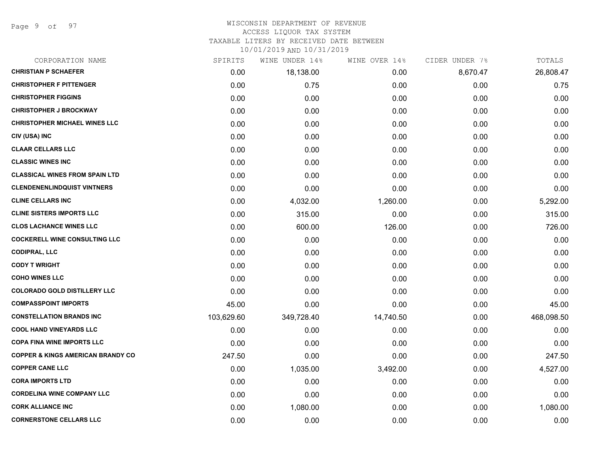Page 9 of 97

#### WISCONSIN DEPARTMENT OF REVENUE ACCESS LIQUOR TAX SYSTEM

TAXABLE LITERS BY RECEIVED DATE BETWEEN

| CORPORATION NAME                             | SPIRITS    | WINE UNDER 14% | WINE OVER 14% | CIDER UNDER 7% | TOTALS     |
|----------------------------------------------|------------|----------------|---------------|----------------|------------|
| <b>CHRISTIAN P SCHAEFER</b>                  | 0.00       | 18,138.00      | 0.00          | 8,670.47       | 26,808.47  |
| <b>CHRISTOPHER F PITTENGER</b>               | 0.00       | 0.75           | 0.00          | 0.00           | 0.75       |
| <b>CHRISTOPHER FIGGINS</b>                   | 0.00       | 0.00           | 0.00          | 0.00           | 0.00       |
| <b>CHRISTOPHER J BROCKWAY</b>                | 0.00       | 0.00           | 0.00          | 0.00           | 0.00       |
| <b>CHRISTOPHER MICHAEL WINES LLC</b>         | 0.00       | 0.00           | 0.00          | 0.00           | 0.00       |
| CIV (USA) INC                                | 0.00       | 0.00           | 0.00          | 0.00           | 0.00       |
| <b>CLAAR CELLARS LLC</b>                     | 0.00       | 0.00           | 0.00          | 0.00           | 0.00       |
| <b>CLASSIC WINES INC</b>                     | 0.00       | 0.00           | 0.00          | 0.00           | 0.00       |
| <b>CLASSICAL WINES FROM SPAIN LTD</b>        | 0.00       | 0.00           | 0.00          | 0.00           | 0.00       |
| <b>CLENDENENLINDQUIST VINTNERS</b>           | 0.00       | 0.00           | 0.00          | 0.00           | 0.00       |
| <b>CLINE CELLARS INC</b>                     | 0.00       | 4,032.00       | 1,260.00      | 0.00           | 5,292.00   |
| <b>CLINE SISTERS IMPORTS LLC</b>             | 0.00       | 315.00         | 0.00          | 0.00           | 315.00     |
| <b>CLOS LACHANCE WINES LLC</b>               | 0.00       | 600.00         | 126.00        | 0.00           | 726.00     |
| <b>COCKERELL WINE CONSULTING LLC</b>         | 0.00       | 0.00           | 0.00          | 0.00           | 0.00       |
| <b>CODIPRAL, LLC</b>                         | 0.00       | 0.00           | 0.00          | 0.00           | 0.00       |
| <b>CODY T WRIGHT</b>                         | 0.00       | 0.00           | 0.00          | 0.00           | 0.00       |
| <b>COHO WINES LLC</b>                        | 0.00       | 0.00           | 0.00          | 0.00           | 0.00       |
| <b>COLORADO GOLD DISTILLERY LLC</b>          | 0.00       | 0.00           | 0.00          | 0.00           | 0.00       |
| <b>COMPASSPOINT IMPORTS</b>                  | 45.00      | 0.00           | 0.00          | 0.00           | 45.00      |
| <b>CONSTELLATION BRANDS INC</b>              | 103,629.60 | 349,728.40     | 14,740.50     | 0.00           | 468,098.50 |
| <b>COOL HAND VINEYARDS LLC</b>               | 0.00       | 0.00           | 0.00          | 0.00           | 0.00       |
| <b>COPA FINA WINE IMPORTS LLC</b>            | 0.00       | 0.00           | 0.00          | 0.00           | 0.00       |
| <b>COPPER &amp; KINGS AMERICAN BRANDY CO</b> | 247.50     | 0.00           | 0.00          | 0.00           | 247.50     |
| <b>COPPER CANE LLC</b>                       | 0.00       | 1,035.00       | 3,492.00      | 0.00           | 4,527.00   |
| <b>CORA IMPORTS LTD</b>                      | 0.00       | 0.00           | 0.00          | 0.00           | 0.00       |
| <b>CORDELINA WINE COMPANY LLC</b>            | 0.00       | 0.00           | 0.00          | 0.00           | 0.00       |
| <b>CORK ALLIANCE INC</b>                     | 0.00       | 1,080.00       | 0.00          | 0.00           | 1,080.00   |
| <b>CORNERSTONE CELLARS LLC</b>               | 0.00       | 0.00           | 0.00          | 0.00           | 0.00       |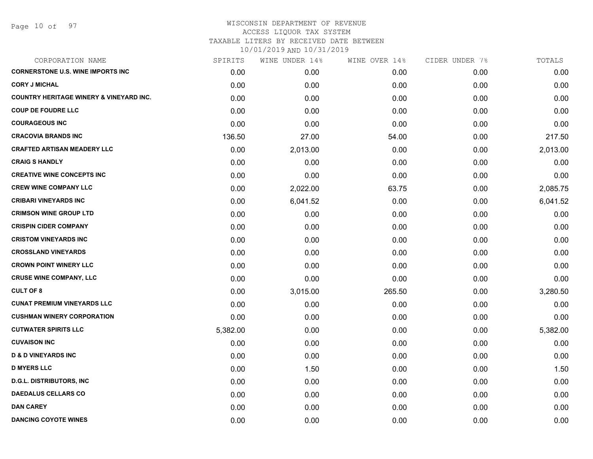Page 10 of 97

| CORPORATION NAME                                   | SPIRITS  | WINE UNDER 14% | WINE OVER 14% | CIDER UNDER 7% | TOTALS   |
|----------------------------------------------------|----------|----------------|---------------|----------------|----------|
| <b>CORNERSTONE U.S. WINE IMPORTS INC</b>           | 0.00     | 0.00           | 0.00          | 0.00           | 0.00     |
| <b>CORY J MICHAL</b>                               | 0.00     | 0.00           | 0.00          | 0.00           | 0.00     |
| <b>COUNTRY HERITAGE WINERY &amp; VINEYARD INC.</b> | 0.00     | 0.00           | 0.00          | 0.00           | 0.00     |
| <b>COUP DE FOUDRE LLC</b>                          | 0.00     | 0.00           | 0.00          | 0.00           | 0.00     |
| <b>COURAGEOUS INC</b>                              | 0.00     | 0.00           | 0.00          | 0.00           | 0.00     |
| <b>CRACOVIA BRANDS INC</b>                         | 136.50   | 27.00          | 54.00         | 0.00           | 217.50   |
| <b>CRAFTED ARTISAN MEADERY LLC</b>                 | 0.00     | 2,013.00       | 0.00          | 0.00           | 2,013.00 |
| <b>CRAIG S HANDLY</b>                              | 0.00     | 0.00           | 0.00          | 0.00           | 0.00     |
| <b>CREATIVE WINE CONCEPTS INC</b>                  | 0.00     | 0.00           | 0.00          | 0.00           | 0.00     |
| <b>CREW WINE COMPANY LLC</b>                       | 0.00     | 2,022.00       | 63.75         | 0.00           | 2,085.75 |
| <b>CRIBARI VINEYARDS INC</b>                       | 0.00     | 6,041.52       | 0.00          | 0.00           | 6,041.52 |
| <b>CRIMSON WINE GROUP LTD</b>                      | 0.00     | 0.00           | 0.00          | 0.00           | 0.00     |
| <b>CRISPIN CIDER COMPANY</b>                       | 0.00     | 0.00           | 0.00          | 0.00           | 0.00     |
| <b>CRISTOM VINEYARDS INC</b>                       | 0.00     | 0.00           | 0.00          | 0.00           | 0.00     |
| <b>CROSSLAND VINEYARDS</b>                         | 0.00     | 0.00           | 0.00          | 0.00           | 0.00     |
| <b>CROWN POINT WINERY LLC</b>                      | 0.00     | 0.00           | 0.00          | 0.00           | 0.00     |
| <b>CRUSE WINE COMPANY, LLC</b>                     | 0.00     | 0.00           | 0.00          | 0.00           | 0.00     |
| <b>CULT OF 8</b>                                   | 0.00     | 3,015.00       | 265.50        | 0.00           | 3,280.50 |
| <b>CUNAT PREMIUM VINEYARDS LLC</b>                 | 0.00     | 0.00           | 0.00          | 0.00           | 0.00     |
| <b>CUSHMAN WINERY CORPORATION</b>                  | 0.00     | 0.00           | 0.00          | 0.00           | 0.00     |
| <b>CUTWATER SPIRITS LLC</b>                        | 5,382.00 | 0.00           | 0.00          | 0.00           | 5,382.00 |
| <b>CUVAISON INC</b>                                | 0.00     | 0.00           | 0.00          | 0.00           | 0.00     |
| <b>D &amp; D VINEYARDS INC</b>                     | 0.00     | 0.00           | 0.00          | 0.00           | 0.00     |
| <b>D MYERS LLC</b>                                 | 0.00     | 1.50           | 0.00          | 0.00           | 1.50     |
| <b>D.G.L. DISTRIBUTORS, INC</b>                    | 0.00     | 0.00           | 0.00          | 0.00           | 0.00     |
| <b>DAEDALUS CELLARS CO</b>                         | 0.00     | 0.00           | 0.00          | 0.00           | 0.00     |
| <b>DAN CAREY</b>                                   | 0.00     | 0.00           | 0.00          | 0.00           | 0.00     |
| <b>DANCING COYOTE WINES</b>                        | 0.00     | 0.00           | 0.00          | 0.00           | 0.00     |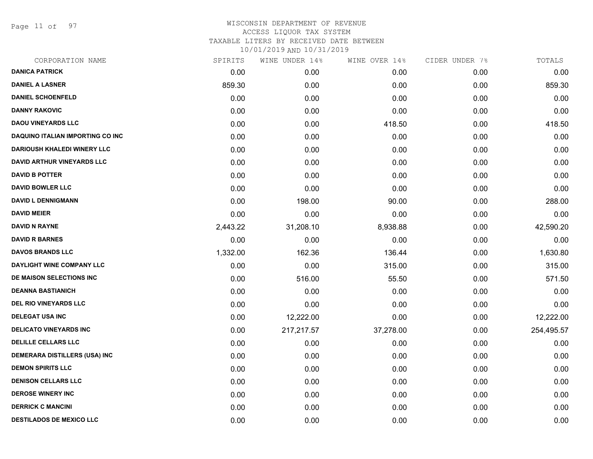Page 11 of 97

| CORPORATION NAME                        | SPIRITS  | WINE UNDER 14% | WINE OVER 14% | CIDER UNDER 7% | TOTALS     |
|-----------------------------------------|----------|----------------|---------------|----------------|------------|
| <b>DANICA PATRICK</b>                   | 0.00     | 0.00           | 0.00          | 0.00           | 0.00       |
| <b>DANIEL A LASNER</b>                  | 859.30   | 0.00           | 0.00          | 0.00           | 859.30     |
| <b>DANIEL SCHOENFELD</b>                | 0.00     | 0.00           | 0.00          | 0.00           | 0.00       |
| <b>DANNY RAKOVIC</b>                    | 0.00     | 0.00           | 0.00          | 0.00           | 0.00       |
| <b>DAOU VINEYARDS LLC</b>               | 0.00     | 0.00           | 418.50        | 0.00           | 418.50     |
| <b>DAQUINO ITALIAN IMPORTING CO INC</b> | 0.00     | 0.00           | 0.00          | 0.00           | 0.00       |
| <b>DARIOUSH KHALEDI WINERY LLC</b>      | 0.00     | 0.00           | 0.00          | 0.00           | 0.00       |
| <b>DAVID ARTHUR VINEYARDS LLC</b>       | 0.00     | 0.00           | 0.00          | 0.00           | 0.00       |
| <b>DAVID B POTTER</b>                   | 0.00     | 0.00           | 0.00          | 0.00           | 0.00       |
| <b>DAVID BOWLER LLC</b>                 | 0.00     | 0.00           | 0.00          | 0.00           | 0.00       |
| <b>DAVID L DENNIGMANN</b>               | 0.00     | 198.00         | 90.00         | 0.00           | 288.00     |
| <b>DAVID MEIER</b>                      | 0.00     | 0.00           | 0.00          | 0.00           | 0.00       |
| <b>DAVID N RAYNE</b>                    | 2,443.22 | 31,208.10      | 8,938.88      | 0.00           | 42,590.20  |
| <b>DAVID R BARNES</b>                   | 0.00     | 0.00           | 0.00          | 0.00           | 0.00       |
| <b>DAVOS BRANDS LLC</b>                 | 1,332.00 | 162.36         | 136.44        | 0.00           | 1,630.80   |
| DAYLIGHT WINE COMPANY LLC               | 0.00     | 0.00           | 315.00        | 0.00           | 315.00     |
| DE MAISON SELECTIONS INC                | 0.00     | 516.00         | 55.50         | 0.00           | 571.50     |
| <b>DEANNA BASTIANICH</b>                | 0.00     | 0.00           | 0.00          | 0.00           | 0.00       |
| <b>DEL RIO VINEYARDS LLC</b>            | 0.00     | 0.00           | 0.00          | 0.00           | 0.00       |
| <b>DELEGAT USA INC</b>                  | 0.00     | 12,222.00      | 0.00          | 0.00           | 12,222.00  |
| <b>DELICATO VINEYARDS INC</b>           | 0.00     | 217,217.57     | 37,278.00     | 0.00           | 254,495.57 |
| <b>DELILLE CELLARS LLC</b>              | 0.00     | 0.00           | 0.00          | 0.00           | 0.00       |
| <b>DEMERARA DISTILLERS (USA) INC</b>    | 0.00     | 0.00           | 0.00          | 0.00           | 0.00       |
| <b>DEMON SPIRITS LLC</b>                | 0.00     | 0.00           | 0.00          | 0.00           | 0.00       |
| <b>DENISON CELLARS LLC</b>              | 0.00     | 0.00           | 0.00          | 0.00           | 0.00       |
| <b>DEROSE WINERY INC</b>                | 0.00     | 0.00           | 0.00          | 0.00           | 0.00       |
| <b>DERRICK C MANCINI</b>                | 0.00     | 0.00           | 0.00          | 0.00           | 0.00       |
| <b>DESTILADOS DE MEXICO LLC</b>         | 0.00     | 0.00           | 0.00          | 0.00           | 0.00       |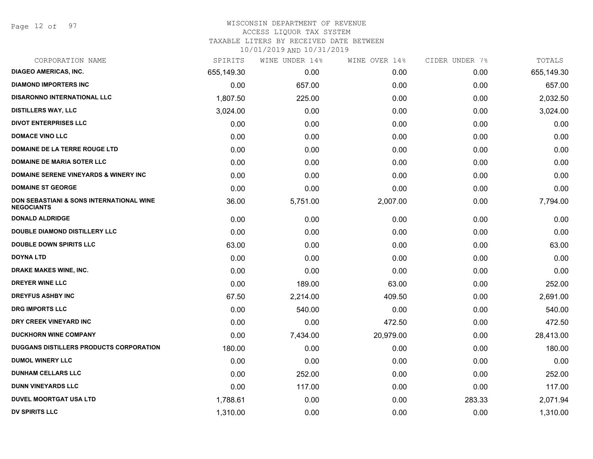Page 12 of 97

#### WISCONSIN DEPARTMENT OF REVENUE ACCESS LIQUOR TAX SYSTEM

TAXABLE LITERS BY RECEIVED DATE BETWEEN

| CORPORATION NAME                                                         | SPIRITS    | WINE UNDER 14% | WINE OVER 14% | CIDER UNDER 7% | TOTALS     |
|--------------------------------------------------------------------------|------------|----------------|---------------|----------------|------------|
| <b>DIAGEO AMERICAS, INC.</b>                                             | 655,149.30 | 0.00           | 0.00          | 0.00           | 655,149.30 |
| <b>DIAMOND IMPORTERS INC</b>                                             | 0.00       | 657.00         | 0.00          | 0.00           | 657.00     |
| <b>DISARONNO INTERNATIONAL LLC</b>                                       | 1,807.50   | 225.00         | 0.00          | 0.00           | 2,032.50   |
| <b>DISTILLERS WAY, LLC</b>                                               | 3,024.00   | 0.00           | 0.00          | 0.00           | 3,024.00   |
| <b>DIVOT ENTERPRISES LLC</b>                                             | 0.00       | 0.00           | 0.00          | 0.00           | 0.00       |
| <b>DOMACE VINO LLC</b>                                                   | 0.00       | 0.00           | 0.00          | 0.00           | 0.00       |
| DOMAINE DE LA TERRE ROUGE LTD                                            | 0.00       | 0.00           | 0.00          | 0.00           | 0.00       |
| <b>DOMAINE DE MARIA SOTER LLC</b>                                        | 0.00       | 0.00           | 0.00          | 0.00           | 0.00       |
| <b>DOMAINE SERENE VINEYARDS &amp; WINERY INC</b>                         | 0.00       | 0.00           | 0.00          | 0.00           | 0.00       |
| <b>DOMAINE ST GEORGE</b>                                                 | 0.00       | 0.00           | 0.00          | 0.00           | 0.00       |
| <b>DON SEBASTIANI &amp; SONS INTERNATIONAL WINE</b><br><b>NEGOCIANTS</b> | 36.00      | 5,751.00       | 2,007.00      | 0.00           | 7,794.00   |
| <b>DONALD ALDRIDGE</b>                                                   | 0.00       | 0.00           | 0.00          | 0.00           | 0.00       |
| <b>DOUBLE DIAMOND DISTILLERY LLC</b>                                     | 0.00       | 0.00           | 0.00          | 0.00           | 0.00       |
| <b>DOUBLE DOWN SPIRITS LLC</b>                                           | 63.00      | 0.00           | 0.00          | 0.00           | 63.00      |
| <b>DOYNA LTD</b>                                                         | 0.00       | 0.00           | 0.00          | 0.00           | 0.00       |
| DRAKE MAKES WINE, INC.                                                   | 0.00       | 0.00           | 0.00          | 0.00           | 0.00       |
| <b>DREYER WINE LLC</b>                                                   | 0.00       | 189.00         | 63.00         | 0.00           | 252.00     |
| <b>DREYFUS ASHBY INC</b>                                                 | 67.50      | 2,214.00       | 409.50        | 0.00           | 2,691.00   |
| <b>DRG IMPORTS LLC</b>                                                   | 0.00       | 540.00         | 0.00          | 0.00           | 540.00     |
| DRY CREEK VINEYARD INC                                                   | 0.00       | 0.00           | 472.50        | 0.00           | 472.50     |
| <b>DUCKHORN WINE COMPANY</b>                                             | 0.00       | 7,434.00       | 20,979.00     | 0.00           | 28,413.00  |
| DUGGANS DISTILLERS PRODUCTS CORPORATION                                  | 180.00     | 0.00           | 0.00          | 0.00           | 180.00     |
| <b>DUMOL WINERY LLC</b>                                                  | 0.00       | 0.00           | 0.00          | 0.00           | 0.00       |
| <b>DUNHAM CELLARS LLC</b>                                                | 0.00       | 252.00         | 0.00          | 0.00           | 252.00     |
| <b>DUNN VINEYARDS LLC</b>                                                | 0.00       | 117.00         | 0.00          | 0.00           | 117.00     |
| <b>DUVEL MOORTGAT USA LTD</b>                                            | 1,788.61   | 0.00           | 0.00          | 283.33         | 2,071.94   |
| <b>DV SPIRITS LLC</b>                                                    | 1,310.00   | 0.00           | 0.00          | 0.00           | 1,310.00   |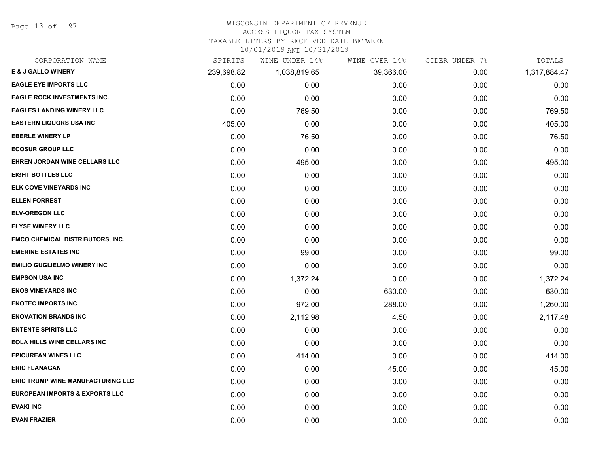Page 13 of 97

#### WISCONSIN DEPARTMENT OF REVENUE

#### ACCESS LIQUOR TAX SYSTEM

TAXABLE LITERS BY RECEIVED DATE BETWEEN

| CORPORATION NAME                          | SPIRITS    | WINE UNDER 14% | WINE OVER 14% | CIDER UNDER 7% | TOTALS       |
|-------------------------------------------|------------|----------------|---------------|----------------|--------------|
| <b>E &amp; J GALLO WINERY</b>             | 239,698.82 | 1,038,819.65   | 39,366.00     | 0.00           | 1,317,884.47 |
| <b>EAGLE EYE IMPORTS LLC</b>              | 0.00       | 0.00           | 0.00          | 0.00           | 0.00         |
| <b>EAGLE ROCK INVESTMENTS INC.</b>        | 0.00       | 0.00           | 0.00          | 0.00           | 0.00         |
| <b>EAGLES LANDING WINERY LLC</b>          | 0.00       | 769.50         | 0.00          | 0.00           | 769.50       |
| <b>EASTERN LIQUORS USA INC</b>            | 405.00     | 0.00           | 0.00          | 0.00           | 405.00       |
| <b>EBERLE WINERY LP</b>                   | 0.00       | 76.50          | 0.00          | 0.00           | 76.50        |
| <b>ECOSUR GROUP LLC</b>                   | 0.00       | 0.00           | 0.00          | 0.00           | 0.00         |
| EHREN JORDAN WINE CELLARS LLC             | 0.00       | 495.00         | 0.00          | 0.00           | 495.00       |
| <b>EIGHT BOTTLES LLC</b>                  | 0.00       | 0.00           | 0.00          | 0.00           | 0.00         |
| ELK COVE VINEYARDS INC                    | 0.00       | 0.00           | 0.00          | 0.00           | 0.00         |
| <b>ELLEN FORREST</b>                      | 0.00       | 0.00           | 0.00          | 0.00           | 0.00         |
| <b>ELV-OREGON LLC</b>                     | 0.00       | 0.00           | 0.00          | 0.00           | 0.00         |
| <b>ELYSE WINERY LLC</b>                   | 0.00       | 0.00           | 0.00          | 0.00           | 0.00         |
| <b>EMCO CHEMICAL DISTRIBUTORS, INC.</b>   | 0.00       | 0.00           | 0.00          | 0.00           | 0.00         |
| <b>EMERINE ESTATES INC</b>                | 0.00       | 99.00          | 0.00          | 0.00           | 99.00        |
| <b>EMILIO GUGLIELMO WINERY INC</b>        | 0.00       | 0.00           | 0.00          | 0.00           | 0.00         |
| <b>EMPSON USA INC</b>                     | 0.00       | 1,372.24       | 0.00          | 0.00           | 1,372.24     |
| <b>ENOS VINEYARDS INC</b>                 | 0.00       | 0.00           | 630.00        | 0.00           | 630.00       |
| <b>ENOTEC IMPORTS INC</b>                 | 0.00       | 972.00         | 288.00        | 0.00           | 1,260.00     |
| <b>ENOVATION BRANDS INC</b>               | 0.00       | 2,112.98       | 4.50          | 0.00           | 2,117.48     |
| <b>ENTENTE SPIRITS LLC</b>                | 0.00       | 0.00           | 0.00          | 0.00           | 0.00         |
| <b>EOLA HILLS WINE CELLARS INC</b>        | 0.00       | 0.00           | 0.00          | 0.00           | 0.00         |
| <b>EPICUREAN WINES LLC</b>                | 0.00       | 414.00         | 0.00          | 0.00           | 414.00       |
| <b>ERIC FLANAGAN</b>                      | 0.00       | 0.00           | 45.00         | 0.00           | 45.00        |
| <b>ERIC TRUMP WINE MANUFACTURING LLC</b>  | 0.00       | 0.00           | 0.00          | 0.00           | 0.00         |
| <b>EUROPEAN IMPORTS &amp; EXPORTS LLC</b> | 0.00       | 0.00           | 0.00          | 0.00           | 0.00         |
| <b>EVAKI INC</b>                          | 0.00       | 0.00           | 0.00          | 0.00           | 0.00         |
| <b>EVAN FRAZIER</b>                       | 0.00       | 0.00           | 0.00          | 0.00           | 0.00         |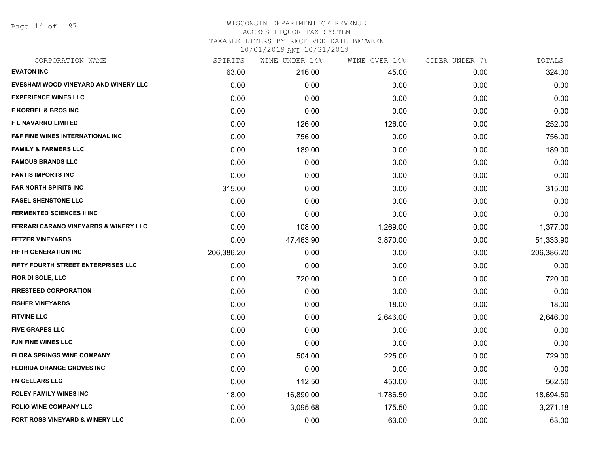Page 14 of 97

#### WISCONSIN DEPARTMENT OF REVENUE ACCESS LIQUOR TAX SYSTEM

TAXABLE LITERS BY RECEIVED DATE BETWEEN

| CORPORATION NAME                                 | SPIRITS    | WINE UNDER 14% | WINE OVER 14% | CIDER UNDER 7% | TOTALS     |
|--------------------------------------------------|------------|----------------|---------------|----------------|------------|
| <b>EVATON INC</b>                                | 63.00      | 216.00         | 45.00         | 0.00           | 324.00     |
| EVESHAM WOOD VINEYARD AND WINERY LLC             | 0.00       | 0.00           | 0.00          | 0.00           | 0.00       |
| <b>EXPERIENCE WINES LLC</b>                      | 0.00       | 0.00           | 0.00          | 0.00           | 0.00       |
| <b>F KORBEL &amp; BROS INC</b>                   | 0.00       | 0.00           | 0.00          | 0.00           | 0.00       |
| <b>FL NAVARRO LIMITED</b>                        | 0.00       | 126.00         | 126.00        | 0.00           | 252.00     |
| <b>F&amp;F FINE WINES INTERNATIONAL INC</b>      | 0.00       | 756.00         | 0.00          | 0.00           | 756.00     |
| <b>FAMILY &amp; FARMERS LLC</b>                  | 0.00       | 189.00         | 0.00          | 0.00           | 189.00     |
| <b>FAMOUS BRANDS LLC</b>                         | 0.00       | 0.00           | 0.00          | 0.00           | 0.00       |
| <b>FANTIS IMPORTS INC</b>                        | 0.00       | 0.00           | 0.00          | 0.00           | 0.00       |
| <b>FAR NORTH SPIRITS INC</b>                     | 315.00     | 0.00           | 0.00          | 0.00           | 315.00     |
| <b>FASEL SHENSTONE LLC</b>                       | 0.00       | 0.00           | 0.00          | 0.00           | 0.00       |
| <b>FERMENTED SCIENCES II INC</b>                 | 0.00       | 0.00           | 0.00          | 0.00           | 0.00       |
| <b>FERRARI CARANO VINEYARDS &amp; WINERY LLC</b> | 0.00       | 108.00         | 1,269.00      | 0.00           | 1,377.00   |
| <b>FETZER VINEYARDS</b>                          | 0.00       | 47,463.90      | 3,870.00      | 0.00           | 51,333.90  |
| <b>FIFTH GENERATION INC</b>                      | 206,386.20 | 0.00           | 0.00          | 0.00           | 206,386.20 |
| FIFTY FOURTH STREET ENTERPRISES LLC              | 0.00       | 0.00           | 0.00          | 0.00           | 0.00       |
| FIOR DI SOLE, LLC                                | 0.00       | 720.00         | 0.00          | 0.00           | 720.00     |
| <b>FIRESTEED CORPORATION</b>                     | 0.00       | 0.00           | 0.00          | 0.00           | 0.00       |
| <b>FISHER VINEYARDS</b>                          | 0.00       | 0.00           | 18.00         | 0.00           | 18.00      |
| <b>FITVINE LLC</b>                               | 0.00       | 0.00           | 2,646.00      | 0.00           | 2,646.00   |
| <b>FIVE GRAPES LLC</b>                           | 0.00       | 0.00           | 0.00          | 0.00           | 0.00       |
| <b>FJN FINE WINES LLC</b>                        | 0.00       | 0.00           | 0.00          | 0.00           | 0.00       |
| <b>FLORA SPRINGS WINE COMPANY</b>                | 0.00       | 504.00         | 225.00        | 0.00           | 729.00     |
| <b>FLORIDA ORANGE GROVES INC</b>                 | 0.00       | 0.00           | 0.00          | 0.00           | 0.00       |
| <b>FN CELLARS LLC</b>                            | 0.00       | 112.50         | 450.00        | 0.00           | 562.50     |
| <b>FOLEY FAMILY WINES INC</b>                    | 18.00      | 16,890.00      | 1,786.50      | 0.00           | 18,694.50  |
| <b>FOLIO WINE COMPANY LLC</b>                    | 0.00       | 3,095.68       | 175.50        | 0.00           | 3,271.18   |
| FORT ROSS VINEYARD & WINERY LLC                  | 0.00       | 0.00           | 63.00         | 0.00           | 63.00      |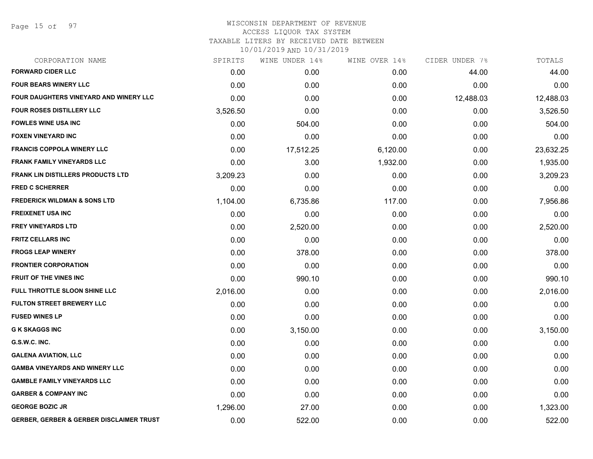Page 15 of 97

# WISCONSIN DEPARTMENT OF REVENUE ACCESS LIQUOR TAX SYSTEM

TAXABLE LITERS BY RECEIVED DATE BETWEEN

| CORPORATION NAME                                    | SPIRITS  | WINE UNDER 14% | WINE OVER 14% | CIDER UNDER 7% | TOTALS    |
|-----------------------------------------------------|----------|----------------|---------------|----------------|-----------|
| <b>FORWARD CIDER LLC</b>                            | 0.00     | 0.00           | 0.00          | 44.00          | 44.00     |
| <b>FOUR BEARS WINERY LLC</b>                        | 0.00     | 0.00           | 0.00          | 0.00           | 0.00      |
| FOUR DAUGHTERS VINEYARD AND WINERY LLC              | 0.00     | 0.00           | 0.00          | 12,488.03      | 12,488.03 |
| <b>FOUR ROSES DISTILLERY LLC</b>                    | 3,526.50 | 0.00           | 0.00          | 0.00           | 3,526.50  |
| <b>FOWLES WINE USA INC</b>                          | 0.00     | 504.00         | 0.00          | 0.00           | 504.00    |
| <b>FOXEN VINEYARD INC</b>                           | 0.00     | 0.00           | 0.00          | 0.00           | 0.00      |
| <b>FRANCIS COPPOLA WINERY LLC</b>                   | 0.00     | 17,512.25      | 6,120.00      | 0.00           | 23,632.25 |
| <b>FRANK FAMILY VINEYARDS LLC</b>                   | 0.00     | 3.00           | 1,932.00      | 0.00           | 1,935.00  |
| <b>FRANK LIN DISTILLERS PRODUCTS LTD</b>            | 3,209.23 | 0.00           | 0.00          | 0.00           | 3,209.23  |
| <b>FRED C SCHERRER</b>                              | 0.00     | 0.00           | 0.00          | 0.00           | 0.00      |
| <b>FREDERICK WILDMAN &amp; SONS LTD</b>             | 1,104.00 | 6,735.86       | 117.00        | 0.00           | 7,956.86  |
| <b>FREIXENET USA INC</b>                            | 0.00     | 0.00           | 0.00          | 0.00           | 0.00      |
| <b>FREY VINEYARDS LTD</b>                           | 0.00     | 2,520.00       | 0.00          | 0.00           | 2,520.00  |
| <b>FRITZ CELLARS INC</b>                            | 0.00     | 0.00           | 0.00          | 0.00           | 0.00      |
| <b>FROGS LEAP WINERY</b>                            | 0.00     | 378.00         | 0.00          | 0.00           | 378.00    |
| <b>FRONTIER CORPORATION</b>                         | 0.00     | 0.00           | 0.00          | 0.00           | 0.00      |
| <b>FRUIT OF THE VINES INC</b>                       | 0.00     | 990.10         | 0.00          | 0.00           | 990.10    |
| FULL THROTTLE SLOON SHINE LLC                       | 2,016.00 | 0.00           | 0.00          | 0.00           | 2,016.00  |
| <b>FULTON STREET BREWERY LLC</b>                    | 0.00     | 0.00           | 0.00          | 0.00           | 0.00      |
| <b>FUSED WINES LP</b>                               | 0.00     | 0.00           | 0.00          | 0.00           | 0.00      |
| <b>G K SKAGGS INC</b>                               | 0.00     | 3,150.00       | 0.00          | 0.00           | 3,150.00  |
| G.S.W.C. INC.                                       | 0.00     | 0.00           | 0.00          | 0.00           | 0.00      |
| <b>GALENA AVIATION, LLC</b>                         | 0.00     | 0.00           | 0.00          | 0.00           | 0.00      |
| <b>GAMBA VINEYARDS AND WINERY LLC</b>               | 0.00     | 0.00           | 0.00          | 0.00           | 0.00      |
| <b>GAMBLE FAMILY VINEYARDS LLC</b>                  | 0.00     | 0.00           | 0.00          | 0.00           | 0.00      |
| <b>GARBER &amp; COMPANY INC</b>                     | 0.00     | 0.00           | 0.00          | 0.00           | 0.00      |
| <b>GEORGE BOZIC JR</b>                              | 1,296.00 | 27.00          | 0.00          | 0.00           | 1,323.00  |
| <b>GERBER, GERBER &amp; GERBER DISCLAIMER TRUST</b> | 0.00     | 522.00         | 0.00          | 0.00           | 522.00    |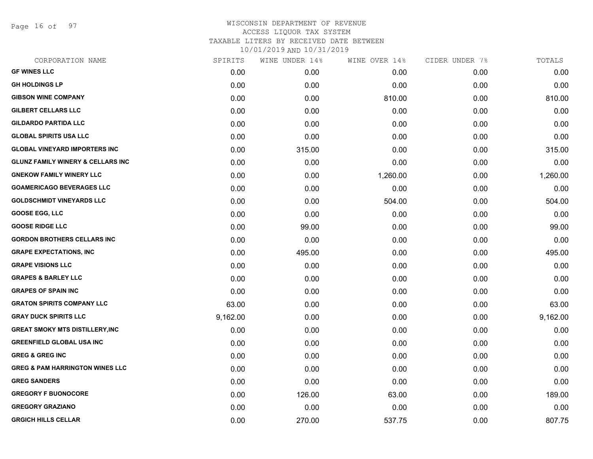Page 16 of 97

| CORPORATION NAME                             | SPIRITS  | WINE UNDER 14% | WINE OVER 14% | CIDER UNDER 7% | TOTALS   |
|----------------------------------------------|----------|----------------|---------------|----------------|----------|
| <b>GF WINES LLC</b>                          | 0.00     | 0.00           | 0.00          | 0.00           | 0.00     |
| <b>GH HOLDINGS LP</b>                        | 0.00     | 0.00           | 0.00          | 0.00           | 0.00     |
| <b>GIBSON WINE COMPANY</b>                   | 0.00     | 0.00           | 810.00        | 0.00           | 810.00   |
| <b>GILBERT CELLARS LLC</b>                   | 0.00     | 0.00           | 0.00          | 0.00           | 0.00     |
| <b>GILDARDO PARTIDA LLC</b>                  | 0.00     | 0.00           | 0.00          | 0.00           | 0.00     |
| <b>GLOBAL SPIRITS USA LLC</b>                | 0.00     | 0.00           | 0.00          | 0.00           | 0.00     |
| <b>GLOBAL VINEYARD IMPORTERS INC</b>         | 0.00     | 315.00         | 0.00          | 0.00           | 315.00   |
| <b>GLUNZ FAMILY WINERY &amp; CELLARS INC</b> | 0.00     | 0.00           | 0.00          | 0.00           | 0.00     |
| <b>GNEKOW FAMILY WINERY LLC</b>              | 0.00     | 0.00           | 1,260.00      | 0.00           | 1,260.00 |
| <b>GOAMERICAGO BEVERAGES LLC</b>             | 0.00     | 0.00           | 0.00          | 0.00           | 0.00     |
| <b>GOLDSCHMIDT VINEYARDS LLC</b>             | 0.00     | 0.00           | 504.00        | 0.00           | 504.00   |
| <b>GOOSE EGG, LLC</b>                        | 0.00     | 0.00           | 0.00          | 0.00           | 0.00     |
| <b>GOOSE RIDGE LLC</b>                       | 0.00     | 99.00          | 0.00          | 0.00           | 99.00    |
| <b>GORDON BROTHERS CELLARS INC</b>           | 0.00     | 0.00           | 0.00          | 0.00           | 0.00     |
| <b>GRAPE EXPECTATIONS, INC</b>               | 0.00     | 495.00         | 0.00          | 0.00           | 495.00   |
| <b>GRAPE VISIONS LLC</b>                     | 0.00     | 0.00           | 0.00          | 0.00           | 0.00     |
| <b>GRAPES &amp; BARLEY LLC</b>               | 0.00     | 0.00           | 0.00          | 0.00           | 0.00     |
| <b>GRAPES OF SPAIN INC</b>                   | 0.00     | 0.00           | 0.00          | 0.00           | 0.00     |
| <b>GRATON SPIRITS COMPANY LLC</b>            | 63.00    | 0.00           | 0.00          | 0.00           | 63.00    |
| <b>GRAY DUCK SPIRITS LLC</b>                 | 9,162.00 | 0.00           | 0.00          | 0.00           | 9,162.00 |
| <b>GREAT SMOKY MTS DISTILLERY, INC</b>       | 0.00     | 0.00           | 0.00          | 0.00           | 0.00     |
| <b>GREENFIELD GLOBAL USA INC</b>             | 0.00     | 0.00           | 0.00          | 0.00           | 0.00     |
| <b>GREG &amp; GREG INC</b>                   | 0.00     | 0.00           | 0.00          | 0.00           | 0.00     |
| <b>GREG &amp; PAM HARRINGTON WINES LLC</b>   | 0.00     | 0.00           | 0.00          | 0.00           | 0.00     |
| <b>GREG SANDERS</b>                          | 0.00     | 0.00           | 0.00          | 0.00           | 0.00     |
| <b>GREGORY F BUONOCORE</b>                   | 0.00     | 126.00         | 63.00         | 0.00           | 189.00   |
| <b>GREGORY GRAZIANO</b>                      | 0.00     | 0.00           | 0.00          | 0.00           | 0.00     |
| <b>GRGICH HILLS CELLAR</b>                   | 0.00     | 270.00         | 537.75        | 0.00           | 807.75   |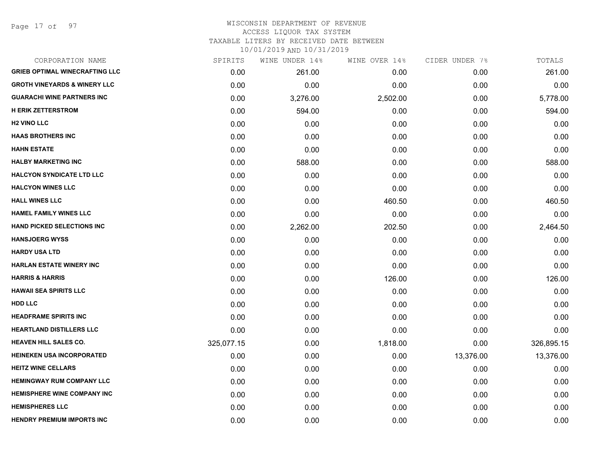Page 17 of 97

| CORPORATION NAME                        | SPIRITS    | WINE UNDER 14% | WINE OVER 14% | CIDER UNDER 7% | TOTALS     |
|-----------------------------------------|------------|----------------|---------------|----------------|------------|
| <b>GRIEB OPTIMAL WINECRAFTING LLC</b>   | 0.00       | 261.00         | 0.00          | 0.00           | 261.00     |
| <b>GROTH VINEYARDS &amp; WINERY LLC</b> | 0.00       | 0.00           | 0.00          | 0.00           | 0.00       |
| <b>GUARACHI WINE PARTNERS INC</b>       | 0.00       | 3,276.00       | 2,502.00      | 0.00           | 5,778.00   |
| <b>H ERIK ZETTERSTROM</b>               | 0.00       | 594.00         | 0.00          | 0.00           | 594.00     |
| <b>H2 VINO LLC</b>                      | 0.00       | 0.00           | 0.00          | 0.00           | 0.00       |
| <b>HAAS BROTHERS INC</b>                | 0.00       | 0.00           | 0.00          | 0.00           | 0.00       |
| <b>HAHN ESTATE</b>                      | 0.00       | 0.00           | 0.00          | 0.00           | 0.00       |
| <b>HALBY MARKETING INC</b>              | 0.00       | 588.00         | 0.00          | 0.00           | 588.00     |
| <b>HALCYON SYNDICATE LTD LLC</b>        | 0.00       | 0.00           | 0.00          | 0.00           | 0.00       |
| <b>HALCYON WINES LLC</b>                | 0.00       | 0.00           | 0.00          | 0.00           | 0.00       |
| <b>HALL WINES LLC</b>                   | 0.00       | 0.00           | 460.50        | 0.00           | 460.50     |
| <b>HAMEL FAMILY WINES LLC</b>           | 0.00       | 0.00           | 0.00          | 0.00           | 0.00       |
| HAND PICKED SELECTIONS INC              | 0.00       | 2,262.00       | 202.50        | 0.00           | 2,464.50   |
| <b>HANSJOERG WYSS</b>                   | 0.00       | 0.00           | 0.00          | 0.00           | 0.00       |
| <b>HARDY USA LTD</b>                    | 0.00       | 0.00           | 0.00          | 0.00           | 0.00       |
| <b>HARLAN ESTATE WINERY INC</b>         | 0.00       | 0.00           | 0.00          | 0.00           | 0.00       |
| <b>HARRIS &amp; HARRIS</b>              | 0.00       | 0.00           | 126.00        | 0.00           | 126.00     |
| <b>HAWAII SEA SPIRITS LLC</b>           | 0.00       | 0.00           | 0.00          | 0.00           | 0.00       |
| <b>HDD LLC</b>                          | 0.00       | 0.00           | 0.00          | 0.00           | 0.00       |
| <b>HEADFRAME SPIRITS INC</b>            | 0.00       | 0.00           | 0.00          | 0.00           | 0.00       |
| <b>HEARTLAND DISTILLERS LLC</b>         | 0.00       | 0.00           | 0.00          | 0.00           | 0.00       |
| <b>HEAVEN HILL SALES CO.</b>            | 325,077.15 | 0.00           | 1,818.00      | 0.00           | 326,895.15 |
| <b>HEINEKEN USA INCORPORATED</b>        | 0.00       | 0.00           | 0.00          | 13,376.00      | 13,376.00  |
| <b>HEITZ WINE CELLARS</b>               | 0.00       | 0.00           | 0.00          | 0.00           | 0.00       |
| <b>HEMINGWAY RUM COMPANY LLC</b>        | 0.00       | 0.00           | 0.00          | 0.00           | 0.00       |
| HEMISPHERE WINE COMPANY INC             | 0.00       | 0.00           | 0.00          | 0.00           | 0.00       |
| <b>HEMISPHERES LLC</b>                  | 0.00       | 0.00           | 0.00          | 0.00           | 0.00       |
| <b>HENDRY PREMIUM IMPORTS INC</b>       | 0.00       | 0.00           | 0.00          | 0.00           | 0.00       |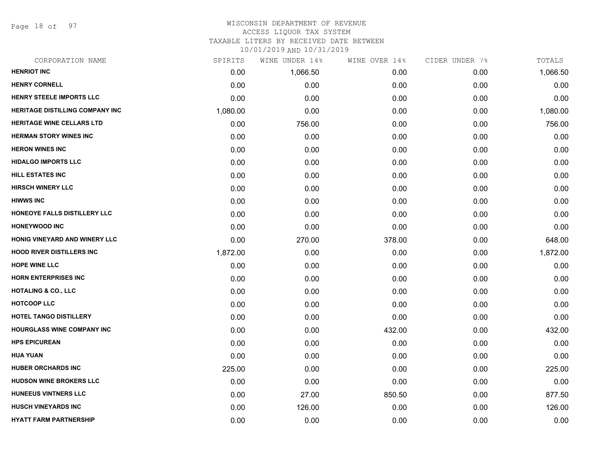Page 18 of 97

#### WISCONSIN DEPARTMENT OF REVENUE ACCESS LIQUOR TAX SYSTEM

TAXABLE LITERS BY RECEIVED DATE BETWEEN

| CORPORATION NAME                       | SPIRITS  | WINE UNDER 14% | WINE OVER 14% | CIDER UNDER 7% | TOTALS   |
|----------------------------------------|----------|----------------|---------------|----------------|----------|
| <b>HENRIOT INC</b>                     | 0.00     | 1,066.50       | 0.00          | 0.00           | 1,066.50 |
| <b>HENRY CORNELL</b>                   | 0.00     | 0.00           | 0.00          | 0.00           | 0.00     |
| HENRY STEELE IMPORTS LLC               | 0.00     | 0.00           | 0.00          | 0.00           | 0.00     |
| <b>HERITAGE DISTILLING COMPANY INC</b> | 1,080.00 | 0.00           | 0.00          | 0.00           | 1,080.00 |
| <b>HERITAGE WINE CELLARS LTD</b>       | 0.00     | 756.00         | 0.00          | 0.00           | 756.00   |
| <b>HERMAN STORY WINES INC</b>          | 0.00     | 0.00           | 0.00          | 0.00           | 0.00     |
| <b>HERON WINES INC</b>                 | 0.00     | 0.00           | 0.00          | 0.00           | 0.00     |
| <b>HIDALGO IMPORTS LLC</b>             | 0.00     | 0.00           | 0.00          | 0.00           | 0.00     |
| <b>HILL ESTATES INC</b>                | 0.00     | 0.00           | 0.00          | 0.00           | 0.00     |
| <b>HIRSCH WINERY LLC</b>               | 0.00     | 0.00           | 0.00          | 0.00           | 0.00     |
| <b>HIWWS INC</b>                       | 0.00     | 0.00           | 0.00          | 0.00           | 0.00     |
| HONEOYE FALLS DISTILLERY LLC           | 0.00     | 0.00           | 0.00          | 0.00           | 0.00     |
| <b>HONEYWOOD INC</b>                   | 0.00     | 0.00           | 0.00          | 0.00           | 0.00     |
| HONIG VINEYARD AND WINERY LLC          | 0.00     | 270.00         | 378.00        | 0.00           | 648.00   |
| <b>HOOD RIVER DISTILLERS INC</b>       | 1,872.00 | 0.00           | 0.00          | 0.00           | 1,872.00 |
| <b>HOPE WINE LLC</b>                   | 0.00     | 0.00           | 0.00          | 0.00           | 0.00     |
| <b>HORN ENTERPRISES INC</b>            | 0.00     | 0.00           | 0.00          | 0.00           | 0.00     |
| <b>HOTALING &amp; CO., LLC</b>         | 0.00     | 0.00           | 0.00          | 0.00           | 0.00     |
| <b>HOTCOOP LLC</b>                     | 0.00     | 0.00           | 0.00          | 0.00           | 0.00     |
| <b>HOTEL TANGO DISTILLERY</b>          | 0.00     | 0.00           | 0.00          | 0.00           | 0.00     |
| <b>HOURGLASS WINE COMPANY INC</b>      | 0.00     | 0.00           | 432.00        | 0.00           | 432.00   |
| <b>HPS EPICUREAN</b>                   | 0.00     | 0.00           | 0.00          | 0.00           | 0.00     |
| <b>HUA YUAN</b>                        | 0.00     | 0.00           | 0.00          | 0.00           | 0.00     |
| <b>HUBER ORCHARDS INC</b>              | 225.00   | 0.00           | 0.00          | 0.00           | 225.00   |
| <b>HUDSON WINE BROKERS LLC</b>         | 0.00     | 0.00           | 0.00          | 0.00           | 0.00     |
| <b>HUNEEUS VINTNERS LLC</b>            | 0.00     | 27.00          | 850.50        | 0.00           | 877.50   |
| <b>HUSCH VINEYARDS INC</b>             | 0.00     | 126.00         | 0.00          | 0.00           | 126.00   |
| <b>HYATT FARM PARTNERSHIP</b>          | 0.00     | 0.00           | 0.00          | 0.00           | 0.00     |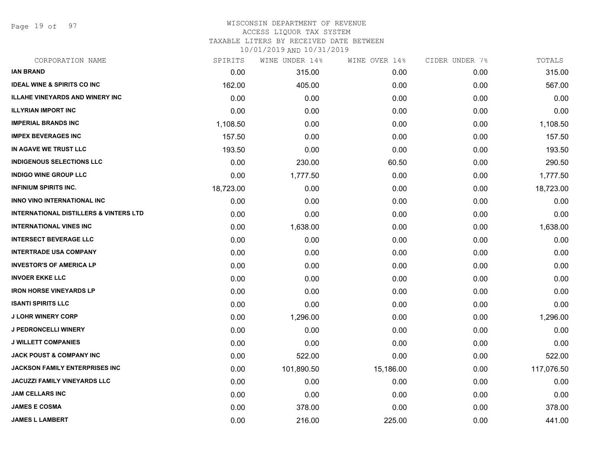Page 19 of 97

## WISCONSIN DEPARTMENT OF REVENUE ACCESS LIQUOR TAX SYSTEM TAXABLE LITERS BY RECEIVED DATE BETWEEN

| CORPORATION NAME                                  | SPIRITS   | WINE UNDER 14% | WINE OVER 14% | CIDER UNDER 7% | TOTALS     |
|---------------------------------------------------|-----------|----------------|---------------|----------------|------------|
| <b>IAN BRAND</b>                                  | 0.00      | 315.00         | 0.00          | 0.00           | 315.00     |
| <b>IDEAL WINE &amp; SPIRITS CO INC</b>            | 162.00    | 405.00         | 0.00          | 0.00           | 567.00     |
| <b>ILLAHE VINEYARDS AND WINERY INC</b>            | 0.00      | 0.00           | 0.00          | 0.00           | 0.00       |
| <b>ILLYRIAN IMPORT INC</b>                        | 0.00      | 0.00           | 0.00          | 0.00           | 0.00       |
| <b>IMPERIAL BRANDS INC</b>                        | 1,108.50  | 0.00           | 0.00          | 0.00           | 1,108.50   |
| <b>IMPEX BEVERAGES INC</b>                        | 157.50    | 0.00           | 0.00          | 0.00           | 157.50     |
| IN AGAVE WE TRUST LLC                             | 193.50    | 0.00           | 0.00          | 0.00           | 193.50     |
| <b>INDIGENOUS SELECTIONS LLC</b>                  | 0.00      | 230.00         | 60.50         | 0.00           | 290.50     |
| <b>INDIGO WINE GROUP LLC</b>                      | 0.00      | 1,777.50       | 0.00          | 0.00           | 1,777.50   |
| <b>INFINIUM SPIRITS INC.</b>                      | 18,723.00 | 0.00           | 0.00          | 0.00           | 18,723.00  |
| INNO VINO INTERNATIONAL INC                       | 0.00      | 0.00           | 0.00          | 0.00           | 0.00       |
| <b>INTERNATIONAL DISTILLERS &amp; VINTERS LTD</b> | 0.00      | 0.00           | 0.00          | 0.00           | 0.00       |
| <b>INTERNATIONAL VINES INC</b>                    | 0.00      | 1,638.00       | 0.00          | 0.00           | 1,638.00   |
| <b>INTERSECT BEVERAGE LLC</b>                     | 0.00      | 0.00           | 0.00          | 0.00           | 0.00       |
| <b>INTERTRADE USA COMPANY</b>                     | 0.00      | 0.00           | 0.00          | 0.00           | 0.00       |
| <b>INVESTOR'S OF AMERICA LP</b>                   | 0.00      | 0.00           | 0.00          | 0.00           | 0.00       |
| <b>INVOER EKKE LLC</b>                            | 0.00      | 0.00           | 0.00          | 0.00           | 0.00       |
| <b>IRON HORSE VINEYARDS LP</b>                    | 0.00      | 0.00           | 0.00          | 0.00           | 0.00       |
| <b>ISANTI SPIRITS LLC</b>                         | 0.00      | 0.00           | 0.00          | 0.00           | 0.00       |
| <b>J LOHR WINERY CORP</b>                         | 0.00      | 1,296.00       | 0.00          | 0.00           | 1,296.00   |
| <b>J PEDRONCELLI WINERY</b>                       | 0.00      | 0.00           | 0.00          | 0.00           | 0.00       |
| <b>J WILLETT COMPANIES</b>                        | 0.00      | 0.00           | 0.00          | 0.00           | 0.00       |
| <b>JACK POUST &amp; COMPANY INC</b>               | 0.00      | 522.00         | 0.00          | 0.00           | 522.00     |
| <b>JACKSON FAMILY ENTERPRISES INC</b>             | 0.00      | 101,890.50     | 15,186.00     | 0.00           | 117,076.50 |
| <b>JACUZZI FAMILY VINEYARDS LLC</b>               | 0.00      | 0.00           | 0.00          | 0.00           | 0.00       |
| <b>JAM CELLARS INC</b>                            | 0.00      | 0.00           | 0.00          | 0.00           | 0.00       |
| <b>JAMES E COSMA</b>                              | 0.00      | 378.00         | 0.00          | 0.00           | 378.00     |
| <b>JAMES L LAMBERT</b>                            | 0.00      | 216.00         | 225.00        | 0.00           | 441.00     |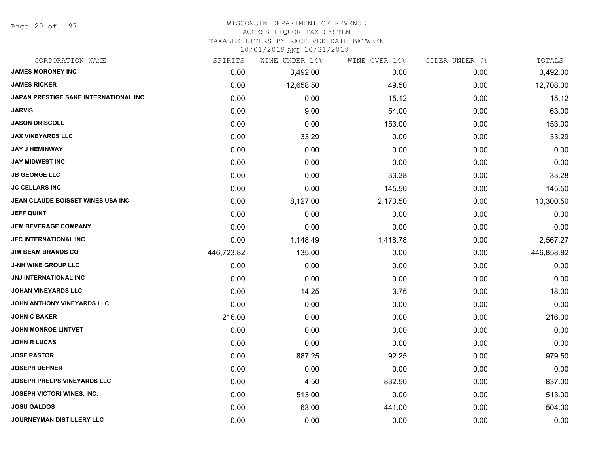Page 20 of 97

#### WISCONSIN DEPARTMENT OF REVENUE ACCESS LIQUOR TAX SYSTEM

TAXABLE LITERS BY RECEIVED DATE BETWEEN

| CORPORATION NAME                      | SPIRITS    | WINE UNDER 14% | WINE OVER 14% | CIDER UNDER 7% | TOTALS     |
|---------------------------------------|------------|----------------|---------------|----------------|------------|
| <b>JAMES MORONEY INC</b>              | 0.00       | 3,492.00       | 0.00          | 0.00           | 3,492.00   |
| <b>JAMES RICKER</b>                   | 0.00       | 12,658.50      | 49.50         | 0.00           | 12,708.00  |
| JAPAN PRESTIGE SAKE INTERNATIONAL INC | 0.00       | 0.00           | 15.12         | 0.00           | 15.12      |
| <b>JARVIS</b>                         | 0.00       | 9.00           | 54.00         | 0.00           | 63.00      |
| <b>JASON DRISCOLL</b>                 | 0.00       | 0.00           | 153.00        | 0.00           | 153.00     |
| <b>JAX VINEYARDS LLC</b>              | 0.00       | 33.29          | 0.00          | 0.00           | 33.29      |
| <b>JAY J HEMINWAY</b>                 | 0.00       | 0.00           | 0.00          | 0.00           | 0.00       |
| <b>JAY MIDWEST INC</b>                | 0.00       | 0.00           | 0.00          | 0.00           | 0.00       |
| <b>JB GEORGE LLC</b>                  | 0.00       | 0.00           | 33.28         | 0.00           | 33.28      |
| <b>JC CELLARS INC</b>                 | 0.00       | 0.00           | 145.50        | 0.00           | 145.50     |
| JEAN CLAUDE BOISSET WINES USA INC     | 0.00       | 8,127.00       | 2,173.50      | 0.00           | 10,300.50  |
| <b>JEFF QUINT</b>                     | 0.00       | 0.00           | 0.00          | 0.00           | 0.00       |
| <b>JEM BEVERAGE COMPANY</b>           | 0.00       | 0.00           | 0.00          | 0.00           | 0.00       |
| <b>JFC INTERNATIONAL INC</b>          | 0.00       | 1,148.49       | 1,418.78      | 0.00           | 2,567.27   |
| <b>JIM BEAM BRANDS CO</b>             | 446,723.82 | 135.00         | 0.00          | 0.00           | 446,858.82 |
| <b>J-NH WINE GROUP LLC</b>            | 0.00       | 0.00           | 0.00          | 0.00           | 0.00       |
| <b>JNJ INTERNATIONAL INC</b>          | 0.00       | 0.00           | 0.00          | 0.00           | 0.00       |
| <b>JOHAN VINEYARDS LLC</b>            | 0.00       | 14.25          | 3.75          | 0.00           | 18.00      |
| JOHN ANTHONY VINEYARDS LLC            | 0.00       | 0.00           | 0.00          | 0.00           | 0.00       |
| <b>JOHN C BAKER</b>                   | 216.00     | 0.00           | 0.00          | 0.00           | 216.00     |
| <b>JOHN MONROE LINTVET</b>            | 0.00       | 0.00           | 0.00          | 0.00           | 0.00       |
| <b>JOHN R LUCAS</b>                   | 0.00       | 0.00           | 0.00          | 0.00           | 0.00       |
| <b>JOSE PASTOR</b>                    | 0.00       | 887.25         | 92.25         | 0.00           | 979.50     |
| <b>JOSEPH DEHNER</b>                  | 0.00       | 0.00           | 0.00          | 0.00           | 0.00       |
| <b>JOSEPH PHELPS VINEYARDS LLC</b>    | 0.00       | 4.50           | 832.50        | 0.00           | 837.00     |
| <b>JOSEPH VICTORI WINES, INC.</b>     | 0.00       | 513.00         | 0.00          | 0.00           | 513.00     |
| <b>JOSU GALDOS</b>                    | 0.00       | 63.00          | 441.00        | 0.00           | 504.00     |
| JOURNEYMAN DISTILLERY LLC             | 0.00       | 0.00           | 0.00          | 0.00           | 0.00       |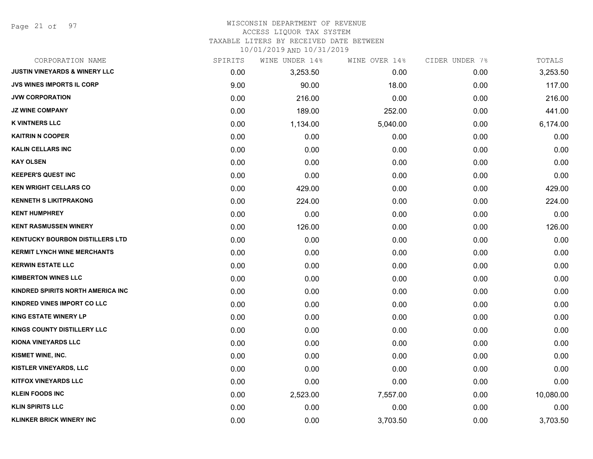Page 21 of 97

## WISCONSIN DEPARTMENT OF REVENUE ACCESS LIQUOR TAX SYSTEM

TAXABLE LITERS BY RECEIVED DATE BETWEEN

| CORPORATION NAME                         | SPIRITS | WINE UNDER 14% | WINE OVER 14% | CIDER UNDER 7% | TOTALS    |
|------------------------------------------|---------|----------------|---------------|----------------|-----------|
| <b>JUSTIN VINEYARDS &amp; WINERY LLC</b> | 0.00    | 3,253.50       | 0.00          | 0.00           | 3,253.50  |
| <b>JVS WINES IMPORTS IL CORP</b>         | 9.00    | 90.00          | 18.00         | 0.00           | 117.00    |
| <b>JVW CORPORATION</b>                   | 0.00    | 216.00         | 0.00          | 0.00           | 216.00    |
| <b>JZ WINE COMPANY</b>                   | 0.00    | 189.00         | 252.00        | 0.00           | 441.00    |
| <b>K VINTNERS LLC</b>                    | 0.00    | 1,134.00       | 5,040.00      | 0.00           | 6,174.00  |
| <b>KAITRIN N COOPER</b>                  | 0.00    | 0.00           | 0.00          | 0.00           | 0.00      |
| <b>KALIN CELLARS INC</b>                 | 0.00    | 0.00           | 0.00          | 0.00           | 0.00      |
| <b>KAY OLSEN</b>                         | 0.00    | 0.00           | 0.00          | 0.00           | 0.00      |
| <b>KEEPER'S QUEST INC</b>                | 0.00    | 0.00           | 0.00          | 0.00           | 0.00      |
| <b>KEN WRIGHT CELLARS CO</b>             | 0.00    | 429.00         | 0.00          | 0.00           | 429.00    |
| <b>KENNETH S LIKITPRAKONG</b>            | 0.00    | 224.00         | 0.00          | 0.00           | 224.00    |
| <b>KENT HUMPHREY</b>                     | 0.00    | 0.00           | 0.00          | 0.00           | 0.00      |
| <b>KENT RASMUSSEN WINERY</b>             | 0.00    | 126.00         | 0.00          | 0.00           | 126.00    |
| <b>KENTUCKY BOURBON DISTILLERS LTD</b>   | 0.00    | 0.00           | 0.00          | 0.00           | 0.00      |
| <b>KERMIT LYNCH WINE MERCHANTS</b>       | 0.00    | 0.00           | 0.00          | 0.00           | 0.00      |
| <b>KERWIN ESTATE LLC</b>                 | 0.00    | 0.00           | 0.00          | 0.00           | 0.00      |
| <b>KIMBERTON WINES LLC</b>               | 0.00    | 0.00           | 0.00          | 0.00           | 0.00      |
| KINDRED SPIRITS NORTH AMERICA INC        | 0.00    | 0.00           | 0.00          | 0.00           | 0.00      |
| <b>KINDRED VINES IMPORT CO LLC</b>       | 0.00    | 0.00           | 0.00          | 0.00           | 0.00      |
| <b>KING ESTATE WINERY LP</b>             | 0.00    | 0.00           | 0.00          | 0.00           | 0.00      |
| KINGS COUNTY DISTILLERY LLC              | 0.00    | 0.00           | 0.00          | 0.00           | 0.00      |
| <b>KIONA VINEYARDS LLC</b>               | 0.00    | 0.00           | 0.00          | 0.00           | 0.00      |
| KISMET WINE, INC.                        | 0.00    | 0.00           | 0.00          | 0.00           | 0.00      |
| <b>KISTLER VINEYARDS, LLC</b>            | 0.00    | 0.00           | 0.00          | 0.00           | 0.00      |
| <b>KITFOX VINEYARDS LLC</b>              | 0.00    | 0.00           | 0.00          | 0.00           | 0.00      |
| <b>KLEIN FOODS INC</b>                   | 0.00    | 2,523.00       | 7,557.00      | 0.00           | 10,080.00 |
| <b>KLIN SPIRITS LLC</b>                  | 0.00    | 0.00           | 0.00          | 0.00           | 0.00      |
| <b>KLINKER BRICK WINERY INC</b>          | 0.00    | 0.00           | 3,703.50      | 0.00           | 3,703.50  |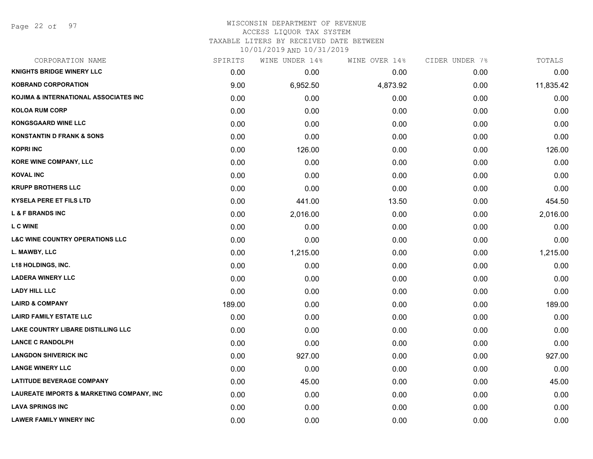## WISCONSIN DEPARTMENT OF REVENUE ACCESS LIQUOR TAX SYSTEM

TAXABLE LITERS BY RECEIVED DATE BETWEEN

| CORPORATION NAME                           | SPIRITS | WINE UNDER 14% | WINE OVER 14% | CIDER UNDER 7% | TOTALS    |
|--------------------------------------------|---------|----------------|---------------|----------------|-----------|
| <b>KNIGHTS BRIDGE WINERY LLC</b>           | 0.00    | 0.00           | 0.00          | 0.00           | 0.00      |
| <b>KOBRAND CORPORATION</b>                 | 9.00    | 6,952.50       | 4,873.92      | 0.00           | 11,835.42 |
| KOJIMA & INTERNATIONAL ASSOCIATES INC      | 0.00    | 0.00           | 0.00          | 0.00           | 0.00      |
| <b>KOLOA RUM CORP</b>                      | 0.00    | 0.00           | 0.00          | 0.00           | 0.00      |
| <b>KONGSGAARD WINE LLC</b>                 | 0.00    | 0.00           | 0.00          | 0.00           | 0.00      |
| <b>KONSTANTIN D FRANK &amp; SONS</b>       | 0.00    | 0.00           | 0.00          | 0.00           | 0.00      |
| <b>KOPRI INC</b>                           | 0.00    | 126.00         | 0.00          | 0.00           | 126.00    |
| <b>KORE WINE COMPANY, LLC</b>              | 0.00    | 0.00           | 0.00          | 0.00           | 0.00      |
| <b>KOVAL INC</b>                           | 0.00    | 0.00           | 0.00          | 0.00           | 0.00      |
| <b>KRUPP BROTHERS LLC</b>                  | 0.00    | 0.00           | 0.00          | 0.00           | 0.00      |
| <b>KYSELA PERE ET FILS LTD</b>             | 0.00    | 441.00         | 13.50         | 0.00           | 454.50    |
| <b>L &amp; F BRANDS INC</b>                | 0.00    | 2,016.00       | 0.00          | 0.00           | 2,016.00  |
| <b>L C WINE</b>                            | 0.00    | 0.00           | 0.00          | 0.00           | 0.00      |
| <b>L&amp;C WINE COUNTRY OPERATIONS LLC</b> | 0.00    | 0.00           | 0.00          | 0.00           | 0.00      |
| L. MAWBY, LLC                              | 0.00    | 1,215.00       | 0.00          | 0.00           | 1,215.00  |
| <b>L18 HOLDINGS, INC.</b>                  | 0.00    | 0.00           | 0.00          | 0.00           | 0.00      |
| <b>LADERA WINERY LLC</b>                   | 0.00    | 0.00           | 0.00          | 0.00           | 0.00      |
| <b>LADY HILL LLC</b>                       | 0.00    | 0.00           | 0.00          | 0.00           | 0.00      |
| <b>LAIRD &amp; COMPANY</b>                 | 189.00  | 0.00           | 0.00          | 0.00           | 189.00    |
| <b>LAIRD FAMILY ESTATE LLC</b>             | 0.00    | 0.00           | 0.00          | 0.00           | 0.00      |
| LAKE COUNTRY LIBARE DISTILLING LLC         | 0.00    | 0.00           | 0.00          | 0.00           | 0.00      |
| <b>LANCE C RANDOLPH</b>                    | 0.00    | 0.00           | 0.00          | 0.00           | 0.00      |
| <b>LANGDON SHIVERICK INC</b>               | 0.00    | 927.00         | 0.00          | 0.00           | 927.00    |
| <b>LANGE WINERY LLC</b>                    | 0.00    | 0.00           | 0.00          | 0.00           | 0.00      |
| <b>LATITUDE BEVERAGE COMPANY</b>           | 0.00    | 45.00          | 0.00          | 0.00           | 45.00     |
| LAUREATE IMPORTS & MARKETING COMPANY, INC  | 0.00    | 0.00           | 0.00          | 0.00           | 0.00      |
| <b>LAVA SPRINGS INC</b>                    | 0.00    | 0.00           | 0.00          | 0.00           | 0.00      |
| <b>LAWER FAMILY WINERY INC</b>             | 0.00    | 0.00           | 0.00          | 0.00           | 0.00      |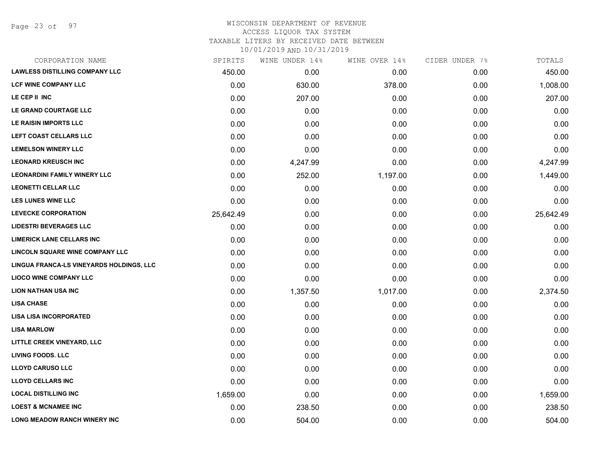Page 23 of 97

# WISCONSIN DEPARTMENT OF REVENUE ACCESS LIQUOR TAX SYSTEM

TAXABLE LITERS BY RECEIVED DATE BETWEEN

| CORPORATION NAME                         | SPIRITS   | WINE UNDER 14% | WINE OVER 14% | CIDER UNDER 7% | TOTALS    |
|------------------------------------------|-----------|----------------|---------------|----------------|-----------|
| <b>LAWLESS DISTILLING COMPANY LLC</b>    | 450.00    | 0.00           | 0.00          | 0.00           | 450.00    |
| <b>LCF WINE COMPANY LLC</b>              | 0.00      | 630.00         | 378.00        | 0.00           | 1,008.00  |
| LE CEP II INC                            | 0.00      | 207.00         | 0.00          | 0.00           | 207.00    |
| LE GRAND COURTAGE LLC                    | 0.00      | 0.00           | 0.00          | 0.00           | 0.00      |
| LE RAISIN IMPORTS LLC                    | 0.00      | 0.00           | 0.00          | 0.00           | 0.00      |
| LEFT COAST CELLARS LLC                   | 0.00      | 0.00           | 0.00          | 0.00           | 0.00      |
| <b>LEMELSON WINERY LLC</b>               | 0.00      | 0.00           | 0.00          | 0.00           | 0.00      |
| <b>LEONARD KREUSCH INC</b>               | 0.00      | 4,247.99       | 0.00          | 0.00           | 4,247.99  |
| <b>LEONARDINI FAMILY WINERY LLC</b>      | 0.00      | 252.00         | 1,197.00      | 0.00           | 1,449.00  |
| <b>LEONETTI CELLAR LLC</b>               | 0.00      | 0.00           | 0.00          | 0.00           | 0.00      |
| LES LUNES WINE LLC                       | 0.00      | 0.00           | 0.00          | 0.00           | 0.00      |
| <b>LEVECKE CORPORATION</b>               | 25,642.49 | 0.00           | 0.00          | 0.00           | 25,642.49 |
| <b>LIDESTRI BEVERAGES LLC</b>            | 0.00      | 0.00           | 0.00          | 0.00           | 0.00      |
| <b>LIMERICK LANE CELLARS INC</b>         | 0.00      | 0.00           | 0.00          | 0.00           | 0.00      |
| <b>LINCOLN SQUARE WINE COMPANY LLC</b>   | 0.00      | 0.00           | 0.00          | 0.00           | 0.00      |
| LINGUA FRANCA-LS VINEYARDS HOLDINGS, LLC | 0.00      | 0.00           | 0.00          | 0.00           | 0.00      |
| <b>LIOCO WINE COMPANY LLC</b>            | 0.00      | 0.00           | 0.00          | 0.00           | 0.00      |
| <b>LION NATHAN USA INC</b>               | 0.00      | 1,357.50       | 1,017.00      | 0.00           | 2,374.50  |
| <b>LISA CHASE</b>                        | 0.00      | 0.00           | 0.00          | 0.00           | 0.00      |
| <b>LISA LISA INCORPORATED</b>            | 0.00      | 0.00           | 0.00          | 0.00           | 0.00      |
| <b>LISA MARLOW</b>                       | 0.00      | 0.00           | 0.00          | 0.00           | 0.00      |
| LITTLE CREEK VINEYARD, LLC               | 0.00      | 0.00           | 0.00          | 0.00           | 0.00      |
| <b>LIVING FOODS. LLC</b>                 | 0.00      | 0.00           | 0.00          | 0.00           | 0.00      |
| <b>LLOYD CARUSO LLC</b>                  | 0.00      | 0.00           | 0.00          | 0.00           | 0.00      |
| <b>LLOYD CELLARS INC</b>                 | 0.00      | 0.00           | 0.00          | 0.00           | 0.00      |
| <b>LOCAL DISTILLING INC</b>              | 1,659.00  | 0.00           | 0.00          | 0.00           | 1,659.00  |
| <b>LOEST &amp; MCNAMEE INC</b>           | 0.00      | 238.50         | 0.00          | 0.00           | 238.50    |
| LONG MEADOW RANCH WINERY INC             | 0.00      | 504.00         | 0.00          | 0.00           | 504.00    |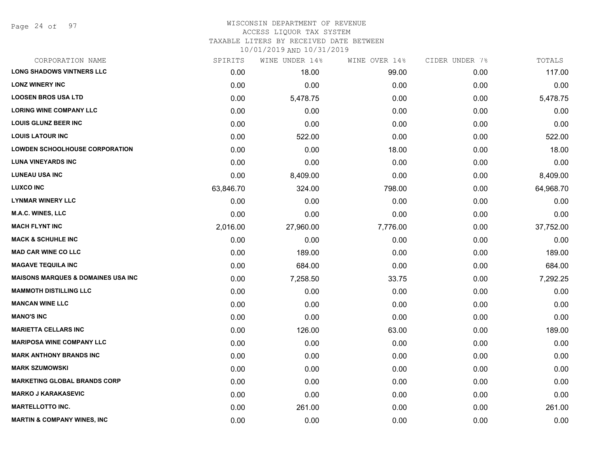Page 24 of 97

# WISCONSIN DEPARTMENT OF REVENUE

# ACCESS LIQUOR TAX SYSTEM

TAXABLE LITERS BY RECEIVED DATE BETWEEN

| CORPORATION NAME                              | SPIRITS   | WINE UNDER 14% | WINE OVER 14% | CIDER UNDER 7% | TOTALS    |
|-----------------------------------------------|-----------|----------------|---------------|----------------|-----------|
| <b>LONG SHADOWS VINTNERS LLC</b>              | 0.00      | 18.00          | 99.00         | 0.00           | 117.00    |
| <b>LONZ WINERY INC</b>                        | 0.00      | 0.00           | 0.00          | 0.00           | 0.00      |
| <b>LOOSEN BROS USA LTD</b>                    | 0.00      | 5,478.75       | 0.00          | 0.00           | 5,478.75  |
| <b>LORING WINE COMPANY LLC</b>                | 0.00      | 0.00           | 0.00          | 0.00           | 0.00      |
| <b>LOUIS GLUNZ BEER INC</b>                   | 0.00      | 0.00           | 0.00          | 0.00           | 0.00      |
| <b>LOUIS LATOUR INC</b>                       | 0.00      | 522.00         | 0.00          | 0.00           | 522.00    |
| <b>LOWDEN SCHOOLHOUSE CORPORATION</b>         | 0.00      | 0.00           | 18.00         | 0.00           | 18.00     |
| <b>LUNA VINEYARDS INC</b>                     | 0.00      | 0.00           | 0.00          | 0.00           | 0.00      |
| <b>LUNEAU USA INC</b>                         | 0.00      | 8,409.00       | 0.00          | 0.00           | 8,409.00  |
| <b>LUXCO INC</b>                              | 63,846.70 | 324.00         | 798.00        | 0.00           | 64,968.70 |
| <b>LYNMAR WINERY LLC</b>                      | 0.00      | 0.00           | 0.00          | 0.00           | 0.00      |
| M.A.C. WINES, LLC                             | 0.00      | 0.00           | 0.00          | 0.00           | 0.00      |
| <b>MACH FLYNT INC</b>                         | 2,016.00  | 27,960.00      | 7,776.00      | 0.00           | 37,752.00 |
| <b>MACK &amp; SCHUHLE INC</b>                 | 0.00      | 0.00           | 0.00          | 0.00           | 0.00      |
| <b>MAD CAR WINE CO LLC</b>                    | 0.00      | 189.00         | 0.00          | 0.00           | 189.00    |
| <b>MAGAVE TEQUILA INC</b>                     | 0.00      | 684.00         | 0.00          | 0.00           | 684.00    |
| <b>MAISONS MARQUES &amp; DOMAINES USA INC</b> | 0.00      | 7,258.50       | 33.75         | 0.00           | 7,292.25  |
| <b>MAMMOTH DISTILLING LLC</b>                 | 0.00      | 0.00           | 0.00          | 0.00           | 0.00      |
| <b>MANCAN WINE LLC</b>                        | 0.00      | 0.00           | 0.00          | 0.00           | 0.00      |
| <b>MANO'S INC</b>                             | 0.00      | 0.00           | 0.00          | 0.00           | 0.00      |
| <b>MARIETTA CELLARS INC</b>                   | 0.00      | 126.00         | 63.00         | 0.00           | 189.00    |
| <b>MARIPOSA WINE COMPANY LLC</b>              | 0.00      | 0.00           | 0.00          | 0.00           | 0.00      |
| <b>MARK ANTHONY BRANDS INC</b>                | 0.00      | 0.00           | 0.00          | 0.00           | 0.00      |
| <b>MARK SZUMOWSKI</b>                         | 0.00      | 0.00           | 0.00          | 0.00           | 0.00      |
| <b>MARKETING GLOBAL BRANDS CORP</b>           | 0.00      | 0.00           | 0.00          | 0.00           | 0.00      |
| <b>MARKO J KARAKASEVIC</b>                    | 0.00      | 0.00           | 0.00          | 0.00           | 0.00      |
| <b>MARTELLOTTO INC.</b>                       | 0.00      | 261.00         | 0.00          | 0.00           | 261.00    |
| <b>MARTIN &amp; COMPANY WINES, INC</b>        | 0.00      | 0.00           | 0.00          | 0.00           | 0.00      |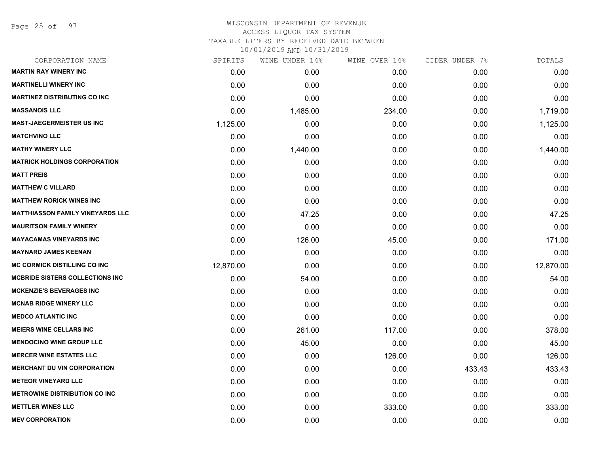Page 25 of 97

## WISCONSIN DEPARTMENT OF REVENUE ACCESS LIQUOR TAX SYSTEM TAXABLE LITERS BY RECEIVED DATE BETWEEN

| CORPORATION NAME                        | SPIRITS   | WINE UNDER 14% | WINE OVER 14% | CIDER UNDER 7% | TOTALS    |
|-----------------------------------------|-----------|----------------|---------------|----------------|-----------|
| <b>MARTIN RAY WINERY INC</b>            | 0.00      | 0.00           | 0.00          | 0.00           | 0.00      |
| <b>MARTINELLI WINERY INC</b>            | 0.00      | 0.00           | 0.00          | 0.00           | 0.00      |
| <b>MARTINEZ DISTRIBUTING CO INC</b>     | 0.00      | 0.00           | 0.00          | 0.00           | 0.00      |
| <b>MASSANOIS LLC</b>                    | 0.00      | 1,485.00       | 234.00        | 0.00           | 1,719.00  |
| <b>MAST-JAEGERMEISTER US INC</b>        | 1,125.00  | 0.00           | 0.00          | 0.00           | 1,125.00  |
| <b>MATCHVINO LLC</b>                    | 0.00      | 0.00           | 0.00          | 0.00           | 0.00      |
| <b>MATHY WINERY LLC</b>                 | 0.00      | 1,440.00       | 0.00          | 0.00           | 1,440.00  |
| <b>MATRICK HOLDINGS CORPORATION</b>     | 0.00      | 0.00           | 0.00          | 0.00           | 0.00      |
| <b>MATT PREIS</b>                       | 0.00      | 0.00           | 0.00          | 0.00           | 0.00      |
| <b>MATTHEW C VILLARD</b>                | 0.00      | 0.00           | 0.00          | 0.00           | 0.00      |
| <b>MATTHEW RORICK WINES INC</b>         | 0.00      | 0.00           | 0.00          | 0.00           | 0.00      |
| <b>MATTHIASSON FAMILY VINEYARDS LLC</b> | 0.00      | 47.25          | 0.00          | 0.00           | 47.25     |
| <b>MAURITSON FAMILY WINERY</b>          | 0.00      | 0.00           | 0.00          | 0.00           | 0.00      |
| <b>MAYACAMAS VINEYARDS INC</b>          | 0.00      | 126.00         | 45.00         | 0.00           | 171.00    |
| <b>MAYNARD JAMES KEENAN</b>             | 0.00      | 0.00           | 0.00          | 0.00           | 0.00      |
| <b>MC CORMICK DISTILLING CO INC</b>     | 12,870.00 | 0.00           | 0.00          | 0.00           | 12,870.00 |
| <b>MCBRIDE SISTERS COLLECTIONS INC</b>  | 0.00      | 54.00          | 0.00          | 0.00           | 54.00     |
| <b>MCKENZIE'S BEVERAGES INC</b>         | 0.00      | 0.00           | 0.00          | 0.00           | 0.00      |
| <b>MCNAB RIDGE WINERY LLC</b>           | 0.00      | 0.00           | 0.00          | 0.00           | 0.00      |
| <b>MEDCO ATLANTIC INC</b>               | 0.00      | 0.00           | 0.00          | 0.00           | 0.00      |
| <b>MEIERS WINE CELLARS INC</b>          | 0.00      | 261.00         | 117.00        | 0.00           | 378.00    |
| <b>MENDOCINO WINE GROUP LLC</b>         | 0.00      | 45.00          | 0.00          | 0.00           | 45.00     |
| <b>MERCER WINE ESTATES LLC</b>          | 0.00      | 0.00           | 126.00        | 0.00           | 126.00    |
| <b>MERCHANT DU VIN CORPORATION</b>      | 0.00      | 0.00           | 0.00          | 433.43         | 433.43    |
| <b>METEOR VINEYARD LLC</b>              | 0.00      | 0.00           | 0.00          | 0.00           | 0.00      |
| <b>METROWINE DISTRIBUTION CO INC</b>    | 0.00      | 0.00           | 0.00          | 0.00           | 0.00      |
| <b>METTLER WINES LLC</b>                | 0.00      | 0.00           | 333.00        | 0.00           | 333.00    |
| <b>MEV CORPORATION</b>                  | 0.00      | 0.00           | 0.00          | 0.00           | 0.00      |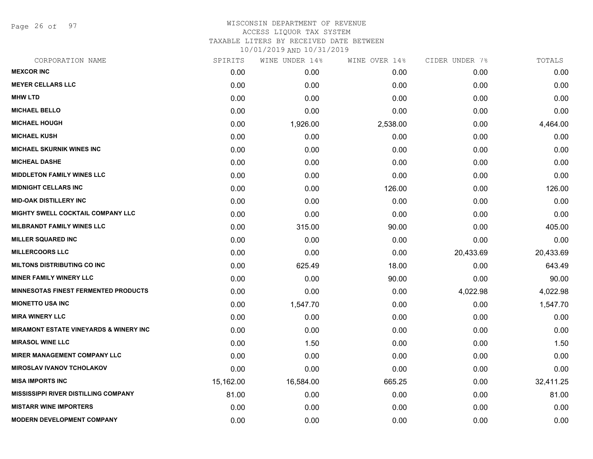Page 26 of 97

## WISCONSIN DEPARTMENT OF REVENUE ACCESS LIQUOR TAX SYSTEM TAXABLE LITERS BY RECEIVED DATE BETWEEN

| CORPORATION NAME                                  | SPIRITS   | WINE UNDER 14% | WINE OVER 14% | CIDER UNDER 7% | TOTALS    |
|---------------------------------------------------|-----------|----------------|---------------|----------------|-----------|
| <b>MEXCOR INC</b>                                 | 0.00      | 0.00           | 0.00          | 0.00           | 0.00      |
| <b>MEYER CELLARS LLC</b>                          | 0.00      | 0.00           | 0.00          | 0.00           | 0.00      |
| <b>MHW LTD</b>                                    | 0.00      | 0.00           | 0.00          | 0.00           | 0.00      |
| <b>MICHAEL BELLO</b>                              | 0.00      | 0.00           | 0.00          | 0.00           | 0.00      |
| <b>MICHAEL HOUGH</b>                              | 0.00      | 1,926.00       | 2,538.00      | 0.00           | 4,464.00  |
| <b>MICHAEL KUSH</b>                               | 0.00      | 0.00           | 0.00          | 0.00           | 0.00      |
| <b>MICHAEL SKURNIK WINES INC</b>                  | 0.00      | 0.00           | 0.00          | 0.00           | 0.00      |
| <b>MICHEAL DASHE</b>                              | 0.00      | 0.00           | 0.00          | 0.00           | 0.00      |
| <b>MIDDLETON FAMILY WINES LLC</b>                 | 0.00      | 0.00           | 0.00          | 0.00           | 0.00      |
| <b>MIDNIGHT CELLARS INC</b>                       | 0.00      | 0.00           | 126.00        | 0.00           | 126.00    |
| <b>MID-OAK DISTILLERY INC</b>                     | 0.00      | 0.00           | 0.00          | 0.00           | 0.00      |
| MIGHTY SWELL COCKTAIL COMPANY LLC                 | 0.00      | 0.00           | 0.00          | 0.00           | 0.00      |
| <b>MILBRANDT FAMILY WINES LLC</b>                 | 0.00      | 315.00         | 90.00         | 0.00           | 405.00    |
| <b>MILLER SQUARED INC</b>                         | 0.00      | 0.00           | 0.00          | 0.00           | 0.00      |
| <b>MILLERCOORS LLC</b>                            | 0.00      | 0.00           | 0.00          | 20,433.69      | 20,433.69 |
| <b>MILTONS DISTRIBUTING CO INC</b>                | 0.00      | 625.49         | 18.00         | 0.00           | 643.49    |
| <b>MINER FAMILY WINERY LLC</b>                    | 0.00      | 0.00           | 90.00         | 0.00           | 90.00     |
| <b>MINNESOTAS FINEST FERMENTED PRODUCTS</b>       | 0.00      | 0.00           | 0.00          | 4,022.98       | 4,022.98  |
| <b>MIONETTO USA INC</b>                           | 0.00      | 1,547.70       | 0.00          | 0.00           | 1,547.70  |
| <b>MIRA WINERY LLC</b>                            | 0.00      | 0.00           | 0.00          | 0.00           | 0.00      |
| <b>MIRAMONT ESTATE VINEYARDS &amp; WINERY INC</b> | 0.00      | 0.00           | 0.00          | 0.00           | 0.00      |
| <b>MIRASOL WINE LLC</b>                           | 0.00      | 1.50           | 0.00          | 0.00           | 1.50      |
| <b>MIRER MANAGEMENT COMPANY LLC</b>               | 0.00      | 0.00           | 0.00          | 0.00           | 0.00      |
| <b>MIROSLAV IVANOV TCHOLAKOV</b>                  | 0.00      | 0.00           | 0.00          | 0.00           | 0.00      |
| <b>MISA IMPORTS INC</b>                           | 15,162.00 | 16,584.00      | 665.25        | 0.00           | 32,411.25 |
| <b>MISSISSIPPI RIVER DISTILLING COMPANY</b>       | 81.00     | 0.00           | 0.00          | 0.00           | 81.00     |
| <b>MISTARR WINE IMPORTERS</b>                     | 0.00      | 0.00           | 0.00          | 0.00           | 0.00      |
| <b>MODERN DEVELOPMENT COMPANY</b>                 | 0.00      | 0.00           | 0.00          | 0.00           | 0.00      |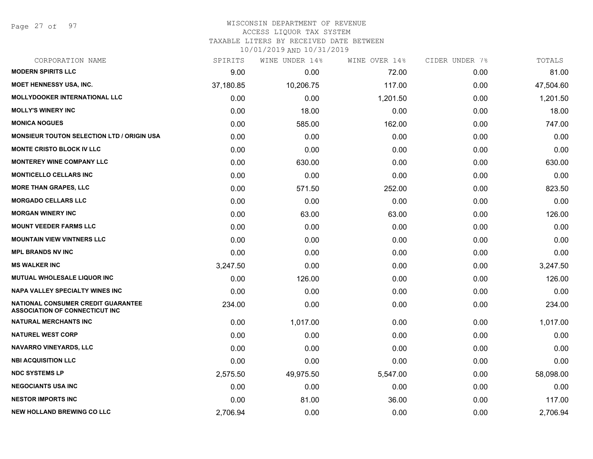Page 27 of 97

#### WISCONSIN DEPARTMENT OF REVENUE ACCESS LIQUOR TAX SYSTEM

TAXABLE LITERS BY RECEIVED DATE BETWEEN

| CORPORATION NAME                                                            | SPIRITS   | WINE UNDER 14% | WINE OVER 14% | CIDER UNDER 7% | TOTALS    |
|-----------------------------------------------------------------------------|-----------|----------------|---------------|----------------|-----------|
| <b>MODERN SPIRITS LLC</b>                                                   | 9.00      | 0.00           | 72.00         | 0.00           | 81.00     |
| <b>MOET HENNESSY USA, INC.</b>                                              | 37,180.85 | 10,206.75      | 117.00        | 0.00           | 47,504.60 |
| <b>MOLLYDOOKER INTERNATIONAL LLC</b>                                        | 0.00      | 0.00           | 1,201.50      | 0.00           | 1,201.50  |
| <b>MOLLY'S WINERY INC</b>                                                   | 0.00      | 18.00          | 0.00          | 0.00           | 18.00     |
| <b>MONICA NOGUES</b>                                                        | 0.00      | 585.00         | 162.00        | 0.00           | 747.00    |
| <b>MONSIEUR TOUTON SELECTION LTD / ORIGIN USA</b>                           | 0.00      | 0.00           | 0.00          | 0.00           | 0.00      |
| <b>MONTE CRISTO BLOCK IV LLC</b>                                            | 0.00      | 0.00           | 0.00          | 0.00           | 0.00      |
| <b>MONTEREY WINE COMPANY LLC</b>                                            | 0.00      | 630.00         | 0.00          | 0.00           | 630.00    |
| <b>MONTICELLO CELLARS INC</b>                                               | 0.00      | 0.00           | 0.00          | 0.00           | 0.00      |
| <b>MORE THAN GRAPES, LLC</b>                                                | 0.00      | 571.50         | 252.00        | 0.00           | 823.50    |
| <b>MORGADO CELLARS LLC</b>                                                  | 0.00      | 0.00           | 0.00          | 0.00           | 0.00      |
| <b>MORGAN WINERY INC</b>                                                    | 0.00      | 63.00          | 63.00         | 0.00           | 126.00    |
| <b>MOUNT VEEDER FARMS LLC</b>                                               | 0.00      | 0.00           | 0.00          | 0.00           | 0.00      |
| <b>MOUNTAIN VIEW VINTNERS LLC</b>                                           | 0.00      | 0.00           | 0.00          | 0.00           | 0.00      |
| <b>MPL BRANDS NV INC</b>                                                    | 0.00      | 0.00           | 0.00          | 0.00           | 0.00      |
| <b>MS WALKER INC</b>                                                        | 3,247.50  | 0.00           | 0.00          | 0.00           | 3,247.50  |
| MUTUAL WHOLESALE LIQUOR INC                                                 | 0.00      | 126.00         | 0.00          | 0.00           | 126.00    |
| <b>NAPA VALLEY SPECIALTY WINES INC</b>                                      | 0.00      | 0.00           | 0.00          | 0.00           | 0.00      |
| NATIONAL CONSUMER CREDIT GUARANTEE<br><b>ASSOCIATION OF CONNECTICUT INC</b> | 234.00    | 0.00           | 0.00          | 0.00           | 234.00    |
| <b>NATURAL MERCHANTS INC</b>                                                | 0.00      | 1,017.00       | 0.00          | 0.00           | 1,017.00  |
| <b>NATUREL WEST CORP</b>                                                    | 0.00      | 0.00           | 0.00          | 0.00           | 0.00      |
| <b>NAVARRO VINEYARDS, LLC</b>                                               | 0.00      | 0.00           | 0.00          | 0.00           | 0.00      |
| <b>NBI ACQUISITION LLC</b>                                                  | 0.00      | 0.00           | 0.00          | 0.00           | 0.00      |
| <b>NDC SYSTEMS LP</b>                                                       | 2,575.50  | 49,975.50      | 5,547.00      | 0.00           | 58,098.00 |
| <b>NEGOCIANTS USA INC</b>                                                   | 0.00      | 0.00           | 0.00          | 0.00           | 0.00      |
| <b>NESTOR IMPORTS INC</b>                                                   | 0.00      | 81.00          | 36.00         | 0.00           | 117.00    |
| <b>NEW HOLLAND BREWING CO LLC</b>                                           | 2,706.94  | 0.00           | 0.00          | 0.00           | 2,706.94  |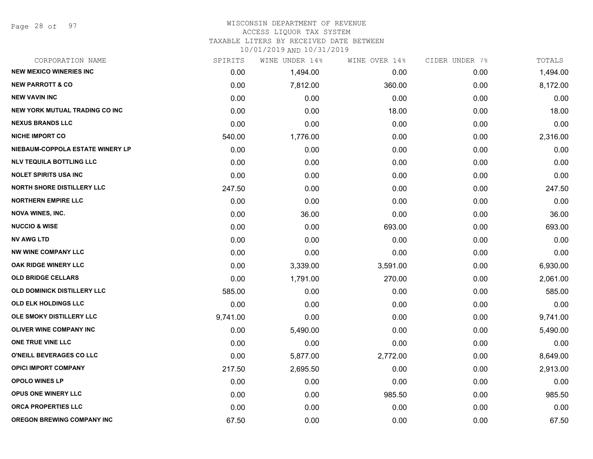Page 28 of 97

#### WISCONSIN DEPARTMENT OF REVENUE ACCESS LIQUOR TAX SYSTEM

TAXABLE LITERS BY RECEIVED DATE BETWEEN

| CORPORATION NAME                      | SPIRITS  | WINE UNDER 14% | WINE OVER 14% | CIDER UNDER 7% | TOTALS   |
|---------------------------------------|----------|----------------|---------------|----------------|----------|
| <b>NEW MEXICO WINERIES INC</b>        | 0.00     | 1,494.00       | 0.00          | 0.00           | 1,494.00 |
| <b>NEW PARROTT &amp; CO</b>           | 0.00     | 7,812.00       | 360.00        | 0.00           | 8,172.00 |
| <b>NEW VAVIN INC</b>                  | 0.00     | 0.00           | 0.00          | 0.00           | 0.00     |
| <b>NEW YORK MUTUAL TRADING CO INC</b> | 0.00     | 0.00           | 18.00         | 0.00           | 18.00    |
| <b>NEXUS BRANDS LLC</b>               | 0.00     | 0.00           | 0.00          | 0.00           | 0.00     |
| <b>NICHE IMPORT CO</b>                | 540.00   | 1,776.00       | 0.00          | 0.00           | 2,316.00 |
| NIEBAUM-COPPOLA ESTATE WINERY LP      | 0.00     | 0.00           | 0.00          | 0.00           | 0.00     |
| <b>NLV TEQUILA BOTTLING LLC</b>       | 0.00     | 0.00           | 0.00          | 0.00           | 0.00     |
| <b>NOLET SPIRITS USA INC</b>          | 0.00     | 0.00           | 0.00          | 0.00           | 0.00     |
| <b>NORTH SHORE DISTILLERY LLC</b>     | 247.50   | 0.00           | 0.00          | 0.00           | 247.50   |
| <b>NORTHERN EMPIRE LLC</b>            | 0.00     | 0.00           | 0.00          | 0.00           | 0.00     |
| <b>NOVA WINES, INC.</b>               | 0.00     | 36.00          | 0.00          | 0.00           | 36.00    |
| <b>NUCCIO &amp; WISE</b>              | 0.00     | 0.00           | 693.00        | 0.00           | 693.00   |
| <b>NV AWG LTD</b>                     | 0.00     | 0.00           | 0.00          | 0.00           | 0.00     |
| <b>NW WINE COMPANY LLC</b>            | 0.00     | 0.00           | 0.00          | 0.00           | 0.00     |
| OAK RIDGE WINERY LLC                  | 0.00     | 3,339.00       | 3,591.00      | 0.00           | 6,930.00 |
| <b>OLD BRIDGE CELLARS</b>             | 0.00     | 1,791.00       | 270.00        | 0.00           | 2,061.00 |
| OLD DOMINICK DISTILLERY LLC           | 585.00   | 0.00           | 0.00          | 0.00           | 585.00   |
| <b>OLD ELK HOLDINGS LLC</b>           | 0.00     | 0.00           | 0.00          | 0.00           | 0.00     |
| OLE SMOKY DISTILLERY LLC              | 9,741.00 | 0.00           | 0.00          | 0.00           | 9,741.00 |
| <b>OLIVER WINE COMPANY INC</b>        | 0.00     | 5,490.00       | 0.00          | 0.00           | 5,490.00 |
| ONE TRUE VINE LLC                     | 0.00     | 0.00           | 0.00          | 0.00           | 0.00     |
| O'NEILL BEVERAGES CO LLC              | 0.00     | 5,877.00       | 2,772.00      | 0.00           | 8,649.00 |
| <b>OPICI IMPORT COMPANY</b>           | 217.50   | 2,695.50       | 0.00          | 0.00           | 2,913.00 |
| <b>OPOLO WINES LP</b>                 | 0.00     | 0.00           | 0.00          | 0.00           | 0.00     |
| OPUS ONE WINERY LLC                   | 0.00     | 0.00           | 985.50        | 0.00           | 985.50   |
| ORCA PROPERTIES LLC                   | 0.00     | 0.00           | 0.00          | 0.00           | 0.00     |
| <b>OREGON BREWING COMPANY INC</b>     | 67.50    | 0.00           | 0.00          | 0.00           | 67.50    |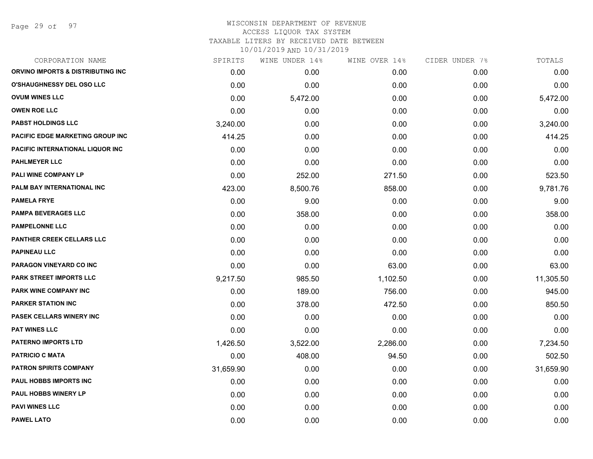Page 29 of 97

## WISCONSIN DEPARTMENT OF REVENUE ACCESS LIQUOR TAX SYSTEM TAXABLE LITERS BY RECEIVED DATE BETWEEN

| CORPORATION NAME                        | SPIRITS   | WINE UNDER 14% | WINE OVER 14% | CIDER UNDER 7% | TOTALS    |
|-----------------------------------------|-----------|----------------|---------------|----------------|-----------|
| ORVINO IMPORTS & DISTRIBUTING INC       | 0.00      | 0.00           | 0.00          | 0.00           | 0.00      |
| <b>O'SHAUGHNESSY DEL OSO LLC</b>        | 0.00      | 0.00           | 0.00          | 0.00           | 0.00      |
| <b>OVUM WINES LLC</b>                   | 0.00      | 5,472.00       | 0.00          | 0.00           | 5,472.00  |
| <b>OWEN ROE LLC</b>                     | 0.00      | 0.00           | 0.00          | 0.00           | 0.00      |
| <b>PABST HOLDINGS LLC</b>               | 3,240.00  | 0.00           | 0.00          | 0.00           | 3,240.00  |
| PACIFIC EDGE MARKETING GROUP INC        | 414.25    | 0.00           | 0.00          | 0.00           | 414.25    |
| <b>PACIFIC INTERNATIONAL LIQUOR INC</b> | 0.00      | 0.00           | 0.00          | 0.00           | 0.00      |
| <b>PAHLMEYER LLC</b>                    | 0.00      | 0.00           | 0.00          | 0.00           | 0.00      |
| <b>PALI WINE COMPANY LP</b>             | 0.00      | 252.00         | 271.50        | 0.00           | 523.50    |
| PALM BAY INTERNATIONAL INC              | 423.00    | 8,500.76       | 858.00        | 0.00           | 9,781.76  |
| <b>PAMELA FRYE</b>                      | 0.00      | 9.00           | 0.00          | 0.00           | 9.00      |
| <b>PAMPA BEVERAGES LLC</b>              | 0.00      | 358.00         | 0.00          | 0.00           | 358.00    |
| <b>PAMPELONNE LLC</b>                   | 0.00      | 0.00           | 0.00          | 0.00           | 0.00      |
| <b>PANTHER CREEK CELLARS LLC</b>        | 0.00      | 0.00           | 0.00          | 0.00           | 0.00      |
| <b>PAPINEAU LLC</b>                     | 0.00      | 0.00           | 0.00          | 0.00           | 0.00      |
| PARAGON VINEYARD CO INC                 | 0.00      | 0.00           | 63.00         | 0.00           | 63.00     |
| <b>PARK STREET IMPORTS LLC</b>          | 9,217.50  | 985.50         | 1,102.50      | 0.00           | 11,305.50 |
| PARK WINE COMPANY INC                   | 0.00      | 189.00         | 756.00        | 0.00           | 945.00    |
| <b>PARKER STATION INC</b>               | 0.00      | 378.00         | 472.50        | 0.00           | 850.50    |
| <b>PASEK CELLARS WINERY INC</b>         | 0.00      | 0.00           | 0.00          | 0.00           | 0.00      |
| PAT WINES LLC                           | 0.00      | 0.00           | 0.00          | 0.00           | 0.00      |
| <b>PATERNO IMPORTS LTD</b>              | 1,426.50  | 3,522.00       | 2,286.00      | 0.00           | 7,234.50  |
| <b>PATRICIO C MATA</b>                  | 0.00      | 408.00         | 94.50         | 0.00           | 502.50    |
| <b>PATRON SPIRITS COMPANY</b>           | 31,659.90 | 0.00           | 0.00          | 0.00           | 31,659.90 |
| PAUL HOBBS IMPORTS INC                  | 0.00      | 0.00           | 0.00          | 0.00           | 0.00      |
| PAUL HOBBS WINERY LP                    | 0.00      | 0.00           | 0.00          | 0.00           | 0.00      |
| <b>PAVI WINES LLC</b>                   | 0.00      | 0.00           | 0.00          | 0.00           | 0.00      |
| <b>PAWEL LATO</b>                       | 0.00      | 0.00           | 0.00          | 0.00           | 0.00      |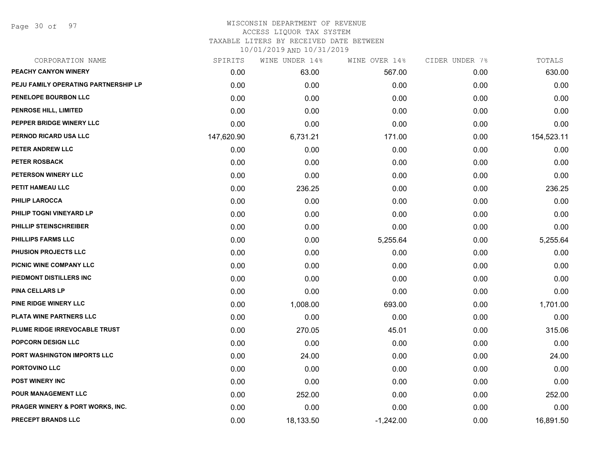Page 30 of 97

## WISCONSIN DEPARTMENT OF REVENUE ACCESS LIQUOR TAX SYSTEM TAXABLE LITERS BY RECEIVED DATE BETWEEN

| CORPORATION NAME                     | SPIRITS    | WINE UNDER 14% | WINE OVER 14% | CIDER UNDER 7% | TOTALS     |
|--------------------------------------|------------|----------------|---------------|----------------|------------|
| PEACHY CANYON WINERY                 | 0.00       | 63.00          | 567.00        | 0.00           | 630.00     |
| PEJU FAMILY OPERATING PARTNERSHIP LP | 0.00       | 0.00           | 0.00          | 0.00           | 0.00       |
| PENELOPE BOURBON LLC                 | 0.00       | 0.00           | 0.00          | 0.00           | 0.00       |
| <b>PENROSE HILL, LIMITED</b>         | 0.00       | 0.00           | 0.00          | 0.00           | 0.00       |
| PEPPER BRIDGE WINERY LLC             | 0.00       | 0.00           | 0.00          | 0.00           | 0.00       |
| PERNOD RICARD USA LLC                | 147,620.90 | 6,731.21       | 171.00        | 0.00           | 154,523.11 |
| PETER ANDREW LLC                     | 0.00       | 0.00           | 0.00          | 0.00           | 0.00       |
| <b>PETER ROSBACK</b>                 | 0.00       | 0.00           | 0.00          | 0.00           | 0.00       |
| PETERSON WINERY LLC                  | 0.00       | 0.00           | 0.00          | 0.00           | 0.00       |
| PETIT HAMEAU LLC                     | 0.00       | 236.25         | 0.00          | 0.00           | 236.25     |
| <b>PHILIP LAROCCA</b>                | 0.00       | 0.00           | 0.00          | 0.00           | 0.00       |
| PHILIP TOGNI VINEYARD LP             | 0.00       | 0.00           | 0.00          | 0.00           | 0.00       |
| PHILLIP STEINSCHREIBER               | 0.00       | 0.00           | 0.00          | 0.00           | 0.00       |
| <b>PHILLIPS FARMS LLC</b>            | 0.00       | 0.00           | 5,255.64      | 0.00           | 5,255.64   |
| <b>PHUSION PROJECTS LLC</b>          | 0.00       | 0.00           | 0.00          | 0.00           | 0.00       |
| PICNIC WINE COMPANY LLC              | 0.00       | 0.00           | 0.00          | 0.00           | 0.00       |
| PIEDMONT DISTILLERS INC              | 0.00       | 0.00           | 0.00          | 0.00           | 0.00       |
| <b>PINA CELLARS LP</b>               | 0.00       | 0.00           | 0.00          | 0.00           | 0.00       |
| PINE RIDGE WINERY LLC                | 0.00       | 1,008.00       | 693.00        | 0.00           | 1,701.00   |
| <b>PLATA WINE PARTNERS LLC</b>       | 0.00       | 0.00           | 0.00          | 0.00           | 0.00       |
| PLUME RIDGE IRREVOCABLE TRUST        | 0.00       | 270.05         | 45.01         | 0.00           | 315.06     |
| POPCORN DESIGN LLC                   | 0.00       | 0.00           | 0.00          | 0.00           | 0.00       |
| PORT WASHINGTON IMPORTS LLC          | 0.00       | 24.00          | 0.00          | 0.00           | 24.00      |
| PORTOVINO LLC                        | 0.00       | 0.00           | 0.00          | 0.00           | 0.00       |
| <b>POST WINERY INC</b>               | 0.00       | 0.00           | 0.00          | 0.00           | 0.00       |
| <b>POUR MANAGEMENT LLC</b>           | 0.00       | 252.00         | 0.00          | 0.00           | 252.00     |
| PRAGER WINERY & PORT WORKS, INC.     | 0.00       | 0.00           | 0.00          | 0.00           | 0.00       |
| <b>PRECEPT BRANDS LLC</b>            | 0.00       | 18,133.50      | $-1,242.00$   | 0.00           | 16,891.50  |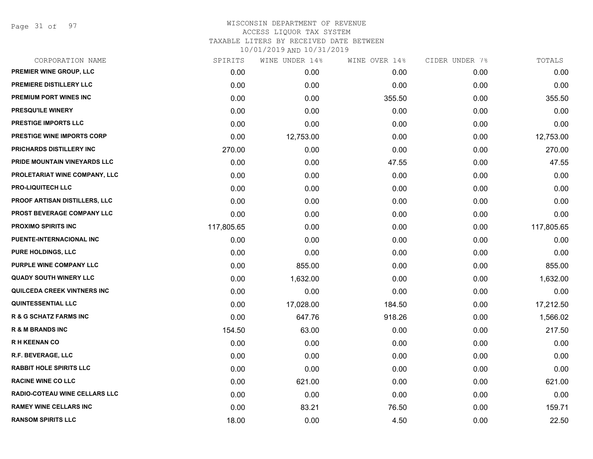Page 31 of 97

| CORPORATION NAME                     | SPIRITS    | WINE UNDER 14% | WINE OVER 14% | CIDER UNDER 7% | TOTALS     |
|--------------------------------------|------------|----------------|---------------|----------------|------------|
| PREMIER WINE GROUP, LLC              | 0.00       | 0.00           | 0.00          | 0.00           | 0.00       |
| PREMIERE DISTILLERY LLC              | 0.00       | 0.00           | 0.00          | 0.00           | 0.00       |
| <b>PREMIUM PORT WINES INC</b>        | 0.00       | 0.00           | 355.50        | 0.00           | 355.50     |
| PRESQU'ILE WINERY                    | 0.00       | 0.00           | 0.00          | 0.00           | 0.00       |
| <b>PRESTIGE IMPORTS LLC</b>          | 0.00       | 0.00           | 0.00          | 0.00           | 0.00       |
| <b>PRESTIGE WINE IMPORTS CORP</b>    | 0.00       | 12,753.00      | 0.00          | 0.00           | 12,753.00  |
| PRICHARDS DISTILLERY INC             | 270.00     | 0.00           | 0.00          | 0.00           | 270.00     |
| PRIDE MOUNTAIN VINEYARDS LLC         | 0.00       | 0.00           | 47.55         | 0.00           | 47.55      |
| PROLETARIAT WINE COMPANY, LLC        | 0.00       | 0.00           | 0.00          | 0.00           | 0.00       |
| <b>PRO-LIQUITECH LLC</b>             | 0.00       | 0.00           | 0.00          | 0.00           | 0.00       |
| <b>PROOF ARTISAN DISTILLERS, LLC</b> | 0.00       | 0.00           | 0.00          | 0.00           | 0.00       |
| PROST BEVERAGE COMPANY LLC           | 0.00       | 0.00           | 0.00          | 0.00           | 0.00       |
| <b>PROXIMO SPIRITS INC</b>           | 117,805.65 | 0.00           | 0.00          | 0.00           | 117,805.65 |
| PUENTE-INTERNACIONAL INC             | 0.00       | 0.00           | 0.00          | 0.00           | 0.00       |
| <b>PURE HOLDINGS, LLC</b>            | 0.00       | 0.00           | 0.00          | 0.00           | 0.00       |
| PURPLE WINE COMPANY LLC              | 0.00       | 855.00         | 0.00          | 0.00           | 855.00     |
| <b>QUADY SOUTH WINERY LLC</b>        | 0.00       | 1,632.00       | 0.00          | 0.00           | 1,632.00   |
| QUILCEDA CREEK VINTNERS INC          | 0.00       | 0.00           | 0.00          | 0.00           | 0.00       |
| <b>QUINTESSENTIAL LLC</b>            | 0.00       | 17,028.00      | 184.50        | 0.00           | 17,212.50  |
| <b>R &amp; G SCHATZ FARMS INC</b>    | 0.00       | 647.76         | 918.26        | 0.00           | 1,566.02   |
| <b>R &amp; M BRANDS INC</b>          | 154.50     | 63.00          | 0.00          | 0.00           | 217.50     |
| <b>RH KEENAN CO</b>                  | 0.00       | 0.00           | 0.00          | 0.00           | 0.00       |
| R.F. BEVERAGE, LLC                   | 0.00       | 0.00           | 0.00          | 0.00           | 0.00       |
| <b>RABBIT HOLE SPIRITS LLC</b>       | 0.00       | 0.00           | 0.00          | 0.00           | 0.00       |
| <b>RACINE WINE CO LLC</b>            | 0.00       | 621.00         | 0.00          | 0.00           | 621.00     |
| RADIO-COTEAU WINE CELLARS LLC        | 0.00       | 0.00           | 0.00          | 0.00           | 0.00       |
| <b>RAMEY WINE CELLARS INC</b>        | 0.00       | 83.21          | 76.50         | 0.00           | 159.71     |
| <b>RANSOM SPIRITS LLC</b>            | 18.00      | 0.00           | 4.50          | 0.00           | 22.50      |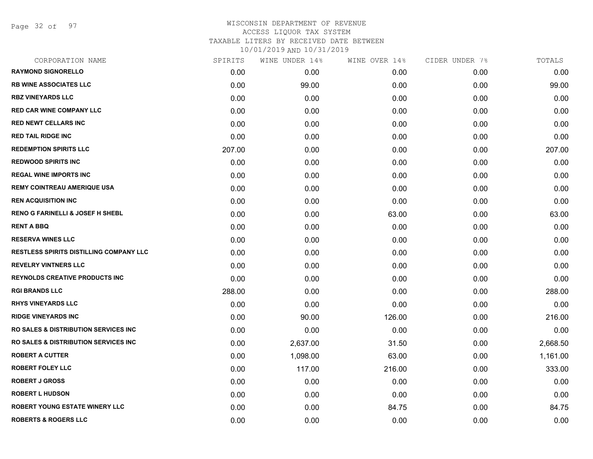Page 32 of 97

| CORPORATION NAME                                 | SPIRITS | WINE UNDER 14% | WINE OVER 14% | CIDER UNDER 7% | TOTALS   |
|--------------------------------------------------|---------|----------------|---------------|----------------|----------|
| <b>RAYMOND SIGNORELLO</b>                        | 0.00    | 0.00           | 0.00          | 0.00           | 0.00     |
| <b>RB WINE ASSOCIATES LLC</b>                    | 0.00    | 99.00          | 0.00          | 0.00           | 99.00    |
| <b>RBZ VINEYARDS LLC</b>                         | 0.00    | 0.00           | 0.00          | 0.00           | 0.00     |
| RED CAR WINE COMPANY LLC                         | 0.00    | 0.00           | 0.00          | 0.00           | 0.00     |
| <b>RED NEWT CELLARS INC</b>                      | 0.00    | 0.00           | 0.00          | 0.00           | 0.00     |
| <b>RED TAIL RIDGE INC</b>                        | 0.00    | 0.00           | 0.00          | 0.00           | 0.00     |
| <b>REDEMPTION SPIRITS LLC</b>                    | 207.00  | 0.00           | 0.00          | 0.00           | 207.00   |
| <b>REDWOOD SPIRITS INC</b>                       | 0.00    | 0.00           | 0.00          | 0.00           | 0.00     |
| <b>REGAL WINE IMPORTS INC</b>                    | 0.00    | 0.00           | 0.00          | 0.00           | 0.00     |
| <b>REMY COINTREAU AMERIQUE USA</b>               | 0.00    | 0.00           | 0.00          | 0.00           | 0.00     |
| <b>REN ACQUISITION INC</b>                       | 0.00    | 0.00           | 0.00          | 0.00           | 0.00     |
| <b>RENO G FARINELLI &amp; JOSEF H SHEBL</b>      | 0.00    | 0.00           | 63.00         | 0.00           | 63.00    |
| <b>RENT A BBQ</b>                                | 0.00    | 0.00           | 0.00          | 0.00           | 0.00     |
| <b>RESERVA WINES LLC</b>                         | 0.00    | 0.00           | 0.00          | 0.00           | 0.00     |
| <b>RESTLESS SPIRITS DISTILLING COMPANY LLC</b>   | 0.00    | 0.00           | 0.00          | 0.00           | 0.00     |
| <b>REVELRY VINTNERS LLC</b>                      | 0.00    | 0.00           | 0.00          | 0.00           | 0.00     |
| <b>REYNOLDS CREATIVE PRODUCTS INC</b>            | 0.00    | 0.00           | 0.00          | 0.00           | 0.00     |
| <b>RGI BRANDS LLC</b>                            | 288.00  | 0.00           | 0.00          | 0.00           | 288.00   |
| <b>RHYS VINEYARDS LLC</b>                        | 0.00    | 0.00           | 0.00          | 0.00           | 0.00     |
| <b>RIDGE VINEYARDS INC</b>                       | 0.00    | 90.00          | 126.00        | 0.00           | 216.00   |
| <b>RO SALES &amp; DISTRIBUTION SERVICES INC.</b> | 0.00    | 0.00           | 0.00          | 0.00           | 0.00     |
| <b>RO SALES &amp; DISTRIBUTION SERVICES INC.</b> | 0.00    | 2,637.00       | 31.50         | 0.00           | 2,668.50 |
| <b>ROBERT A CUTTER</b>                           | 0.00    | 1,098.00       | 63.00         | 0.00           | 1,161.00 |
| <b>ROBERT FOLEY LLC</b>                          | 0.00    | 117.00         | 216.00        | 0.00           | 333.00   |
| <b>ROBERT J GROSS</b>                            | 0.00    | 0.00           | 0.00          | 0.00           | 0.00     |
| <b>ROBERT L HUDSON</b>                           | 0.00    | 0.00           | 0.00          | 0.00           | 0.00     |
| <b>ROBERT YOUNG ESTATE WINERY LLC</b>            | 0.00    | 0.00           | 84.75         | 0.00           | 84.75    |
| <b>ROBERTS &amp; ROGERS LLC</b>                  | 0.00    | 0.00           | 0.00          | 0.00           | 0.00     |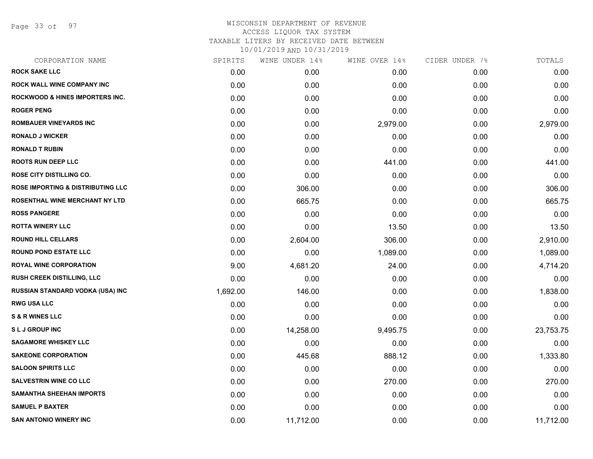Page 33 of 97

| CORPORATION NAME                             | SPIRITS  | WINE UNDER 14% | WINE OVER 14% | CIDER UNDER 7% | TOTALS    |
|----------------------------------------------|----------|----------------|---------------|----------------|-----------|
| <b>ROCK SAKE LLC</b>                         | 0.00     | 0.00           | 0.00          | 0.00           | 0.00      |
| ROCK WALL WINE COMPANY INC                   | 0.00     | 0.00           | 0.00          | 0.00           | 0.00      |
| <b>ROCKWOOD &amp; HINES IMPORTERS INC.</b>   | 0.00     | 0.00           | 0.00          | 0.00           | 0.00      |
| <b>ROGER PENG</b>                            | 0.00     | 0.00           | 0.00          | 0.00           | 0.00      |
| <b>ROMBAUER VINEYARDS INC</b>                | 0.00     | 0.00           | 2,979.00      | 0.00           | 2,979.00  |
| <b>RONALD J WICKER</b>                       | 0.00     | 0.00           | 0.00          | 0.00           | 0.00      |
| <b>RONALD T RUBIN</b>                        | 0.00     | 0.00           | 0.00          | 0.00           | 0.00      |
| <b>ROOTS RUN DEEP LLC</b>                    | 0.00     | 0.00           | 441.00        | 0.00           | 441.00    |
| ROSE CITY DISTILLING CO.                     | 0.00     | 0.00           | 0.00          | 0.00           | 0.00      |
| <b>ROSE IMPORTING &amp; DISTRIBUTING LLC</b> | 0.00     | 306.00         | 0.00          | 0.00           | 306.00    |
| ROSENTHAL WINE MERCHANT NY LTD               | 0.00     | 665.75         | 0.00          | 0.00           | 665.75    |
| <b>ROSS PANGERE</b>                          | 0.00     | 0.00           | 0.00          | 0.00           | 0.00      |
| <b>ROTTA WINERY LLC</b>                      | 0.00     | 0.00           | 13.50         | 0.00           | 13.50     |
| <b>ROUND HILL CELLARS</b>                    | 0.00     | 2,604.00       | 306.00        | 0.00           | 2,910.00  |
| <b>ROUND POND ESTATE LLC</b>                 | 0.00     | 0.00           | 1,089.00      | 0.00           | 1,089.00  |
| <b>ROYAL WINE CORPORATION</b>                | 9.00     | 4,681.20       | 24.00         | 0.00           | 4,714.20  |
| <b>RUSH CREEK DISTILLING, LLC</b>            | 0.00     | 0.00           | 0.00          | 0.00           | 0.00      |
| RUSSIAN STANDARD VODKA (USA) INC             | 1,692.00 | 146.00         | 0.00          | 0.00           | 1,838.00  |
| <b>RWG USA LLC</b>                           | 0.00     | 0.00           | 0.00          | 0.00           | 0.00      |
| <b>S &amp; R WINES LLC</b>                   | 0.00     | 0.00           | 0.00          | 0.00           | 0.00      |
| <b>SLJ GROUP INC</b>                         | 0.00     | 14,258.00      | 9,495.75      | 0.00           | 23,753.75 |
| <b>SAGAMORE WHISKEY LLC</b>                  | 0.00     | 0.00           | 0.00          | 0.00           | 0.00      |
| <b>SAKEONE CORPORATION</b>                   | 0.00     | 445.68         | 888.12        | 0.00           | 1,333.80  |
| <b>SALOON SPIRITS LLC</b>                    | 0.00     | 0.00           | 0.00          | 0.00           | 0.00      |
| <b>SALVESTRIN WINE CO LLC</b>                | 0.00     | 0.00           | 270.00        | 0.00           | 270.00    |
| <b>SAMANTHA SHEEHAN IMPORTS</b>              | 0.00     | 0.00           | 0.00          | 0.00           | 0.00      |
| <b>SAMUEL P BAXTER</b>                       | 0.00     | 0.00           | 0.00          | 0.00           | 0.00      |
| <b>SAN ANTONIO WINERY INC</b>                | 0.00     | 11,712.00      | 0.00          | 0.00           | 11,712.00 |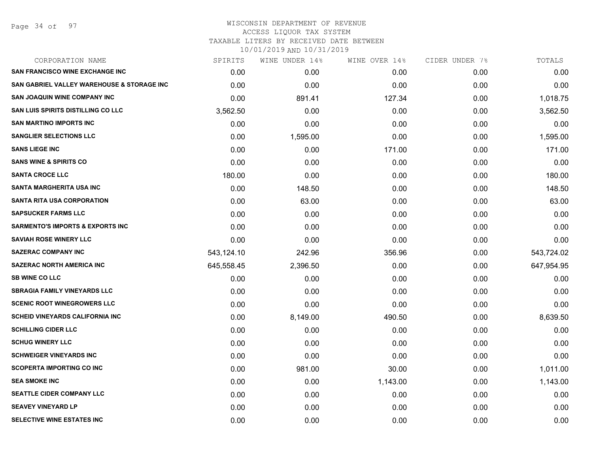## WISCONSIN DEPARTMENT OF REVENUE ACCESS LIQUOR TAX SYSTEM TAXABLE LITERS BY RECEIVED DATE BETWEEN

| CORPORATION NAME                                      | SPIRITS    | WINE UNDER 14% | WINE OVER 14% | CIDER UNDER 7% | TOTALS     |
|-------------------------------------------------------|------------|----------------|---------------|----------------|------------|
| <b>SAN FRANCISCO WINE EXCHANGE INC</b>                | 0.00       | 0.00           | 0.00          | 0.00           | 0.00       |
| <b>SAN GABRIEL VALLEY WAREHOUSE &amp; STORAGE INC</b> | 0.00       | 0.00           | 0.00          | 0.00           | 0.00       |
| <b>SAN JOAQUIN WINE COMPANY INC</b>                   | 0.00       | 891.41         | 127.34        | 0.00           | 1,018.75   |
| <b>SAN LUIS SPIRITS DISTILLING CO LLC</b>             | 3,562.50   | 0.00           | 0.00          | 0.00           | 3,562.50   |
| <b>SAN MARTINO IMPORTS INC</b>                        | 0.00       | 0.00           | 0.00          | 0.00           | 0.00       |
| <b>SANGLIER SELECTIONS LLC</b>                        | 0.00       | 1,595.00       | 0.00          | 0.00           | 1,595.00   |
| <b>SANS LIEGE INC</b>                                 | 0.00       | 0.00           | 171.00        | 0.00           | 171.00     |
| <b>SANS WINE &amp; SPIRITS CO</b>                     | 0.00       | 0.00           | 0.00          | 0.00           | 0.00       |
| <b>SANTA CROCE LLC</b>                                | 180.00     | 0.00           | 0.00          | 0.00           | 180.00     |
| SANTA MARGHERITA USA INC                              | 0.00       | 148.50         | 0.00          | 0.00           | 148.50     |
| <b>SANTA RITA USA CORPORATION</b>                     | 0.00       | 63.00          | 0.00          | 0.00           | 63.00      |
| <b>SAPSUCKER FARMS LLC</b>                            | 0.00       | 0.00           | 0.00          | 0.00           | 0.00       |
| <b>SARMENTO'S IMPORTS &amp; EXPORTS INC</b>           | 0.00       | 0.00           | 0.00          | 0.00           | 0.00       |
| <b>SAVIAH ROSE WINERY LLC</b>                         | 0.00       | 0.00           | 0.00          | 0.00           | 0.00       |
| <b>SAZERAC COMPANY INC</b>                            | 543,124.10 | 242.96         | 356.96        | 0.00           | 543,724.02 |
| <b>SAZERAC NORTH AMERICA INC</b>                      | 645,558.45 | 2,396.50       | 0.00          | 0.00           | 647,954.95 |
| <b>SB WINE CO LLC</b>                                 | 0.00       | 0.00           | 0.00          | 0.00           | 0.00       |
| <b>SBRAGIA FAMILY VINEYARDS LLC</b>                   | 0.00       | 0.00           | 0.00          | 0.00           | 0.00       |
| <b>SCENIC ROOT WINEGROWERS LLC</b>                    | 0.00       | 0.00           | 0.00          | 0.00           | 0.00       |
| <b>SCHEID VINEYARDS CALIFORNIA INC.</b>               | 0.00       | 8,149.00       | 490.50        | 0.00           | 8,639.50   |
| <b>SCHILLING CIDER LLC</b>                            | 0.00       | 0.00           | 0.00          | 0.00           | 0.00       |
| <b>SCHUG WINERY LLC</b>                               | 0.00       | 0.00           | 0.00          | 0.00           | 0.00       |
| <b>SCHWEIGER VINEYARDS INC</b>                        | 0.00       | 0.00           | 0.00          | 0.00           | 0.00       |
| <b>SCOPERTA IMPORTING CO INC</b>                      | 0.00       | 981.00         | 30.00         | 0.00           | 1,011.00   |
| <b>SEA SMOKE INC</b>                                  | 0.00       | 0.00           | 1,143.00      | 0.00           | 1,143.00   |
| <b>SEATTLE CIDER COMPANY LLC</b>                      | 0.00       | 0.00           | 0.00          | 0.00           | 0.00       |
| <b>SEAVEY VINEYARD LP</b>                             | 0.00       | 0.00           | 0.00          | 0.00           | 0.00       |
| SELECTIVE WINE ESTATES INC                            | 0.00       | 0.00           | 0.00          | 0.00           | 0.00       |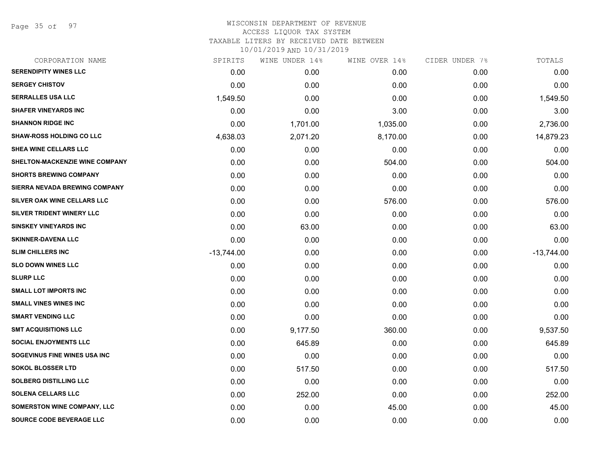Page 35 of 97

## WISCONSIN DEPARTMENT OF REVENUE ACCESS LIQUOR TAX SYSTEM TAXABLE LITERS BY RECEIVED DATE BETWEEN

| CORPORATION NAME                   | SPIRITS      | WINE UNDER 14% | WINE OVER 14% | CIDER UNDER 7% | TOTALS       |
|------------------------------------|--------------|----------------|---------------|----------------|--------------|
| <b>SERENDIPITY WINES LLC</b>       | 0.00         | 0.00           | 0.00          | 0.00           | 0.00         |
| <b>SERGEY CHISTOV</b>              | 0.00         | 0.00           | 0.00          | 0.00           | 0.00         |
| <b>SERRALLES USA LLC</b>           | 1,549.50     | 0.00           | 0.00          | 0.00           | 1,549.50     |
| <b>SHAFER VINEYARDS INC</b>        | 0.00         | 0.00           | 3.00          | 0.00           | 3.00         |
| <b>SHANNON RIDGE INC</b>           | 0.00         | 1,701.00       | 1,035.00      | 0.00           | 2,736.00     |
| <b>SHAW-ROSS HOLDING CO LLC</b>    | 4,638.03     | 2,071.20       | 8,170.00      | 0.00           | 14,879.23    |
| SHEA WINE CELLARS LLC              | 0.00         | 0.00           | 0.00          | 0.00           | 0.00         |
| SHELTON-MACKENZIE WINE COMPANY     | 0.00         | 0.00           | 504.00        | 0.00           | 504.00       |
| <b>SHORTS BREWING COMPANY</b>      | 0.00         | 0.00           | 0.00          | 0.00           | 0.00         |
| SIERRA NEVADA BREWING COMPANY      | 0.00         | 0.00           | 0.00          | 0.00           | 0.00         |
| SILVER OAK WINE CELLARS LLC        | 0.00         | 0.00           | 576.00        | 0.00           | 576.00       |
| SILVER TRIDENT WINERY LLC          | 0.00         | 0.00           | 0.00          | 0.00           | 0.00         |
| <b>SINSKEY VINEYARDS INC</b>       | 0.00         | 63.00          | 0.00          | 0.00           | 63.00        |
| <b>SKINNER-DAVENA LLC</b>          | 0.00         | 0.00           | 0.00          | 0.00           | 0.00         |
| <b>SLIM CHILLERS INC</b>           | $-13,744.00$ | 0.00           | 0.00          | 0.00           | $-13,744.00$ |
| <b>SLO DOWN WINES LLC</b>          | 0.00         | 0.00           | 0.00          | 0.00           | 0.00         |
| <b>SLURP LLC</b>                   | 0.00         | 0.00           | 0.00          | 0.00           | 0.00         |
| <b>SMALL LOT IMPORTS INC</b>       | 0.00         | 0.00           | 0.00          | 0.00           | 0.00         |
| <b>SMALL VINES WINES INC</b>       | 0.00         | 0.00           | 0.00          | 0.00           | 0.00         |
| <b>SMART VENDING LLC</b>           | 0.00         | 0.00           | 0.00          | 0.00           | 0.00         |
| <b>SMT ACQUISITIONS LLC</b>        | 0.00         | 9,177.50       | 360.00        | 0.00           | 9,537.50     |
| <b>SOCIAL ENJOYMENTS LLC</b>       | 0.00         | 645.89         | 0.00          | 0.00           | 645.89       |
| SOGEVINUS FINE WINES USA INC       | 0.00         | 0.00           | 0.00          | 0.00           | 0.00         |
| <b>SOKOL BLOSSER LTD</b>           | 0.00         | 517.50         | 0.00          | 0.00           | 517.50       |
| <b>SOLBERG DISTILLING LLC</b>      | 0.00         | 0.00           | 0.00          | 0.00           | 0.00         |
| <b>SOLENA CELLARS LLC</b>          | 0.00         | 252.00         | 0.00          | 0.00           | 252.00       |
| <b>SOMERSTON WINE COMPANY, LLC</b> | 0.00         | 0.00           | 45.00         | 0.00           | 45.00        |
| SOURCE CODE BEVERAGE LLC           | 0.00         | 0.00           | 0.00          | 0.00           | 0.00         |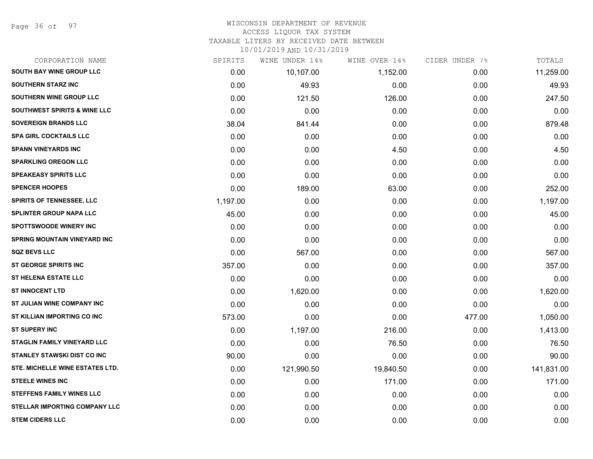Page 36 of 97

# WISCONSIN DEPARTMENT OF REVENUE ACCESS LIQUOR TAX SYSTEM

TAXABLE LITERS BY RECEIVED DATE BETWEEN

| CORPORATION NAME                        | SPIRITS  | WINE UNDER 14% | WINE OVER 14% | CIDER UNDER 7% | TOTALS     |
|-----------------------------------------|----------|----------------|---------------|----------------|------------|
| <b>SOUTH BAY WINE GROUP LLC</b>         | 0.00     | 10,107.00      | 1,152.00      | 0.00           | 11,259.00  |
| <b>SOUTHERN STARZ INC</b>               | 0.00     | 49.93          | 0.00          | 0.00           | 49.93      |
| SOUTHERN WINE GROUP LLC                 | 0.00     | 121.50         | 126.00        | 0.00           | 247.50     |
| <b>SOUTHWEST SPIRITS &amp; WINE LLC</b> | 0.00     | 0.00           | 0.00          | 0.00           | 0.00       |
| <b>SOVEREIGN BRANDS LLC</b>             | 38.04    | 841.44         | 0.00          | 0.00           | 879.48     |
| <b>SPA GIRL COCKTAILS LLC</b>           | 0.00     | 0.00           | 0.00          | 0.00           | 0.00       |
| <b>SPANN VINEYARDS INC</b>              | 0.00     | 0.00           | 4.50          | 0.00           | 4.50       |
| <b>SPARKLING OREGON LLC</b>             | 0.00     | 0.00           | 0.00          | 0.00           | 0.00       |
| <b>SPEAKEASY SPIRITS LLC</b>            | 0.00     | 0.00           | 0.00          | 0.00           | 0.00       |
| <b>SPENCER HOOPES</b>                   | 0.00     | 189.00         | 63.00         | 0.00           | 252.00     |
| <b>SPIRITS OF TENNESSEE, LLC</b>        | 1,197.00 | 0.00           | 0.00          | 0.00           | 1,197.00   |
| SPLINTER GROUP NAPA LLC                 | 45.00    | 0.00           | 0.00          | 0.00           | 45.00      |
| <b>SPOTTSWOODE WINERY INC</b>           | 0.00     | 0.00           | 0.00          | 0.00           | 0.00       |
| <b>SPRING MOUNTAIN VINEYARD INC</b>     | 0.00     | 0.00           | 0.00          | 0.00           | 0.00       |
| <b>SQZ BEVS LLC</b>                     | 0.00     | 567.00         | 0.00          | 0.00           | 567.00     |
| ST GEORGE SPIRITS INC                   | 357.00   | 0.00           | 0.00          | 0.00           | 357.00     |
| <b>ST HELENA ESTATE LLC</b>             | 0.00     | 0.00           | 0.00          | 0.00           | 0.00       |
| <b>ST INNOCENT LTD</b>                  | 0.00     | 1,620.00       | 0.00          | 0.00           | 1,620.00   |
| ST JULIAN WINE COMPANY INC              | 0.00     | 0.00           | 0.00          | 0.00           | 0.00       |
| ST KILLIAN IMPORTING CO INC             | 573.00   | 0.00           | 0.00          | 477.00         | 1,050.00   |
| <b>ST SUPERY INC</b>                    | 0.00     | 1,197.00       | 216.00        | 0.00           | 1,413.00   |
| STAGLIN FAMILY VINEYARD LLC             | 0.00     | 0.00           | 76.50         | 0.00           | 76.50      |
| <b>STANLEY STAWSKI DIST CO INC</b>      | 90.00    | 0.00           | 0.00          | 0.00           | 90.00      |
| STE. MICHELLE WINE ESTATES LTD.         | 0.00     | 121,990.50     | 19,840.50     | 0.00           | 141,831.00 |
| <b>STEELE WINES INC</b>                 | 0.00     | 0.00           | 171.00        | 0.00           | 171.00     |
| <b>STEFFENS FAMILY WINES LLC</b>        | 0.00     | 0.00           | 0.00          | 0.00           | 0.00       |
| STELLAR IMPORTING COMPANY LLC           | 0.00     | 0.00           | 0.00          | 0.00           | 0.00       |
| <b>STEM CIDERS LLC</b>                  | 0.00     | 0.00           | 0.00          | 0.00           | 0.00       |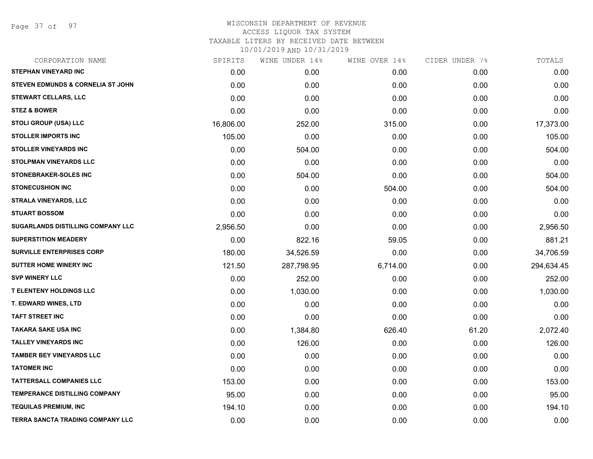Page 37 of 97

| CORPORATION NAME                        | SPIRITS   | WINE UNDER 14% | WINE OVER 14% | CIDER UNDER 7% | TOTALS     |
|-----------------------------------------|-----------|----------------|---------------|----------------|------------|
| <b>STEPHAN VINEYARD INC</b>             | 0.00      | 0.00           | 0.00          | 0.00           | 0.00       |
| STEVEN EDMUNDS & CORNELIA ST JOHN       | 0.00      | 0.00           | 0.00          | 0.00           | 0.00       |
| STEWART CELLARS, LLC                    | 0.00      | 0.00           | 0.00          | 0.00           | 0.00       |
| <b>STEZ &amp; BOWER</b>                 | 0.00      | 0.00           | 0.00          | 0.00           | 0.00       |
| <b>STOLI GROUP (USA) LLC</b>            | 16,806.00 | 252.00         | 315.00        | 0.00           | 17,373.00  |
| <b>STOLLER IMPORTS INC</b>              | 105.00    | 0.00           | 0.00          | 0.00           | 105.00     |
| <b>STOLLER VINEYARDS INC</b>            | 0.00      | 504.00         | 0.00          | 0.00           | 504.00     |
| <b>STOLPMAN VINEYARDS LLC</b>           | 0.00      | 0.00           | 0.00          | 0.00           | 0.00       |
| <b>STONEBRAKER-SOLES INC</b>            | 0.00      | 504.00         | 0.00          | 0.00           | 504.00     |
| <b>STONECUSHION INC</b>                 | 0.00      | 0.00           | 504.00        | 0.00           | 504.00     |
| <b>STRALA VINEYARDS, LLC</b>            | 0.00      | 0.00           | 0.00          | 0.00           | 0.00       |
| <b>STUART BOSSOM</b>                    | 0.00      | 0.00           | 0.00          | 0.00           | 0.00       |
| SUGARLANDS DISTILLING COMPANY LLC       | 2,956.50  | 0.00           | 0.00          | 0.00           | 2,956.50   |
| <b>SUPERSTITION MEADERY</b>             | 0.00      | 822.16         | 59.05         | 0.00           | 881.21     |
| <b>SURVILLE ENTERPRISES CORP</b>        | 180.00    | 34,526.59      | 0.00          | 0.00           | 34,706.59  |
| <b>SUTTER HOME WINERY INC</b>           | 121.50    | 287,798.95     | 6,714.00      | 0.00           | 294,634.45 |
| <b>SVP WINERY LLC</b>                   | 0.00      | 252.00         | 0.00          | 0.00           | 252.00     |
| <b>T ELENTENY HOLDINGS LLC</b>          | 0.00      | 1,030.00       | 0.00          | 0.00           | 1,030.00   |
| <b>T. EDWARD WINES, LTD</b>             | 0.00      | 0.00           | 0.00          | 0.00           | 0.00       |
| <b>TAFT STREET INC</b>                  | 0.00      | 0.00           | 0.00          | 0.00           | 0.00       |
| <b>TAKARA SAKE USA INC</b>              | 0.00      | 1,384.80       | 626.40        | 61.20          | 2,072.40   |
| <b>TALLEY VINEYARDS INC</b>             | 0.00      | 126.00         | 0.00          | 0.00           | 126.00     |
| <b>TAMBER BEY VINEYARDS LLC</b>         | 0.00      | 0.00           | 0.00          | 0.00           | 0.00       |
| <b>TATOMER INC</b>                      | 0.00      | 0.00           | 0.00          | 0.00           | 0.00       |
| <b>TATTERSALL COMPANIES LLC</b>         | 153.00    | 0.00           | 0.00          | 0.00           | 153.00     |
| <b>TEMPERANCE DISTILLING COMPANY</b>    | 95.00     | 0.00           | 0.00          | 0.00           | 95.00      |
| <b>TEQUILAS PREMIUM, INC</b>            | 194.10    | 0.00           | 0.00          | 0.00           | 194.10     |
| <b>TERRA SANCTA TRADING COMPANY LLC</b> | 0.00      | 0.00           | 0.00          | 0.00           | 0.00       |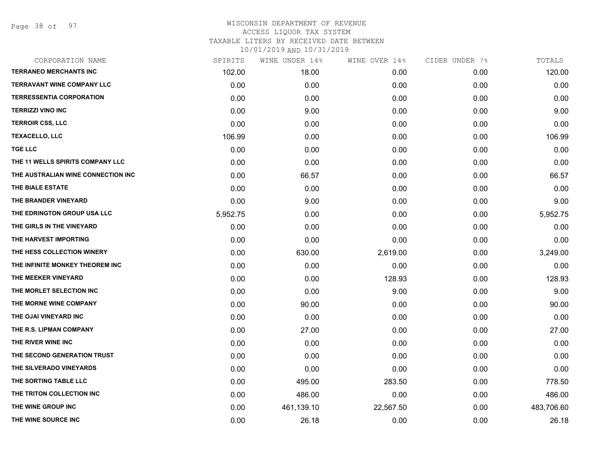Page 38 of 97

| CORPORATION NAME                   | SPIRITS  | WINE UNDER 14% | WINE OVER 14% | CIDER UNDER 7% | TOTALS     |
|------------------------------------|----------|----------------|---------------|----------------|------------|
| <b>TERRANEO MERCHANTS INC</b>      | 102.00   | 18.00          | 0.00          | 0.00           | 120.00     |
| <b>TERRAVANT WINE COMPANY LLC</b>  | 0.00     | 0.00           | 0.00          | 0.00           | 0.00       |
| <b>TERRESSENTIA CORPORATION</b>    | 0.00     | 0.00           | 0.00          | 0.00           | 0.00       |
| <b>TERRIZZI VINO INC</b>           | 0.00     | 9.00           | 0.00          | 0.00           | 9.00       |
| <b>TERROIR CSS, LLC</b>            | 0.00     | 0.00           | 0.00          | 0.00           | 0.00       |
| <b>TEXACELLO, LLC</b>              | 106.99   | 0.00           | 0.00          | 0.00           | 106.99     |
| <b>TGE LLC</b>                     | 0.00     | 0.00           | 0.00          | 0.00           | 0.00       |
| THE 11 WELLS SPIRITS COMPANY LLC   | 0.00     | 0.00           | 0.00          | 0.00           | 0.00       |
| THE AUSTRALIAN WINE CONNECTION INC | 0.00     | 66.57          | 0.00          | 0.00           | 66.57      |
| THE BIALE ESTATE                   | 0.00     | 0.00           | 0.00          | 0.00           | 0.00       |
| THE BRANDER VINEYARD               | 0.00     | 9.00           | 0.00          | 0.00           | 9.00       |
| THE EDRINGTON GROUP USA LLC        | 5,952.75 | 0.00           | 0.00          | 0.00           | 5,952.75   |
| THE GIRLS IN THE VINEYARD          | 0.00     | 0.00           | 0.00          | 0.00           | 0.00       |
| THE HARVEST IMPORTING              | 0.00     | 0.00           | 0.00          | 0.00           | 0.00       |
| THE HESS COLLECTION WINERY         | 0.00     | 630.00         | 2,619.00      | 0.00           | 3,249.00   |
| THE INFINITE MONKEY THEOREM INC    | 0.00     | 0.00           | 0.00          | 0.00           | 0.00       |
| THE MEEKER VINEYARD                | 0.00     | 0.00           | 128.93        | 0.00           | 128.93     |
| THE MORLET SELECTION INC           | 0.00     | 0.00           | 9.00          | 0.00           | 9.00       |
| THE MORNE WINE COMPANY             | 0.00     | 90.00          | 0.00          | 0.00           | 90.00      |
| THE OJAI VINEYARD INC              | 0.00     | 0.00           | 0.00          | 0.00           | 0.00       |
| THE R.S. LIPMAN COMPANY            | 0.00     | 27.00          | 0.00          | 0.00           | 27.00      |
| THE RIVER WINE INC                 | 0.00     | 0.00           | 0.00          | 0.00           | 0.00       |
| THE SECOND GENERATION TRUST        | 0.00     | 0.00           | 0.00          | 0.00           | 0.00       |
| THE SILVERADO VINEYARDS            | 0.00     | 0.00           | 0.00          | 0.00           | 0.00       |
| THE SORTING TABLE LLC              | 0.00     | 495.00         | 283.50        | 0.00           | 778.50     |
| THE TRITON COLLECTION INC          | 0.00     | 486.00         | 0.00          | 0.00           | 486.00     |
| THE WINE GROUP INC                 | 0.00     | 461,139.10     | 22,567.50     | 0.00           | 483,706.60 |
| THE WINE SOURCE INC                | 0.00     | 26.18          | 0.00          | 0.00           | 26.18      |
|                                    |          |                |               |                |            |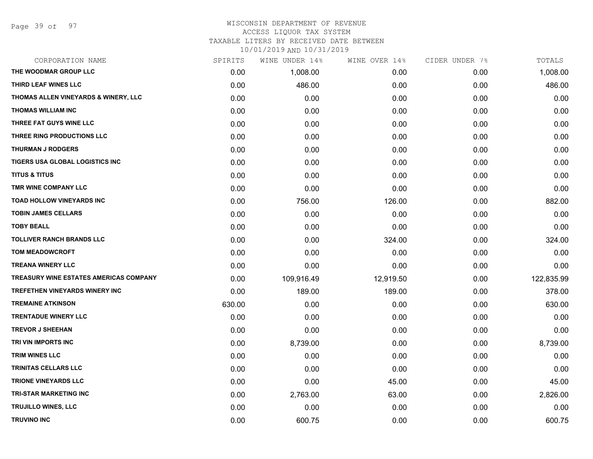Page 39 of 97

#### WISCONSIN DEPARTMENT OF REVENUE ACCESS LIQUOR TAX SYSTEM

TAXABLE LITERS BY RECEIVED DATE BETWEEN

| CORPORATION NAME                              | SPIRITS | WINE UNDER 14% | WINE OVER 14% | CIDER UNDER 7% | TOTALS     |
|-----------------------------------------------|---------|----------------|---------------|----------------|------------|
| THE WOODMAR GROUP LLC                         | 0.00    | 1,008.00       | 0.00          | 0.00           | 1,008.00   |
| THIRD LEAF WINES LLC                          | 0.00    | 486.00         | 0.00          | 0.00           | 486.00     |
| THOMAS ALLEN VINEYARDS & WINERY, LLC          | 0.00    | 0.00           | 0.00          | 0.00           | 0.00       |
| <b>THOMAS WILLIAM INC</b>                     | 0.00    | 0.00           | 0.00          | 0.00           | 0.00       |
| THREE FAT GUYS WINE LLC                       | 0.00    | 0.00           | 0.00          | 0.00           | 0.00       |
| THREE RING PRODUCTIONS LLC                    | 0.00    | 0.00           | 0.00          | 0.00           | 0.00       |
| <b>THURMAN J RODGERS</b>                      | 0.00    | 0.00           | 0.00          | 0.00           | 0.00       |
| TIGERS USA GLOBAL LOGISTICS INC               | 0.00    | 0.00           | 0.00          | 0.00           | 0.00       |
| <b>TITUS &amp; TITUS</b>                      | 0.00    | 0.00           | 0.00          | 0.00           | 0.00       |
| TMR WINE COMPANY LLC                          | 0.00    | 0.00           | 0.00          | 0.00           | 0.00       |
| TOAD HOLLOW VINEYARDS INC                     | 0.00    | 756.00         | 126.00        | 0.00           | 882.00     |
| <b>TOBIN JAMES CELLARS</b>                    | 0.00    | 0.00           | 0.00          | 0.00           | 0.00       |
| <b>TOBY BEALL</b>                             | 0.00    | 0.00           | 0.00          | 0.00           | 0.00       |
| TOLLIVER RANCH BRANDS LLC                     | 0.00    | 0.00           | 324.00        | 0.00           | 324.00     |
| <b>TOM MEADOWCROFT</b>                        | 0.00    | 0.00           | 0.00          | 0.00           | 0.00       |
| <b>TREANA WINERY LLC</b>                      | 0.00    | 0.00           | 0.00          | 0.00           | 0.00       |
| <b>TREASURY WINE ESTATES AMERICAS COMPANY</b> | 0.00    | 109,916.49     | 12,919.50     | 0.00           | 122,835.99 |
| TREFETHEN VINEYARDS WINERY INC                | 0.00    | 189.00         | 189.00        | 0.00           | 378.00     |
| <b>TREMAINE ATKINSON</b>                      | 630.00  | 0.00           | 0.00          | 0.00           | 630.00     |
| <b>TRENTADUE WINERY LLC</b>                   | 0.00    | 0.00           | 0.00          | 0.00           | 0.00       |
| <b>TREVOR J SHEEHAN</b>                       | 0.00    | 0.00           | 0.00          | 0.00           | 0.00       |
| TRI VIN IMPORTS INC                           | 0.00    | 8,739.00       | 0.00          | 0.00           | 8,739.00   |
| <b>TRIM WINES LLC</b>                         | 0.00    | 0.00           | 0.00          | 0.00           | 0.00       |
| TRINITAS CELLARS LLC                          | 0.00    | 0.00           | 0.00          | 0.00           | 0.00       |
| <b>TRIONE VINEYARDS LLC</b>                   | 0.00    | 0.00           | 45.00         | 0.00           | 45.00      |
| <b>TRI-STAR MARKETING INC</b>                 | 0.00    | 2,763.00       | 63.00         | 0.00           | 2,826.00   |
| TRUJILLO WINES, LLC                           | 0.00    | 0.00           | 0.00          | 0.00           | 0.00       |
| <b>TRUVINO INC</b>                            | 0.00    | 600.75         | 0.00          | 0.00           | 600.75     |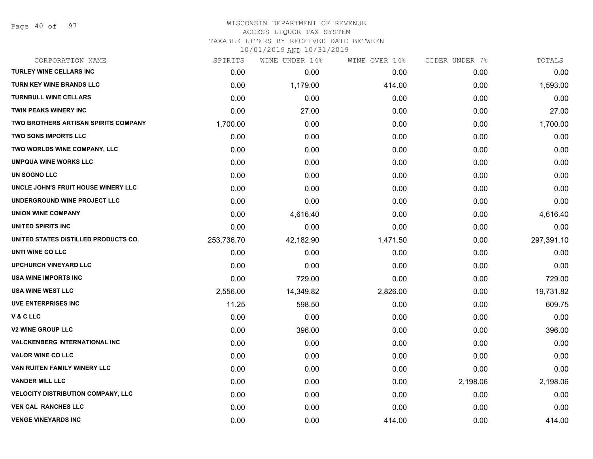Page 40 of 97

#### WISCONSIN DEPARTMENT OF REVENUE ACCESS LIQUOR TAX SYSTEM

TAXABLE LITERS BY RECEIVED DATE BETWEEN

| CORPORATION NAME                            | SPIRITS    | WINE UNDER 14% | WINE OVER 14% | CIDER UNDER 7% | TOTALS     |
|---------------------------------------------|------------|----------------|---------------|----------------|------------|
| <b>TURLEY WINE CELLARS INC</b>              | 0.00       | 0.00           | 0.00          | 0.00           | 0.00       |
| <b>TURN KEY WINE BRANDS LLC</b>             | 0.00       | 1,179.00       | 414.00        | 0.00           | 1,593.00   |
| <b>TURNBULL WINE CELLARS</b>                | 0.00       | 0.00           | 0.00          | 0.00           | 0.00       |
| TWIN PEAKS WINERY INC                       | 0.00       | 27.00          | 0.00          | 0.00           | 27.00      |
| <b>TWO BROTHERS ARTISAN SPIRITS COMPANY</b> | 1,700.00   | 0.00           | 0.00          | 0.00           | 1,700.00   |
| <b>TWO SONS IMPORTS LLC</b>                 | 0.00       | 0.00           | 0.00          | 0.00           | 0.00       |
| TWO WORLDS WINE COMPANY, LLC                | 0.00       | 0.00           | 0.00          | 0.00           | 0.00       |
| <b>UMPQUA WINE WORKS LLC</b>                | 0.00       | 0.00           | 0.00          | 0.00           | 0.00       |
| UN SOGNO LLC                                | 0.00       | 0.00           | 0.00          | 0.00           | 0.00       |
| UNCLE JOHN'S FRUIT HOUSE WINERY LLC         | 0.00       | 0.00           | 0.00          | 0.00           | 0.00       |
| UNDERGROUND WINE PROJECT LLC                | 0.00       | 0.00           | 0.00          | 0.00           | 0.00       |
| <b>UNION WINE COMPANY</b>                   | 0.00       | 4,616.40       | 0.00          | 0.00           | 4,616.40   |
| UNITED SPIRITS INC                          | 0.00       | 0.00           | 0.00          | 0.00           | 0.00       |
| UNITED STATES DISTILLED PRODUCTS CO.        | 253,736.70 | 42,182.90      | 1,471.50      | 0.00           | 297,391.10 |
| UNTI WINE CO LLC                            | 0.00       | 0.00           | 0.00          | 0.00           | 0.00       |
| <b>UPCHURCH VINEYARD LLC</b>                | 0.00       | 0.00           | 0.00          | 0.00           | 0.00       |
| <b>USA WINE IMPORTS INC</b>                 | 0.00       | 729.00         | 0.00          | 0.00           | 729.00     |
| <b>USA WINE WEST LLC</b>                    | 2,556.00   | 14,349.82      | 2,826.00      | 0.00           | 19,731.82  |
| <b>UVE ENTERPRISES INC</b>                  | 11.25      | 598.50         | 0.00          | 0.00           | 609.75     |
| V & C LLC                                   | 0.00       | 0.00           | 0.00          | 0.00           | 0.00       |
| <b>V2 WINE GROUP LLC</b>                    | 0.00       | 396.00         | 0.00          | 0.00           | 396.00     |
| <b>VALCKENBERG INTERNATIONAL INC</b>        | 0.00       | 0.00           | 0.00          | 0.00           | 0.00       |
| <b>VALOR WINE CO LLC</b>                    | 0.00       | 0.00           | 0.00          | 0.00           | 0.00       |
| VAN RUITEN FAMILY WINERY LLC                | 0.00       | 0.00           | 0.00          | 0.00           | 0.00       |
| <b>VANDER MILL LLC</b>                      | 0.00       | 0.00           | 0.00          | 2,198.06       | 2,198.06   |
| <b>VELOCITY DISTRIBUTION COMPANY, LLC</b>   | 0.00       | 0.00           | 0.00          | 0.00           | 0.00       |
| <b>VEN CAL RANCHES LLC</b>                  | 0.00       | 0.00           | 0.00          | 0.00           | 0.00       |
| <b>VENGE VINEYARDS INC</b>                  | 0.00       | 0.00           | 414.00        | 0.00           | 414.00     |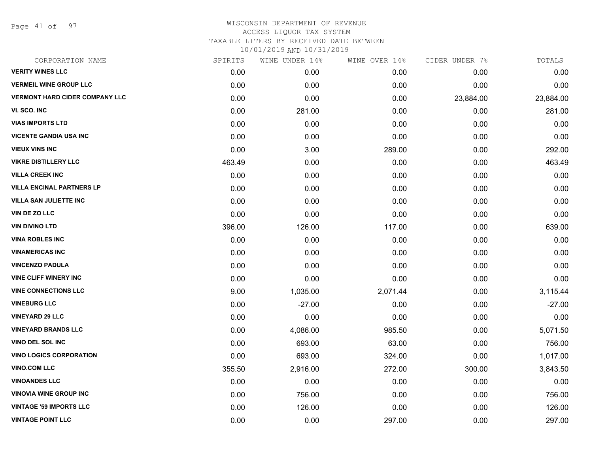Page 41 of 97

| CORPORATION NAME                      | SPIRITS | WINE UNDER 14% | WINE OVER 14% | CIDER UNDER 7% | TOTALS    |
|---------------------------------------|---------|----------------|---------------|----------------|-----------|
| <b>VERITY WINES LLC</b>               | 0.00    | 0.00           | 0.00          | 0.00           | 0.00      |
| <b>VERMEIL WINE GROUP LLC</b>         | 0.00    | 0.00           | 0.00          | 0.00           | 0.00      |
| <b>VERMONT HARD CIDER COMPANY LLC</b> | 0.00    | 0.00           | 0.00          | 23,884.00      | 23,884.00 |
| VI. SCO. INC                          | 0.00    | 281.00         | 0.00          | 0.00           | 281.00    |
| <b>VIAS IMPORTS LTD</b>               | 0.00    | 0.00           | 0.00          | 0.00           | 0.00      |
| <b>VICENTE GANDIA USA INC</b>         | 0.00    | 0.00           | 0.00          | 0.00           | 0.00      |
| <b>VIEUX VINS INC</b>                 | 0.00    | 3.00           | 289.00        | 0.00           | 292.00    |
| <b>VIKRE DISTILLERY LLC</b>           | 463.49  | 0.00           | 0.00          | 0.00           | 463.49    |
| <b>VILLA CREEK INC</b>                | 0.00    | 0.00           | 0.00          | 0.00           | 0.00      |
| <b>VILLA ENCINAL PARTNERS LP</b>      | 0.00    | 0.00           | 0.00          | 0.00           | 0.00      |
| <b>VILLA SAN JULIETTE INC</b>         | 0.00    | 0.00           | 0.00          | 0.00           | 0.00      |
| VIN DE ZO LLC                         | 0.00    | 0.00           | 0.00          | 0.00           | 0.00      |
| <b>VIN DIVINO LTD</b>                 | 396.00  | 126.00         | 117.00        | 0.00           | 639.00    |
| <b>VINA ROBLES INC</b>                | 0.00    | 0.00           | 0.00          | 0.00           | 0.00      |
| <b>VINAMERICAS INC</b>                | 0.00    | 0.00           | 0.00          | 0.00           | 0.00      |
| <b>VINCENZO PADULA</b>                | 0.00    | 0.00           | 0.00          | 0.00           | 0.00      |
| <b>VINE CLIFF WINERY INC</b>          | 0.00    | 0.00           | 0.00          | 0.00           | 0.00      |
| <b>VINE CONNECTIONS LLC</b>           | 9.00    | 1,035.00       | 2,071.44      | 0.00           | 3,115.44  |
| <b>VINEBURG LLC</b>                   | 0.00    | $-27.00$       | 0.00          | 0.00           | $-27.00$  |
| <b>VINEYARD 29 LLC</b>                | 0.00    | 0.00           | 0.00          | 0.00           | 0.00      |
| <b>VINEYARD BRANDS LLC</b>            | 0.00    | 4,086.00       | 985.50        | 0.00           | 5,071.50  |
| VINO DEL SOL INC                      | 0.00    | 693.00         | 63.00         | 0.00           | 756.00    |
| <b>VINO LOGICS CORPORATION</b>        | 0.00    | 693.00         | 324.00        | 0.00           | 1,017.00  |
| <b>VINO.COM LLC</b>                   | 355.50  | 2,916.00       | 272.00        | 300.00         | 3,843.50  |
| <b>VINOANDES LLC</b>                  | 0.00    | 0.00           | 0.00          | 0.00           | 0.00      |
| <b>VINOVIA WINE GROUP INC</b>         | 0.00    | 756.00         | 0.00          | 0.00           | 756.00    |
| <b>VINTAGE '59 IMPORTS LLC</b>        | 0.00    | 126.00         | 0.00          | 0.00           | 126.00    |
| <b>VINTAGE POINT LLC</b>              | 0.00    | 0.00           | 297.00        | 0.00           | 297.00    |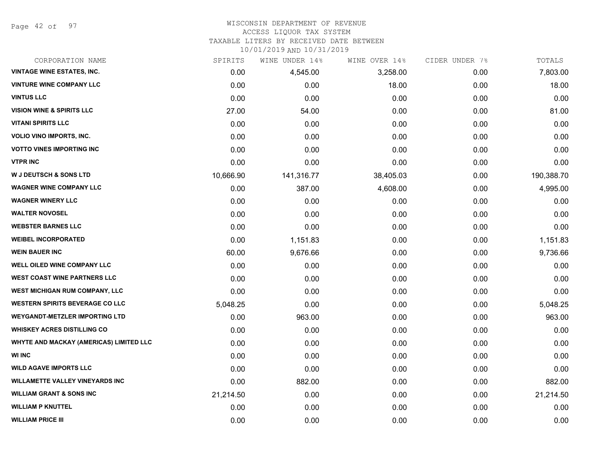Page 42 of 97

## WISCONSIN DEPARTMENT OF REVENUE

#### ACCESS LIQUOR TAX SYSTEM

TAXABLE LITERS BY RECEIVED DATE BETWEEN

| CORPORATION NAME                        | SPIRITS   | WINE UNDER 14% | WINE OVER 14% | CIDER UNDER 7% | TOTALS     |
|-----------------------------------------|-----------|----------------|---------------|----------------|------------|
| <b>VINTAGE WINE ESTATES, INC.</b>       | 0.00      | 4,545.00       | 3,258.00      | 0.00           | 7,803.00   |
| <b>VINTURE WINE COMPANY LLC</b>         | 0.00      | 0.00           | 18.00         | 0.00           | 18.00      |
| <b>VINTUS LLC</b>                       | 0.00      | 0.00           | 0.00          | 0.00           | 0.00       |
| <b>VISION WINE &amp; SPIRITS LLC</b>    | 27.00     | 54.00          | 0.00          | 0.00           | 81.00      |
| <b>VITANI SPIRITS LLC</b>               | 0.00      | 0.00           | 0.00          | 0.00           | 0.00       |
| <b>VOLIO VINO IMPORTS, INC.</b>         | 0.00      | 0.00           | 0.00          | 0.00           | 0.00       |
| <b>VOTTO VINES IMPORTING INC</b>        | 0.00      | 0.00           | 0.00          | 0.00           | 0.00       |
| <b>VTPR INC</b>                         | 0.00      | 0.00           | 0.00          | 0.00           | 0.00       |
| <b>W J DEUTSCH &amp; SONS LTD</b>       | 10,666.90 | 141,316.77     | 38,405.03     | 0.00           | 190,388.70 |
| <b>WAGNER WINE COMPANY LLC</b>          | 0.00      | 387.00         | 4,608.00      | 0.00           | 4,995.00   |
| <b>WAGNER WINERY LLC</b>                | 0.00      | 0.00           | 0.00          | 0.00           | 0.00       |
| <b>WALTER NOVOSEL</b>                   | 0.00      | 0.00           | 0.00          | 0.00           | 0.00       |
| <b>WEBSTER BARNES LLC</b>               | 0.00      | 0.00           | 0.00          | 0.00           | 0.00       |
| <b>WEIBEL INCORPORATED</b>              | 0.00      | 1,151.83       | 0.00          | 0.00           | 1,151.83   |
| <b>WEIN BAUER INC</b>                   | 60.00     | 9,676.66       | 0.00          | 0.00           | 9,736.66   |
| <b>WELL OILED WINE COMPANY LLC</b>      | 0.00      | 0.00           | 0.00          | 0.00           | 0.00       |
| <b>WEST COAST WINE PARTNERS LLC</b>     | 0.00      | 0.00           | 0.00          | 0.00           | 0.00       |
| WEST MICHIGAN RUM COMPANY, LLC          | 0.00      | 0.00           | 0.00          | 0.00           | 0.00       |
| <b>WESTERN SPIRITS BEVERAGE CO LLC</b>  | 5,048.25  | 0.00           | 0.00          | 0.00           | 5,048.25   |
| <b>WEYGANDT-METZLER IMPORTING LTD</b>   | 0.00      | 963.00         | 0.00          | 0.00           | 963.00     |
| <b>WHISKEY ACRES DISTILLING CO</b>      | 0.00      | 0.00           | 0.00          | 0.00           | 0.00       |
| WHYTE AND MACKAY (AMERICAS) LIMITED LLC | 0.00      | 0.00           | 0.00          | 0.00           | 0.00       |
| <b>WI INC</b>                           | 0.00      | 0.00           | 0.00          | 0.00           | 0.00       |
| <b>WILD AGAVE IMPORTS LLC</b>           | 0.00      | 0.00           | 0.00          | 0.00           | 0.00       |
| <b>WILLAMETTE VALLEY VINEYARDS INC</b>  | 0.00      | 882.00         | 0.00          | 0.00           | 882.00     |
| <b>WILLIAM GRANT &amp; SONS INC</b>     | 21,214.50 | 0.00           | 0.00          | 0.00           | 21,214.50  |
| <b>WILLIAM P KNUTTEL</b>                | 0.00      | 0.00           | 0.00          | 0.00           | 0.00       |
| <b>WILLIAM PRICE III</b>                | 0.00      | 0.00           | 0.00          | 0.00           | 0.00       |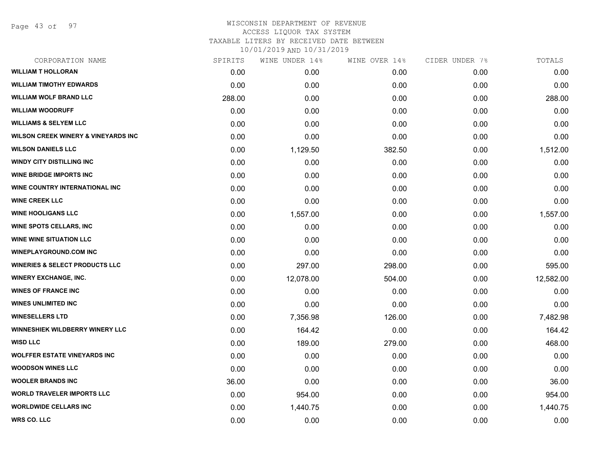Page 43 of 97

# WISCONSIN DEPARTMENT OF REVENUE ACCESS LIQUOR TAX SYSTEM TAXABLE LITERS BY RECEIVED DATE BETWEEN

| CORPORATION NAME                               | SPIRITS | WINE UNDER 14% | WINE OVER 14% | CIDER UNDER 7% | TOTALS    |
|------------------------------------------------|---------|----------------|---------------|----------------|-----------|
| <b>WILLIAM T HOLLORAN</b>                      | 0.00    | 0.00           | 0.00          | 0.00           | 0.00      |
| <b>WILLIAM TIMOTHY EDWARDS</b>                 | 0.00    | 0.00           | 0.00          | 0.00           | 0.00      |
| <b>WILLIAM WOLF BRAND LLC</b>                  | 288.00  | 0.00           | 0.00          | 0.00           | 288.00    |
| <b>WILLIAM WOODRUFF</b>                        | 0.00    | 0.00           | 0.00          | 0.00           | 0.00      |
| <b>WILLIAMS &amp; SELYEM LLC</b>               | 0.00    | 0.00           | 0.00          | 0.00           | 0.00      |
| <b>WILSON CREEK WINERY &amp; VINEYARDS INC</b> | 0.00    | 0.00           | 0.00          | 0.00           | 0.00      |
| <b>WILSON DANIELS LLC</b>                      | 0.00    | 1,129.50       | 382.50        | 0.00           | 1,512.00  |
| <b>WINDY CITY DISTILLING INC</b>               | 0.00    | 0.00           | 0.00          | 0.00           | 0.00      |
| <b>WINE BRIDGE IMPORTS INC</b>                 | 0.00    | 0.00           | 0.00          | 0.00           | 0.00      |
| WINE COUNTRY INTERNATIONAL INC                 | 0.00    | 0.00           | 0.00          | 0.00           | 0.00      |
| <b>WINE CREEK LLC</b>                          | 0.00    | 0.00           | 0.00          | 0.00           | 0.00      |
| <b>WINE HOOLIGANS LLC</b>                      | 0.00    | 1,557.00       | 0.00          | 0.00           | 1,557.00  |
| <b>WINE SPOTS CELLARS, INC</b>                 | 0.00    | 0.00           | 0.00          | 0.00           | 0.00      |
| <b>WINE WINE SITUATION LLC</b>                 | 0.00    | 0.00           | 0.00          | 0.00           | 0.00      |
| <b>WINEPLAYGROUND.COM INC</b>                  | 0.00    | 0.00           | 0.00          | 0.00           | 0.00      |
| <b>WINERIES &amp; SELECT PRODUCTS LLC</b>      | 0.00    | 297.00         | 298.00        | 0.00           | 595.00    |
| <b>WINERY EXCHANGE, INC.</b>                   | 0.00    | 12,078.00      | 504.00        | 0.00           | 12,582.00 |
| <b>WINES OF FRANCE INC</b>                     | 0.00    | 0.00           | 0.00          | 0.00           | 0.00      |
| <b>WINES UNLIMITED INC</b>                     | 0.00    | 0.00           | 0.00          | 0.00           | 0.00      |
| <b>WINESELLERS LTD</b>                         | 0.00    | 7,356.98       | 126.00        | 0.00           | 7,482.98  |
| WINNESHIEK WILDBERRY WINERY LLC                | 0.00    | 164.42         | 0.00          | 0.00           | 164.42    |
| <b>WISD LLC</b>                                | 0.00    | 189.00         | 279.00        | 0.00           | 468.00    |
| <b>WOLFFER ESTATE VINEYARDS INC</b>            | 0.00    | 0.00           | 0.00          | 0.00           | 0.00      |
| <b>WOODSON WINES LLC</b>                       | 0.00    | 0.00           | 0.00          | 0.00           | 0.00      |
| <b>WOOLER BRANDS INC</b>                       | 36.00   | 0.00           | 0.00          | 0.00           | 36.00     |
| <b>WORLD TRAVELER IMPORTS LLC</b>              | 0.00    | 954.00         | 0.00          | 0.00           | 954.00    |
| <b>WORLDWIDE CELLARS INC</b>                   | 0.00    | 1,440.75       | 0.00          | 0.00           | 1,440.75  |
| <b>WRS CO. LLC</b>                             | 0.00    | 0.00           | 0.00          | 0.00           | 0.00      |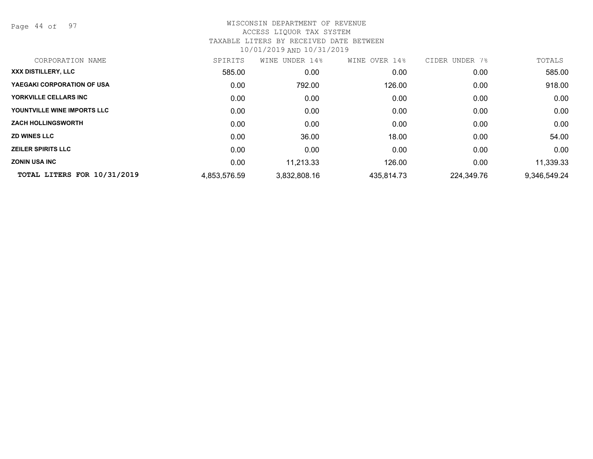Page 44 of 97

| CORPORATION NAME            | SPIRITS      | UNDER 14%<br>WINE | WINE OVER 14% | CIDER UNDER<br>7% | TOTALS       |
|-----------------------------|--------------|-------------------|---------------|-------------------|--------------|
| XXX DISTILLERY, LLC         | 585.00       | 0.00              | 0.00          | 0.00              | 585.00       |
| YAEGAKI CORPORATION OF USA  | 0.00         | 792.00            | 126.00        | 0.00              | 918.00       |
| YORKVILLE CELLARS INC       | 0.00         | 0.00              | 0.00          | 0.00              | 0.00         |
| YOUNTVILLE WINE IMPORTS LLC | 0.00         | 0.00              | 0.00          | 0.00              | 0.00         |
| <b>ZACH HOLLINGSWORTH</b>   | 0.00         | 0.00              | 0.00          | 0.00              | 0.00         |
| <b>ZD WINES LLC</b>         | 0.00         | 36.00             | 18.00         | 0.00              | 54.00        |
| <b>ZEILER SPIRITS LLC</b>   | 0.00         | 0.00              | 0.00          | 0.00              | 0.00         |
| <b>ZONIN USA INC</b>        | 0.00         | 11,213.33         | 126.00        | 0.00              | 11,339.33    |
| TOTAL LITERS FOR 10/31/2019 | 4,853,576.59 | 3,832,808.16      | 435,814.73    | 224,349.76        | 9,346,549.24 |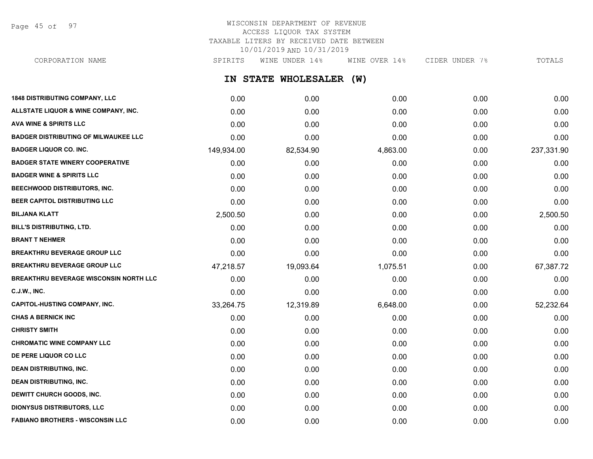Page 45 of 97

## WISCONSIN DEPARTMENT OF REVENUE ACCESS LIQUOR TAX SYSTEM TAXABLE LITERS BY RECEIVED DATE BETWEEN 10/01/2019 AND 10/31/2019

**IN STATE WHOLESALER (W) 1848 DISTRIBUTING COMPANY, LLC** 0.00 0.00 0.00 0.00 0.00 CORPORATION NAME SPIRITS WINE UNDER 14% WINE OVER 14% CIDER UNDER 7% TOTALS

| ALLSTATE LIQUOR & WINE COMPANY, INC.          | 0.00       | 0.00      | 0.00     | 0.00 | 0.00       |
|-----------------------------------------------|------------|-----------|----------|------|------------|
| <b>AVA WINE &amp; SPIRITS LLC</b>             | 0.00       | 0.00      | 0.00     | 0.00 | 0.00       |
| <b>BADGER DISTRIBUTING OF MILWAUKEE LLC</b>   | 0.00       | 0.00      | 0.00     | 0.00 | 0.00       |
| <b>BADGER LIQUOR CO. INC.</b>                 | 149,934.00 | 82,534.90 | 4,863.00 | 0.00 | 237,331.90 |
| <b>BADGER STATE WINERY COOPERATIVE</b>        | 0.00       | 0.00      | 0.00     | 0.00 | 0.00       |
| <b>BADGER WINE &amp; SPIRITS LLC</b>          | 0.00       | 0.00      | 0.00     | 0.00 | 0.00       |
| BEECHWOOD DISTRIBUTORS, INC.                  | 0.00       | 0.00      | 0.00     | 0.00 | 0.00       |
| BEER CAPITOL DISTRIBUTING LLC                 | 0.00       | 0.00      | 0.00     | 0.00 | 0.00       |
| <b>BILJANA KLATT</b>                          | 2,500.50   | 0.00      | 0.00     | 0.00 | 2,500.50   |
| BILL'S DISTRIBUTING, LTD.                     | 0.00       | 0.00      | 0.00     | 0.00 | 0.00       |
| <b>BRANT T NEHMER</b>                         | 0.00       | 0.00      | 0.00     | 0.00 | 0.00       |
| <b>BREAKTHRU BEVERAGE GROUP LLC</b>           | 0.00       | 0.00      | 0.00     | 0.00 | 0.00       |
| <b>BREAKTHRU BEVERAGE GROUP LLC</b>           | 47,218.57  | 19,093.64 | 1,075.51 | 0.00 | 67,387.72  |
| <b>BREAKTHRU BEVERAGE WISCONSIN NORTH LLC</b> | 0.00       | 0.00      | 0.00     | 0.00 | 0.00       |
| C.J.W., INC.                                  | 0.00       | 0.00      | 0.00     | 0.00 | 0.00       |
| <b>CAPITOL-HUSTING COMPANY, INC.</b>          | 33,264.75  | 12,319.89 | 6,648.00 | 0.00 | 52,232.64  |
| <b>CHAS A BERNICK INC</b>                     | 0.00       | 0.00      | 0.00     | 0.00 | 0.00       |
| <b>CHRISTY SMITH</b>                          | 0.00       | 0.00      | 0.00     | 0.00 | 0.00       |
| <b>CHROMATIC WINE COMPANY LLC</b>             | 0.00       | 0.00      | 0.00     | 0.00 | 0.00       |
| DE PERE LIQUOR CO LLC                         | 0.00       | 0.00      | 0.00     | 0.00 | 0.00       |
| <b>DEAN DISTRIBUTING, INC.</b>                | 0.00       | 0.00      | 0.00     | 0.00 | 0.00       |
| <b>DEAN DISTRIBUTING, INC.</b>                | 0.00       | 0.00      | 0.00     | 0.00 | 0.00       |
| DEWITT CHURCH GOODS, INC.                     | 0.00       | 0.00      | 0.00     | 0.00 | 0.00       |
| <b>DIONYSUS DISTRIBUTORS, LLC</b>             | 0.00       | 0.00      | 0.00     | 0.00 | 0.00       |
| <b>FABIANO BROTHERS - WISCONSIN LLC</b>       | 0.00       | 0.00      | 0.00     | 0.00 | 0.00       |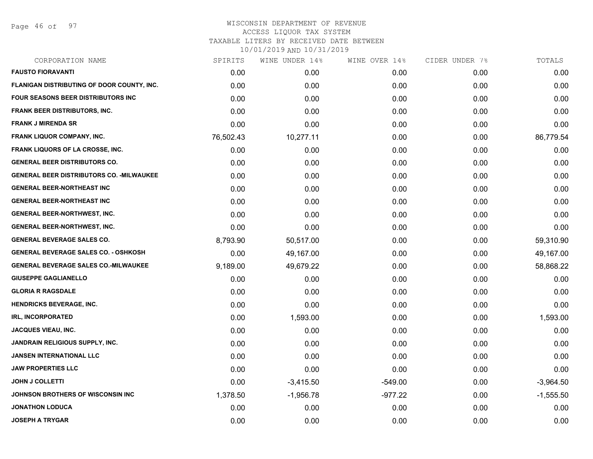Page 46 of 97

# WISCONSIN DEPARTMENT OF REVENUE ACCESS LIQUOR TAX SYSTEM TAXABLE LITERS BY RECEIVED DATE BETWEEN

| CORPORATION NAME                                 | SPIRITS   | WINE UNDER 14% | WINE OVER 14% | CIDER UNDER 7% | TOTALS      |
|--------------------------------------------------|-----------|----------------|---------------|----------------|-------------|
| <b>FAUSTO FIORAVANTI</b>                         | 0.00      | 0.00           | 0.00          | 0.00           | 0.00        |
| FLANIGAN DISTRIBUTING OF DOOR COUNTY, INC.       | 0.00      | 0.00           | 0.00          | 0.00           | 0.00        |
| FOUR SEASONS BEER DISTRIBUTORS INC               | 0.00      | 0.00           | 0.00          | 0.00           | 0.00        |
| <b>FRANK BEER DISTRIBUTORS, INC.</b>             | 0.00      | 0.00           | 0.00          | 0.00           | 0.00        |
| <b>FRANK J MIRENDA SR</b>                        | 0.00      | 0.00           | 0.00          | 0.00           | 0.00        |
| <b>FRANK LIQUOR COMPANY, INC.</b>                | 76,502.43 | 10,277.11      | 0.00          | 0.00           | 86,779.54   |
| <b>FRANK LIQUORS OF LA CROSSE, INC.</b>          | 0.00      | 0.00           | 0.00          | 0.00           | 0.00        |
| <b>GENERAL BEER DISTRIBUTORS CO.</b>             | 0.00      | 0.00           | 0.00          | 0.00           | 0.00        |
| <b>GENERAL BEER DISTRIBUTORS CO. - MILWAUKEE</b> | 0.00      | 0.00           | 0.00          | 0.00           | 0.00        |
| <b>GENERAL BEER-NORTHEAST INC</b>                | 0.00      | 0.00           | 0.00          | 0.00           | 0.00        |
| <b>GENERAL BEER-NORTHEAST INC</b>                | 0.00      | 0.00           | 0.00          | 0.00           | 0.00        |
| <b>GENERAL BEER-NORTHWEST, INC.</b>              | 0.00      | 0.00           | 0.00          | 0.00           | 0.00        |
| <b>GENERAL BEER-NORTHWEST, INC.</b>              | 0.00      | 0.00           | 0.00          | 0.00           | 0.00        |
| <b>GENERAL BEVERAGE SALES CO.</b>                | 8,793.90  | 50,517.00      | 0.00          | 0.00           | 59,310.90   |
| <b>GENERAL BEVERAGE SALES CO. - OSHKOSH</b>      | 0.00      | 49,167.00      | 0.00          | 0.00           | 49,167.00   |
| <b>GENERAL BEVERAGE SALES CO.-MILWAUKEE</b>      | 9,189.00  | 49,679.22      | 0.00          | 0.00           | 58,868.22   |
| <b>GIUSEPPE GAGLIANELLO</b>                      | 0.00      | 0.00           | 0.00          | 0.00           | 0.00        |
| <b>GLORIA R RAGSDALE</b>                         | 0.00      | 0.00           | 0.00          | 0.00           | 0.00        |
| <b>HENDRICKS BEVERAGE, INC.</b>                  | 0.00      | 0.00           | 0.00          | 0.00           | 0.00        |
| <b>IRL, INCORPORATED</b>                         | 0.00      | 1,593.00       | 0.00          | 0.00           | 1,593.00    |
| <b>JACQUES VIEAU, INC.</b>                       | 0.00      | 0.00           | 0.00          | 0.00           | 0.00        |
| <b>JANDRAIN RELIGIOUS SUPPLY, INC.</b>           | 0.00      | 0.00           | 0.00          | 0.00           | 0.00        |
| JANSEN INTERNATIONAL LLC                         | 0.00      | 0.00           | 0.00          | 0.00           | 0.00        |
| <b>JAW PROPERTIES LLC</b>                        | 0.00      | 0.00           | 0.00          | 0.00           | 0.00        |
| <b>JOHN J COLLETTI</b>                           | 0.00      | $-3,415.50$    | $-549.00$     | 0.00           | $-3,964.50$ |
| JOHNSON BROTHERS OF WISCONSIN INC                | 1,378.50  | $-1,956.78$    | $-977.22$     | 0.00           | $-1,555.50$ |
| <b>JONATHON LODUCA</b>                           | 0.00      | 0.00           | 0.00          | 0.00           | 0.00        |
| <b>JOSEPH A TRYGAR</b>                           | 0.00      | 0.00           | 0.00          | 0.00           | 0.00        |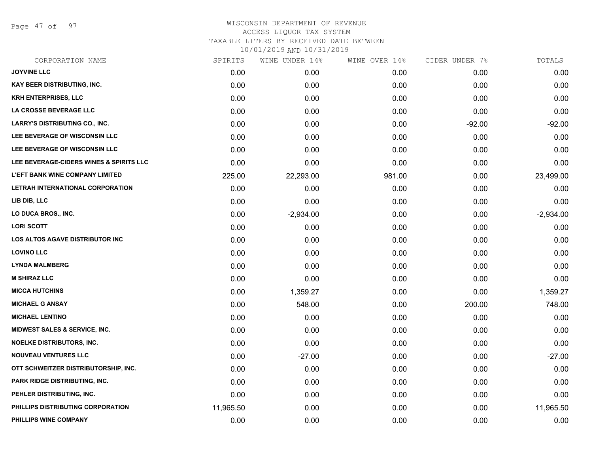Page 47 of 97

| CORPORATION NAME                        | SPIRITS   | WINE UNDER 14% | WINE OVER 14% | CIDER UNDER 7% | TOTALS      |
|-----------------------------------------|-----------|----------------|---------------|----------------|-------------|
| <b>JOYVINE LLC</b>                      | 0.00      | 0.00           | 0.00          | 0.00           | 0.00        |
| KAY BEER DISTRIBUTING, INC.             | 0.00      | 0.00           | 0.00          | 0.00           | 0.00        |
| <b>KRH ENTERPRISES, LLC</b>             | 0.00      | 0.00           | 0.00          | 0.00           | 0.00        |
| LA CROSSE BEVERAGE LLC                  | 0.00      | 0.00           | 0.00          | 0.00           | 0.00        |
| <b>LARRY'S DISTRIBUTING CO., INC.</b>   | 0.00      | 0.00           | 0.00          | $-92.00$       | $-92.00$    |
| LEE BEVERAGE OF WISCONSIN LLC           | 0.00      | 0.00           | 0.00          | 0.00           | 0.00        |
| LEE BEVERAGE OF WISCONSIN LLC           | 0.00      | 0.00           | 0.00          | 0.00           | 0.00        |
| LEE BEVERAGE-CIDERS WINES & SPIRITS LLC | 0.00      | 0.00           | 0.00          | 0.00           | 0.00        |
| <b>L'EFT BANK WINE COMPANY LIMITED</b>  | 225.00    | 22,293.00      | 981.00        | 0.00           | 23,499.00   |
| LETRAH INTERNATIONAL CORPORATION        | 0.00      | 0.00           | 0.00          | 0.00           | 0.00        |
| LIB DIB, LLC                            | 0.00      | 0.00           | 0.00          | 0.00           | 0.00        |
| LO DUCA BROS., INC.                     | 0.00      | $-2,934.00$    | 0.00          | 0.00           | $-2,934.00$ |
| <b>LORI SCOTT</b>                       | 0.00      | 0.00           | 0.00          | 0.00           | 0.00        |
| <b>LOS ALTOS AGAVE DISTRIBUTOR INC</b>  | 0.00      | 0.00           | 0.00          | 0.00           | 0.00        |
| <b>LOVINO LLC</b>                       | 0.00      | 0.00           | 0.00          | 0.00           | 0.00        |
| <b>LYNDA MALMBERG</b>                   | 0.00      | 0.00           | 0.00          | 0.00           | 0.00        |
| <b>M SHIRAZ LLC</b>                     | 0.00      | 0.00           | 0.00          | 0.00           | 0.00        |
| <b>MICCA HUTCHINS</b>                   | 0.00      | 1,359.27       | 0.00          | 0.00           | 1,359.27    |
| <b>MICHAEL G ANSAY</b>                  | 0.00      | 548.00         | 0.00          | 200.00         | 748.00      |
| <b>MICHAEL LENTINO</b>                  | 0.00      | 0.00           | 0.00          | 0.00           | 0.00        |
| MIDWEST SALES & SERVICE, INC.           | 0.00      | 0.00           | 0.00          | 0.00           | 0.00        |
| <b>NOELKE DISTRIBUTORS, INC.</b>        | 0.00      | 0.00           | 0.00          | 0.00           | 0.00        |
| <b>NOUVEAU VENTURES LLC</b>             | 0.00      | $-27.00$       | 0.00          | 0.00           | $-27.00$    |
| OTT SCHWEITZER DISTRIBUTORSHIP, INC.    | 0.00      | 0.00           | 0.00          | 0.00           | 0.00        |
| PARK RIDGE DISTRIBUTING, INC.           | 0.00      | 0.00           | 0.00          | 0.00           | 0.00        |
| PEHLER DISTRIBUTING, INC.               | 0.00      | 0.00           | 0.00          | 0.00           | 0.00        |
| PHILLIPS DISTRIBUTING CORPORATION       | 11,965.50 | 0.00           | 0.00          | 0.00           | 11,965.50   |
| PHILLIPS WINE COMPANY                   | 0.00      | 0.00           | 0.00          | 0.00           | 0.00        |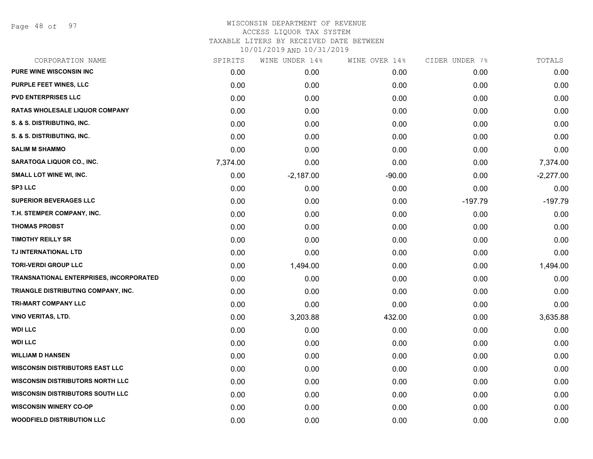Page 48 of 97

| CORPORATION NAME                               | SPIRITS  | WINE UNDER 14% | WINE OVER 14% | CIDER UNDER 7% | TOTALS      |
|------------------------------------------------|----------|----------------|---------------|----------------|-------------|
| <b>PURE WINE WISCONSIN INC</b>                 | 0.00     | 0.00           | 0.00          | 0.00           | 0.00        |
| PURPLE FEET WINES, LLC                         | 0.00     | 0.00           | 0.00          | 0.00           | 0.00        |
| <b>PVD ENTERPRISES LLC</b>                     | 0.00     | 0.00           | 0.00          | 0.00           | 0.00        |
| RATAS WHOLESALE LIQUOR COMPANY                 | 0.00     | 0.00           | 0.00          | 0.00           | 0.00        |
| S. & S. DISTRIBUTING, INC.                     | 0.00     | 0.00           | 0.00          | 0.00           | 0.00        |
| S. & S. DISTRIBUTING, INC.                     | 0.00     | 0.00           | 0.00          | 0.00           | 0.00        |
| <b>SALIM M SHAMMO</b>                          | 0.00     | 0.00           | 0.00          | 0.00           | 0.00        |
| SARATOGA LIQUOR CO., INC.                      | 7,374.00 | 0.00           | 0.00          | 0.00           | 7,374.00    |
| SMALL LOT WINE WI, INC.                        | 0.00     | $-2,187.00$    | $-90.00$      | 0.00           | $-2,277.00$ |
| <b>SP3 LLC</b>                                 | 0.00     | 0.00           | 0.00          | 0.00           | 0.00        |
| <b>SUPERIOR BEVERAGES LLC</b>                  | 0.00     | 0.00           | 0.00          | $-197.79$      | $-197.79$   |
| T.H. STEMPER COMPANY, INC.                     | 0.00     | 0.00           | 0.00          | 0.00           | 0.00        |
| <b>THOMAS PROBST</b>                           | 0.00     | 0.00           | 0.00          | 0.00           | 0.00        |
| <b>TIMOTHY REILLY SR</b>                       | 0.00     | 0.00           | 0.00          | 0.00           | 0.00        |
| TJ INTERNATIONAL LTD                           | 0.00     | 0.00           | 0.00          | 0.00           | 0.00        |
| <b>TORI-VERDI GROUP LLC</b>                    | 0.00     | 1,494.00       | 0.00          | 0.00           | 1,494.00    |
| <b>TRANSNATIONAL ENTERPRISES, INCORPORATED</b> | 0.00     | 0.00           | 0.00          | 0.00           | 0.00        |
| TRIANGLE DISTRIBUTING COMPANY, INC.            | 0.00     | 0.00           | 0.00          | 0.00           | 0.00        |
| TRI-MART COMPANY LLC                           | 0.00     | 0.00           | 0.00          | 0.00           | 0.00        |
| <b>VINO VERITAS, LTD.</b>                      | 0.00     | 3,203.88       | 432.00        | 0.00           | 3,635.88    |
| <b>WDI LLC</b>                                 | 0.00     | 0.00           | 0.00          | 0.00           | 0.00        |
| <b>WDI LLC</b>                                 | 0.00     | 0.00           | 0.00          | 0.00           | 0.00        |
| <b>WILLIAM D HANSEN</b>                        | 0.00     | 0.00           | 0.00          | 0.00           | 0.00        |
| <b>WISCONSIN DISTRIBUTORS EAST LLC</b>         | 0.00     | 0.00           | 0.00          | 0.00           | 0.00        |
| <b>WISCONSIN DISTRIBUTORS NORTH LLC</b>        | 0.00     | 0.00           | 0.00          | 0.00           | 0.00        |
| <b>WISCONSIN DISTRIBUTORS SOUTH LLC</b>        | 0.00     | 0.00           | 0.00          | 0.00           | 0.00        |
| <b>WISCONSIN WINERY CO-OP</b>                  | 0.00     | 0.00           | 0.00          | 0.00           | 0.00        |
| <b>WOODFIELD DISTRIBUTION LLC</b>              | 0.00     | 0.00           | 0.00          | 0.00           | 0.00        |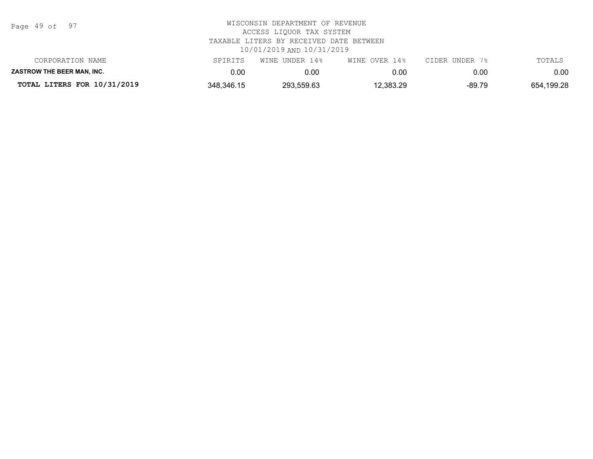| Page |  | 49 of | 97 |
|------|--|-------|----|
|------|--|-------|----|

| CORPORATION NAME                  | SPIRITS    | WINE UNDER 14% | WINE OVER 14% | CIDER UNDER 7% | TOTALS     |
|-----------------------------------|------------|----------------|---------------|----------------|------------|
| <b>ZASTROW THE BEER MAN. INC.</b> | ა.00       | 0.00           | 0.00          | 0.00           | $0.00\,$   |
| TOTAL LITERS FOR 10/31/2019       | 348,346.15 | 293,559.63     | 12,383.29     | -89.79         | 654,199.28 |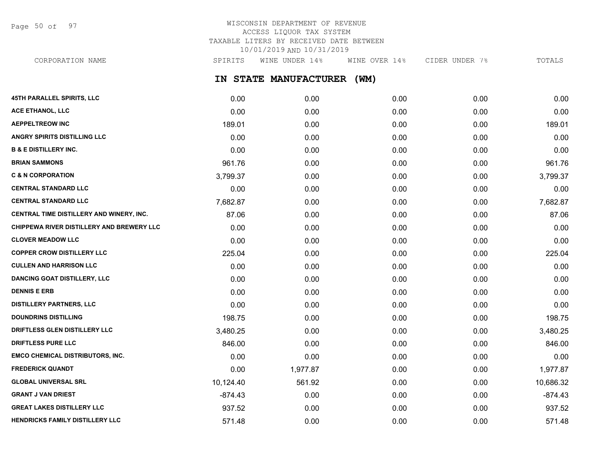Page 50 of 97

## WISCONSIN DEPARTMENT OF REVENUE ACCESS LIQUOR TAX SYSTEM TAXABLE LITERS BY RECEIVED DATE BETWEEN 10/01/2019 AND 10/31/2019

CORPORATION NAME SPIRITS WINE UNDER 14% WINE OVER 14% CIDER UNDER 7% TOTALS

**IN STATE MANUFACTURER (WM)**

| 45TH PARALLEL SPIRITS, LLC                | 0.00      | 0.00     | 0.00 | 0.00 | 0.00      |
|-------------------------------------------|-----------|----------|------|------|-----------|
| ACE ETHANOL, LLC                          | 0.00      | 0.00     | 0.00 | 0.00 | 0.00      |
| <b>AEPPELTREOW INC</b>                    | 189.01    | 0.00     | 0.00 | 0.00 | 189.01    |
| <b>ANGRY SPIRITS DISTILLING LLC</b>       | 0.00      | 0.00     | 0.00 | 0.00 | 0.00      |
| <b>B &amp; E DISTILLERY INC.</b>          | 0.00      | 0.00     | 0.00 | 0.00 | 0.00      |
| <b>BRIAN SAMMONS</b>                      | 961.76    | 0.00     | 0.00 | 0.00 | 961.76    |
| <b>C &amp; N CORPORATION</b>              | 3,799.37  | 0.00     | 0.00 | 0.00 | 3,799.37  |
| <b>CENTRAL STANDARD LLC</b>               | 0.00      | 0.00     | 0.00 | 0.00 | 0.00      |
| <b>CENTRAL STANDARD LLC</b>               | 7,682.87  | 0.00     | 0.00 | 0.00 | 7,682.87  |
| CENTRAL TIME DISTILLERY AND WINERY, INC.  | 87.06     | 0.00     | 0.00 | 0.00 | 87.06     |
| CHIPPEWA RIVER DISTILLERY AND BREWERY LLC | 0.00      | 0.00     | 0.00 | 0.00 | 0.00      |
| <b>CLOVER MEADOW LLC</b>                  | 0.00      | 0.00     | 0.00 | 0.00 | 0.00      |
| <b>COPPER CROW DISTILLERY LLC</b>         | 225.04    | 0.00     | 0.00 | 0.00 | 225.04    |
| <b>CULLEN AND HARRISON LLC</b>            | 0.00      | 0.00     | 0.00 | 0.00 | 0.00      |
| <b>DANCING GOAT DISTILLERY, LLC</b>       | 0.00      | 0.00     | 0.00 | 0.00 | 0.00      |
| <b>DENNIS E ERB</b>                       | 0.00      | 0.00     | 0.00 | 0.00 | 0.00      |
| <b>DISTILLERY PARTNERS, LLC</b>           | 0.00      | 0.00     | 0.00 | 0.00 | 0.00      |
| <b>DOUNDRINS DISTILLING</b>               | 198.75    | 0.00     | 0.00 | 0.00 | 198.75    |
| DRIFTLESS GLEN DISTILLERY LLC             | 3,480.25  | 0.00     | 0.00 | 0.00 | 3,480.25  |
| <b>DRIFTLESS PURE LLC</b>                 | 846.00    | 0.00     | 0.00 | 0.00 | 846.00    |
| <b>EMCO CHEMICAL DISTRIBUTORS, INC.</b>   | 0.00      | 0.00     | 0.00 | 0.00 | 0.00      |
| <b>FREDERICK QUANDT</b>                   | 0.00      | 1,977.87 | 0.00 | 0.00 | 1,977.87  |
| <b>GLOBAL UNIVERSAL SRL</b>               | 10,124.40 | 561.92   | 0.00 | 0.00 | 10,686.32 |
| <b>GRANT J VAN DRIEST</b>                 | $-874.43$ | 0.00     | 0.00 | 0.00 | $-874.43$ |
| <b>GREAT LAKES DISTILLERY LLC</b>         | 937.52    | 0.00     | 0.00 | 0.00 | 937.52    |
| HENDRICKS FAMILY DISTILLERY LLC           | 571.48    | 0.00     | 0.00 | 0.00 | 571.48    |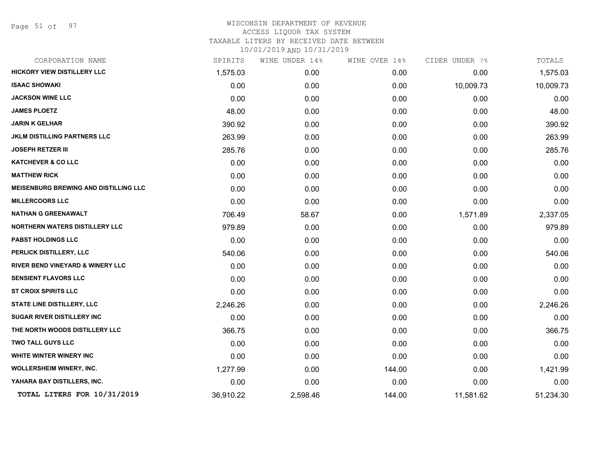Page 51 of 97

| CORPORATION NAME                             | SPIRITS   | WINE UNDER 14% | WINE OVER 14% | CIDER UNDER 7% | TOTALS    |
|----------------------------------------------|-----------|----------------|---------------|----------------|-----------|
| HICKORY VIEW DISTILLERY LLC                  | 1,575.03  | 0.00           | 0.00          | 0.00           | 1,575.03  |
| <b>ISAAC SHOWAKI</b>                         | 0.00      | 0.00           | 0.00          | 10,009.73      | 10,009.73 |
| <b>JACKSON WINE LLC</b>                      | 0.00      | 0.00           | 0.00          | 0.00           | 0.00      |
| <b>JAMES PLOETZ</b>                          | 48.00     | 0.00           | 0.00          | 0.00           | 48.00     |
| <b>JARIN K GELHAR</b>                        | 390.92    | 0.00           | 0.00          | 0.00           | 390.92    |
| <b>JKLM DISTILLING PARTNERS LLC</b>          | 263.99    | 0.00           | 0.00          | 0.00           | 263.99    |
| <b>JOSEPH RETZER III</b>                     | 285.76    | 0.00           | 0.00          | 0.00           | 285.76    |
| <b>KATCHEVER &amp; CO LLC</b>                | 0.00      | 0.00           | 0.00          | 0.00           | 0.00      |
| <b>MATTHEW RICK</b>                          | 0.00      | 0.00           | 0.00          | 0.00           | 0.00      |
| <b>MEISENBURG BREWING AND DISTILLING LLC</b> | 0.00      | 0.00           | 0.00          | 0.00           | 0.00      |
| <b>MILLERCOORS LLC</b>                       | 0.00      | 0.00           | 0.00          | 0.00           | 0.00      |
| <b>NATHAN G GREENAWALT</b>                   | 706.49    | 58.67          | 0.00          | 1,571.89       | 2,337.05  |
| <b>NORTHERN WATERS DISTILLERY LLC</b>        | 979.89    | 0.00           | 0.00          | 0.00           | 979.89    |
| PABST HOLDINGS LLC                           | 0.00      | 0.00           | 0.00          | 0.00           | 0.00      |
| PERLICK DISTILLERY, LLC                      | 540.06    | 0.00           | 0.00          | 0.00           | 540.06    |
| RIVER BEND VINEYARD & WINERY LLC             | 0.00      | 0.00           | 0.00          | 0.00           | 0.00      |
| <b>SENSIENT FLAVORS LLC</b>                  | 0.00      | 0.00           | 0.00          | 0.00           | 0.00      |
| <b>ST CROIX SPIRITS LLC</b>                  | 0.00      | 0.00           | 0.00          | 0.00           | 0.00      |
| STATE LINE DISTILLERY, LLC                   | 2,246.26  | 0.00           | 0.00          | 0.00           | 2,246.26  |
| <b>SUGAR RIVER DISTILLERY INC</b>            | 0.00      | 0.00           | 0.00          | 0.00           | 0.00      |
| THE NORTH WOODS DISTILLERY LLC               | 366.75    | 0.00           | 0.00          | 0.00           | 366.75    |
| <b>TWO TALL GUYS LLC</b>                     | 0.00      | 0.00           | 0.00          | 0.00           | 0.00      |
| WHITE WINTER WINERY INC                      | 0.00      | 0.00           | 0.00          | 0.00           | 0.00      |
| <b>WOLLERSHEIM WINERY, INC.</b>              | 1,277.99  | 0.00           | 144.00        | 0.00           | 1,421.99  |
| YAHARA BAY DISTILLERS, INC.                  | 0.00      | 0.00           | 0.00          | 0.00           | 0.00      |
| TOTAL LITERS FOR 10/31/2019                  | 36,910.22 | 2,598.46       | 144.00        | 11,581.62      | 51,234.30 |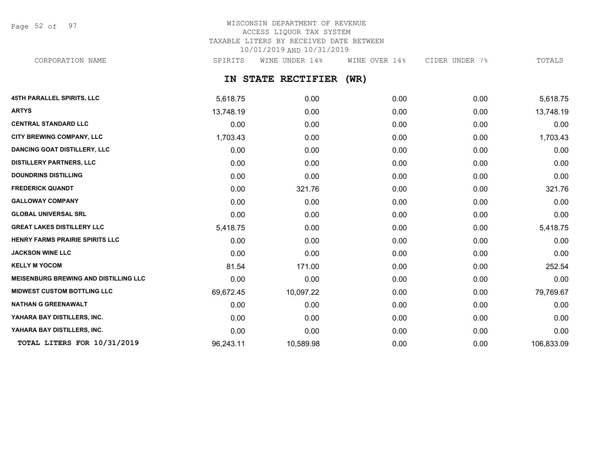Page 52 of 97

# WISCONSIN DEPARTMENT OF REVENUE ACCESS LIQUOR TAX SYSTEM TAXABLE LITERS BY RECEIVED DATE BETWEEN 10/01/2019 AND 10/31/2019

CORPORATION NAME SPIRITS WINE UNDER 14% WINE OVER 14% CIDER UNDER 7% TOTALS

## **IN STATE RECTIFIER (WR)**

| <b>45TH PARALLEL SPIRITS, LLC</b>            | 5,618.75  | 0.00      | 0.00 | 0.00 | 5,618.75   |
|----------------------------------------------|-----------|-----------|------|------|------------|
| <b>ARTYS</b>                                 | 13,748.19 | 0.00      | 0.00 | 0.00 | 13,748.19  |
| <b>CENTRAL STANDARD LLC</b>                  | 0.00      | 0.00      | 0.00 | 0.00 | 0.00       |
| <b>CITY BREWING COMPANY, LLC</b>             | 1,703.43  | 0.00      | 0.00 | 0.00 | 1,703.43   |
| <b>DANCING GOAT DISTILLERY, LLC</b>          | 0.00      | 0.00      | 0.00 | 0.00 | 0.00       |
| <b>DISTILLERY PARTNERS, LLC</b>              | 0.00      | 0.00      | 0.00 | 0.00 | 0.00       |
| <b>DOUNDRINS DISTILLING</b>                  | 0.00      | 0.00      | 0.00 | 0.00 | 0.00       |
| <b>FREDERICK QUANDT</b>                      | 0.00      | 321.76    | 0.00 | 0.00 | 321.76     |
| <b>GALLOWAY COMPANY</b>                      | 0.00      | 0.00      | 0.00 | 0.00 | 0.00       |
| <b>GLOBAL UNIVERSAL SRL</b>                  | 0.00      | 0.00      | 0.00 | 0.00 | 0.00       |
| <b>GREAT LAKES DISTILLERY LLC</b>            | 5,418.75  | 0.00      | 0.00 | 0.00 | 5,418.75   |
| HENRY FARMS PRAIRIE SPIRITS LLC              | 0.00      | 0.00      | 0.00 | 0.00 | 0.00       |
| <b>JACKSON WINE LLC</b>                      | 0.00      | 0.00      | 0.00 | 0.00 | 0.00       |
| <b>KELLY M YOCOM</b>                         | 81.54     | 171.00    | 0.00 | 0.00 | 252.54     |
| <b>MEISENBURG BREWING AND DISTILLING LLC</b> | 0.00      | 0.00      | 0.00 | 0.00 | 0.00       |
| <b>MIDWEST CUSTOM BOTTLING LLC</b>           | 69,672.45 | 10,097.22 | 0.00 | 0.00 | 79,769.67  |
| <b>NATHAN G GREENAWALT</b>                   | 0.00      | 0.00      | 0.00 | 0.00 | 0.00       |
| YAHARA BAY DISTILLERS, INC.                  | 0.00      | 0.00      | 0.00 | 0.00 | 0.00       |
| YAHARA BAY DISTILLERS, INC.                  | 0.00      | 0.00      | 0.00 | 0.00 | 0.00       |
| TOTAL LITERS FOR 10/31/2019                  | 96,243.11 | 10,589.98 | 0.00 | 0.00 | 106,833.09 |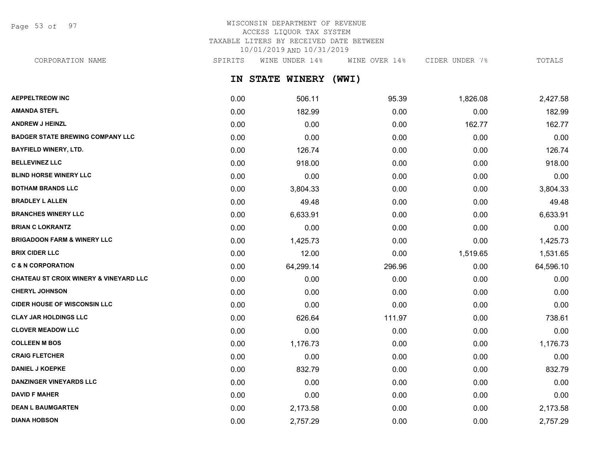Page 53 of 97

# WISCONSIN DEPARTMENT OF REVENUE ACCESS LIQUOR TAX SYSTEM TAXABLE LITERS BY RECEIVED DATE BETWEEN 10/01/2019 AND 10/31/2019

CORPORATION NAME SPIRITS WINE UNDER 14% WINE OVER 14% CIDER UNDER 7% TOTALS

**IN STATE WINERY (WWI)**

| <b>AEPPELTREOW INC</b>                            | 0.00 | 506.11    | 95.39  | 1,826.08 | 2,427.58  |
|---------------------------------------------------|------|-----------|--------|----------|-----------|
| <b>AMANDA STEFL</b>                               | 0.00 | 182.99    | 0.00   | 0.00     | 182.99    |
| <b>ANDREW J HEINZL</b>                            | 0.00 | 0.00      | 0.00   | 162.77   | 162.77    |
| <b>BADGER STATE BREWING COMPANY LLC</b>           | 0.00 | 0.00      | 0.00   | 0.00     | 0.00      |
| <b>BAYFIELD WINERY, LTD.</b>                      | 0.00 | 126.74    | 0.00   | 0.00     | 126.74    |
| <b>BELLEVINEZ LLC</b>                             | 0.00 | 918.00    | 0.00   | 0.00     | 918.00    |
| <b>BLIND HORSE WINERY LLC</b>                     | 0.00 | 0.00      | 0.00   | 0.00     | 0.00      |
| <b>BOTHAM BRANDS LLC</b>                          | 0.00 | 3,804.33  | 0.00   | 0.00     | 3,804.33  |
| <b>BRADLEY L ALLEN</b>                            | 0.00 | 49.48     | 0.00   | 0.00     | 49.48     |
| <b>BRANCHES WINERY LLC</b>                        | 0.00 | 6,633.91  | 0.00   | 0.00     | 6,633.91  |
| <b>BRIAN C LOKRANTZ</b>                           | 0.00 | 0.00      | 0.00   | 0.00     | 0.00      |
| <b>BRIGADOON FARM &amp; WINERY LLC</b>            | 0.00 | 1,425.73  | 0.00   | 0.00     | 1,425.73  |
| <b>BRIX CIDER LLC</b>                             | 0.00 | 12.00     | 0.00   | 1,519.65 | 1,531.65  |
| <b>C &amp; N CORPORATION</b>                      | 0.00 | 64,299.14 | 296.96 | 0.00     | 64,596.10 |
| <b>CHATEAU ST CROIX WINERY &amp; VINEYARD LLC</b> | 0.00 | 0.00      | 0.00   | 0.00     | 0.00      |
| <b>CHERYL JOHNSON</b>                             | 0.00 | 0.00      | 0.00   | 0.00     | 0.00      |
| <b>CIDER HOUSE OF WISCONSIN LLC</b>               | 0.00 | 0.00      | 0.00   | 0.00     | 0.00      |
| <b>CLAY JAR HOLDINGS LLC</b>                      | 0.00 | 626.64    | 111.97 | 0.00     | 738.61    |
| <b>CLOVER MEADOW LLC</b>                          | 0.00 | 0.00      | 0.00   | 0.00     | 0.00      |
| <b>COLLEEN M BOS</b>                              | 0.00 | 1,176.73  | 0.00   | 0.00     | 1,176.73  |
| <b>CRAIG FLETCHER</b>                             | 0.00 | 0.00      | 0.00   | 0.00     | 0.00      |
| <b>DANIEL J KOEPKE</b>                            | 0.00 | 832.79    | 0.00   | 0.00     | 832.79    |
| <b>DANZINGER VINEYARDS LLC</b>                    | 0.00 | 0.00      | 0.00   | 0.00     | 0.00      |
| <b>DAVID F MAHER</b>                              | 0.00 | 0.00      | 0.00   | 0.00     | 0.00      |
| <b>DEAN L BAUMGARTEN</b>                          | 0.00 | 2,173.58  | 0.00   | 0.00     | 2,173.58  |
| <b>DIANA HOBSON</b>                               | 0.00 | 2,757.29  | 0.00   | 0.00     | 2,757.29  |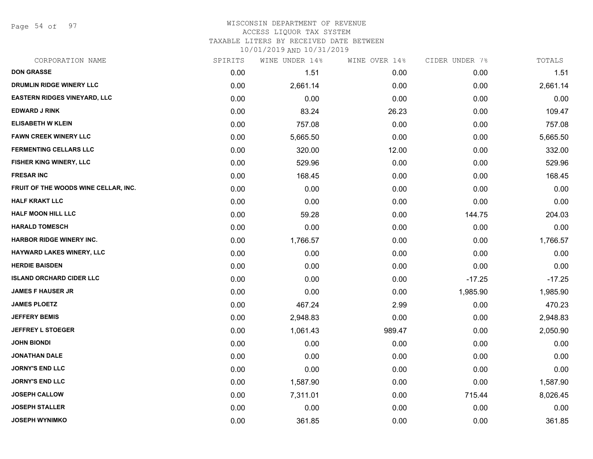Page 54 of 97

# WISCONSIN DEPARTMENT OF REVENUE ACCESS LIQUOR TAX SYSTEM

TAXABLE LITERS BY RECEIVED DATE BETWEEN

| CORPORATION NAME                     | SPIRITS | WINE UNDER 14% | WINE OVER 14% | CIDER UNDER 7% | TOTALS   |
|--------------------------------------|---------|----------------|---------------|----------------|----------|
| <b>DON GRASSE</b>                    | 0.00    | 1.51           | 0.00          | 0.00           | 1.51     |
| DRUMLIN RIDGE WINERY LLC             | 0.00    | 2,661.14       | 0.00          | 0.00           | 2,661.14 |
| <b>EASTERN RIDGES VINEYARD, LLC</b>  | 0.00    | 0.00           | 0.00          | 0.00           | 0.00     |
| <b>EDWARD J RINK</b>                 | 0.00    | 83.24          | 26.23         | 0.00           | 109.47   |
| <b>ELISABETH W KLEIN</b>             | 0.00    | 757.08         | 0.00          | 0.00           | 757.08   |
| <b>FAWN CREEK WINERY LLC</b>         | 0.00    | 5,665.50       | 0.00          | 0.00           | 5,665.50 |
| <b>FERMENTING CELLARS LLC</b>        | 0.00    | 320.00         | 12.00         | 0.00           | 332.00   |
| FISHER KING WINERY, LLC              | 0.00    | 529.96         | 0.00          | 0.00           | 529.96   |
| <b>FRESAR INC</b>                    | 0.00    | 168.45         | 0.00          | 0.00           | 168.45   |
| FRUIT OF THE WOODS WINE CELLAR, INC. | 0.00    | 0.00           | 0.00          | 0.00           | 0.00     |
| <b>HALF KRAKT LLC</b>                | 0.00    | 0.00           | 0.00          | 0.00           | 0.00     |
| <b>HALF MOON HILL LLC</b>            | 0.00    | 59.28          | 0.00          | 144.75         | 204.03   |
| <b>HARALD TOMESCH</b>                | 0.00    | 0.00           | 0.00          | 0.00           | 0.00     |
| <b>HARBOR RIDGE WINERY INC.</b>      | 0.00    | 1,766.57       | 0.00          | 0.00           | 1,766.57 |
| HAYWARD LAKES WINERY, LLC            | 0.00    | 0.00           | 0.00          | 0.00           | 0.00     |
| <b>HERDIE BAISDEN</b>                | 0.00    | 0.00           | 0.00          | 0.00           | 0.00     |
| <b>ISLAND ORCHARD CIDER LLC</b>      | 0.00    | 0.00           | 0.00          | $-17.25$       | $-17.25$ |
| <b>JAMES F HAUSER JR</b>             | 0.00    | 0.00           | 0.00          | 1,985.90       | 1,985.90 |
| <b>JAMES PLOETZ</b>                  | 0.00    | 467.24         | 2.99          | 0.00           | 470.23   |
| <b>JEFFERY BEMIS</b>                 | 0.00    | 2,948.83       | 0.00          | 0.00           | 2,948.83 |
| <b>JEFFREY L STOEGER</b>             | 0.00    | 1,061.43       | 989.47        | 0.00           | 2,050.90 |
| <b>JOHN BIONDI</b>                   | 0.00    | 0.00           | 0.00          | 0.00           | 0.00     |
| <b>JONATHAN DALE</b>                 | 0.00    | 0.00           | 0.00          | 0.00           | 0.00     |
| <b>JORNY'S END LLC</b>               | 0.00    | 0.00           | 0.00          | 0.00           | 0.00     |
| <b>JORNY'S END LLC</b>               | 0.00    | 1,587.90       | 0.00          | 0.00           | 1,587.90 |
| <b>JOSEPH CALLOW</b>                 | 0.00    | 7,311.01       | 0.00          | 715.44         | 8,026.45 |
| <b>JOSEPH STALLER</b>                | 0.00    | 0.00           | 0.00          | 0.00           | 0.00     |
| <b>JOSEPH WYNIMKO</b>                | 0.00    | 361.85         | 0.00          | 0.00           | 361.85   |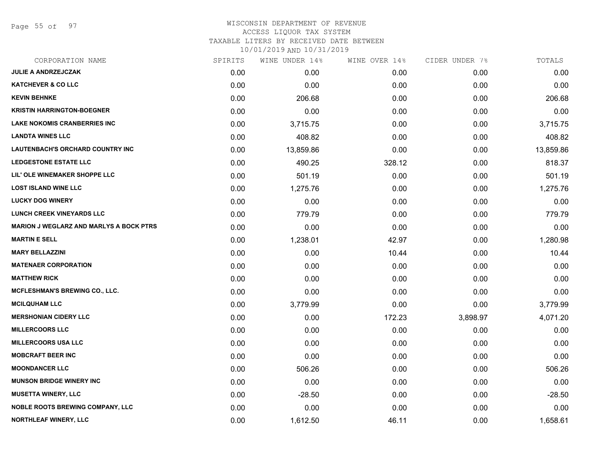Page 55 of 97

## WISCONSIN DEPARTMENT OF REVENUE ACCESS LIQUOR TAX SYSTEM

TAXABLE LITERS BY RECEIVED DATE BETWEEN

| CORPORATION NAME                               | SPIRITS | WINE UNDER 14% | WINE OVER 14% | CIDER UNDER 7% | TOTALS    |
|------------------------------------------------|---------|----------------|---------------|----------------|-----------|
| JULIE A ANDRZEJCZAK                            | 0.00    | 0.00           | 0.00          | 0.00           | 0.00      |
| <b>KATCHEVER &amp; CO LLC</b>                  | 0.00    | 0.00           | 0.00          | 0.00           | 0.00      |
| <b>KEVIN BEHNKE</b>                            | 0.00    | 206.68         | 0.00          | 0.00           | 206.68    |
| <b>KRISTIN HARRINGTON-BOEGNER</b>              | 0.00    | 0.00           | 0.00          | 0.00           | 0.00      |
| <b>LAKE NOKOMIS CRANBERRIES INC</b>            | 0.00    | 3,715.75       | 0.00          | 0.00           | 3,715.75  |
| <b>LANDTA WINES LLC</b>                        | 0.00    | 408.82         | 0.00          | 0.00           | 408.82    |
| <b>LAUTENBACH'S ORCHARD COUNTRY INC</b>        | 0.00    | 13,859.86      | 0.00          | 0.00           | 13,859.86 |
| <b>LEDGESTONE ESTATE LLC</b>                   | 0.00    | 490.25         | 328.12        | 0.00           | 818.37    |
| LIL' OLE WINEMAKER SHOPPE LLC                  | 0.00    | 501.19         | 0.00          | 0.00           | 501.19    |
| <b>LOST ISLAND WINE LLC</b>                    | 0.00    | 1,275.76       | 0.00          | 0.00           | 1,275.76  |
| <b>LUCKY DOG WINERY</b>                        | 0.00    | 0.00           | 0.00          | 0.00           | 0.00      |
| <b>LUNCH CREEK VINEYARDS LLC</b>               | 0.00    | 779.79         | 0.00          | 0.00           | 779.79    |
| <b>MARION J WEGLARZ AND MARLYS A BOCK PTRS</b> | 0.00    | 0.00           | 0.00          | 0.00           | 0.00      |
| <b>MARTIN E SELL</b>                           | 0.00    | 1,238.01       | 42.97         | 0.00           | 1,280.98  |
| <b>MARY BELLAZZINI</b>                         | 0.00    | 0.00           | 10.44         | 0.00           | 10.44     |
| <b>MATENAER CORPORATION</b>                    | 0.00    | 0.00           | 0.00          | 0.00           | 0.00      |
| <b>MATTHEW RICK</b>                            | 0.00    | 0.00           | 0.00          | 0.00           | 0.00      |
| <b>MCFLESHMAN'S BREWING CO., LLC.</b>          | 0.00    | 0.00           | 0.00          | 0.00           | 0.00      |
| <b>MCILQUHAM LLC</b>                           | 0.00    | 3,779.99       | 0.00          | 0.00           | 3,779.99  |
| <b>MERSHONIAN CIDERY LLC</b>                   | 0.00    | 0.00           | 172.23        | 3,898.97       | 4,071.20  |
| <b>MILLERCOORS LLC</b>                         | 0.00    | 0.00           | 0.00          | 0.00           | 0.00      |
| MILLERCOORS USA LLC                            | 0.00    | 0.00           | 0.00          | 0.00           | 0.00      |
| <b>MOBCRAFT BEER INC</b>                       | 0.00    | 0.00           | 0.00          | 0.00           | 0.00      |
| <b>MOONDANCER LLC</b>                          | 0.00    | 506.26         | 0.00          | 0.00           | 506.26    |
| <b>MUNSON BRIDGE WINERY INC</b>                | 0.00    | 0.00           | 0.00          | 0.00           | 0.00      |
| <b>MUSETTA WINERY, LLC</b>                     | 0.00    | $-28.50$       | 0.00          | 0.00           | $-28.50$  |
| <b>NOBLE ROOTS BREWING COMPANY, LLC</b>        | 0.00    | 0.00           | 0.00          | 0.00           | 0.00      |
| NORTHLEAF WINERY, LLC                          | 0.00    | 1,612.50       | 46.11         | 0.00           | 1,658.61  |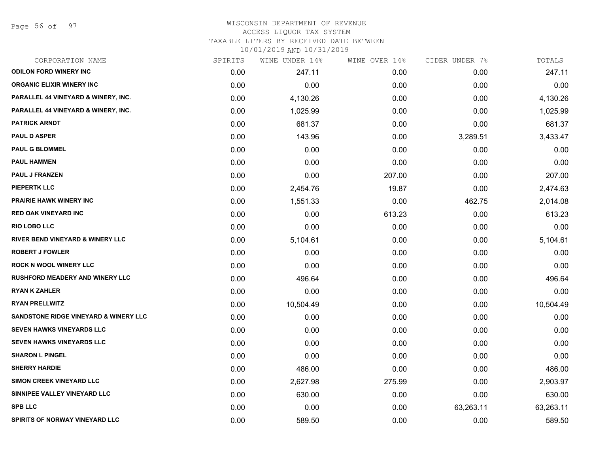Page 56 of 97

## WISCONSIN DEPARTMENT OF REVENUE ACCESS LIQUOR TAX SYSTEM TAXABLE LITERS BY RECEIVED DATE BETWEEN

| CORPORATION NAME                               | SPIRITS | WINE UNDER 14% | WINE OVER 14% | CIDER UNDER 7% | TOTALS    |
|------------------------------------------------|---------|----------------|---------------|----------------|-----------|
| <b>ODILON FORD WINERY INC</b>                  | 0.00    | 247.11         | 0.00          | 0.00           | 247.11    |
| <b>ORGANIC ELIXIR WINERY INC</b>               | 0.00    | 0.00           | 0.00          | 0.00           | 0.00      |
| PARALLEL 44 VINEYARD & WINERY, INC.            | 0.00    | 4,130.26       | 0.00          | 0.00           | 4,130.26  |
| <b>PARALLEL 44 VINEYARD &amp; WINERY, INC.</b> | 0.00    | 1,025.99       | 0.00          | 0.00           | 1,025.99  |
| <b>PATRICK ARNDT</b>                           | 0.00    | 681.37         | 0.00          | 0.00           | 681.37    |
| <b>PAUL D ASPER</b>                            | 0.00    | 143.96         | 0.00          | 3,289.51       | 3,433.47  |
| <b>PAUL G BLOMMEL</b>                          | 0.00    | 0.00           | 0.00          | 0.00           | 0.00      |
| <b>PAUL HAMMEN</b>                             | 0.00    | 0.00           | 0.00          | 0.00           | 0.00      |
| <b>PAUL J FRANZEN</b>                          | 0.00    | 0.00           | 207.00        | 0.00           | 207.00    |
| <b>PIEPERTK LLC</b>                            | 0.00    | 2,454.76       | 19.87         | 0.00           | 2,474.63  |
| <b>PRAIRIE HAWK WINERY INC</b>                 | 0.00    | 1,551.33       | 0.00          | 462.75         | 2,014.08  |
| <b>RED OAK VINEYARD INC</b>                    | 0.00    | 0.00           | 613.23        | 0.00           | 613.23    |
| <b>RIO LOBO LLC</b>                            | 0.00    | 0.00           | 0.00          | 0.00           | 0.00      |
| <b>RIVER BEND VINEYARD &amp; WINERY LLC</b>    | 0.00    | 5,104.61       | 0.00          | 0.00           | 5,104.61  |
| <b>ROBERT J FOWLER</b>                         | 0.00    | 0.00           | 0.00          | 0.00           | 0.00      |
| <b>ROCK N WOOL WINERY LLC</b>                  | 0.00    | 0.00           | 0.00          | 0.00           | 0.00      |
| <b>RUSHFORD MEADERY AND WINERY LLC</b>         | 0.00    | 496.64         | 0.00          | 0.00           | 496.64    |
| <b>RYAN K ZAHLER</b>                           | 0.00    | 0.00           | 0.00          | 0.00           | 0.00      |
| <b>RYAN PRELLWITZ</b>                          | 0.00    | 10,504.49      | 0.00          | 0.00           | 10,504.49 |
| SANDSTONE RIDGE VINEYARD & WINERY LLC          | 0.00    | 0.00           | 0.00          | 0.00           | 0.00      |
| SEVEN HAWKS VINEYARDS LLC                      | 0.00    | 0.00           | 0.00          | 0.00           | 0.00      |
| SEVEN HAWKS VINEYARDS LLC                      | 0.00    | 0.00           | 0.00          | 0.00           | 0.00      |
| <b>SHARON L PINGEL</b>                         | 0.00    | 0.00           | 0.00          | 0.00           | 0.00      |
| <b>SHERRY HARDIE</b>                           | 0.00    | 486.00         | 0.00          | 0.00           | 486.00    |
| SIMON CREEK VINEYARD LLC                       | 0.00    | 2,627.98       | 275.99        | 0.00           | 2,903.97  |
| SINNIPEE VALLEY VINEYARD LLC                   | 0.00    | 630.00         | 0.00          | 0.00           | 630.00    |
| <b>SPB LLC</b>                                 | 0.00    | 0.00           | 0.00          | 63,263.11      | 63,263.11 |
| SPIRITS OF NORWAY VINEYARD LLC                 | 0.00    | 589.50         | 0.00          | 0.00           | 589.50    |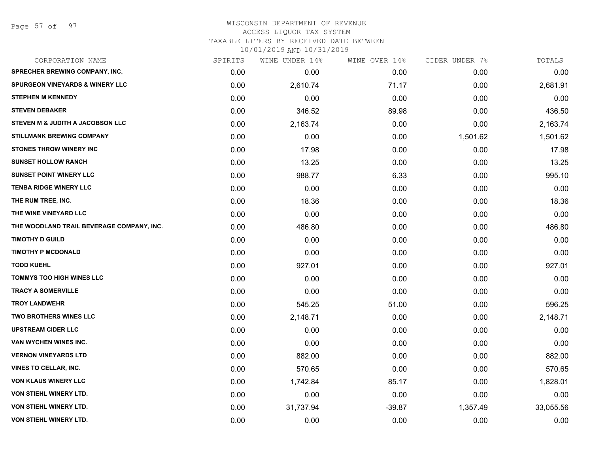Page 57 of 97

#### WISCONSIN DEPARTMENT OF REVENUE ACCESS LIQUOR TAX SYSTEM TAXABLE LITERS BY RECEIVED DATE BETWEEN

| CORPORATION NAME                           | SPIRITS | WINE UNDER 14% | WINE OVER 14% | CIDER UNDER 7% | TOTALS    |
|--------------------------------------------|---------|----------------|---------------|----------------|-----------|
| <b>SPRECHER BREWING COMPANY, INC.</b>      | 0.00    | 0.00           | 0.00          | 0.00           | 0.00      |
| <b>SPURGEON VINEYARDS &amp; WINERY LLC</b> | 0.00    | 2,610.74       | 71.17         | 0.00           | 2,681.91  |
| <b>STEPHEN M KENNEDY</b>                   | 0.00    | 0.00           | 0.00          | 0.00           | 0.00      |
| <b>STEVEN DEBAKER</b>                      | 0.00    | 346.52         | 89.98         | 0.00           | 436.50    |
| STEVEN M & JUDITH A JACOBSON LLC           | 0.00    | 2,163.74       | 0.00          | 0.00           | 2,163.74  |
| <b>STILLMANK BREWING COMPANY</b>           | 0.00    | 0.00           | 0.00          | 1,501.62       | 1,501.62  |
| <b>STONES THROW WINERY INC</b>             | 0.00    | 17.98          | 0.00          | 0.00           | 17.98     |
| <b>SUNSET HOLLOW RANCH</b>                 | 0.00    | 13.25          | 0.00          | 0.00           | 13.25     |
| <b>SUNSET POINT WINERY LLC</b>             | 0.00    | 988.77         | 6.33          | 0.00           | 995.10    |
| <b>TENBA RIDGE WINERY LLC</b>              | 0.00    | 0.00           | 0.00          | 0.00           | 0.00      |
| THE RUM TREE, INC.                         | 0.00    | 18.36          | 0.00          | 0.00           | 18.36     |
| THE WINE VINEYARD LLC                      | 0.00    | 0.00           | 0.00          | 0.00           | 0.00      |
| THE WOODLAND TRAIL BEVERAGE COMPANY, INC.  | 0.00    | 486.80         | 0.00          | 0.00           | 486.80    |
| <b>TIMOTHY D GUILD</b>                     | 0.00    | 0.00           | 0.00          | 0.00           | 0.00      |
| <b>TIMOTHY P MCDONALD</b>                  | 0.00    | 0.00           | 0.00          | 0.00           | 0.00      |
| <b>TODD KUEHL</b>                          | 0.00    | 927.01         | 0.00          | 0.00           | 927.01    |
| <b>TOMMYS TOO HIGH WINES LLC</b>           | 0.00    | 0.00           | 0.00          | 0.00           | 0.00      |
| <b>TRACY A SOMERVILLE</b>                  | 0.00    | 0.00           | 0.00          | 0.00           | 0.00      |
| <b>TROY LANDWEHR</b>                       | 0.00    | 545.25         | 51.00         | 0.00           | 596.25    |
| <b>TWO BROTHERS WINES LLC</b>              | 0.00    | 2,148.71       | 0.00          | 0.00           | 2,148.71  |
| <b>UPSTREAM CIDER LLC</b>                  | 0.00    | 0.00           | 0.00          | 0.00           | 0.00      |
| VAN WYCHEN WINES INC.                      | 0.00    | 0.00           | 0.00          | 0.00           | 0.00      |
| <b>VERNON VINEYARDS LTD</b>                | 0.00    | 882.00         | 0.00          | 0.00           | 882.00    |
| <b>VINES TO CELLAR, INC.</b>               | 0.00    | 570.65         | 0.00          | 0.00           | 570.65    |
| <b>VON KLAUS WINERY LLC</b>                | 0.00    | 1,742.84       | 85.17         | 0.00           | 1,828.01  |
| <b>VON STIEHL WINERY LTD.</b>              | 0.00    | 0.00           | 0.00          | 0.00           | 0.00      |
| <b>VON STIEHL WINERY LTD.</b>              | 0.00    | 31,737.94      | $-39.87$      | 1,357.49       | 33,055.56 |
| <b>VON STIEHL WINERY LTD.</b>              | 0.00    | 0.00           | 0.00          | 0.00           | 0.00      |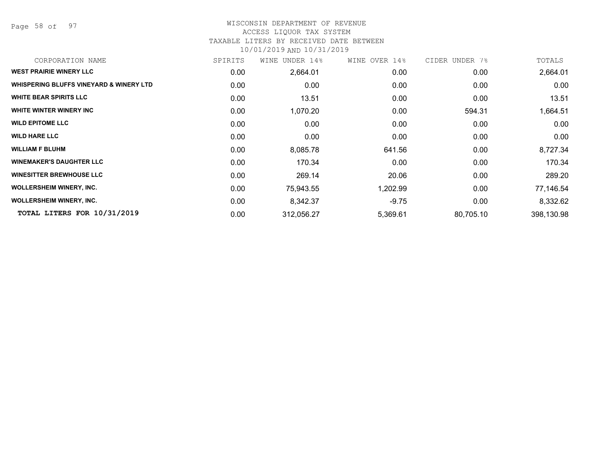Page 58 of 97

#### WISCONSIN DEPARTMENT OF REVENUE ACCESS LIQUOR TAX SYSTEM

# TAXABLE LITERS BY RECEIVED DATE BETWEEN

| CORPORATION NAME                                   | SPIRITS | WINE UNDER 14% | WINE OVER 14% | CIDER UNDER 7% | TOTALS     |
|----------------------------------------------------|---------|----------------|---------------|----------------|------------|
| <b>WEST PRAIRIE WINERY LLC</b>                     | 0.00    | 2,664.01       | 0.00          | 0.00           | 2,664.01   |
| <b>WHISPERING BLUFFS VINEYARD &amp; WINERY LTD</b> | 0.00    | 0.00           | 0.00          | 0.00           | 0.00       |
| <b>WHITE BEAR SPIRITS LLC</b>                      | 0.00    | 13.51          | 0.00          | 0.00           | 13.51      |
| WHITE WINTER WINERY INC                            | 0.00    | 1,070.20       | 0.00          | 594.31         | 1,664.51   |
| <b>WILD EPITOME LLC</b>                            | 0.00    | 0.00           | 0.00          | 0.00           | 0.00       |
| <b>WILD HARE LLC</b>                               | 0.00    | 0.00           | 0.00          | 0.00           | 0.00       |
| <b>WILLIAM F BLUHM</b>                             | 0.00    | 8,085.78       | 641.56        | 0.00           | 8,727.34   |
| <b>WINEMAKER'S DAUGHTER LLC</b>                    | 0.00    | 170.34         | 0.00          | 0.00           | 170.34     |
| <b>WINESITTER BREWHOUSE LLC</b>                    | 0.00    | 269.14         | 20.06         | 0.00           | 289.20     |
| <b>WOLLERSHEIM WINERY, INC.</b>                    | 0.00    | 75,943.55      | 1,202.99      | 0.00           | 77,146.54  |
| <b>WOLLERSHEIM WINERY, INC.</b>                    | 0.00    | 8,342.37       | $-9.75$       | 0.00           | 8,332.62   |
| TOTAL LITERS FOR 10/31/2019                        | 0.00    | 312,056.27     | 5,369.61      | 80,705.10      | 398,130.98 |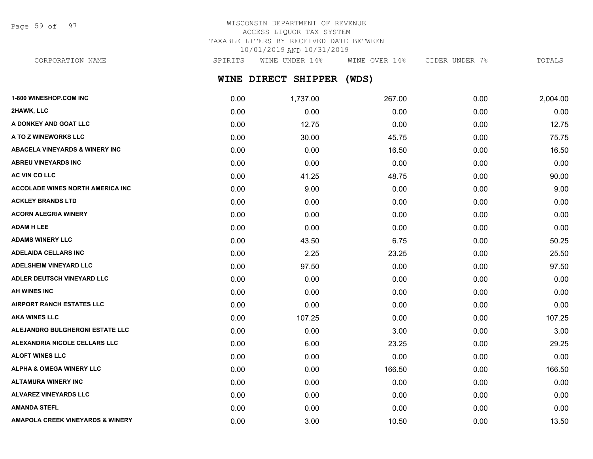Page 59 of 97

# WISCONSIN DEPARTMENT OF REVENUE ACCESS LIQUOR TAX SYSTEM TAXABLE LITERS BY RECEIVED DATE BETWEEN 10/01/2019 AND 10/31/2019

CORPORATION NAME SPIRITS WINE UNDER 14% WINE OVER 14% CIDER UNDER 7% TOTALS

# **WINE DIRECT SHIPPER (WDS)**

| 1-800 WINESHOP.COM INC                      | 0.00 | 1,737.00 | 267.00 | 0.00 | 2,004.00 |
|---------------------------------------------|------|----------|--------|------|----------|
| 2HAWK, LLC                                  | 0.00 | 0.00     | 0.00   | 0.00 | 0.00     |
| A DONKEY AND GOAT LLC                       | 0.00 | 12.75    | 0.00   | 0.00 | 12.75    |
| A TO Z WINEWORKS LLC                        | 0.00 | 30.00    | 45.75  | 0.00 | 75.75    |
| <b>ABACELA VINEYARDS &amp; WINERY INC</b>   | 0.00 | 0.00     | 16.50  | 0.00 | 16.50    |
| <b>ABREU VINEYARDS INC</b>                  | 0.00 | 0.00     | 0.00   | 0.00 | 0.00     |
| AC VIN CO LLC                               | 0.00 | 41.25    | 48.75  | 0.00 | 90.00    |
| <b>ACCOLADE WINES NORTH AMERICA INC</b>     | 0.00 | 9.00     | 0.00   | 0.00 | 9.00     |
| <b>ACKLEY BRANDS LTD</b>                    | 0.00 | 0.00     | 0.00   | 0.00 | 0.00     |
| <b>ACORN ALEGRIA WINERY</b>                 | 0.00 | 0.00     | 0.00   | 0.00 | 0.00     |
| <b>ADAM H LEE</b>                           | 0.00 | 0.00     | 0.00   | 0.00 | 0.00     |
| <b>ADAMS WINERY LLC</b>                     | 0.00 | 43.50    | 6.75   | 0.00 | 50.25    |
| <b>ADELAIDA CELLARS INC</b>                 | 0.00 | 2.25     | 23.25  | 0.00 | 25.50    |
| <b>ADELSHEIM VINEYARD LLC</b>               | 0.00 | 97.50    | 0.00   | 0.00 | 97.50    |
| ADLER DEUTSCH VINEYARD LLC                  | 0.00 | 0.00     | 0.00   | 0.00 | 0.00     |
| <b>AH WINES INC</b>                         | 0.00 | 0.00     | 0.00   | 0.00 | 0.00     |
| <b>AIRPORT RANCH ESTATES LLC</b>            | 0.00 | 0.00     | 0.00   | 0.00 | 0.00     |
| <b>AKA WINES LLC</b>                        | 0.00 | 107.25   | 0.00   | 0.00 | 107.25   |
| ALEJANDRO BULGHERONI ESTATE LLC             | 0.00 | 0.00     | 3.00   | 0.00 | 3.00     |
| ALEXANDRIA NICOLE CELLARS LLC               | 0.00 | 6.00     | 23.25  | 0.00 | 29.25    |
| <b>ALOFT WINES LLC</b>                      | 0.00 | 0.00     | 0.00   | 0.00 | 0.00     |
| <b>ALPHA &amp; OMEGA WINERY LLC</b>         | 0.00 | 0.00     | 166.50 | 0.00 | 166.50   |
| <b>ALTAMURA WINERY INC</b>                  | 0.00 | 0.00     | 0.00   | 0.00 | 0.00     |
| <b>ALVAREZ VINEYARDS LLC</b>                | 0.00 | 0.00     | 0.00   | 0.00 | 0.00     |
| <b>AMANDA STEFL</b>                         | 0.00 | 0.00     | 0.00   | 0.00 | 0.00     |
| <b>AMAPOLA CREEK VINEYARDS &amp; WINERY</b> | 0.00 | 3.00     | 10.50  | 0.00 | 13.50    |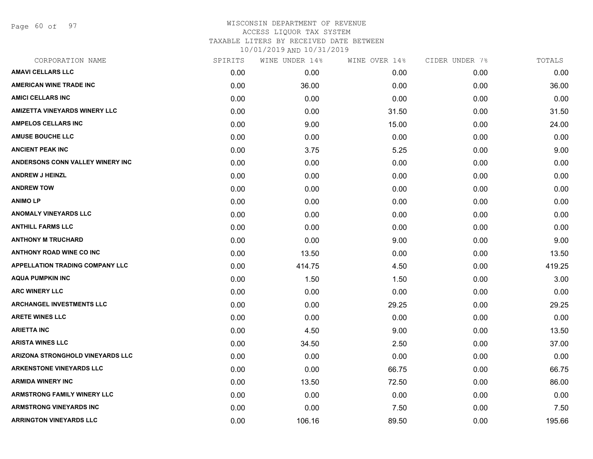Page 60 of 97

| CORPORATION NAME                        | SPIRITS | WINE UNDER 14% | WINE OVER 14% | CIDER UNDER 7% | TOTALS |
|-----------------------------------------|---------|----------------|---------------|----------------|--------|
| <b>AMAVI CELLARS LLC</b>                | 0.00    | 0.00           | 0.00          | 0.00           | 0.00   |
| <b>AMERICAN WINE TRADE INC</b>          | 0.00    | 36.00          | 0.00          | 0.00           | 36.00  |
| <b>AMICI CELLARS INC</b>                | 0.00    | 0.00           | 0.00          | 0.00           | 0.00   |
| <b>AMIZETTA VINEYARDS WINERY LLC</b>    | 0.00    | 0.00           | 31.50         | 0.00           | 31.50  |
| <b>AMPELOS CELLARS INC</b>              | 0.00    | 9.00           | 15.00         | 0.00           | 24.00  |
| <b>AMUSE BOUCHE LLC</b>                 | 0.00    | 0.00           | 0.00          | 0.00           | 0.00   |
| <b>ANCIENT PEAK INC</b>                 | 0.00    | 3.75           | 5.25          | 0.00           | 9.00   |
| <b>ANDERSONS CONN VALLEY WINERY INC</b> | 0.00    | 0.00           | 0.00          | 0.00           | 0.00   |
| <b>ANDREW J HEINZL</b>                  | 0.00    | 0.00           | 0.00          | 0.00           | 0.00   |
| <b>ANDREW TOW</b>                       | 0.00    | 0.00           | 0.00          | 0.00           | 0.00   |
| <b>ANIMO LP</b>                         | 0.00    | 0.00           | 0.00          | 0.00           | 0.00   |
| <b>ANOMALY VINEYARDS LLC</b>            | 0.00    | 0.00           | 0.00          | 0.00           | 0.00   |
| <b>ANTHILL FARMS LLC</b>                | 0.00    | 0.00           | 0.00          | 0.00           | 0.00   |
| <b>ANTHONY M TRUCHARD</b>               | 0.00    | 0.00           | 9.00          | 0.00           | 9.00   |
| <b>ANTHONY ROAD WINE CO INC</b>         | 0.00    | 13.50          | 0.00          | 0.00           | 13.50  |
| <b>APPELLATION TRADING COMPANY LLC</b>  | 0.00    | 414.75         | 4.50          | 0.00           | 419.25 |
| <b>AQUA PUMPKIN INC</b>                 | 0.00    | 1.50           | 1.50          | 0.00           | 3.00   |
| <b>ARC WINERY LLC</b>                   | 0.00    | 0.00           | 0.00          | 0.00           | 0.00   |
| <b>ARCHANGEL INVESTMENTS LLC</b>        | 0.00    | 0.00           | 29.25         | 0.00           | 29.25  |
| <b>ARETE WINES LLC</b>                  | 0.00    | 0.00           | 0.00          | 0.00           | 0.00   |
| <b>ARIETTA INC</b>                      | 0.00    | 4.50           | 9.00          | 0.00           | 13.50  |
| <b>ARISTA WINES LLC</b>                 | 0.00    | 34.50          | 2.50          | 0.00           | 37.00  |
| ARIZONA STRONGHOLD VINEYARDS LLC        | 0.00    | 0.00           | 0.00          | 0.00           | 0.00   |
| <b>ARKENSTONE VINEYARDS LLC</b>         | 0.00    | 0.00           | 66.75         | 0.00           | 66.75  |
| <b>ARMIDA WINERY INC</b>                | 0.00    | 13.50          | 72.50         | 0.00           | 86.00  |
| <b>ARMSTRONG FAMILY WINERY LLC</b>      | 0.00    | 0.00           | 0.00          | 0.00           | 0.00   |
| ARMSTRONG VINEYARDS INC                 | 0.00    | 0.00           | 7.50          | 0.00           | 7.50   |
| <b>ARRINGTON VINEYARDS LLC</b>          | 0.00    | 106.16         | 89.50         | 0.00           | 195.66 |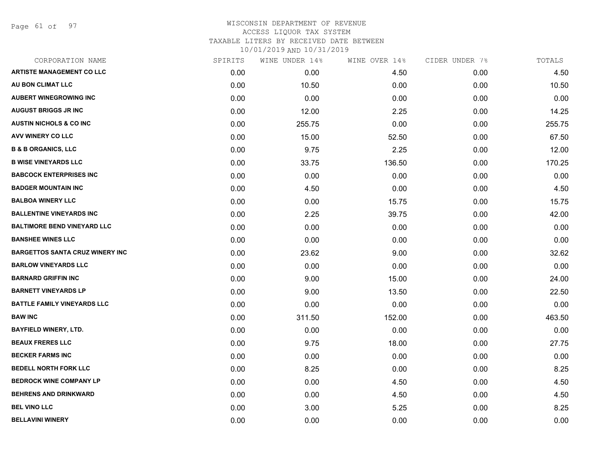Page 61 of 97

## WISCONSIN DEPARTMENT OF REVENUE ACCESS LIQUOR TAX SYSTEM TAXABLE LITERS BY RECEIVED DATE BETWEEN

| CORPORATION NAME                       | SPIRITS | WINE UNDER 14% | WINE OVER 14% | CIDER UNDER 7% | TOTALS |
|----------------------------------------|---------|----------------|---------------|----------------|--------|
| <b>ARTISTE MANAGEMENT CO LLC</b>       | 0.00    | 0.00           | 4.50          | 0.00           | 4.50   |
| AU BON CLIMAT LLC                      | 0.00    | 10.50          | 0.00          | 0.00           | 10.50  |
| <b>AUBERT WINEGROWING INC</b>          | 0.00    | 0.00           | 0.00          | 0.00           | 0.00   |
| <b>AUGUST BRIGGS JR INC</b>            | 0.00    | 12.00          | 2.25          | 0.00           | 14.25  |
| <b>AUSTIN NICHOLS &amp; CO INC</b>     | 0.00    | 255.75         | 0.00          | 0.00           | 255.75 |
| AVV WINERY CO LLC                      | 0.00    | 15.00          | 52.50         | 0.00           | 67.50  |
| <b>B &amp; B ORGANICS, LLC</b>         | 0.00    | 9.75           | 2.25          | 0.00           | 12.00  |
| <b>B WISE VINEYARDS LLC</b>            | 0.00    | 33.75          | 136.50        | 0.00           | 170.25 |
| <b>BABCOCK ENTERPRISES INC</b>         | 0.00    | 0.00           | 0.00          | 0.00           | 0.00   |
| <b>BADGER MOUNTAIN INC</b>             | 0.00    | 4.50           | 0.00          | 0.00           | 4.50   |
| <b>BALBOA WINERY LLC</b>               | 0.00    | 0.00           | 15.75         | 0.00           | 15.75  |
| <b>BALLENTINE VINEYARDS INC</b>        | 0.00    | 2.25           | 39.75         | 0.00           | 42.00  |
| <b>BALTIMORE BEND VINEYARD LLC</b>     | 0.00    | 0.00           | 0.00          | 0.00           | 0.00   |
| <b>BANSHEE WINES LLC</b>               | 0.00    | 0.00           | 0.00          | 0.00           | 0.00   |
| <b>BARGETTOS SANTA CRUZ WINERY INC</b> | 0.00    | 23.62          | 9.00          | 0.00           | 32.62  |
| <b>BARLOW VINEYARDS LLC</b>            | 0.00    | 0.00           | 0.00          | 0.00           | 0.00   |
| <b>BARNARD GRIFFIN INC</b>             | 0.00    | 9.00           | 15.00         | 0.00           | 24.00  |
| <b>BARNETT VINEYARDS LP</b>            | 0.00    | 9.00           | 13.50         | 0.00           | 22.50  |
| <b>BATTLE FAMILY VINEYARDS LLC</b>     | 0.00    | 0.00           | 0.00          | 0.00           | 0.00   |
| <b>BAW INC</b>                         | 0.00    | 311.50         | 152.00        | 0.00           | 463.50 |
| <b>BAYFIELD WINERY, LTD.</b>           | 0.00    | 0.00           | 0.00          | 0.00           | 0.00   |
| <b>BEAUX FRERES LLC</b>                | 0.00    | 9.75           | 18.00         | 0.00           | 27.75  |
| <b>BECKER FARMS INC</b>                | 0.00    | 0.00           | 0.00          | 0.00           | 0.00   |
| <b>BEDELL NORTH FORK LLC</b>           | 0.00    | 8.25           | 0.00          | 0.00           | 8.25   |
| <b>BEDROCK WINE COMPANY LP</b>         | 0.00    | 0.00           | 4.50          | 0.00           | 4.50   |
| <b>BEHRENS AND DRINKWARD</b>           | 0.00    | 0.00           | 4.50          | 0.00           | 4.50   |
| <b>BEL VINO LLC</b>                    | 0.00    | 3.00           | 5.25          | 0.00           | 8.25   |
| <b>BELLAVINI WINERY</b>                | 0.00    | 0.00           | 0.00          | 0.00           | 0.00   |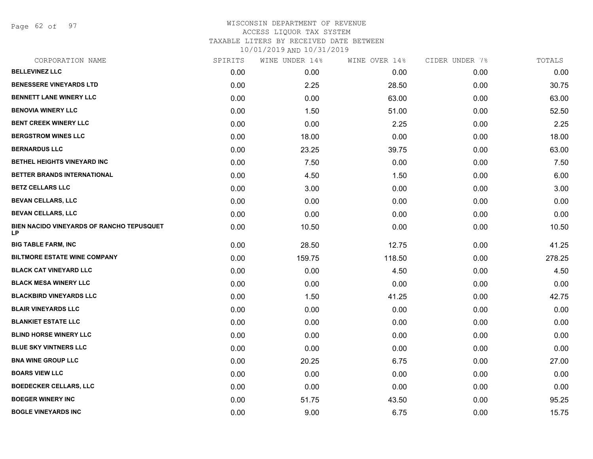Page 62 of 97

| CORPORATION NAME                                | SPIRITS | WINE UNDER 14% | WINE OVER 14% | CIDER UNDER 7% | TOTALS |
|-------------------------------------------------|---------|----------------|---------------|----------------|--------|
| <b>BELLEVINEZ LLC</b>                           | 0.00    | 0.00           | 0.00          | 0.00           | 0.00   |
| <b>BENESSERE VINEYARDS LTD</b>                  | 0.00    | 2.25           | 28.50         | 0.00           | 30.75  |
| <b>BENNETT LANE WINERY LLC</b>                  | 0.00    | 0.00           | 63.00         | 0.00           | 63.00  |
| <b>BENOVIA WINERY LLC</b>                       | 0.00    | 1.50           | 51.00         | 0.00           | 52.50  |
| <b>BENT CREEK WINERY LLC</b>                    | 0.00    | 0.00           | 2.25          | 0.00           | 2.25   |
| <b>BERGSTROM WINES LLC</b>                      | 0.00    | 18.00          | 0.00          | 0.00           | 18.00  |
| <b>BERNARDUS LLC</b>                            | 0.00    | 23.25          | 39.75         | 0.00           | 63.00  |
| BETHEL HEIGHTS VINEYARD INC                     | 0.00    | 7.50           | 0.00          | 0.00           | 7.50   |
| BETTER BRANDS INTERNATIONAL                     | 0.00    | 4.50           | 1.50          | 0.00           | 6.00   |
| <b>BETZ CELLARS LLC</b>                         | 0.00    | 3.00           | 0.00          | 0.00           | 3.00   |
| <b>BEVAN CELLARS, LLC</b>                       | 0.00    | 0.00           | 0.00          | 0.00           | 0.00   |
| <b>BEVAN CELLARS, LLC</b>                       | 0.00    | 0.00           | 0.00          | 0.00           | 0.00   |
| BIEN NACIDO VINEYARDS OF RANCHO TEPUSQUET<br>LP | 0.00    | 10.50          | 0.00          | 0.00           | 10.50  |
| <b>BIG TABLE FARM, INC</b>                      | 0.00    | 28.50          | 12.75         | 0.00           | 41.25  |
| <b>BILTMORE ESTATE WINE COMPANY</b>             | 0.00    | 159.75         | 118.50        | 0.00           | 278.25 |
| <b>BLACK CAT VINEYARD LLC</b>                   | 0.00    | 0.00           | 4.50          | 0.00           | 4.50   |
| <b>BLACK MESA WINERY LLC</b>                    | 0.00    | 0.00           | 0.00          | 0.00           | 0.00   |
| <b>BLACKBIRD VINEYARDS LLC</b>                  | 0.00    | 1.50           | 41.25         | 0.00           | 42.75  |
| <b>BLAIR VINEYARDS LLC</b>                      | 0.00    | 0.00           | 0.00          | 0.00           | 0.00   |
| <b>BLANKIET ESTATE LLC</b>                      | 0.00    | 0.00           | 0.00          | 0.00           | 0.00   |
| <b>BLIND HORSE WINERY LLC</b>                   | 0.00    | 0.00           | 0.00          | 0.00           | 0.00   |
| <b>BLUE SKY VINTNERS LLC</b>                    | 0.00    | 0.00           | 0.00          | 0.00           | 0.00   |
| <b>BNA WINE GROUP LLC</b>                       | 0.00    | 20.25          | 6.75          | 0.00           | 27.00  |
| <b>BOARS VIEW LLC</b>                           | 0.00    | 0.00           | 0.00          | 0.00           | 0.00   |
| <b>BOEDECKER CELLARS, LLC</b>                   | 0.00    | 0.00           | 0.00          | 0.00           | 0.00   |
| <b>BOEGER WINERY INC</b>                        | 0.00    | 51.75          | 43.50         | 0.00           | 95.25  |
| <b>BOGLE VINEYARDS INC</b>                      | 0.00    | 9.00           | 6.75          | 0.00           | 15.75  |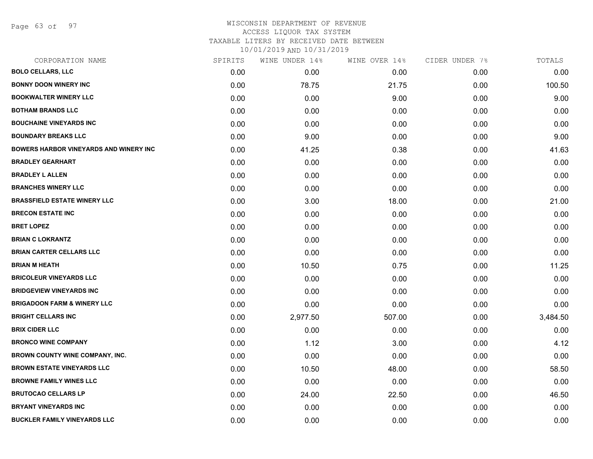Page 63 of 97

#### WISCONSIN DEPARTMENT OF REVENUE ACCESS LIQUOR TAX SYSTEM TAXABLE LITERS BY RECEIVED DATE BETWEEN

| CORPORATION NAME                              | SPIRITS | WINE UNDER 14% | WINE OVER 14% | CIDER UNDER 7% | TOTALS   |
|-----------------------------------------------|---------|----------------|---------------|----------------|----------|
| <b>BOLO CELLARS, LLC</b>                      | 0.00    | 0.00           | 0.00          | 0.00           | 0.00     |
| <b>BONNY DOON WINERY INC</b>                  | 0.00    | 78.75          | 21.75         | 0.00           | 100.50   |
| <b>BOOKWALTER WINERY LLC</b>                  | 0.00    | 0.00           | 9.00          | 0.00           | 9.00     |
| <b>BOTHAM BRANDS LLC</b>                      | 0.00    | 0.00           | 0.00          | 0.00           | 0.00     |
| <b>BOUCHAINE VINEYARDS INC</b>                | 0.00    | 0.00           | 0.00          | 0.00           | 0.00     |
| <b>BOUNDARY BREAKS LLC</b>                    | 0.00    | 9.00           | 0.00          | 0.00           | 9.00     |
| <b>BOWERS HARBOR VINEYARDS AND WINERY INC</b> | 0.00    | 41.25          | 0.38          | 0.00           | 41.63    |
| <b>BRADLEY GEARHART</b>                       | 0.00    | 0.00           | 0.00          | 0.00           | 0.00     |
| <b>BRADLEY L ALLEN</b>                        | 0.00    | 0.00           | 0.00          | 0.00           | 0.00     |
| <b>BRANCHES WINERY LLC</b>                    | 0.00    | 0.00           | 0.00          | 0.00           | 0.00     |
| <b>BRASSFIELD ESTATE WINERY LLC</b>           | 0.00    | 3.00           | 18.00         | 0.00           | 21.00    |
| <b>BRECON ESTATE INC</b>                      | 0.00    | 0.00           | 0.00          | 0.00           | 0.00     |
| <b>BRET LOPEZ</b>                             | 0.00    | 0.00           | 0.00          | 0.00           | 0.00     |
| <b>BRIAN C LOKRANTZ</b>                       | 0.00    | 0.00           | 0.00          | 0.00           | 0.00     |
| <b>BRIAN CARTER CELLARS LLC</b>               | 0.00    | 0.00           | 0.00          | 0.00           | 0.00     |
| <b>BRIAN M HEATH</b>                          | 0.00    | 10.50          | 0.75          | 0.00           | 11.25    |
| <b>BRICOLEUR VINEYARDS LLC</b>                | 0.00    | 0.00           | 0.00          | 0.00           | 0.00     |
| <b>BRIDGEVIEW VINEYARDS INC</b>               | 0.00    | 0.00           | 0.00          | 0.00           | 0.00     |
| <b>BRIGADOON FARM &amp; WINERY LLC</b>        | 0.00    | 0.00           | 0.00          | 0.00           | 0.00     |
| <b>BRIGHT CELLARS INC</b>                     | 0.00    | 2,977.50       | 507.00        | 0.00           | 3,484.50 |
| <b>BRIX CIDER LLC</b>                         | 0.00    | 0.00           | 0.00          | 0.00           | 0.00     |
| <b>BRONCO WINE COMPANY</b>                    | 0.00    | 1.12           | 3.00          | 0.00           | 4.12     |
| <b>BROWN COUNTY WINE COMPANY, INC.</b>        | 0.00    | 0.00           | 0.00          | 0.00           | 0.00     |
| <b>BROWN ESTATE VINEYARDS LLC</b>             | 0.00    | 10.50          | 48.00         | 0.00           | 58.50    |
| <b>BROWNE FAMILY WINES LLC</b>                | 0.00    | 0.00           | 0.00          | 0.00           | 0.00     |
| <b>BRUTOCAO CELLARS LP</b>                    | 0.00    | 24.00          | 22.50         | 0.00           | 46.50    |
| <b>BRYANT VINEYARDS INC</b>                   | 0.00    | 0.00           | 0.00          | 0.00           | 0.00     |
| <b>BUCKLER FAMILY VINEYARDS LLC</b>           | 0.00    | 0.00           | 0.00          | 0.00           | 0.00     |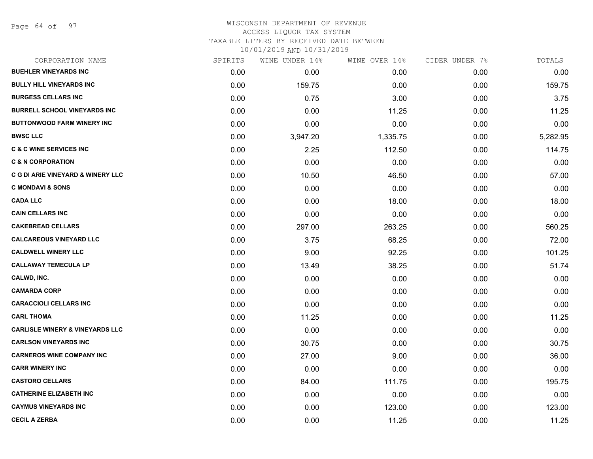Page 64 of 97

#### WISCONSIN DEPARTMENT OF REVENUE ACCESS LIQUOR TAX SYSTEM TAXABLE LITERS BY RECEIVED DATE BETWEEN

| CORPORATION NAME                             | SPIRITS | WINE UNDER 14% | WINE OVER 14% | CIDER UNDER 7% | TOTALS   |
|----------------------------------------------|---------|----------------|---------------|----------------|----------|
| <b>BUEHLER VINEYARDS INC</b>                 | 0.00    | 0.00           | 0.00          | 0.00           | 0.00     |
| <b>BULLY HILL VINEYARDS INC</b>              | 0.00    | 159.75         | 0.00          | 0.00           | 159.75   |
| <b>BURGESS CELLARS INC</b>                   | 0.00    | 0.75           | 3.00          | 0.00           | 3.75     |
| <b>BURRELL SCHOOL VINEYARDS INC</b>          | 0.00    | 0.00           | 11.25         | 0.00           | 11.25    |
| <b>BUTTONWOOD FARM WINERY INC</b>            | 0.00    | 0.00           | 0.00          | 0.00           | 0.00     |
| <b>BWSC LLC</b>                              | 0.00    | 3,947.20       | 1,335.75      | 0.00           | 5,282.95 |
| <b>C &amp; C WINE SERVICES INC</b>           | 0.00    | 2.25           | 112.50        | 0.00           | 114.75   |
| <b>C &amp; N CORPORATION</b>                 | 0.00    | 0.00           | 0.00          | 0.00           | 0.00     |
| <b>C G DI ARIE VINEYARD &amp; WINERY LLC</b> | 0.00    | 10.50          | 46.50         | 0.00           | 57.00    |
| <b>C MONDAVI &amp; SONS</b>                  | 0.00    | 0.00           | 0.00          | 0.00           | 0.00     |
| <b>CADA LLC</b>                              | 0.00    | 0.00           | 18.00         | 0.00           | 18.00    |
| <b>CAIN CELLARS INC</b>                      | 0.00    | 0.00           | 0.00          | 0.00           | 0.00     |
| <b>CAKEBREAD CELLARS</b>                     | 0.00    | 297.00         | 263.25        | 0.00           | 560.25   |
| <b>CALCAREOUS VINEYARD LLC</b>               | 0.00    | 3.75           | 68.25         | 0.00           | 72.00    |
| <b>CALDWELL WINERY LLC</b>                   | 0.00    | 9.00           | 92.25         | 0.00           | 101.25   |
| <b>CALLAWAY TEMECULA LP</b>                  | 0.00    | 13.49          | 38.25         | 0.00           | 51.74    |
| CALWD, INC.                                  | 0.00    | 0.00           | 0.00          | 0.00           | 0.00     |
| <b>CAMARDA CORP</b>                          | 0.00    | 0.00           | 0.00          | 0.00           | 0.00     |
| <b>CARACCIOLI CELLARS INC</b>                | 0.00    | 0.00           | 0.00          | 0.00           | 0.00     |
| <b>CARL THOMA</b>                            | 0.00    | 11.25          | 0.00          | 0.00           | 11.25    |
| <b>CARLISLE WINERY &amp; VINEYARDS LLC</b>   | 0.00    | 0.00           | 0.00          | 0.00           | 0.00     |
| <b>CARLSON VINEYARDS INC</b>                 | 0.00    | 30.75          | 0.00          | 0.00           | 30.75    |
| <b>CARNEROS WINE COMPANY INC</b>             | 0.00    | 27.00          | 9.00          | 0.00           | 36.00    |
| <b>CARR WINERY INC</b>                       | 0.00    | 0.00           | 0.00          | 0.00           | 0.00     |
| <b>CASTORO CELLARS</b>                       | 0.00    | 84.00          | 111.75        | 0.00           | 195.75   |
| <b>CATHERINE ELIZABETH INC</b>               | 0.00    | 0.00           | 0.00          | 0.00           | 0.00     |
| <b>CAYMUS VINEYARDS INC</b>                  | 0.00    | 0.00           | 123.00        | 0.00           | 123.00   |
| <b>CECIL A ZERBA</b>                         | 0.00    | 0.00           | 11.25         | 0.00           | 11.25    |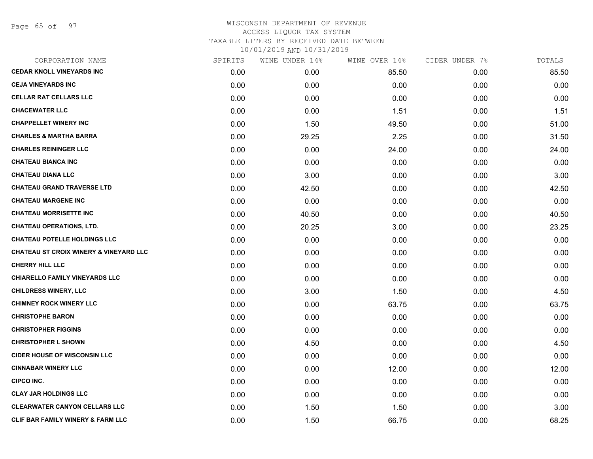Page 65 of 97

| CORPORATION NAME                                  | SPIRITS | WINE UNDER 14% | WINE OVER 14% | CIDER UNDER 7% | TOTALS |
|---------------------------------------------------|---------|----------------|---------------|----------------|--------|
| <b>CEDAR KNOLL VINEYARDS INC</b>                  | 0.00    | 0.00           | 85.50         | 0.00           | 85.50  |
| <b>CEJA VINEYARDS INC</b>                         | 0.00    | 0.00           | 0.00          | 0.00           | 0.00   |
| <b>CELLAR RAT CELLARS LLC</b>                     | 0.00    | 0.00           | 0.00          | 0.00           | 0.00   |
| <b>CHACEWATER LLC</b>                             | 0.00    | 0.00           | 1.51          | 0.00           | 1.51   |
| <b>CHAPPELLET WINERY INC</b>                      | 0.00    | 1.50           | 49.50         | 0.00           | 51.00  |
| <b>CHARLES &amp; MARTHA BARRA</b>                 | 0.00    | 29.25          | 2.25          | 0.00           | 31.50  |
| <b>CHARLES REININGER LLC</b>                      | 0.00    | 0.00           | 24.00         | 0.00           | 24.00  |
| <b>CHATEAU BIANCA INC</b>                         | 0.00    | 0.00           | 0.00          | 0.00           | 0.00   |
| <b>CHATEAU DIANA LLC</b>                          | 0.00    | 3.00           | 0.00          | 0.00           | 3.00   |
| <b>CHATEAU GRAND TRAVERSE LTD</b>                 | 0.00    | 42.50          | 0.00          | 0.00           | 42.50  |
| <b>CHATEAU MARGENE INC</b>                        | 0.00    | 0.00           | 0.00          | 0.00           | 0.00   |
| <b>CHATEAU MORRISETTE INC</b>                     | 0.00    | 40.50          | 0.00          | 0.00           | 40.50  |
| <b>CHATEAU OPERATIONS, LTD.</b>                   | 0.00    | 20.25          | 3.00          | 0.00           | 23.25  |
| <b>CHATEAU POTELLE HOLDINGS LLC</b>               | 0.00    | 0.00           | 0.00          | 0.00           | 0.00   |
| <b>CHATEAU ST CROIX WINERY &amp; VINEYARD LLC</b> | 0.00    | 0.00           | 0.00          | 0.00           | 0.00   |
| <b>CHERRY HILL LLC</b>                            | 0.00    | 0.00           | 0.00          | 0.00           | 0.00   |
| <b>CHIARELLO FAMILY VINEYARDS LLC</b>             | 0.00    | 0.00           | 0.00          | 0.00           | 0.00   |
| <b>CHILDRESS WINERY, LLC</b>                      | 0.00    | 3.00           | 1.50          | 0.00           | 4.50   |
| <b>CHIMNEY ROCK WINERY LLC</b>                    | 0.00    | 0.00           | 63.75         | 0.00           | 63.75  |
| <b>CHRISTOPHE BARON</b>                           | 0.00    | 0.00           | 0.00          | 0.00           | 0.00   |
| <b>CHRISTOPHER FIGGINS</b>                        | 0.00    | 0.00           | 0.00          | 0.00           | 0.00   |
| <b>CHRISTOPHER L SHOWN</b>                        | 0.00    | 4.50           | 0.00          | 0.00           | 4.50   |
| <b>CIDER HOUSE OF WISCONSIN LLC</b>               | 0.00    | 0.00           | 0.00          | 0.00           | 0.00   |
| <b>CINNABAR WINERY LLC</b>                        | 0.00    | 0.00           | 12.00         | 0.00           | 12.00  |
| <b>CIPCO INC.</b>                                 | 0.00    | 0.00           | 0.00          | 0.00           | 0.00   |
| <b>CLAY JAR HOLDINGS LLC</b>                      | 0.00    | 0.00           | 0.00          | 0.00           | 0.00   |
| <b>CLEARWATER CANYON CELLARS LLC</b>              | 0.00    | 1.50           | 1.50          | 0.00           | 3.00   |
| CLIF BAR FAMILY WINERY & FARM LLC                 | 0.00    | 1.50           | 66.75         | 0.00           | 68.25  |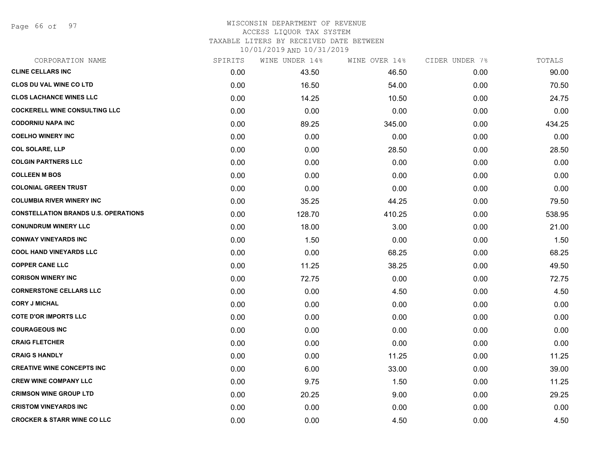Page 66 of 97

#### WISCONSIN DEPARTMENT OF REVENUE ACCESS LIQUOR TAX SYSTEM

TAXABLE LITERS BY RECEIVED DATE BETWEEN

| CORPORATION NAME                            | SPIRITS | WINE UNDER 14% | WINE OVER 14% | CIDER UNDER 7% | TOTALS |
|---------------------------------------------|---------|----------------|---------------|----------------|--------|
| <b>CLINE CELLARS INC</b>                    | 0.00    | 43.50          | 46.50         | 0.00           | 90.00  |
| <b>CLOS DU VAL WINE CO LTD</b>              | 0.00    | 16.50          | 54.00         | 0.00           | 70.50  |
| <b>CLOS LACHANCE WINES LLC</b>              | 0.00    | 14.25          | 10.50         | 0.00           | 24.75  |
| <b>COCKERELL WINE CONSULTING LLC</b>        | 0.00    | 0.00           | 0.00          | 0.00           | 0.00   |
| <b>CODORNIU NAPA INC</b>                    | 0.00    | 89.25          | 345.00        | 0.00           | 434.25 |
| <b>COELHO WINERY INC</b>                    | 0.00    | 0.00           | 0.00          | 0.00           | 0.00   |
| <b>COL SOLARE, LLP</b>                      | 0.00    | 0.00           | 28.50         | 0.00           | 28.50  |
| <b>COLGIN PARTNERS LLC</b>                  | 0.00    | 0.00           | 0.00          | 0.00           | 0.00   |
| <b>COLLEEN M BOS</b>                        | 0.00    | 0.00           | 0.00          | 0.00           | 0.00   |
| <b>COLONIAL GREEN TRUST</b>                 | 0.00    | 0.00           | 0.00          | 0.00           | 0.00   |
| <b>COLUMBIA RIVER WINERY INC</b>            | 0.00    | 35.25          | 44.25         | 0.00           | 79.50  |
| <b>CONSTELLATION BRANDS U.S. OPERATIONS</b> | 0.00    | 128.70         | 410.25        | 0.00           | 538.95 |
| <b>CONUNDRUM WINERY LLC</b>                 | 0.00    | 18.00          | 3.00          | 0.00           | 21.00  |
| <b>CONWAY VINEYARDS INC</b>                 | 0.00    | 1.50           | 0.00          | 0.00           | 1.50   |
| <b>COOL HAND VINEYARDS LLC</b>              | 0.00    | 0.00           | 68.25         | 0.00           | 68.25  |
| <b>COPPER CANE LLC</b>                      | 0.00    | 11.25          | 38.25         | 0.00           | 49.50  |
| <b>CORISON WINERY INC</b>                   | 0.00    | 72.75          | 0.00          | 0.00           | 72.75  |
| <b>CORNERSTONE CELLARS LLC</b>              | 0.00    | 0.00           | 4.50          | 0.00           | 4.50   |
| <b>CORY J MICHAL</b>                        | 0.00    | 0.00           | 0.00          | 0.00           | 0.00   |
| <b>COTE D'OR IMPORTS LLC</b>                | 0.00    | 0.00           | 0.00          | 0.00           | 0.00   |
| <b>COURAGEOUS INC</b>                       | 0.00    | 0.00           | 0.00          | 0.00           | 0.00   |
| <b>CRAIG FLETCHER</b>                       | 0.00    | 0.00           | 0.00          | 0.00           | 0.00   |
| <b>CRAIG S HANDLY</b>                       | 0.00    | 0.00           | 11.25         | 0.00           | 11.25  |
| <b>CREATIVE WINE CONCEPTS INC</b>           | 0.00    | 6.00           | 33.00         | 0.00           | 39.00  |
| <b>CREW WINE COMPANY LLC</b>                | 0.00    | 9.75           | 1.50          | 0.00           | 11.25  |
| <b>CRIMSON WINE GROUP LTD</b>               | 0.00    | 20.25          | 9.00          | 0.00           | 29.25  |
| <b>CRISTOM VINEYARDS INC</b>                | 0.00    | 0.00           | 0.00          | 0.00           | 0.00   |
| <b>CROCKER &amp; STARR WINE CO LLC</b>      | 0.00    | 0.00           | 4.50          | 0.00           | 4.50   |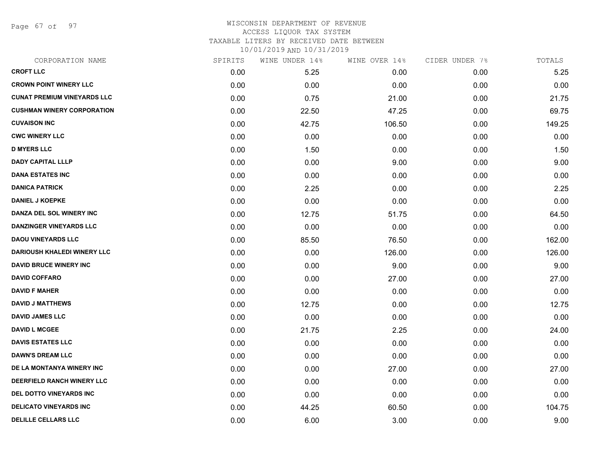Page 67 of 97

#### WISCONSIN DEPARTMENT OF REVENUE ACCESS LIQUOR TAX SYSTEM TAXABLE LITERS BY RECEIVED DATE BETWEEN

| CORPORATION NAME                   | SPIRITS | WINE UNDER 14% | WINE OVER 14% | CIDER UNDER 7% | TOTALS |
|------------------------------------|---------|----------------|---------------|----------------|--------|
| <b>CROFT LLC</b>                   | 0.00    | 5.25           | 0.00          | 0.00           | 5.25   |
| <b>CROWN POINT WINERY LLC</b>      | 0.00    | 0.00           | 0.00          | 0.00           | 0.00   |
| <b>CUNAT PREMIUM VINEYARDS LLC</b> | 0.00    | 0.75           | 21.00         | 0.00           | 21.75  |
| <b>CUSHMAN WINERY CORPORATION</b>  | 0.00    | 22.50          | 47.25         | 0.00           | 69.75  |
| <b>CUVAISON INC</b>                | 0.00    | 42.75          | 106.50        | 0.00           | 149.25 |
| <b>CWC WINERY LLC</b>              | 0.00    | 0.00           | 0.00          | 0.00           | 0.00   |
| <b>D MYERS LLC</b>                 | 0.00    | 1.50           | 0.00          | 0.00           | 1.50   |
| <b>DADY CAPITAL LLLP</b>           | 0.00    | 0.00           | 9.00          | 0.00           | 9.00   |
| <b>DANA ESTATES INC</b>            | 0.00    | 0.00           | 0.00          | 0.00           | 0.00   |
| <b>DANICA PATRICK</b>              | 0.00    | 2.25           | 0.00          | 0.00           | 2.25   |
| <b>DANIEL J KOEPKE</b>             | 0.00    | 0.00           | 0.00          | 0.00           | 0.00   |
| DANZA DEL SOL WINERY INC           | 0.00    | 12.75          | 51.75         | 0.00           | 64.50  |
| <b>DANZINGER VINEYARDS LLC</b>     | 0.00    | 0.00           | 0.00          | 0.00           | 0.00   |
| <b>DAOU VINEYARDS LLC</b>          | 0.00    | 85.50          | 76.50         | 0.00           | 162.00 |
| <b>DARIOUSH KHALEDI WINERY LLC</b> | 0.00    | 0.00           | 126.00        | 0.00           | 126.00 |
| <b>DAVID BRUCE WINERY INC</b>      | 0.00    | 0.00           | 9.00          | 0.00           | 9.00   |
| <b>DAVID COFFARO</b>               | 0.00    | 0.00           | 27.00         | 0.00           | 27.00  |
| <b>DAVID F MAHER</b>               | 0.00    | 0.00           | 0.00          | 0.00           | 0.00   |
| <b>DAVID J MATTHEWS</b>            | 0.00    | 12.75          | 0.00          | 0.00           | 12.75  |
| <b>DAVID JAMES LLC</b>             | 0.00    | 0.00           | 0.00          | 0.00           | 0.00   |
| <b>DAVID L MCGEE</b>               | 0.00    | 21.75          | 2.25          | 0.00           | 24.00  |
| <b>DAVIS ESTATES LLC</b>           | 0.00    | 0.00           | 0.00          | 0.00           | 0.00   |
| <b>DAWN'S DREAM LLC</b>            | 0.00    | 0.00           | 0.00          | 0.00           | 0.00   |
| DE LA MONTANYA WINERY INC          | 0.00    | 0.00           | 27.00         | 0.00           | 27.00  |
| DEERFIELD RANCH WINERY LLC         | 0.00    | 0.00           | 0.00          | 0.00           | 0.00   |
| DEL DOTTO VINEYARDS INC            | 0.00    | 0.00           | 0.00          | 0.00           | 0.00   |
| <b>DELICATO VINEYARDS INC</b>      | 0.00    | 44.25          | 60.50         | 0.00           | 104.75 |
| DELILLE CELLARS LLC                | 0.00    | 6.00           | 3.00          | 0.00           | 9.00   |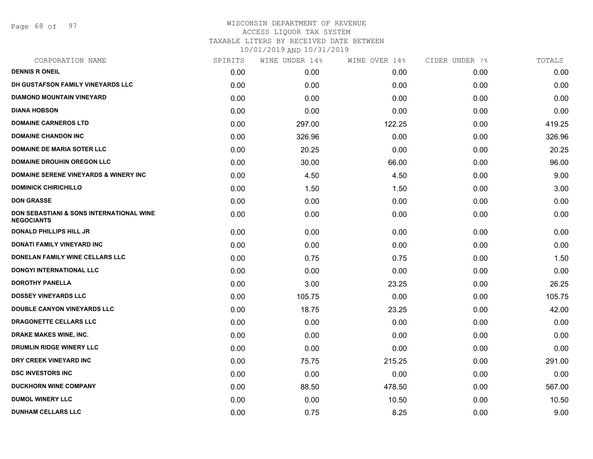Page 68 of 97

| CORPORATION NAME                                              | SPIRITS | WINE UNDER 14% | WINE OVER 14% | CIDER UNDER 7% | TOTALS |
|---------------------------------------------------------------|---------|----------------|---------------|----------------|--------|
| <b>DENNIS R ONEIL</b>                                         | 0.00    | 0.00           | 0.00          | 0.00           | 0.00   |
| DH GUSTAFSON FAMILY VINEYARDS LLC                             | 0.00    | 0.00           | 0.00          | 0.00           | 0.00   |
| <b>DIAMOND MOUNTAIN VINEYARD</b>                              | 0.00    | 0.00           | 0.00          | 0.00           | 0.00   |
| <b>DIANA HOBSON</b>                                           | 0.00    | 0.00           | 0.00          | 0.00           | 0.00   |
| <b>DOMAINE CARNEROS LTD</b>                                   | 0.00    | 297.00         | 122.25        | 0.00           | 419.25 |
| <b>DOMAINE CHANDON INC</b>                                    | 0.00    | 326.96         | 0.00          | 0.00           | 326.96 |
| <b>DOMAINE DE MARIA SOTER LLC</b>                             | 0.00    | 20.25          | 0.00          | 0.00           | 20.25  |
| <b>DOMAINE DROUHIN OREGON LLC</b>                             | 0.00    | 30.00          | 66.00         | 0.00           | 96.00  |
| <b>DOMAINE SERENE VINEYARDS &amp; WINERY INC</b>              | 0.00    | 4.50           | 4.50          | 0.00           | 9.00   |
| <b>DOMINICK CHIRICHILLO</b>                                   | 0.00    | 1.50           | 1.50          | 0.00           | 3.00   |
| <b>DON GRASSE</b>                                             | 0.00    | 0.00           | 0.00          | 0.00           | 0.00   |
| DON SEBASTIANI & SONS INTERNATIONAL WINE<br><b>NEGOCIANTS</b> | 0.00    | 0.00           | 0.00          | 0.00           | 0.00   |
| <b>DONALD PHILLIPS HILL JR</b>                                | 0.00    | 0.00           | 0.00          | 0.00           | 0.00   |
| <b>DONATI FAMILY VINEYARD INC</b>                             | 0.00    | 0.00           | 0.00          | 0.00           | 0.00   |
| <b>DONELAN FAMILY WINE CELLARS LLC</b>                        | 0.00    | 0.75           | 0.75          | 0.00           | 1.50   |
| DONGYI INTERNATIONAL LLC                                      | 0.00    | 0.00           | 0.00          | 0.00           | 0.00   |
| <b>DOROTHY PANELLA</b>                                        | 0.00    | 3.00           | 23.25         | 0.00           | 26.25  |
| <b>DOSSEY VINEYARDS LLC</b>                                   | 0.00    | 105.75         | 0.00          | 0.00           | 105.75 |
| <b>DOUBLE CANYON VINEYARDS LLC</b>                            | 0.00    | 18.75          | 23.25         | 0.00           | 42.00  |
| DRAGONETTE CELLARS LLC                                        | 0.00    | 0.00           | 0.00          | 0.00           | 0.00   |
| <b>DRAKE MAKES WINE, INC.</b>                                 | 0.00    | 0.00           | 0.00          | 0.00           | 0.00   |
| DRUMLIN RIDGE WINERY LLC                                      | 0.00    | 0.00           | 0.00          | 0.00           | 0.00   |
| DRY CREEK VINEYARD INC                                        | 0.00    | 75.75          | 215.25        | 0.00           | 291.00 |
| <b>DSC INVESTORS INC</b>                                      | 0.00    | 0.00           | 0.00          | 0.00           | 0.00   |
| <b>DUCKHORN WINE COMPANY</b>                                  | 0.00    | 88.50          | 478.50        | 0.00           | 567.00 |
| <b>DUMOL WINERY LLC</b>                                       | 0.00    | 0.00           | 10.50         | 0.00           | 10.50  |
| <b>DUNHAM CELLARS LLC</b>                                     | 0.00    | 0.75           | 8.25          | 0.00           | 9.00   |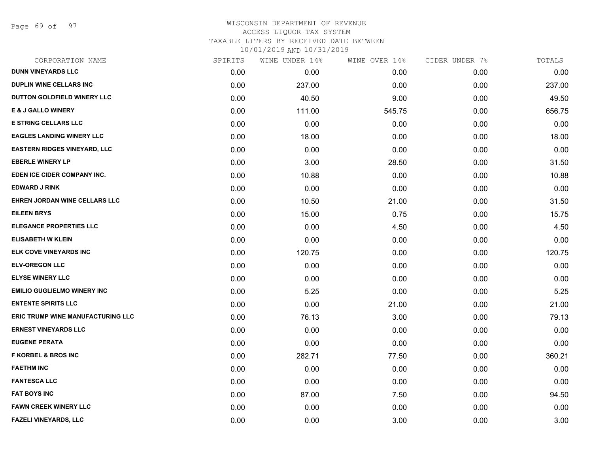Page 69 of 97

# WISCONSIN DEPARTMENT OF REVENUE ACCESS LIQUOR TAX SYSTEM TAXABLE LITERS BY RECEIVED DATE BETWEEN

| CORPORATION NAME                         | SPIRITS | WINE UNDER 14% | WINE OVER 14% | CIDER UNDER 7% | TOTALS |
|------------------------------------------|---------|----------------|---------------|----------------|--------|
| <b>DUNN VINEYARDS LLC</b>                | 0.00    | 0.00           | 0.00          | 0.00           | 0.00   |
| <b>DUPLIN WINE CELLARS INC</b>           | 0.00    | 237.00         | 0.00          | 0.00           | 237.00 |
| DUTTON GOLDFIELD WINERY LLC              | 0.00    | 40.50          | 9.00          | 0.00           | 49.50  |
| <b>E &amp; J GALLO WINERY</b>            | 0.00    | 111.00         | 545.75        | 0.00           | 656.75 |
| <b>E STRING CELLARS LLC</b>              | 0.00    | 0.00           | 0.00          | 0.00           | 0.00   |
| <b>EAGLES LANDING WINERY LLC</b>         | 0.00    | 18.00          | 0.00          | 0.00           | 18.00  |
| <b>EASTERN RIDGES VINEYARD, LLC</b>      | 0.00    | 0.00           | 0.00          | 0.00           | 0.00   |
| <b>EBERLE WINERY LP</b>                  | 0.00    | 3.00           | 28.50         | 0.00           | 31.50  |
| EDEN ICE CIDER COMPANY INC.              | 0.00    | 10.88          | 0.00          | 0.00           | 10.88  |
| <b>EDWARD J RINK</b>                     | 0.00    | 0.00           | 0.00          | 0.00           | 0.00   |
| EHREN JORDAN WINE CELLARS LLC            | 0.00    | 10.50          | 21.00         | 0.00           | 31.50  |
| <b>EILEEN BRYS</b>                       | 0.00    | 15.00          | 0.75          | 0.00           | 15.75  |
| <b>ELEGANCE PROPERTIES LLC</b>           | 0.00    | 0.00           | 4.50          | 0.00           | 4.50   |
| <b>ELISABETH W KLEIN</b>                 | 0.00    | 0.00           | 0.00          | 0.00           | 0.00   |
| ELK COVE VINEYARDS INC                   | 0.00    | 120.75         | 0.00          | 0.00           | 120.75 |
| <b>ELV-OREGON LLC</b>                    | 0.00    | 0.00           | 0.00          | 0.00           | 0.00   |
| <b>ELYSE WINERY LLC</b>                  | 0.00    | 0.00           | 0.00          | 0.00           | 0.00   |
| <b>EMILIO GUGLIELMO WINERY INC</b>       | 0.00    | 5.25           | 0.00          | 0.00           | 5.25   |
| <b>ENTENTE SPIRITS LLC</b>               | 0.00    | 0.00           | 21.00         | 0.00           | 21.00  |
| <b>ERIC TRUMP WINE MANUFACTURING LLC</b> | 0.00    | 76.13          | 3.00          | 0.00           | 79.13  |
| <b>ERNEST VINEYARDS LLC</b>              | 0.00    | 0.00           | 0.00          | 0.00           | 0.00   |
| <b>EUGENE PERATA</b>                     | 0.00    | 0.00           | 0.00          | 0.00           | 0.00   |
| <b>F KORBEL &amp; BROS INC</b>           | 0.00    | 282.71         | 77.50         | 0.00           | 360.21 |
| <b>FAETHM INC</b>                        | 0.00    | 0.00           | 0.00          | 0.00           | 0.00   |
| <b>FANTESCA LLC</b>                      | 0.00    | 0.00           | 0.00          | 0.00           | 0.00   |
| <b>FAT BOYS INC</b>                      | 0.00    | 87.00          | 7.50          | 0.00           | 94.50  |
| <b>FAWN CREEK WINERY LLC</b>             | 0.00    | 0.00           | 0.00          | 0.00           | 0.00   |
| <b>FAZELI VINEYARDS, LLC</b>             | 0.00    | 0.00           | 3.00          | 0.00           | 3.00   |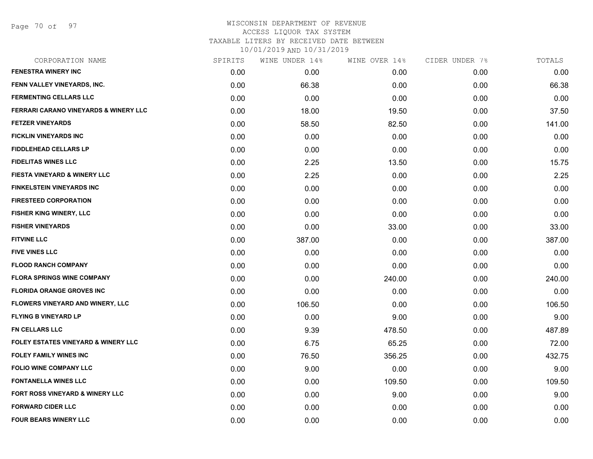Page 70 of 97

| CORPORATION NAME                                 | SPIRITS | WINE UNDER 14% | WINE OVER 14% | CIDER UNDER 7% | TOTALS |
|--------------------------------------------------|---------|----------------|---------------|----------------|--------|
| <b>FENESTRA WINERY INC</b>                       | 0.00    | 0.00           | 0.00          | 0.00           | 0.00   |
| FENN VALLEY VINEYARDS, INC.                      | 0.00    | 66.38          | 0.00          | 0.00           | 66.38  |
| <b>FERMENTING CELLARS LLC</b>                    | 0.00    | 0.00           | 0.00          | 0.00           | 0.00   |
| <b>FERRARI CARANO VINEYARDS &amp; WINERY LLC</b> | 0.00    | 18.00          | 19.50         | 0.00           | 37.50  |
| <b>FETZER VINEYARDS</b>                          | 0.00    | 58.50          | 82.50         | 0.00           | 141.00 |
| <b>FICKLIN VINEYARDS INC</b>                     | 0.00    | 0.00           | 0.00          | 0.00           | 0.00   |
| <b>FIDDLEHEAD CELLARS LP</b>                     | 0.00    | 0.00           | 0.00          | 0.00           | 0.00   |
| <b>FIDELITAS WINES LLC</b>                       | 0.00    | 2.25           | 13.50         | 0.00           | 15.75  |
| <b>FIESTA VINEYARD &amp; WINERY LLC</b>          | 0.00    | 2.25           | 0.00          | 0.00           | 2.25   |
| <b>FINKELSTEIN VINEYARDS INC</b>                 | 0.00    | 0.00           | 0.00          | 0.00           | 0.00   |
| <b>FIRESTEED CORPORATION</b>                     | 0.00    | 0.00           | 0.00          | 0.00           | 0.00   |
| <b>FISHER KING WINERY, LLC</b>                   | 0.00    | 0.00           | 0.00          | 0.00           | 0.00   |
| <b>FISHER VINEYARDS</b>                          | 0.00    | 0.00           | 33.00         | 0.00           | 33.00  |
| <b>FITVINE LLC</b>                               | 0.00    | 387.00         | 0.00          | 0.00           | 387.00 |
| <b>FIVE VINES LLC</b>                            | 0.00    | 0.00           | 0.00          | 0.00           | 0.00   |
| <b>FLOOD RANCH COMPANY</b>                       | 0.00    | 0.00           | 0.00          | 0.00           | 0.00   |
| <b>FLORA SPRINGS WINE COMPANY</b>                | 0.00    | 0.00           | 240.00        | 0.00           | 240.00 |
| <b>FLORIDA ORANGE GROVES INC</b>                 | 0.00    | 0.00           | 0.00          | 0.00           | 0.00   |
| FLOWERS VINEYARD AND WINERY, LLC                 | 0.00    | 106.50         | 0.00          | 0.00           | 106.50 |
| <b>FLYING B VINEYARD LP</b>                      | 0.00    | 0.00           | 9.00          | 0.00           | 9.00   |
| <b>FN CELLARS LLC</b>                            | 0.00    | 9.39           | 478.50        | 0.00           | 487.89 |
| <b>FOLEY ESTATES VINEYARD &amp; WINERY LLC</b>   | 0.00    | 6.75           | 65.25         | 0.00           | 72.00  |
| <b>FOLEY FAMILY WINES INC</b>                    | 0.00    | 76.50          | 356.25        | 0.00           | 432.75 |
| <b>FOLIO WINE COMPANY LLC</b>                    | 0.00    | 9.00           | 0.00          | 0.00           | 9.00   |
| <b>FONTANELLA WINES LLC</b>                      | 0.00    | 0.00           | 109.50        | 0.00           | 109.50 |
| <b>FORT ROSS VINEYARD &amp; WINERY LLC</b>       | 0.00    | 0.00           | 9.00          | 0.00           | 9.00   |
| <b>FORWARD CIDER LLC</b>                         | 0.00    | 0.00           | 0.00          | 0.00           | 0.00   |
| <b>FOUR BEARS WINERY LLC</b>                     | 0.00    | 0.00           | 0.00          | 0.00           | 0.00   |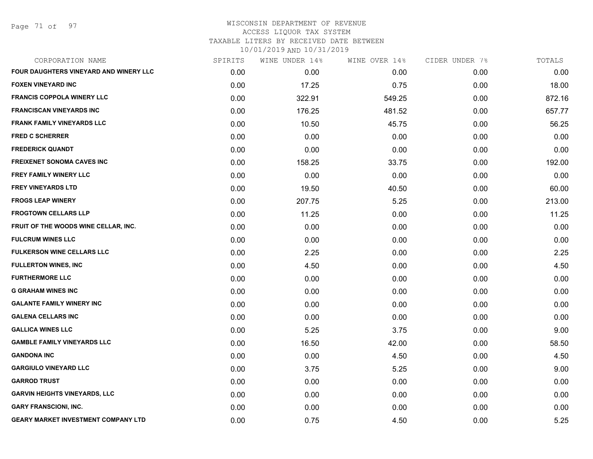Page 71 of 97

| CORPORATION NAME                              | SPIRITS | WINE UNDER 14% | WINE OVER 14% | CIDER UNDER 7% | TOTALS |
|-----------------------------------------------|---------|----------------|---------------|----------------|--------|
| <b>FOUR DAUGHTERS VINEYARD AND WINERY LLC</b> | 0.00    | 0.00           | 0.00          | 0.00           | 0.00   |
| <b>FOXEN VINEYARD INC</b>                     | 0.00    | 17.25          | 0.75          | 0.00           | 18.00  |
| <b>FRANCIS COPPOLA WINERY LLC</b>             | 0.00    | 322.91         | 549.25        | 0.00           | 872.16 |
| <b>FRANCISCAN VINEYARDS INC</b>               | 0.00    | 176.25         | 481.52        | 0.00           | 657.77 |
| <b>FRANK FAMILY VINEYARDS LLC</b>             | 0.00    | 10.50          | 45.75         | 0.00           | 56.25  |
| <b>FRED C SCHERRER</b>                        | 0.00    | 0.00           | 0.00          | 0.00           | 0.00   |
| <b>FREDERICK QUANDT</b>                       | 0.00    | 0.00           | 0.00          | 0.00           | 0.00   |
| <b>FREIXENET SONOMA CAVES INC</b>             | 0.00    | 158.25         | 33.75         | 0.00           | 192.00 |
| FREY FAMILY WINERY LLC                        | 0.00    | 0.00           | 0.00          | 0.00           | 0.00   |
| <b>FREY VINEYARDS LTD</b>                     | 0.00    | 19.50          | 40.50         | 0.00           | 60.00  |
| <b>FROGS LEAP WINERY</b>                      | 0.00    | 207.75         | 5.25          | 0.00           | 213.00 |
| <b>FROGTOWN CELLARS LLP</b>                   | 0.00    | 11.25          | 0.00          | 0.00           | 11.25  |
| FRUIT OF THE WOODS WINE CELLAR, INC.          | 0.00    | 0.00           | 0.00          | 0.00           | 0.00   |
| <b>FULCRUM WINES LLC</b>                      | 0.00    | 0.00           | 0.00          | 0.00           | 0.00   |
| <b>FULKERSON WINE CELLARS LLC</b>             | 0.00    | 2.25           | 0.00          | 0.00           | 2.25   |
| <b>FULLERTON WINES, INC</b>                   | 0.00    | 4.50           | 0.00          | 0.00           | 4.50   |
| <b>FURTHERMORE LLC</b>                        | 0.00    | 0.00           | 0.00          | 0.00           | 0.00   |
| <b>G GRAHAM WINES INC</b>                     | 0.00    | 0.00           | 0.00          | 0.00           | 0.00   |
| <b>GALANTE FAMILY WINERY INC</b>              | 0.00    | 0.00           | 0.00          | 0.00           | 0.00   |
| <b>GALENA CELLARS INC</b>                     | 0.00    | 0.00           | 0.00          | 0.00           | 0.00   |
| <b>GALLICA WINES LLC</b>                      | 0.00    | 5.25           | 3.75          | 0.00           | 9.00   |
| <b>GAMBLE FAMILY VINEYARDS LLC</b>            | 0.00    | 16.50          | 42.00         | 0.00           | 58.50  |
| <b>GANDONA INC</b>                            | 0.00    | 0.00           | 4.50          | 0.00           | 4.50   |
| <b>GARGIULO VINEYARD LLC</b>                  | 0.00    | 3.75           | 5.25          | 0.00           | 9.00   |
| <b>GARROD TRUST</b>                           | 0.00    | 0.00           | 0.00          | 0.00           | 0.00   |
| <b>GARVIN HEIGHTS VINEYARDS, LLC</b>          | 0.00    | 0.00           | 0.00          | 0.00           | 0.00   |
| <b>GARY FRANSCIONI, INC.</b>                  | 0.00    | 0.00           | 0.00          | 0.00           | 0.00   |
| <b>GEARY MARKET INVESTMENT COMPANY LTD</b>    | 0.00    | 0.75           | 4.50          | 0.00           | 5.25   |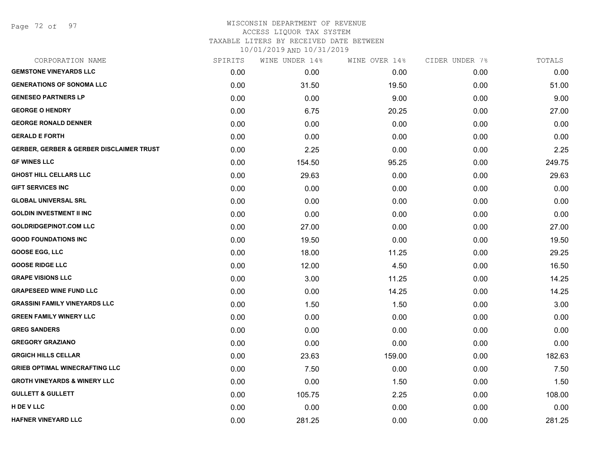Page 72 of 97

#### WISCONSIN DEPARTMENT OF REVENUE ACCESS LIQUOR TAX SYSTEM TAXABLE LITERS BY RECEIVED DATE BETWEEN

| CORPORATION NAME                                    | SPIRITS | WINE UNDER 14% | WINE OVER 14% | CIDER UNDER 7% | TOTALS |
|-----------------------------------------------------|---------|----------------|---------------|----------------|--------|
| <b>GEMSTONE VINEYARDS LLC</b>                       | 0.00    | 0.00           | 0.00          | 0.00           | 0.00   |
| <b>GENERATIONS OF SONOMA LLC</b>                    | 0.00    | 31.50          | 19.50         | 0.00           | 51.00  |
| <b>GENESEO PARTNERS LP</b>                          | 0.00    | 0.00           | 9.00          | 0.00           | 9.00   |
| <b>GEORGE O HENDRY</b>                              | 0.00    | 6.75           | 20.25         | 0.00           | 27.00  |
| <b>GEORGE RONALD DENNER</b>                         | 0.00    | 0.00           | 0.00          | 0.00           | 0.00   |
| <b>GERALD E FORTH</b>                               | 0.00    | 0.00           | 0.00          | 0.00           | 0.00   |
| <b>GERBER, GERBER &amp; GERBER DISCLAIMER TRUST</b> | 0.00    | 2.25           | 0.00          | 0.00           | 2.25   |
| <b>GF WINES LLC</b>                                 | 0.00    | 154.50         | 95.25         | 0.00           | 249.75 |
| <b>GHOST HILL CELLARS LLC</b>                       | 0.00    | 29.63          | 0.00          | 0.00           | 29.63  |
| <b>GIFT SERVICES INC</b>                            | 0.00    | 0.00           | 0.00          | 0.00           | 0.00   |
| <b>GLOBAL UNIVERSAL SRL</b>                         | 0.00    | 0.00           | 0.00          | 0.00           | 0.00   |
| <b>GOLDIN INVESTMENT II INC</b>                     | 0.00    | 0.00           | 0.00          | 0.00           | 0.00   |
| <b>GOLDRIDGEPINOT.COM LLC</b>                       | 0.00    | 27.00          | 0.00          | 0.00           | 27.00  |
| <b>GOOD FOUNDATIONS INC</b>                         | 0.00    | 19.50          | 0.00          | 0.00           | 19.50  |
| <b>GOOSE EGG, LLC</b>                               | 0.00    | 18.00          | 11.25         | 0.00           | 29.25  |
| <b>GOOSE RIDGE LLC</b>                              | 0.00    | 12.00          | 4.50          | 0.00           | 16.50  |
| <b>GRAPE VISIONS LLC</b>                            | 0.00    | 3.00           | 11.25         | 0.00           | 14.25  |
| <b>GRAPESEED WINE FUND LLC</b>                      | 0.00    | 0.00           | 14.25         | 0.00           | 14.25  |
| <b>GRASSINI FAMILY VINEYARDS LLC</b>                | 0.00    | 1.50           | 1.50          | 0.00           | 3.00   |
| <b>GREEN FAMILY WINERY LLC</b>                      | 0.00    | 0.00           | 0.00          | 0.00           | 0.00   |
| <b>GREG SANDERS</b>                                 | 0.00    | 0.00           | 0.00          | 0.00           | 0.00   |
| <b>GREGORY GRAZIANO</b>                             | 0.00    | 0.00           | 0.00          | 0.00           | 0.00   |
| <b>GRGICH HILLS CELLAR</b>                          | 0.00    | 23.63          | 159.00        | 0.00           | 182.63 |
| <b>GRIEB OPTIMAL WINECRAFTING LLC</b>               | 0.00    | 7.50           | 0.00          | 0.00           | 7.50   |
| <b>GROTH VINEYARDS &amp; WINERY LLC</b>             | 0.00    | 0.00           | 1.50          | 0.00           | 1.50   |
| <b>GULLETT &amp; GULLETT</b>                        | 0.00    | 105.75         | 2.25          | 0.00           | 108.00 |
| H DE V LLC                                          | 0.00    | 0.00           | 0.00          | 0.00           | 0.00   |
| <b>HAFNER VINEYARD LLC</b>                          | 0.00    | 281.25         | 0.00          | 0.00           | 281.25 |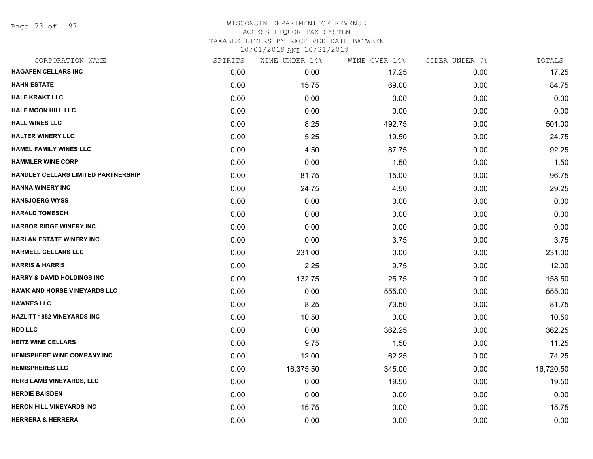Page 73 of 97

#### WISCONSIN DEPARTMENT OF REVENUE ACCESS LIQUOR TAX SYSTEM TAXABLE LITERS BY RECEIVED DATE BETWEEN

| CORPORATION NAME                      | SPIRITS | WINE UNDER 14% | WINE OVER 14% | CIDER UNDER 7% | TOTALS    |
|---------------------------------------|---------|----------------|---------------|----------------|-----------|
| <b>HAGAFEN CELLARS INC</b>            | 0.00    | 0.00           | 17.25         | 0.00           | 17.25     |
| <b>HAHN ESTATE</b>                    | 0.00    | 15.75          | 69.00         | 0.00           | 84.75     |
| <b>HALF KRAKT LLC</b>                 | 0.00    | 0.00           | 0.00          | 0.00           | 0.00      |
| <b>HALF MOON HILL LLC</b>             | 0.00    | 0.00           | 0.00          | 0.00           | 0.00      |
| <b>HALL WINES LLC</b>                 | 0.00    | 8.25           | 492.75        | 0.00           | 501.00    |
| <b>HALTER WINERY LLC</b>              | 0.00    | 5.25           | 19.50         | 0.00           | 24.75     |
| <b>HAMEL FAMILY WINES LLC</b>         | 0.00    | 4.50           | 87.75         | 0.00           | 92.25     |
| <b>HAMMLER WINE CORP</b>              | 0.00    | 0.00           | 1.50          | 0.00           | 1.50      |
| HANDLEY CELLARS LIMITED PARTNERSHIP   | 0.00    | 81.75          | 15.00         | 0.00           | 96.75     |
| <b>HANNA WINERY INC</b>               | 0.00    | 24.75          | 4.50          | 0.00           | 29.25     |
| <b>HANSJOERG WYSS</b>                 | 0.00    | 0.00           | 0.00          | 0.00           | 0.00      |
| <b>HARALD TOMESCH</b>                 | 0.00    | 0.00           | 0.00          | 0.00           | 0.00      |
| <b>HARBOR RIDGE WINERY INC.</b>       | 0.00    | 0.00           | 0.00          | 0.00           | 0.00      |
| <b>HARLAN ESTATE WINERY INC</b>       | 0.00    | 0.00           | 3.75          | 0.00           | 3.75      |
| <b>HARMELL CELLARS LLC</b>            | 0.00    | 231.00         | 0.00          | 0.00           | 231.00    |
| <b>HARRIS &amp; HARRIS</b>            | 0.00    | 2.25           | 9.75          | 0.00           | 12.00     |
| <b>HARRY &amp; DAVID HOLDINGS INC</b> | 0.00    | 132.75         | 25.75         | 0.00           | 158.50    |
| HAWK AND HORSE VINEYARDS LLC          | 0.00    | 0.00           | 555.00        | 0.00           | 555.00    |
| <b>HAWKES LLC</b>                     | 0.00    | 8.25           | 73.50         | 0.00           | 81.75     |
| <b>HAZLITT 1852 VINEYARDS INC</b>     | 0.00    | 10.50          | 0.00          | 0.00           | 10.50     |
| <b>HDD LLC</b>                        | 0.00    | 0.00           | 362.25        | 0.00           | 362.25    |
| <b>HEITZ WINE CELLARS</b>             | 0.00    | 9.75           | 1.50          | 0.00           | 11.25     |
| <b>HEMISPHERE WINE COMPANY INC</b>    | 0.00    | 12.00          | 62.25         | 0.00           | 74.25     |
| <b>HEMISPHERES LLC</b>                | 0.00    | 16,375.50      | 345.00        | 0.00           | 16,720.50 |
| <b>HERB LAMB VINEYARDS, LLC</b>       | 0.00    | 0.00           | 19.50         | 0.00           | 19.50     |
| <b>HERDIE BAISDEN</b>                 | 0.00    | 0.00           | 0.00          | 0.00           | 0.00      |
| <b>HERON HILL VINEYARDS INC</b>       | 0.00    | 15.75          | 0.00          | 0.00           | 15.75     |
| <b>HERRERA &amp; HERRERA</b>          | 0.00    | 0.00           | 0.00          | 0.00           | 0.00      |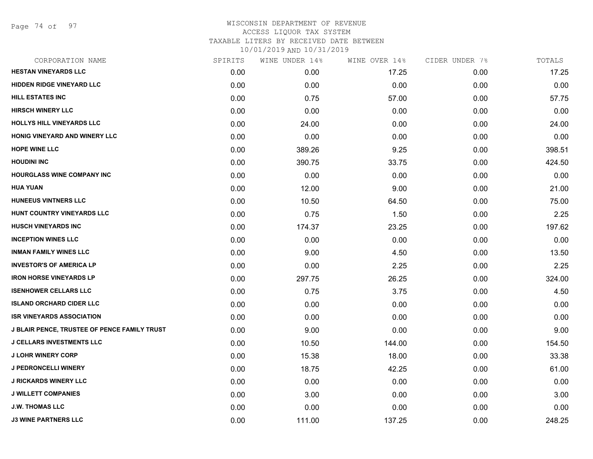Page 74 of 97

#### WISCONSIN DEPARTMENT OF REVENUE ACCESS LIQUOR TAX SYSTEM TAXABLE LITERS BY RECEIVED DATE BETWEEN

| CORPORATION NAME                             | SPIRITS | WINE UNDER 14% | WINE OVER 14% | CIDER UNDER 7% | TOTALS |
|----------------------------------------------|---------|----------------|---------------|----------------|--------|
| <b>HESTAN VINEYARDS LLC</b>                  | 0.00    | 0.00           | 17.25         | 0.00           | 17.25  |
| <b>HIDDEN RIDGE VINEYARD LLC</b>             | 0.00    | 0.00           | 0.00          | 0.00           | 0.00   |
| <b>HILL ESTATES INC</b>                      | 0.00    | 0.75           | 57.00         | 0.00           | 57.75  |
| <b>HIRSCH WINERY LLC</b>                     | 0.00    | 0.00           | 0.00          | 0.00           | 0.00   |
| HOLLYS HILL VINEYARDS LLC                    | 0.00    | 24.00          | 0.00          | 0.00           | 24.00  |
| HONIG VINEYARD AND WINERY LLC                | 0.00    | 0.00           | 0.00          | 0.00           | 0.00   |
| <b>HOPE WINE LLC</b>                         | 0.00    | 389.26         | 9.25          | 0.00           | 398.51 |
| <b>HOUDINI INC</b>                           | 0.00    | 390.75         | 33.75         | 0.00           | 424.50 |
| HOURGLASS WINE COMPANY INC                   | 0.00    | 0.00           | 0.00          | 0.00           | 0.00   |
| <b>HUA YUAN</b>                              | 0.00    | 12.00          | 9.00          | 0.00           | 21.00  |
| <b>HUNEEUS VINTNERS LLC</b>                  | 0.00    | 10.50          | 64.50         | 0.00           | 75.00  |
| HUNT COUNTRY VINEYARDS LLC                   | 0.00    | 0.75           | 1.50          | 0.00           | 2.25   |
| <b>HUSCH VINEYARDS INC</b>                   | 0.00    | 174.37         | 23.25         | 0.00           | 197.62 |
| <b>INCEPTION WINES LLC</b>                   | 0.00    | 0.00           | 0.00          | 0.00           | 0.00   |
| <b>INMAN FAMILY WINES LLC</b>                | 0.00    | 9.00           | 4.50          | 0.00           | 13.50  |
| <b>INVESTOR'S OF AMERICA LP</b>              | 0.00    | 0.00           | 2.25          | 0.00           | 2.25   |
| <b>IRON HORSE VINEYARDS LP</b>               | 0.00    | 297.75         | 26.25         | 0.00           | 324.00 |
| <b>ISENHOWER CELLARS LLC</b>                 | 0.00    | 0.75           | 3.75          | 0.00           | 4.50   |
| <b>ISLAND ORCHARD CIDER LLC</b>              | 0.00    | 0.00           | 0.00          | 0.00           | 0.00   |
| <b>ISR VINEYARDS ASSOCIATION</b>             | 0.00    | 0.00           | 0.00          | 0.00           | 0.00   |
| J BLAIR PENCE, TRUSTEE OF PENCE FAMILY TRUST | 0.00    | 9.00           | 0.00          | 0.00           | 9.00   |
| <b>J CELLARS INVESTMENTS LLC</b>             | 0.00    | 10.50          | 144.00        | 0.00           | 154.50 |
| <b>J LOHR WINERY CORP</b>                    | 0.00    | 15.38          | 18.00         | 0.00           | 33.38  |
| <b>J PEDRONCELLI WINERY</b>                  | 0.00    | 18.75          | 42.25         | 0.00           | 61.00  |
| <b>J RICKARDS WINERY LLC</b>                 | 0.00    | 0.00           | 0.00          | 0.00           | 0.00   |
| <b>J WILLETT COMPANIES</b>                   | 0.00    | 3.00           | 0.00          | 0.00           | 3.00   |
| <b>J.W. THOMAS LLC</b>                       | 0.00    | 0.00           | 0.00          | 0.00           | 0.00   |
| <b>J3 WINE PARTNERS LLC</b>                  | 0.00    | 111.00         | 137.25        | 0.00           | 248.25 |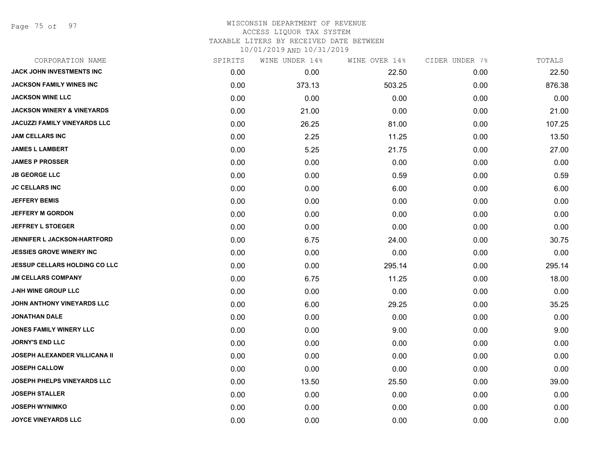Page 75 of 97

# WISCONSIN DEPARTMENT OF REVENUE ACCESS LIQUOR TAX SYSTEM TAXABLE LITERS BY RECEIVED DATE BETWEEN

| CORPORATION NAME                      | SPIRITS | WINE UNDER 14% | WINE OVER 14% | CIDER UNDER 7% | TOTALS |
|---------------------------------------|---------|----------------|---------------|----------------|--------|
| <b>JACK JOHN INVESTMENTS INC</b>      | 0.00    | 0.00           | 22.50         | 0.00           | 22.50  |
| JACKSON FAMILY WINES INC              | 0.00    | 373.13         | 503.25        | 0.00           | 876.38 |
| <b>JACKSON WINE LLC</b>               | 0.00    | 0.00           | 0.00          | 0.00           | 0.00   |
| <b>JACKSON WINERY &amp; VINEYARDS</b> | 0.00    | 21.00          | 0.00          | 0.00           | 21.00  |
| <b>JACUZZI FAMILY VINEYARDS LLC</b>   | 0.00    | 26.25          | 81.00         | 0.00           | 107.25 |
| <b>JAM CELLARS INC</b>                | 0.00    | 2.25           | 11.25         | 0.00           | 13.50  |
| <b>JAMES L LAMBERT</b>                | 0.00    | 5.25           | 21.75         | 0.00           | 27.00  |
| <b>JAMES P PROSSER</b>                | 0.00    | 0.00           | 0.00          | 0.00           | 0.00   |
| <b>JB GEORGE LLC</b>                  | 0.00    | 0.00           | 0.59          | 0.00           | 0.59   |
| <b>JC CELLARS INC</b>                 | 0.00    | 0.00           | 6.00          | 0.00           | 6.00   |
| <b>JEFFERY BEMIS</b>                  | 0.00    | 0.00           | 0.00          | 0.00           | 0.00   |
| <b>JEFFERY M GORDON</b>               | 0.00    | 0.00           | 0.00          | 0.00           | 0.00   |
| <b>JEFFREY L STOEGER</b>              | 0.00    | 0.00           | 0.00          | 0.00           | 0.00   |
| <b>JENNIFER L JACKSON-HARTFORD</b>    | 0.00    | 6.75           | 24.00         | 0.00           | 30.75  |
| <b>JESSIES GROVE WINERY INC</b>       | 0.00    | 0.00           | 0.00          | 0.00           | 0.00   |
| <b>JESSUP CELLARS HOLDING CO LLC</b>  | 0.00    | 0.00           | 295.14        | 0.00           | 295.14 |
| <b>JM CELLARS COMPANY</b>             | 0.00    | 6.75           | 11.25         | 0.00           | 18.00  |
| <b>J-NH WINE GROUP LLC</b>            | 0.00    | 0.00           | 0.00          | 0.00           | 0.00   |
| JOHN ANTHONY VINEYARDS LLC            | 0.00    | 6.00           | 29.25         | 0.00           | 35.25  |
| <b>JONATHAN DALE</b>                  | 0.00    | 0.00           | 0.00          | 0.00           | 0.00   |
| <b>JONES FAMILY WINERY LLC</b>        | 0.00    | 0.00           | 9.00          | 0.00           | 9.00   |
| <b>JORNY'S END LLC</b>                | 0.00    | 0.00           | 0.00          | 0.00           | 0.00   |
| JOSEPH ALEXANDER VILLICANA II         | 0.00    | 0.00           | 0.00          | 0.00           | 0.00   |
| <b>JOSEPH CALLOW</b>                  | 0.00    | 0.00           | 0.00          | 0.00           | 0.00   |
| <b>JOSEPH PHELPS VINEYARDS LLC</b>    | 0.00    | 13.50          | 25.50         | 0.00           | 39.00  |
| <b>JOSEPH STALLER</b>                 | 0.00    | 0.00           | 0.00          | 0.00           | 0.00   |
| <b>JOSEPH WYNIMKO</b>                 | 0.00    | 0.00           | 0.00          | 0.00           | 0.00   |
| <b>JOYCE VINEYARDS LLC</b>            | 0.00    | 0.00           | 0.00          | 0.00           | 0.00   |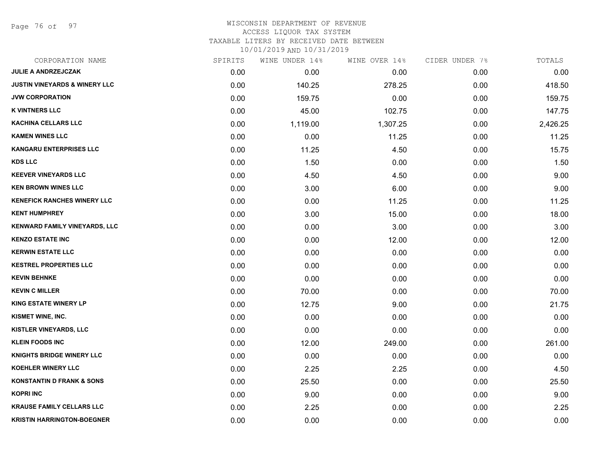Page 76 of 97

# WISCONSIN DEPARTMENT OF REVENUE ACCESS LIQUOR TAX SYSTEM TAXABLE LITERS BY RECEIVED DATE BETWEEN

| CORPORATION NAME                         | SPIRITS | WINE UNDER 14% | WINE OVER 14% | CIDER UNDER 7% | TOTALS   |
|------------------------------------------|---------|----------------|---------------|----------------|----------|
| <b>JULIE A ANDRZEJCZAK</b>               | 0.00    | 0.00           | 0.00          | 0.00           | 0.00     |
| <b>JUSTIN VINEYARDS &amp; WINERY LLC</b> | 0.00    | 140.25         | 278.25        | 0.00           | 418.50   |
| <b>JVW CORPORATION</b>                   | 0.00    | 159.75         | 0.00          | 0.00           | 159.75   |
| <b>K VINTNERS LLC</b>                    | 0.00    | 45.00          | 102.75        | 0.00           | 147.75   |
| <b>KACHINA CELLARS LLC</b>               | 0.00    | 1,119.00       | 1,307.25      | 0.00           | 2,426.25 |
| <b>KAMEN WINES LLC</b>                   | 0.00    | 0.00           | 11.25         | 0.00           | 11.25    |
| <b>KANGARU ENTERPRISES LLC</b>           | 0.00    | 11.25          | 4.50          | 0.00           | 15.75    |
| <b>KDS LLC</b>                           | 0.00    | 1.50           | 0.00          | 0.00           | 1.50     |
| <b>KEEVER VINEYARDS LLC</b>              | 0.00    | 4.50           | 4.50          | 0.00           | 9.00     |
| <b>KEN BROWN WINES LLC</b>               | 0.00    | 3.00           | 6.00          | 0.00           | 9.00     |
| <b>KENEFICK RANCHES WINERY LLC</b>       | 0.00    | 0.00           | 11.25         | 0.00           | 11.25    |
| <b>KENT HUMPHREY</b>                     | 0.00    | 3.00           | 15.00         | 0.00           | 18.00    |
| KENWARD FAMILY VINEYARDS, LLC            | 0.00    | 0.00           | 3.00          | 0.00           | 3.00     |
| <b>KENZO ESTATE INC</b>                  | 0.00    | 0.00           | 12.00         | 0.00           | 12.00    |
| <b>KERWIN ESTATE LLC</b>                 | 0.00    | 0.00           | 0.00          | 0.00           | 0.00     |
| <b>KESTREL PROPERTIES LLC</b>            | 0.00    | 0.00           | 0.00          | 0.00           | 0.00     |
| <b>KEVIN BEHNKE</b>                      | 0.00    | 0.00           | 0.00          | 0.00           | 0.00     |
| <b>KEVIN C MILLER</b>                    | 0.00    | 70.00          | 0.00          | 0.00           | 70.00    |
| <b>KING ESTATE WINERY LP</b>             | 0.00    | 12.75          | 9.00          | 0.00           | 21.75    |
| KISMET WINE, INC.                        | 0.00    | 0.00           | 0.00          | 0.00           | 0.00     |
| <b>KISTLER VINEYARDS, LLC</b>            | 0.00    | 0.00           | 0.00          | 0.00           | 0.00     |
| <b>KLEIN FOODS INC</b>                   | 0.00    | 12.00          | 249.00        | 0.00           | 261.00   |
| <b>KNIGHTS BRIDGE WINERY LLC</b>         | 0.00    | 0.00           | 0.00          | 0.00           | 0.00     |
| <b>KOEHLER WINERY LLC</b>                | 0.00    | 2.25           | 2.25          | 0.00           | 4.50     |
| <b>KONSTANTIN D FRANK &amp; SONS</b>     | 0.00    | 25.50          | 0.00          | 0.00           | 25.50    |
| <b>KOPRI INC</b>                         | 0.00    | 9.00           | 0.00          | 0.00           | 9.00     |
| <b>KRAUSE FAMILY CELLARS LLC</b>         | 0.00    | 2.25           | 0.00          | 0.00           | 2.25     |
| <b>KRISTIN HARRINGTON-BOEGNER</b>        | 0.00    | 0.00           | 0.00          | 0.00           | 0.00     |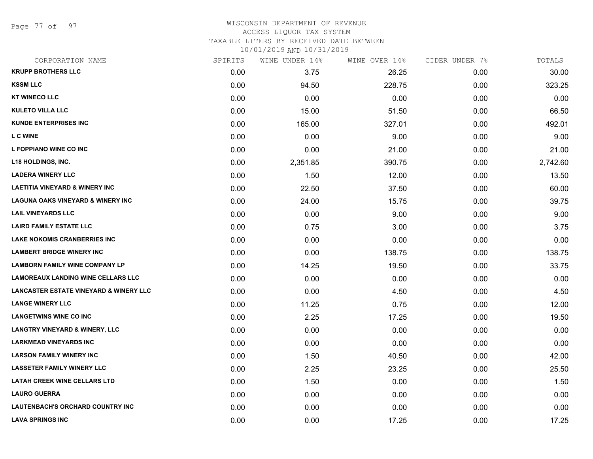Page 77 of 97

#### WISCONSIN DEPARTMENT OF REVENUE ACCESS LIQUOR TAX SYSTEM

TAXABLE LITERS BY RECEIVED DATE BETWEEN

| CORPORATION NAME                                  | SPIRITS | WINE UNDER 14% | WINE OVER 14% | CIDER UNDER 7% | TOTALS   |
|---------------------------------------------------|---------|----------------|---------------|----------------|----------|
| <b>KRUPP BROTHERS LLC</b>                         | 0.00    | 3.75           | 26.25         | 0.00           | 30.00    |
| <b>KSSM LLC</b>                                   | 0.00    | 94.50          | 228.75        | 0.00           | 323.25   |
| <b>KT WINECO LLC</b>                              | 0.00    | 0.00           | 0.00          | 0.00           | 0.00     |
| <b>KULETO VILLA LLC</b>                           | 0.00    | 15.00          | 51.50         | 0.00           | 66.50    |
| <b>KUNDE ENTERPRISES INC</b>                      | 0.00    | 165.00         | 327.01        | 0.00           | 492.01   |
| <b>LCWINE</b>                                     | 0.00    | 0.00           | 9.00          | 0.00           | 9.00     |
| L FOPPIANO WINE CO INC                            | 0.00    | 0.00           | 21.00         | 0.00           | 21.00    |
| <b>L18 HOLDINGS, INC.</b>                         | 0.00    | 2,351.85       | 390.75        | 0.00           | 2,742.60 |
| <b>LADERA WINERY LLC</b>                          | 0.00    | 1.50           | 12.00         | 0.00           | 13.50    |
| <b>LAETITIA VINEYARD &amp; WINERY INC</b>         | 0.00    | 22.50          | 37.50         | 0.00           | 60.00    |
| <b>LAGUNA OAKS VINEYARD &amp; WINERY INC</b>      | 0.00    | 24.00          | 15.75         | 0.00           | 39.75    |
| <b>LAIL VINEYARDS LLC</b>                         | 0.00    | 0.00           | 9.00          | 0.00           | 9.00     |
| <b>LAIRD FAMILY ESTATE LLC</b>                    | 0.00    | 0.75           | 3.00          | 0.00           | 3.75     |
| <b>LAKE NOKOMIS CRANBERRIES INC</b>               | 0.00    | 0.00           | 0.00          | 0.00           | 0.00     |
| <b>LAMBERT BRIDGE WINERY INC</b>                  | 0.00    | 0.00           | 138.75        | 0.00           | 138.75   |
| <b>LAMBORN FAMILY WINE COMPANY LP</b>             | 0.00    | 14.25          | 19.50         | 0.00           | 33.75    |
| <b>LAMOREAUX LANDING WINE CELLARS LLC</b>         | 0.00    | 0.00           | 0.00          | 0.00           | 0.00     |
| <b>LANCASTER ESTATE VINEYARD &amp; WINERY LLC</b> | 0.00    | 0.00           | 4.50          | 0.00           | 4.50     |
| <b>LANGE WINERY LLC</b>                           | 0.00    | 11.25          | 0.75          | 0.00           | 12.00    |
| <b>LANGETWINS WINE CO INC</b>                     | 0.00    | 2.25           | 17.25         | 0.00           | 19.50    |
| <b>LANGTRY VINEYARD &amp; WINERY, LLC</b>         | 0.00    | 0.00           | 0.00          | 0.00           | 0.00     |
| <b>LARKMEAD VINEYARDS INC</b>                     | 0.00    | 0.00           | 0.00          | 0.00           | 0.00     |
| <b>LARSON FAMILY WINERY INC</b>                   | 0.00    | 1.50           | 40.50         | 0.00           | 42.00    |
| <b>LASSETER FAMILY WINERY LLC</b>                 | 0.00    | 2.25           | 23.25         | 0.00           | 25.50    |
| <b>LATAH CREEK WINE CELLARS LTD</b>               | 0.00    | 1.50           | 0.00          | 0.00           | 1.50     |
| <b>LAURO GUERRA</b>                               | 0.00    | 0.00           | 0.00          | 0.00           | 0.00     |
| <b>LAUTENBACH'S ORCHARD COUNTRY INC</b>           | 0.00    | 0.00           | 0.00          | 0.00           | 0.00     |
| <b>LAVA SPRINGS INC</b>                           | 0.00    | 0.00           | 17.25         | 0.00           | 17.25    |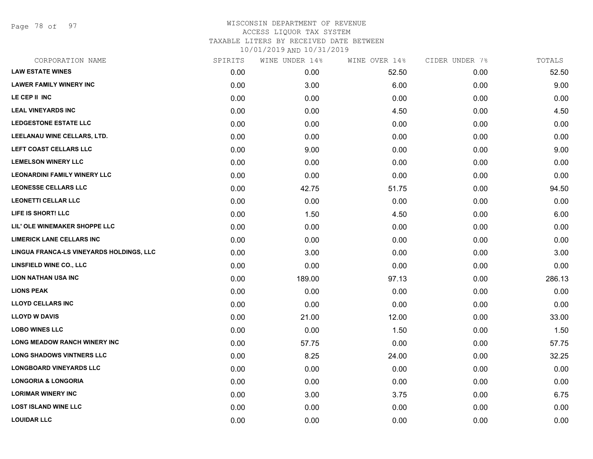Page 78 of 97

| CORPORATION NAME                         | SPIRITS | WINE UNDER 14% | WINE OVER 14% | CIDER UNDER 7% | TOTALS |
|------------------------------------------|---------|----------------|---------------|----------------|--------|
| <b>LAW ESTATE WINES</b>                  | 0.00    | 0.00           | 52.50         | 0.00           | 52.50  |
| <b>LAWER FAMILY WINERY INC</b>           | 0.00    | 3.00           | 6.00          | 0.00           | 9.00   |
| LE CEP II INC                            | 0.00    | 0.00           | 0.00          | 0.00           | 0.00   |
| <b>LEAL VINEYARDS INC</b>                | 0.00    | 0.00           | 4.50          | 0.00           | 4.50   |
| <b>LEDGESTONE ESTATE LLC</b>             | 0.00    | 0.00           | 0.00          | 0.00           | 0.00   |
| LEELANAU WINE CELLARS, LTD.              | 0.00    | 0.00           | 0.00          | 0.00           | 0.00   |
| LEFT COAST CELLARS LLC                   | 0.00    | 9.00           | 0.00          | 0.00           | 9.00   |
| <b>LEMELSON WINERY LLC</b>               | 0.00    | 0.00           | 0.00          | 0.00           | 0.00   |
| <b>LEONARDINI FAMILY WINERY LLC</b>      | 0.00    | 0.00           | 0.00          | 0.00           | 0.00   |
| <b>LEONESSE CELLARS LLC</b>              | 0.00    | 42.75          | 51.75         | 0.00           | 94.50  |
| <b>LEONETTI CELLAR LLC</b>               | 0.00    | 0.00           | 0.00          | 0.00           | 0.00   |
| LIFE IS SHORT! LLC                       | 0.00    | 1.50           | 4.50          | 0.00           | 6.00   |
| LIL' OLE WINEMAKER SHOPPE LLC            | 0.00    | 0.00           | 0.00          | 0.00           | 0.00   |
| <b>LIMERICK LANE CELLARS INC</b>         | 0.00    | 0.00           | 0.00          | 0.00           | 0.00   |
| LINGUA FRANCA-LS VINEYARDS HOLDINGS, LLC | 0.00    | 3.00           | 0.00          | 0.00           | 3.00   |
| LINSFIELD WINE CO., LLC                  | 0.00    | 0.00           | 0.00          | 0.00           | 0.00   |
| <b>LION NATHAN USA INC</b>               | 0.00    | 189.00         | 97.13         | 0.00           | 286.13 |
| <b>LIONS PEAK</b>                        | 0.00    | 0.00           | 0.00          | 0.00           | 0.00   |
| <b>LLOYD CELLARS INC</b>                 | 0.00    | 0.00           | 0.00          | 0.00           | 0.00   |
| <b>LLOYD W DAVIS</b>                     | 0.00    | 21.00          | 12.00         | 0.00           | 33.00  |
| <b>LOBO WINES LLC</b>                    | 0.00    | 0.00           | 1.50          | 0.00           | 1.50   |
| LONG MEADOW RANCH WINERY INC             | 0.00    | 57.75          | 0.00          | 0.00           | 57.75  |
| <b>LONG SHADOWS VINTNERS LLC</b>         | 0.00    | 8.25           | 24.00         | 0.00           | 32.25  |
| <b>LONGBOARD VINEYARDS LLC</b>           | 0.00    | 0.00           | 0.00          | 0.00           | 0.00   |
| <b>LONGORIA &amp; LONGORIA</b>           | 0.00    | 0.00           | 0.00          | 0.00           | 0.00   |
| <b>LORIMAR WINERY INC</b>                | 0.00    | 3.00           | 3.75          | 0.00           | 6.75   |
| <b>LOST ISLAND WINE LLC</b>              | 0.00    | 0.00           | 0.00          | 0.00           | 0.00   |
| <b>LOUIDAR LLC</b>                       | 0.00    | 0.00           | 0.00          | 0.00           | 0.00   |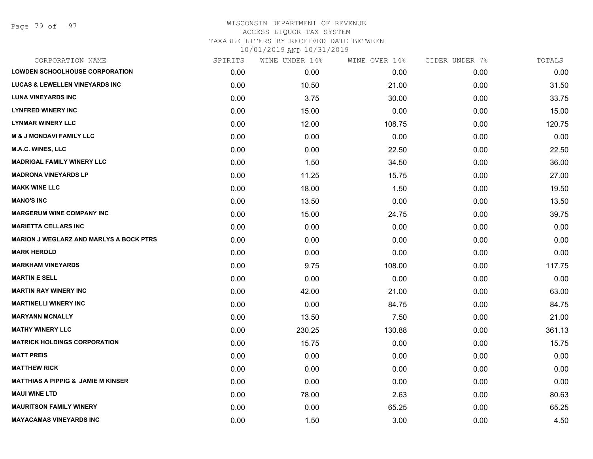Page 79 of 97

| CORPORATION NAME                               | SPIRITS | WINE UNDER 14% | WINE OVER 14% | CIDER UNDER 7% | TOTALS |
|------------------------------------------------|---------|----------------|---------------|----------------|--------|
| LOWDEN SCHOOLHOUSE CORPORATION                 | 0.00    | 0.00           | 0.00          | 0.00           | 0.00   |
| <b>LUCAS &amp; LEWELLEN VINEYARDS INC</b>      | 0.00    | 10.50          | 21.00         | 0.00           | 31.50  |
| <b>LUNA VINEYARDS INC</b>                      | 0.00    | 3.75           | 30.00         | 0.00           | 33.75  |
| <b>LYNFRED WINERY INC</b>                      | 0.00    | 15.00          | 0.00          | 0.00           | 15.00  |
| <b>LYNMAR WINERY LLC</b>                       | 0.00    | 12.00          | 108.75        | 0.00           | 120.75 |
| <b>M &amp; J MONDAVI FAMILY LLC</b>            | 0.00    | 0.00           | 0.00          | 0.00           | 0.00   |
| <b>M.A.C. WINES, LLC</b>                       | 0.00    | 0.00           | 22.50         | 0.00           | 22.50  |
| <b>MADRIGAL FAMILY WINERY LLC</b>              | 0.00    | 1.50           | 34.50         | 0.00           | 36.00  |
| <b>MADRONA VINEYARDS LP</b>                    | 0.00    | 11.25          | 15.75         | 0.00           | 27.00  |
| <b>MAKK WINE LLC</b>                           | 0.00    | 18.00          | 1.50          | 0.00           | 19.50  |
| <b>MANO'S INC</b>                              | 0.00    | 13.50          | 0.00          | 0.00           | 13.50  |
| <b>MARGERUM WINE COMPANY INC</b>               | 0.00    | 15.00          | 24.75         | 0.00           | 39.75  |
| <b>MARIETTA CELLARS INC</b>                    | 0.00    | 0.00           | 0.00          | 0.00           | 0.00   |
| <b>MARION J WEGLARZ AND MARLYS A BOCK PTRS</b> | 0.00    | 0.00           | 0.00          | 0.00           | 0.00   |
| <b>MARK HEROLD</b>                             | 0.00    | 0.00           | 0.00          | 0.00           | 0.00   |
| <b>MARKHAM VINEYARDS</b>                       | 0.00    | 9.75           | 108.00        | 0.00           | 117.75 |
| <b>MARTIN E SELL</b>                           | 0.00    | 0.00           | 0.00          | 0.00           | 0.00   |
| <b>MARTIN RAY WINERY INC</b>                   | 0.00    | 42.00          | 21.00         | 0.00           | 63.00  |
| <b>MARTINELLI WINERY INC</b>                   | 0.00    | 0.00           | 84.75         | 0.00           | 84.75  |
| <b>MARYANN MCNALLY</b>                         | 0.00    | 13.50          | 7.50          | 0.00           | 21.00  |
| <b>MATHY WINERY LLC</b>                        | 0.00    | 230.25         | 130.88        | 0.00           | 361.13 |
| <b>MATRICK HOLDINGS CORPORATION</b>            | 0.00    | 15.75          | 0.00          | 0.00           | 15.75  |
| <b>MATT PREIS</b>                              | 0.00    | 0.00           | 0.00          | 0.00           | 0.00   |
| <b>MATTHEW RICK</b>                            | 0.00    | 0.00           | 0.00          | 0.00           | 0.00   |
| <b>MATTHIAS A PIPPIG &amp; JAMIE M KINSER</b>  | 0.00    | 0.00           | 0.00          | 0.00           | 0.00   |
| <b>MAUI WINE LTD</b>                           | 0.00    | 78.00          | 2.63          | 0.00           | 80.63  |
| <b>MAURITSON FAMILY WINERY</b>                 | 0.00    | 0.00           | 65.25         | 0.00           | 65.25  |
| <b>MAYACAMAS VINEYARDS INC</b>                 | 0.00    | 1.50           | 3.00          | 0.00           | 4.50   |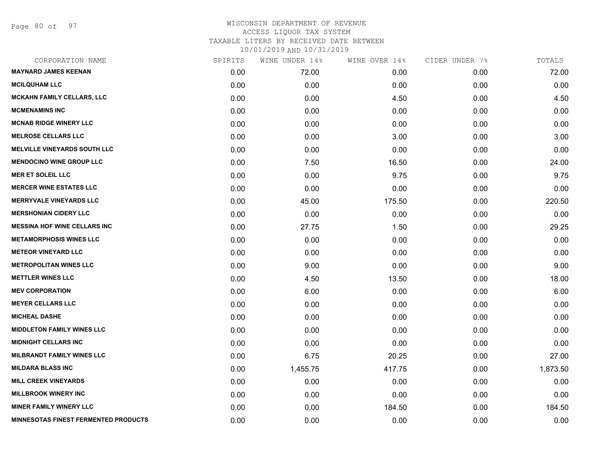Page 80 of 97

| SPIRITS | WINE UNDER 14% | WINE OVER 14% | CIDER UNDER 7% | TOTALS   |
|---------|----------------|---------------|----------------|----------|
| 0.00    | 72.00          | 0.00          | 0.00           | 72.00    |
| 0.00    | 0.00           | 0.00          | 0.00           | 0.00     |
| 0.00    | 0.00           | 4.50          | 0.00           | 4.50     |
| 0.00    | 0.00           | 0.00          | 0.00           | 0.00     |
| 0.00    | 0.00           | 0.00          | 0.00           | 0.00     |
| 0.00    | 0.00           | 3.00          | 0.00           | 3.00     |
| 0.00    | 0.00           | 0.00          | 0.00           | 0.00     |
| 0.00    | 7.50           | 16.50         | 0.00           | 24.00    |
| 0.00    | 0.00           | 9.75          | 0.00           | 9.75     |
| 0.00    | 0.00           | 0.00          | 0.00           | 0.00     |
| 0.00    | 45.00          | 175.50        | 0.00           | 220.50   |
| 0.00    | 0.00           | 0.00          | 0.00           | 0.00     |
| 0.00    | 27.75          | 1.50          | 0.00           | 29.25    |
| 0.00    | 0.00           | 0.00          | 0.00           | 0.00     |
| 0.00    | 0.00           | 0.00          | 0.00           | 0.00     |
| 0.00    | 9.00           | 0.00          | 0.00           | 9.00     |
| 0.00    | 4.50           | 13.50         | 0.00           | 18.00    |
| 0.00    | 6.00           | 0.00          | 0.00           | 6.00     |
| 0.00    | 0.00           | 0.00          | 0.00           | 0.00     |
| 0.00    | 0.00           | 0.00          | 0.00           | 0.00     |
| 0.00    | 0.00           | 0.00          | 0.00           | 0.00     |
| 0.00    | 0.00           | 0.00          | 0.00           | 0.00     |
| 0.00    | 6.75           | 20.25         | 0.00           | 27.00    |
| 0.00    | 1,455.75       | 417.75        | 0.00           | 1,873.50 |
| 0.00    | 0.00           | 0.00          | 0.00           | 0.00     |
| 0.00    | 0.00           | 0.00          | 0.00           | 0.00     |
| 0.00    | 0.00           | 184.50        | 0.00           | 184.50   |
| 0.00    | 0.00           | 0.00          | 0.00           | 0.00     |
|         |                |               |                |          |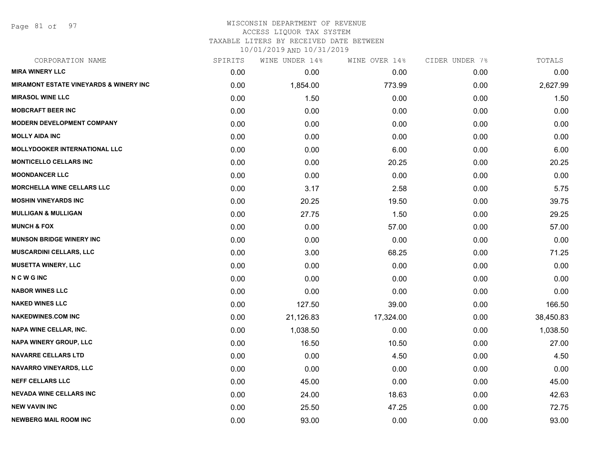Page 81 of 97

#### WISCONSIN DEPARTMENT OF REVENUE ACCESS LIQUOR TAX SYSTEM

TAXABLE LITERS BY RECEIVED DATE BETWEEN

| CORPORATION NAME                                  | SPIRITS | WINE UNDER 14% | WINE OVER 14% | CIDER UNDER 7% | TOTALS    |
|---------------------------------------------------|---------|----------------|---------------|----------------|-----------|
| <b>MIRA WINERY LLC</b>                            | 0.00    | 0.00           | 0.00          | 0.00           | 0.00      |
| <b>MIRAMONT ESTATE VINEYARDS &amp; WINERY INC</b> | 0.00    | 1,854.00       | 773.99        | 0.00           | 2,627.99  |
| <b>MIRASOL WINE LLC</b>                           | 0.00    | 1.50           | 0.00          | 0.00           | 1.50      |
| <b>MOBCRAFT BEER INC</b>                          | 0.00    | 0.00           | 0.00          | 0.00           | 0.00      |
| <b>MODERN DEVELOPMENT COMPANY</b>                 | 0.00    | 0.00           | 0.00          | 0.00           | 0.00      |
| <b>MOLLY AIDA INC</b>                             | 0.00    | 0.00           | 0.00          | 0.00           | 0.00      |
| <b>MOLLYDOOKER INTERNATIONAL LLC</b>              | 0.00    | 0.00           | 6.00          | 0.00           | 6.00      |
| <b>MONTICELLO CELLARS INC</b>                     | 0.00    | 0.00           | 20.25         | 0.00           | 20.25     |
| <b>MOONDANCER LLC</b>                             | 0.00    | 0.00           | 0.00          | 0.00           | 0.00      |
| <b>MORCHELLA WINE CELLARS LLC</b>                 | 0.00    | 3.17           | 2.58          | 0.00           | 5.75      |
| <b>MOSHIN VINEYARDS INC</b>                       | 0.00    | 20.25          | 19.50         | 0.00           | 39.75     |
| <b>MULLIGAN &amp; MULLIGAN</b>                    | 0.00    | 27.75          | 1.50          | 0.00           | 29.25     |
| <b>MUNCH &amp; FOX</b>                            | 0.00    | 0.00           | 57.00         | 0.00           | 57.00     |
| <b>MUNSON BRIDGE WINERY INC</b>                   | 0.00    | 0.00           | 0.00          | 0.00           | 0.00      |
| <b>MUSCARDINI CELLARS, LLC</b>                    | 0.00    | 3.00           | 68.25         | 0.00           | 71.25     |
| <b>MUSETTA WINERY, LLC</b>                        | 0.00    | 0.00           | 0.00          | 0.00           | 0.00      |
| <b>NCWGINC</b>                                    | 0.00    | 0.00           | 0.00          | 0.00           | 0.00      |
| <b>NABOR WINES LLC</b>                            | 0.00    | 0.00           | 0.00          | 0.00           | 0.00      |
| <b>NAKED WINES LLC</b>                            | 0.00    | 127.50         | 39.00         | 0.00           | 166.50    |
| <b>NAKEDWINES.COM INC</b>                         | 0.00    | 21,126.83      | 17,324.00     | 0.00           | 38,450.83 |
| <b>NAPA WINE CELLAR, INC.</b>                     | 0.00    | 1,038.50       | 0.00          | 0.00           | 1,038.50  |
| NAPA WINERY GROUP, LLC                            | 0.00    | 16.50          | 10.50         | 0.00           | 27.00     |
| <b>NAVARRE CELLARS LTD</b>                        | 0.00    | 0.00           | 4.50          | 0.00           | 4.50      |
| NAVARRO VINEYARDS, LLC                            | 0.00    | 0.00           | 0.00          | 0.00           | 0.00      |
| <b>NEFF CELLARS LLC</b>                           | 0.00    | 45.00          | 0.00          | 0.00           | 45.00     |
| <b>NEVADA WINE CELLARS INC</b>                    | 0.00    | 24.00          | 18.63         | 0.00           | 42.63     |
| <b>NEW VAVIN INC</b>                              | 0.00    | 25.50          | 47.25         | 0.00           | 72.75     |
| <b>NEWBERG MAIL ROOM INC</b>                      | 0.00    | 93.00          | 0.00          | 0.00           | 93.00     |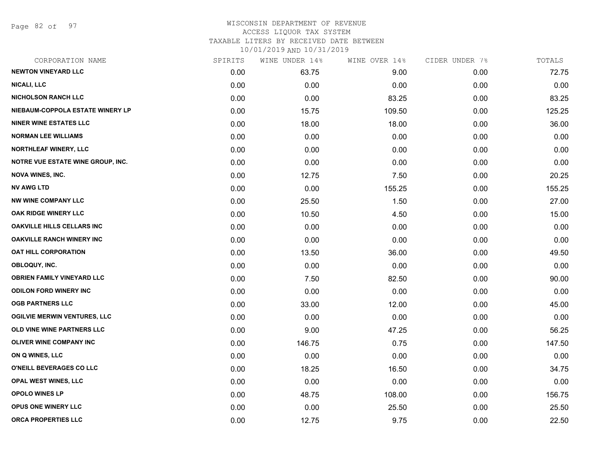Page 82 of 97

### WISCONSIN DEPARTMENT OF REVENUE ACCESS LIQUOR TAX SYSTEM TAXABLE LITERS BY RECEIVED DATE BETWEEN

| CORPORATION NAME                    | SPIRITS | WINE UNDER 14% | WINE OVER 14% | CIDER UNDER 7% | TOTALS |
|-------------------------------------|---------|----------------|---------------|----------------|--------|
| <b>NEWTON VINEYARD LLC</b>          | 0.00    | 63.75          | 9.00          | 0.00           | 72.75  |
| <b>NICALI, LLC</b>                  | 0.00    | 0.00           | 0.00          | 0.00           | 0.00   |
| <b>NICHOLSON RANCH LLC</b>          | 0.00    | 0.00           | 83.25         | 0.00           | 83.25  |
| NIEBAUM-COPPOLA ESTATE WINERY LP    | 0.00    | 15.75          | 109.50        | 0.00           | 125.25 |
| <b>NINER WINE ESTATES LLC</b>       | 0.00    | 18.00          | 18.00         | 0.00           | 36.00  |
| <b>NORMAN LEE WILLIAMS</b>          | 0.00    | 0.00           | 0.00          | 0.00           | 0.00   |
| NORTHLEAF WINERY, LLC               | 0.00    | 0.00           | 0.00          | 0.00           | 0.00   |
| NOTRE VUE ESTATE WINE GROUP, INC.   | 0.00    | 0.00           | 0.00          | 0.00           | 0.00   |
| <b>NOVA WINES, INC.</b>             | 0.00    | 12.75          | 7.50          | 0.00           | 20.25  |
| <b>NV AWG LTD</b>                   | 0.00    | 0.00           | 155.25        | 0.00           | 155.25 |
| <b>NW WINE COMPANY LLC</b>          | 0.00    | 25.50          | 1.50          | 0.00           | 27.00  |
| OAK RIDGE WINERY LLC                | 0.00    | 10.50          | 4.50          | 0.00           | 15.00  |
| <b>OAKVILLE HILLS CELLARS INC</b>   | 0.00    | 0.00           | 0.00          | 0.00           | 0.00   |
| <b>OAKVILLE RANCH WINERY INC</b>    | 0.00    | 0.00           | 0.00          | 0.00           | 0.00   |
| <b>OAT HILL CORPORATION</b>         | 0.00    | 13.50          | 36.00         | 0.00           | 49.50  |
| OBLOQUY, INC.                       | 0.00    | 0.00           | 0.00          | 0.00           | 0.00   |
| <b>OBRIEN FAMILY VINEYARD LLC</b>   | 0.00    | 7.50           | 82.50         | 0.00           | 90.00  |
| <b>ODILON FORD WINERY INC</b>       | 0.00    | 0.00           | 0.00          | 0.00           | 0.00   |
| <b>OGB PARTNERS LLC</b>             | 0.00    | 33.00          | 12.00         | 0.00           | 45.00  |
| <b>OGILVIE MERWIN VENTURES, LLC</b> | 0.00    | 0.00           | 0.00          | 0.00           | 0.00   |
| OLD VINE WINE PARTNERS LLC          | 0.00    | 9.00           | 47.25         | 0.00           | 56.25  |
| OLIVER WINE COMPANY INC             | 0.00    | 146.75         | 0.75          | 0.00           | 147.50 |
| ON Q WINES, LLC                     | 0.00    | 0.00           | 0.00          | 0.00           | 0.00   |
| O'NEILL BEVERAGES CO LLC            | 0.00    | 18.25          | 16.50         | 0.00           | 34.75  |
| OPAL WEST WINES, LLC                | 0.00    | 0.00           | 0.00          | 0.00           | 0.00   |
| <b>OPOLO WINES LP</b>               | 0.00    | 48.75          | 108.00        | 0.00           | 156.75 |
| OPUS ONE WINERY LLC                 | 0.00    | 0.00           | 25.50         | 0.00           | 25.50  |
| ORCA PROPERTIES LLC                 | 0.00    | 12.75          | 9.75          | 0.00           | 22.50  |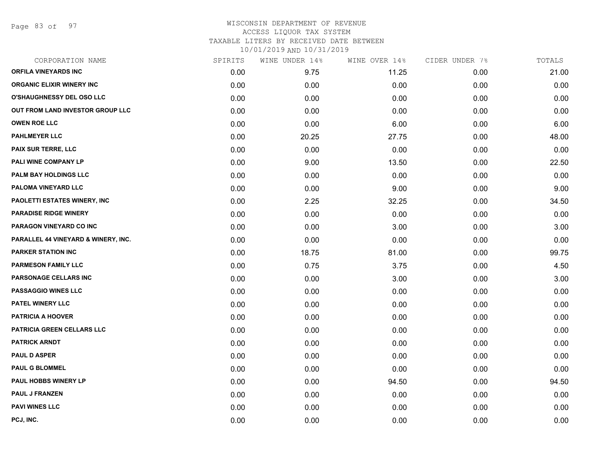Page 83 of 97

#### WISCONSIN DEPARTMENT OF REVENUE ACCESS LIQUOR TAX SYSTEM TAXABLE LITERS BY RECEIVED DATE BETWEEN

| CORPORATION NAME                    | SPIRITS | WINE UNDER 14% | WINE OVER 14% | CIDER UNDER 7% | TOTALS |
|-------------------------------------|---------|----------------|---------------|----------------|--------|
| ORFILA VINEYARDS INC                | 0.00    | 9.75           | 11.25         | 0.00           | 21.00  |
| <b>ORGANIC ELIXIR WINERY INC</b>    | 0.00    | 0.00           | 0.00          | 0.00           | 0.00   |
| O'SHAUGHNESSY DEL OSO LLC           | 0.00    | 0.00           | 0.00          | 0.00           | 0.00   |
| OUT FROM LAND INVESTOR GROUP LLC    | 0.00    | 0.00           | 0.00          | 0.00           | 0.00   |
| <b>OWEN ROE LLC</b>                 | 0.00    | 0.00           | 6.00          | 0.00           | 6.00   |
| <b>PAHLMEYER LLC</b>                | 0.00    | 20.25          | 27.75         | 0.00           | 48.00  |
| PAIX SUR TERRE, LLC                 | 0.00    | 0.00           | 0.00          | 0.00           | 0.00   |
| PALI WINE COMPANY LP                | 0.00    | 9.00           | 13.50         | 0.00           | 22.50  |
| PALM BAY HOLDINGS LLC               | 0.00    | 0.00           | 0.00          | 0.00           | 0.00   |
| PALOMA VINEYARD LLC                 | 0.00    | 0.00           | 9.00          | 0.00           | 9.00   |
| <b>PAOLETTI ESTATES WINERY, INC</b> | 0.00    | 2.25           | 32.25         | 0.00           | 34.50  |
| <b>PARADISE RIDGE WINERY</b>        | 0.00    | 0.00           | 0.00          | 0.00           | 0.00   |
| PARAGON VINEYARD CO INC             | 0.00    | 0.00           | 3.00          | 0.00           | 3.00   |
| PARALLEL 44 VINEYARD & WINERY, INC. | 0.00    | 0.00           | 0.00          | 0.00           | 0.00   |
| <b>PARKER STATION INC</b>           | 0.00    | 18.75          | 81.00         | 0.00           | 99.75  |
| <b>PARMESON FAMILY LLC</b>          | 0.00    | 0.75           | 3.75          | 0.00           | 4.50   |
| PARSONAGE CELLARS INC               | 0.00    | 0.00           | 3.00          | 0.00           | 3.00   |
| <b>PASSAGGIO WINES LLC</b>          | 0.00    | 0.00           | 0.00          | 0.00           | 0.00   |
| PATEL WINERY LLC                    | 0.00    | 0.00           | 0.00          | 0.00           | 0.00   |
| <b>PATRICIA A HOOVER</b>            | 0.00    | 0.00           | 0.00          | 0.00           | 0.00   |
| <b>PATRICIA GREEN CELLARS LLC</b>   | 0.00    | 0.00           | 0.00          | 0.00           | 0.00   |
| <b>PATRICK ARNDT</b>                | 0.00    | 0.00           | 0.00          | 0.00           | 0.00   |
| <b>PAUL D ASPER</b>                 | 0.00    | 0.00           | 0.00          | 0.00           | 0.00   |
| <b>PAUL G BLOMMEL</b>               | 0.00    | 0.00           | 0.00          | 0.00           | 0.00   |
| <b>PAUL HOBBS WINERY LP</b>         | 0.00    | 0.00           | 94.50         | 0.00           | 94.50  |
| <b>PAUL J FRANZEN</b>               | 0.00    | 0.00           | 0.00          | 0.00           | 0.00   |
| <b>PAVI WINES LLC</b>               | 0.00    | 0.00           | 0.00          | 0.00           | 0.00   |
| PCJ, INC.                           | 0.00    | 0.00           | 0.00          | 0.00           | 0.00   |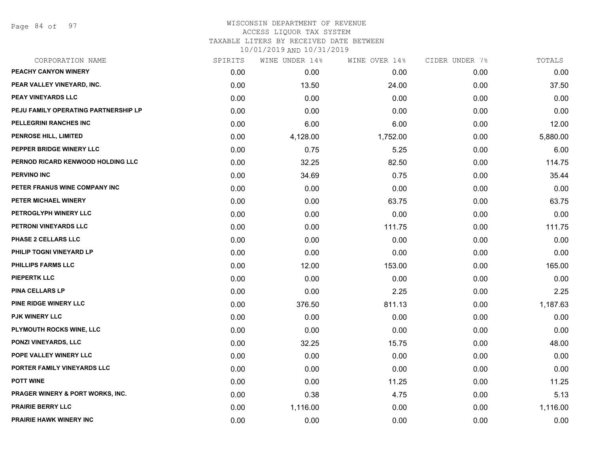Page 84 of 97

#### WISCONSIN DEPARTMENT OF REVENUE ACCESS LIQUOR TAX SYSTEM TAXABLE LITERS BY RECEIVED DATE BETWEEN

| CORPORATION NAME                            | SPIRITS | WINE UNDER 14% | WINE OVER 14% | CIDER UNDER 7% | TOTALS   |
|---------------------------------------------|---------|----------------|---------------|----------------|----------|
| PEACHY CANYON WINERY                        | 0.00    | 0.00           | 0.00          | 0.00           | 0.00     |
| PEAR VALLEY VINEYARD, INC.                  | 0.00    | 13.50          | 24.00         | 0.00           | 37.50    |
| <b>PEAY VINEYARDS LLC</b>                   | 0.00    | 0.00           | 0.00          | 0.00           | 0.00     |
| PEJU FAMILY OPERATING PARTNERSHIP LP        | 0.00    | 0.00           | 0.00          | 0.00           | 0.00     |
| PELLEGRINI RANCHES INC                      | 0.00    | 6.00           | 6.00          | 0.00           | 12.00    |
| PENROSE HILL, LIMITED                       | 0.00    | 4,128.00       | 1,752.00      | 0.00           | 5,880.00 |
| PEPPER BRIDGE WINERY LLC                    | 0.00    | 0.75           | 5.25          | 0.00           | 6.00     |
| PERNOD RICARD KENWOOD HOLDING LLC           | 0.00    | 32.25          | 82.50         | 0.00           | 114.75   |
| <b>PERVINO INC</b>                          | 0.00    | 34.69          | 0.75          | 0.00           | 35.44    |
| PETER FRANUS WINE COMPANY INC               | 0.00    | 0.00           | 0.00          | 0.00           | 0.00     |
| PETER MICHAEL WINERY                        | 0.00    | 0.00           | 63.75         | 0.00           | 63.75    |
| PETROGLYPH WINERY LLC                       | 0.00    | 0.00           | 0.00          | 0.00           | 0.00     |
| PETRONI VINEYARDS LLC                       | 0.00    | 0.00           | 111.75        | 0.00           | 111.75   |
| <b>PHASE 2 CELLARS LLC</b>                  | 0.00    | 0.00           | 0.00          | 0.00           | 0.00     |
| PHILIP TOGNI VINEYARD LP                    | 0.00    | 0.00           | 0.00          | 0.00           | 0.00     |
| <b>PHILLIPS FARMS LLC</b>                   | 0.00    | 12.00          | 153.00        | 0.00           | 165.00   |
| <b>PIEPERTK LLC</b>                         | 0.00    | 0.00           | 0.00          | 0.00           | 0.00     |
| <b>PINA CELLARS LP</b>                      | 0.00    | 0.00           | 2.25          | 0.00           | 2.25     |
| <b>PINE RIDGE WINERY LLC</b>                | 0.00    | 376.50         | 811.13        | 0.00           | 1,187.63 |
| <b>PJK WINERY LLC</b>                       | 0.00    | 0.00           | 0.00          | 0.00           | 0.00     |
| <b>PLYMOUTH ROCKS WINE, LLC</b>             | 0.00    | 0.00           | 0.00          | 0.00           | 0.00     |
| PONZI VINEYARDS, LLC                        | 0.00    | 32.25          | 15.75         | 0.00           | 48.00    |
| POPE VALLEY WINERY LLC                      | 0.00    | 0.00           | 0.00          | 0.00           | 0.00     |
| PORTER FAMILY VINEYARDS LLC                 | 0.00    | 0.00           | 0.00          | 0.00           | 0.00     |
| <b>POTT WINE</b>                            | 0.00    | 0.00           | 11.25         | 0.00           | 11.25    |
| <b>PRAGER WINERY &amp; PORT WORKS, INC.</b> | 0.00    | 0.38           | 4.75          | 0.00           | 5.13     |
| <b>PRAIRIE BERRY LLC</b>                    | 0.00    | 1,116.00       | 0.00          | 0.00           | 1,116.00 |
| <b>PRAIRIE HAWK WINERY INC</b>              | 0.00    | 0.00           | 0.00          | 0.00           | 0.00     |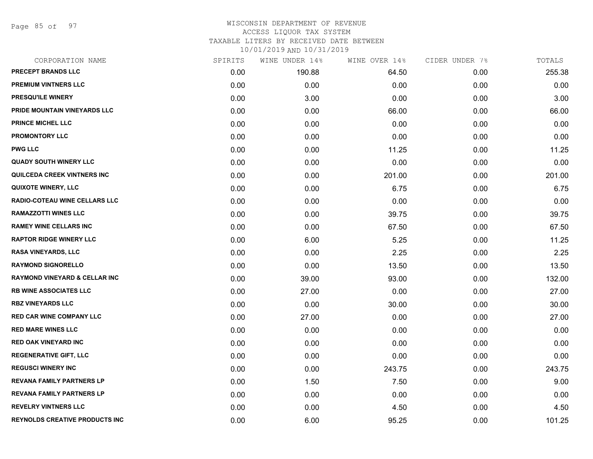Page 85 of 97

#### WISCONSIN DEPARTMENT OF REVENUE ACCESS LIQUOR TAX SYSTEM TAXABLE LITERS BY RECEIVED DATE BETWEEN

| CORPORATION NAME                         | SPIRITS | WINE UNDER 14% | WINE OVER 14% | CIDER UNDER 7% | TOTALS |
|------------------------------------------|---------|----------------|---------------|----------------|--------|
| <b>PRECEPT BRANDS LLC</b>                | 0.00    | 190.88         | 64.50         | 0.00           | 255.38 |
| <b>PREMIUM VINTNERS LLC</b>              | 0.00    | 0.00           | 0.00          | 0.00           | 0.00   |
| PRESQU'ILE WINERY                        | 0.00    | 3.00           | 0.00          | 0.00           | 3.00   |
| PRIDE MOUNTAIN VINEYARDS LLC             | 0.00    | 0.00           | 66.00         | 0.00           | 66.00  |
| <b>PRINCE MICHEL LLC</b>                 | 0.00    | 0.00           | 0.00          | 0.00           | 0.00   |
| <b>PROMONTORY LLC</b>                    | 0.00    | 0.00           | 0.00          | 0.00           | 0.00   |
| <b>PWG LLC</b>                           | 0.00    | 0.00           | 11.25         | 0.00           | 11.25  |
| <b>QUADY SOUTH WINERY LLC</b>            | 0.00    | 0.00           | 0.00          | 0.00           | 0.00   |
| <b>QUILCEDA CREEK VINTNERS INC</b>       | 0.00    | 0.00           | 201.00        | 0.00           | 201.00 |
| <b>QUIXOTE WINERY, LLC</b>               | 0.00    | 0.00           | 6.75          | 0.00           | 6.75   |
| RADIO-COTEAU WINE CELLARS LLC            | 0.00    | 0.00           | 0.00          | 0.00           | 0.00   |
| <b>RAMAZZOTTI WINES LLC</b>              | 0.00    | 0.00           | 39.75         | 0.00           | 39.75  |
| <b>RAMEY WINE CELLARS INC</b>            | 0.00    | 0.00           | 67.50         | 0.00           | 67.50  |
| <b>RAPTOR RIDGE WINERY LLC</b>           | 0.00    | 6.00           | 5.25          | 0.00           | 11.25  |
| <b>RASA VINEYARDS, LLC</b>               | 0.00    | 0.00           | 2.25          | 0.00           | 2.25   |
| <b>RAYMOND SIGNORELLO</b>                | 0.00    | 0.00           | 13.50         | 0.00           | 13.50  |
| <b>RAYMOND VINEYARD &amp; CELLAR INC</b> | 0.00    | 39.00          | 93.00         | 0.00           | 132.00 |
| <b>RB WINE ASSOCIATES LLC</b>            | 0.00    | 27.00          | 0.00          | 0.00           | 27.00  |
| <b>RBZ VINEYARDS LLC</b>                 | 0.00    | 0.00           | 30.00         | 0.00           | 30.00  |
| <b>RED CAR WINE COMPANY LLC</b>          | 0.00    | 27.00          | 0.00          | 0.00           | 27.00  |
| <b>RED MARE WINES LLC</b>                | 0.00    | 0.00           | 0.00          | 0.00           | 0.00   |
| <b>RED OAK VINEYARD INC</b>              | 0.00    | 0.00           | 0.00          | 0.00           | 0.00   |
| <b>REGENERATIVE GIFT, LLC</b>            | 0.00    | 0.00           | 0.00          | 0.00           | 0.00   |
| <b>REGUSCI WINERY INC</b>                | 0.00    | 0.00           | 243.75        | 0.00           | 243.75 |
| <b>REVANA FAMILY PARTNERS LP</b>         | 0.00    | 1.50           | 7.50          | 0.00           | 9.00   |
| <b>REVANA FAMILY PARTNERS LP</b>         | 0.00    | 0.00           | 0.00          | 0.00           | 0.00   |
| REVELRY VINTNERS LLC                     | 0.00    | 0.00           | 4.50          | 0.00           | 4.50   |
| <b>REYNOLDS CREATIVE PRODUCTS INC</b>    | 0.00    | 6.00           | 95.25         | 0.00           | 101.25 |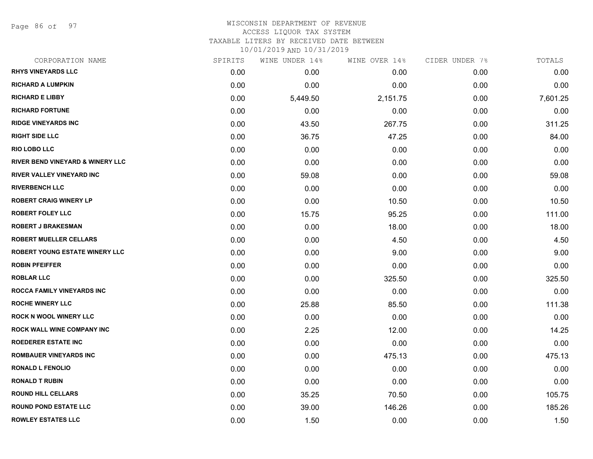Page 86 of 97

#### WISCONSIN DEPARTMENT OF REVENUE ACCESS LIQUOR TAX SYSTEM

TAXABLE LITERS BY RECEIVED DATE BETWEEN

| CORPORATION NAME                            | SPIRITS | WINE UNDER 14% | WINE OVER 14% | CIDER UNDER 7% | TOTALS   |
|---------------------------------------------|---------|----------------|---------------|----------------|----------|
| <b>RHYS VINEYARDS LLC</b>                   | 0.00    | 0.00           | 0.00          | 0.00           | 0.00     |
| <b>RICHARD A LUMPKIN</b>                    | 0.00    | 0.00           | 0.00          | 0.00           | 0.00     |
| <b>RICHARD E LIBBY</b>                      | 0.00    | 5,449.50       | 2,151.75      | 0.00           | 7,601.25 |
| <b>RICHARD FORTUNE</b>                      | 0.00    | 0.00           | 0.00          | 0.00           | 0.00     |
| <b>RIDGE VINEYARDS INC</b>                  | 0.00    | 43.50          | 267.75        | 0.00           | 311.25   |
| <b>RIGHT SIDE LLC</b>                       | 0.00    | 36.75          | 47.25         | 0.00           | 84.00    |
| <b>RIO LOBO LLC</b>                         | 0.00    | 0.00           | 0.00          | 0.00           | 0.00     |
| <b>RIVER BEND VINEYARD &amp; WINERY LLC</b> | 0.00    | 0.00           | 0.00          | 0.00           | 0.00     |
| <b>RIVER VALLEY VINEYARD INC</b>            | 0.00    | 59.08          | 0.00          | 0.00           | 59.08    |
| <b>RIVERBENCH LLC</b>                       | 0.00    | 0.00           | 0.00          | 0.00           | 0.00     |
| <b>ROBERT CRAIG WINERY LP</b>               | 0.00    | 0.00           | 10.50         | 0.00           | 10.50    |
| <b>ROBERT FOLEY LLC</b>                     | 0.00    | 15.75          | 95.25         | 0.00           | 111.00   |
| <b>ROBERT J BRAKESMAN</b>                   | 0.00    | 0.00           | 18.00         | 0.00           | 18.00    |
| <b>ROBERT MUELLER CELLARS</b>               | 0.00    | 0.00           | 4.50          | 0.00           | 4.50     |
| <b>ROBERT YOUNG ESTATE WINERY LLC</b>       | 0.00    | 0.00           | 9.00          | 0.00           | 9.00     |
| <b>ROBIN PFEIFFER</b>                       | 0.00    | 0.00           | 0.00          | 0.00           | 0.00     |
| <b>ROBLAR LLC</b>                           | 0.00    | 0.00           | 325.50        | 0.00           | 325.50   |
| <b>ROCCA FAMILY VINEYARDS INC</b>           | 0.00    | 0.00           | 0.00          | 0.00           | 0.00     |
| <b>ROCHE WINERY LLC</b>                     | 0.00    | 25.88          | 85.50         | 0.00           | 111.38   |
| <b>ROCK N WOOL WINERY LLC</b>               | 0.00    | 0.00           | 0.00          | 0.00           | 0.00     |
| ROCK WALL WINE COMPANY INC                  | 0.00    | 2.25           | 12.00         | 0.00           | 14.25    |
| <b>ROEDERER ESTATE INC</b>                  | 0.00    | 0.00           | 0.00          | 0.00           | 0.00     |
| <b>ROMBAUER VINEYARDS INC</b>               | 0.00    | 0.00           | 475.13        | 0.00           | 475.13   |
| <b>RONALD L FENOLIO</b>                     | 0.00    | 0.00           | 0.00          | 0.00           | 0.00     |
| <b>RONALD T RUBIN</b>                       | 0.00    | 0.00           | 0.00          | 0.00           | 0.00     |
| <b>ROUND HILL CELLARS</b>                   | 0.00    | 35.25          | 70.50         | 0.00           | 105.75   |
| <b>ROUND POND ESTATE LLC</b>                | 0.00    | 39.00          | 146.26        | 0.00           | 185.26   |
| <b>ROWLEY ESTATES LLC</b>                   | 0.00    | 1.50           | 0.00          | 0.00           | 1.50     |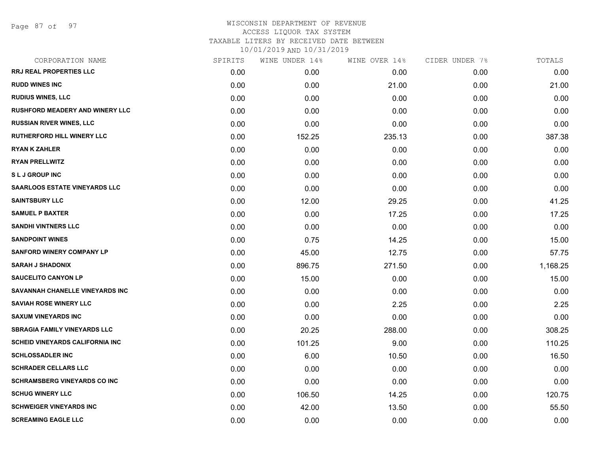Page 87 of 97

| CORPORATION NAME                       | SPIRITS | WINE UNDER 14% | WINE OVER 14% | CIDER UNDER 7% | TOTALS   |
|----------------------------------------|---------|----------------|---------------|----------------|----------|
| <b>RRJ REAL PROPERTIES LLC</b>         | 0.00    | 0.00           | 0.00          | 0.00           | 0.00     |
| <b>RUDD WINES INC</b>                  | 0.00    | 0.00           | 21.00         | 0.00           | 21.00    |
| <b>RUDIUS WINES, LLC</b>               | 0.00    | 0.00           | 0.00          | 0.00           | 0.00     |
| <b>RUSHFORD MEADERY AND WINERY LLC</b> | 0.00    | 0.00           | 0.00          | 0.00           | 0.00     |
| <b>RUSSIAN RIVER WINES, LLC</b>        | 0.00    | 0.00           | 0.00          | 0.00           | 0.00     |
| <b>RUTHERFORD HILL WINERY LLC</b>      | 0.00    | 152.25         | 235.13        | 0.00           | 387.38   |
| <b>RYAN K ZAHLER</b>                   | 0.00    | 0.00           | 0.00          | 0.00           | 0.00     |
| <b>RYAN PRELLWITZ</b>                  | 0.00    | 0.00           | 0.00          | 0.00           | 0.00     |
| <b>SLJ GROUP INC</b>                   | 0.00    | 0.00           | 0.00          | 0.00           | 0.00     |
| <b>SAARLOOS ESTATE VINEYARDS LLC</b>   | 0.00    | 0.00           | 0.00          | 0.00           | 0.00     |
| <b>SAINTSBURY LLC</b>                  | 0.00    | 12.00          | 29.25         | 0.00           | 41.25    |
| <b>SAMUEL P BAXTER</b>                 | 0.00    | 0.00           | 17.25         | 0.00           | 17.25    |
| <b>SANDHI VINTNERS LLC</b>             | 0.00    | 0.00           | 0.00          | 0.00           | 0.00     |
| <b>SANDPOINT WINES</b>                 | 0.00    | 0.75           | 14.25         | 0.00           | 15.00    |
| <b>SANFORD WINERY COMPANY LP</b>       | 0.00    | 45.00          | 12.75         | 0.00           | 57.75    |
| <b>SARAH J SHADONIX</b>                | 0.00    | 896.75         | 271.50        | 0.00           | 1,168.25 |
| <b>SAUCELITO CANYON LP</b>             | 0.00    | 15.00          | 0.00          | 0.00           | 15.00    |
| SAVANNAH CHANELLE VINEYARDS INC        | 0.00    | 0.00           | 0.00          | 0.00           | 0.00     |
| <b>SAVIAH ROSE WINERY LLC</b>          | 0.00    | 0.00           | 2.25          | 0.00           | 2.25     |
| <b>SAXUM VINEYARDS INC</b>             | 0.00    | 0.00           | 0.00          | 0.00           | 0.00     |
| <b>SBRAGIA FAMILY VINEYARDS LLC</b>    | 0.00    | 20.25          | 288.00        | 0.00           | 308.25   |
| <b>SCHEID VINEYARDS CALIFORNIA INC</b> | 0.00    | 101.25         | 9.00          | 0.00           | 110.25   |
| <b>SCHLOSSADLER INC</b>                | 0.00    | 6.00           | 10.50         | 0.00           | 16.50    |
| <b>SCHRADER CELLARS LLC</b>            | 0.00    | 0.00           | 0.00          | 0.00           | 0.00     |
| <b>SCHRAMSBERG VINEYARDS CO INC</b>    | 0.00    | 0.00           | 0.00          | 0.00           | 0.00     |
| <b>SCHUG WINERY LLC</b>                | 0.00    | 106.50         | 14.25         | 0.00           | 120.75   |
| <b>SCHWEIGER VINEYARDS INC</b>         | 0.00    | 42.00          | 13.50         | 0.00           | 55.50    |
| <b>SCREAMING EAGLE LLC</b>             | 0.00    | 0.00           | 0.00          | 0.00           | 0.00     |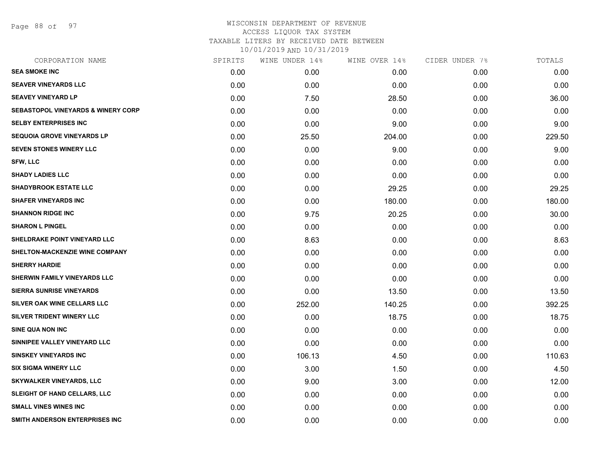Page 88 of 97

| SPIRITS | WINE UNDER 14% | WINE OVER 14% | CIDER UNDER 7% | TOTALS |
|---------|----------------|---------------|----------------|--------|
| 0.00    | 0.00           | 0.00          | 0.00           | 0.00   |
| 0.00    | 0.00           | 0.00          | 0.00           | 0.00   |
| 0.00    | 7.50           | 28.50         | 0.00           | 36.00  |
| 0.00    | 0.00           | 0.00          | 0.00           | 0.00   |
| 0.00    | 0.00           | 9.00          | 0.00           | 9.00   |
| 0.00    | 25.50          | 204.00        | 0.00           | 229.50 |
| 0.00    | 0.00           | 9.00          | 0.00           | 9.00   |
| 0.00    | 0.00           | 0.00          | 0.00           | 0.00   |
| 0.00    | 0.00           | 0.00          | 0.00           | 0.00   |
| 0.00    | 0.00           | 29.25         | 0.00           | 29.25  |
| 0.00    | 0.00           | 180.00        | 0.00           | 180.00 |
| 0.00    | 9.75           | 20.25         | 0.00           | 30.00  |
| 0.00    | 0.00           | 0.00          | 0.00           | 0.00   |
| 0.00    | 8.63           | 0.00          | 0.00           | 8.63   |
| 0.00    | 0.00           | 0.00          | 0.00           | 0.00   |
| 0.00    | 0.00           | 0.00          | 0.00           | 0.00   |
| 0.00    | 0.00           | 0.00          | 0.00           | 0.00   |
| 0.00    | 0.00           | 13.50         | 0.00           | 13.50  |
| 0.00    | 252.00         | 140.25        | 0.00           | 392.25 |
| 0.00    | 0.00           | 18.75         | 0.00           | 18.75  |
| 0.00    | 0.00           | 0.00          | 0.00           | 0.00   |
| 0.00    | 0.00           | 0.00          | 0.00           | 0.00   |
| 0.00    | 106.13         | 4.50          | 0.00           | 110.63 |
| 0.00    | 3.00           | 1.50          | 0.00           | 4.50   |
| 0.00    | 9.00           | 3.00          | 0.00           | 12.00  |
| 0.00    | 0.00           | 0.00          | 0.00           | 0.00   |
| 0.00    | 0.00           | 0.00          | 0.00           | 0.00   |
| 0.00    | 0.00           | 0.00          | 0.00           | 0.00   |
|         |                |               |                |        |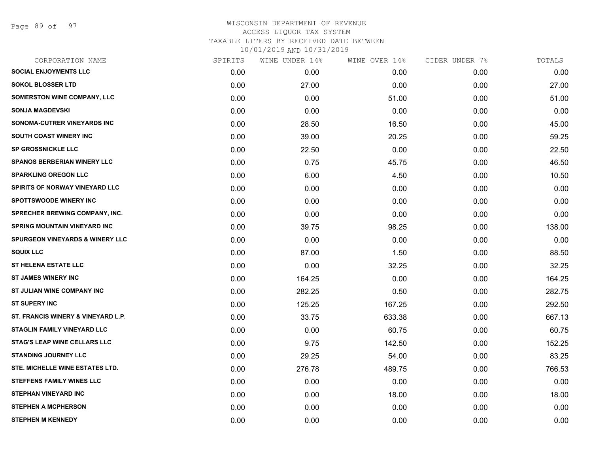Page 89 of 97

| CORPORATION NAME                           | SPIRITS | WINE UNDER 14% | WINE OVER 14% | CIDER UNDER 7% | TOTALS |
|--------------------------------------------|---------|----------------|---------------|----------------|--------|
| <b>SOCIAL ENJOYMENTS LLC</b>               | 0.00    | 0.00           | 0.00          | 0.00           | 0.00   |
| <b>SOKOL BLOSSER LTD</b>                   | 0.00    | 27.00          | 0.00          | 0.00           | 27.00  |
| <b>SOMERSTON WINE COMPANY, LLC</b>         | 0.00    | 0.00           | 51.00         | 0.00           | 51.00  |
| <b>SONJA MAGDEVSKI</b>                     | 0.00    | 0.00           | 0.00          | 0.00           | 0.00   |
| SONOMA-CUTRER VINEYARDS INC                | 0.00    | 28.50          | 16.50         | 0.00           | 45.00  |
| SOUTH COAST WINERY INC                     | 0.00    | 39.00          | 20.25         | 0.00           | 59.25  |
| <b>SP GROSSNICKLE LLC</b>                  | 0.00    | 22.50          | 0.00          | 0.00           | 22.50  |
| <b>SPANOS BERBERIAN WINERY LLC</b>         | 0.00    | 0.75           | 45.75         | 0.00           | 46.50  |
| <b>SPARKLING OREGON LLC</b>                | 0.00    | 6.00           | 4.50          | 0.00           | 10.50  |
| <b>SPIRITS OF NORWAY VINEYARD LLC</b>      | 0.00    | 0.00           | 0.00          | 0.00           | 0.00   |
| <b>SPOTTSWOODE WINERY INC</b>              | 0.00    | 0.00           | 0.00          | 0.00           | 0.00   |
| <b>SPRECHER BREWING COMPANY, INC.</b>      | 0.00    | 0.00           | 0.00          | 0.00           | 0.00   |
| <b>SPRING MOUNTAIN VINEYARD INC</b>        | 0.00    | 39.75          | 98.25         | 0.00           | 138.00 |
| <b>SPURGEON VINEYARDS &amp; WINERY LLC</b> | 0.00    | 0.00           | 0.00          | 0.00           | 0.00   |
| <b>SQUIX LLC</b>                           | 0.00    | 87.00          | 1.50          | 0.00           | 88.50  |
| <b>ST HELENA ESTATE LLC</b>                | 0.00    | 0.00           | 32.25         | 0.00           | 32.25  |
| <b>ST JAMES WINERY INC</b>                 | 0.00    | 164.25         | 0.00          | 0.00           | 164.25 |
| ST JULIAN WINE COMPANY INC                 | 0.00    | 282.25         | 0.50          | 0.00           | 282.75 |
| <b>ST SUPERY INC</b>                       | 0.00    | 125.25         | 167.25        | 0.00           | 292.50 |
| ST. FRANCIS WINERY & VINEYARD L.P.         | 0.00    | 33.75          | 633.38        | 0.00           | 667.13 |
| STAGLIN FAMILY VINEYARD LLC                | 0.00    | 0.00           | 60.75         | 0.00           | 60.75  |
| <b>STAG'S LEAP WINE CELLARS LLC</b>        | 0.00    | 9.75           | 142.50        | 0.00           | 152.25 |
| <b>STANDING JOURNEY LLC</b>                | 0.00    | 29.25          | 54.00         | 0.00           | 83.25  |
| STE. MICHELLE WINE ESTATES LTD.            | 0.00    | 276.78         | 489.75        | 0.00           | 766.53 |
| <b>STEFFENS FAMILY WINES LLC</b>           | 0.00    | 0.00           | 0.00          | 0.00           | 0.00   |
| <b>STEPHAN VINEYARD INC</b>                | 0.00    | 0.00           | 18.00         | 0.00           | 18.00  |
| <b>STEPHEN A MCPHERSON</b>                 | 0.00    | 0.00           | 0.00          | 0.00           | 0.00   |
| <b>STEPHEN M KENNEDY</b>                   | 0.00    | 0.00           | 0.00          | 0.00           | 0.00   |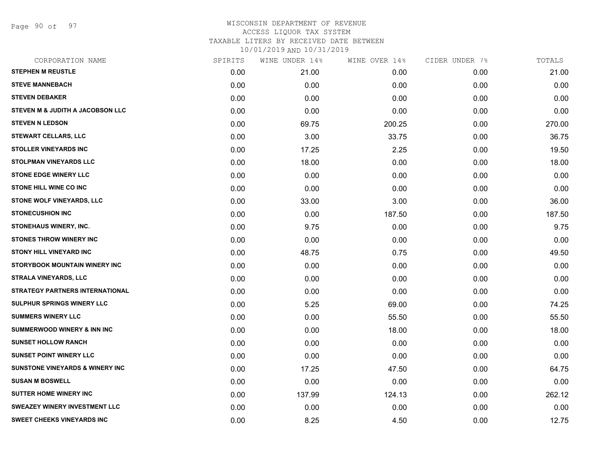Page 90 of 97

| CORPORATION NAME                            | SPIRITS | WINE UNDER 14% | WINE OVER 14% | CIDER UNDER 7% | TOTALS |
|---------------------------------------------|---------|----------------|---------------|----------------|--------|
| <b>STEPHEN M REUSTLE</b>                    | 0.00    | 21.00          | 0.00          | 0.00           | 21.00  |
| <b>STEVE MANNEBACH</b>                      | 0.00    | 0.00           | 0.00          | 0.00           | 0.00   |
| <b>STEVEN DEBAKER</b>                       | 0.00    | 0.00           | 0.00          | 0.00           | 0.00   |
| STEVEN M & JUDITH A JACOBSON LLC            | 0.00    | 0.00           | 0.00          | 0.00           | 0.00   |
| <b>STEVEN N LEDSON</b>                      | 0.00    | 69.75          | 200.25        | 0.00           | 270.00 |
| <b>STEWART CELLARS, LLC</b>                 | 0.00    | 3.00           | 33.75         | 0.00           | 36.75  |
| <b>STOLLER VINEYARDS INC</b>                | 0.00    | 17.25          | 2.25          | 0.00           | 19.50  |
| <b>STOLPMAN VINEYARDS LLC</b>               | 0.00    | 18.00          | 0.00          | 0.00           | 18.00  |
| <b>STONE EDGE WINERY LLC</b>                | 0.00    | 0.00           | 0.00          | 0.00           | 0.00   |
| <b>STONE HILL WINE CO INC</b>               | 0.00    | 0.00           | 0.00          | 0.00           | 0.00   |
| STONE WOLF VINEYARDS, LLC                   | 0.00    | 33.00          | 3.00          | 0.00           | 36.00  |
| <b>STONECUSHION INC</b>                     | 0.00    | 0.00           | 187.50        | 0.00           | 187.50 |
| STONEHAUS WINERY, INC.                      | 0.00    | 9.75           | 0.00          | 0.00           | 9.75   |
| <b>STONES THROW WINERY INC</b>              | 0.00    | 0.00           | 0.00          | 0.00           | 0.00   |
| <b>STONY HILL VINEYARD INC</b>              | 0.00    | 48.75          | 0.75          | 0.00           | 49.50  |
| STORYBOOK MOUNTAIN WINERY INC               | 0.00    | 0.00           | 0.00          | 0.00           | 0.00   |
| <b>STRALA VINEYARDS, LLC</b>                | 0.00    | 0.00           | 0.00          | 0.00           | 0.00   |
| STRATEGY PARTNERS INTERNATIONAL             | 0.00    | 0.00           | 0.00          | 0.00           | 0.00   |
| <b>SULPHUR SPRINGS WINERY LLC</b>           | 0.00    | 5.25           | 69.00         | 0.00           | 74.25  |
| <b>SUMMERS WINERY LLC</b>                   | 0.00    | 0.00           | 55.50         | 0.00           | 55.50  |
| <b>SUMMERWOOD WINERY &amp; INN INC</b>      | 0.00    | 0.00           | 18.00         | 0.00           | 18.00  |
| <b>SUNSET HOLLOW RANCH</b>                  | 0.00    | 0.00           | 0.00          | 0.00           | 0.00   |
| <b>SUNSET POINT WINERY LLC</b>              | 0.00    | 0.00           | 0.00          | 0.00           | 0.00   |
| <b>SUNSTONE VINEYARDS &amp; WINERY INC.</b> | 0.00    | 17.25          | 47.50         | 0.00           | 64.75  |
| <b>SUSAN M BOSWELL</b>                      | 0.00    | 0.00           | 0.00          | 0.00           | 0.00   |
| <b>SUTTER HOME WINERY INC</b>               | 0.00    | 137.99         | 124.13        | 0.00           | 262.12 |
| <b>SWEAZEY WINERY INVESTMENT LLC</b>        | 0.00    | 0.00           | 0.00          | 0.00           | 0.00   |
| <b>SWEET CHEEKS VINEYARDS INC</b>           | 0.00    | 8.25           | 4.50          | 0.00           | 12.75  |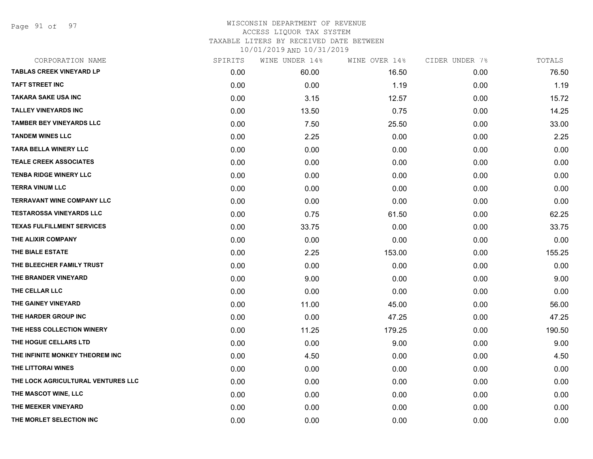Page 91 of 97

| CORPORATION NAME                   | SPIRITS | WINE UNDER 14% | WINE OVER 14% | CIDER UNDER 7% | TOTALS |
|------------------------------------|---------|----------------|---------------|----------------|--------|
| <b>TABLAS CREEK VINEYARD LP</b>    | 0.00    | 60.00          | 16.50         | 0.00           | 76.50  |
| <b>TAFT STREET INC</b>             | 0.00    | 0.00           | 1.19          | 0.00           | 1.19   |
| <b>TAKARA SAKE USA INC</b>         | 0.00    | 3.15           | 12.57         | 0.00           | 15.72  |
| <b>TALLEY VINEYARDS INC</b>        | 0.00    | 13.50          | 0.75          | 0.00           | 14.25  |
| <b>TAMBER BEY VINEYARDS LLC</b>    | 0.00    | 7.50           | 25.50         | 0.00           | 33.00  |
| <b>TANDEM WINES LLC</b>            | 0.00    | 2.25           | 0.00          | 0.00           | 2.25   |
| <b>TARA BELLA WINERY LLC</b>       | 0.00    | 0.00           | 0.00          | 0.00           | 0.00   |
| <b>TEALE CREEK ASSOCIATES</b>      | 0.00    | 0.00           | 0.00          | 0.00           | 0.00   |
| <b>TENBA RIDGE WINERY LLC</b>      | 0.00    | 0.00           | 0.00          | 0.00           | 0.00   |
| <b>TERRA VINUM LLC</b>             | 0.00    | 0.00           | 0.00          | 0.00           | 0.00   |
| <b>TERRAVANT WINE COMPANY LLC</b>  | 0.00    | 0.00           | 0.00          | 0.00           | 0.00   |
| <b>TESTAROSSA VINEYARDS LLC</b>    | 0.00    | 0.75           | 61.50         | 0.00           | 62.25  |
| <b>TEXAS FULFILLMENT SERVICES</b>  | 0.00    | 33.75          | 0.00          | 0.00           | 33.75  |
| THE ALIXIR COMPANY                 | 0.00    | 0.00           | 0.00          | 0.00           | 0.00   |
| THE BIALE ESTATE                   | 0.00    | 2.25           | 153.00        | 0.00           | 155.25 |
| THE BLEECHER FAMILY TRUST          | 0.00    | 0.00           | 0.00          | 0.00           | 0.00   |
| THE BRANDER VINEYARD               | 0.00    | 9.00           | 0.00          | 0.00           | 9.00   |
| THE CELLAR LLC                     | 0.00    | 0.00           | 0.00          | 0.00           | 0.00   |
| THE GAINEY VINEYARD                | 0.00    | 11.00          | 45.00         | 0.00           | 56.00  |
| THE HARDER GROUP INC               | 0.00    | 0.00           | 47.25         | 0.00           | 47.25  |
| THE HESS COLLECTION WINERY         | 0.00    | 11.25          | 179.25        | 0.00           | 190.50 |
| THE HOGUE CELLARS LTD              | 0.00    | 0.00           | 9.00          | 0.00           | 9.00   |
| THE INFINITE MONKEY THEOREM INC    | 0.00    | 4.50           | 0.00          | 0.00           | 4.50   |
| THE LITTORAI WINES                 | 0.00    | 0.00           | 0.00          | 0.00           | 0.00   |
| THE LOCK AGRICULTURAL VENTURES LLC | 0.00    | 0.00           | 0.00          | 0.00           | 0.00   |
| THE MASCOT WINE, LLC               | 0.00    | 0.00           | 0.00          | 0.00           | 0.00   |
| THE MEEKER VINEYARD                | 0.00    | 0.00           | 0.00          | 0.00           | 0.00   |
| THE MORLET SELECTION INC           | 0.00    | 0.00           | 0.00          | 0.00           | 0.00   |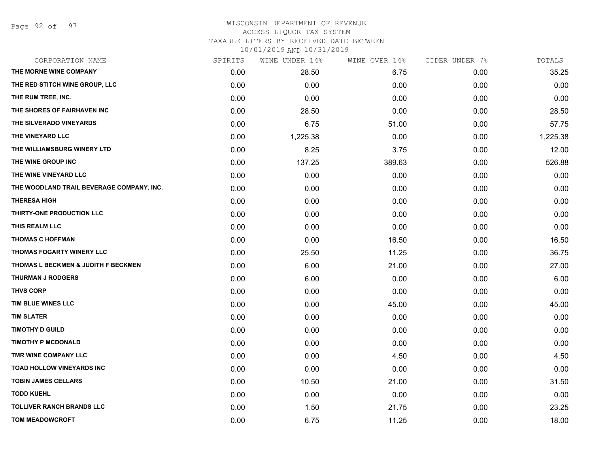#### WISCONSIN DEPARTMENT OF REVENUE ACCESS LIQUOR TAX SYSTEM TAXABLE LITERS BY RECEIVED DATE BETWEEN

| CORPORATION NAME                          | SPIRITS | WINE UNDER 14% | WINE OVER 14% | CIDER UNDER 7% | TOTALS   |
|-------------------------------------------|---------|----------------|---------------|----------------|----------|
| THE MORNE WINE COMPANY                    | 0.00    | 28.50          | 6.75          | 0.00           | 35.25    |
| THE RED STITCH WINE GROUP, LLC            | 0.00    | 0.00           | 0.00          | 0.00           | 0.00     |
| THE RUM TREE, INC.                        | 0.00    | 0.00           | 0.00          | 0.00           | 0.00     |
| THE SHORES OF FAIRHAVEN INC               | 0.00    | 28.50          | 0.00          | 0.00           | 28.50    |
| THE SILVERADO VINEYARDS                   | 0.00    | 6.75           | 51.00         | 0.00           | 57.75    |
| THE VINEYARD LLC                          | 0.00    | 1,225.38       | 0.00          | 0.00           | 1,225.38 |
| THE WILLIAMSBURG WINERY LTD               | 0.00    | 8.25           | 3.75          | 0.00           | 12.00    |
| THE WINE GROUP INC                        | 0.00    | 137.25         | 389.63        | 0.00           | 526.88   |
| THE WINE VINEYARD LLC                     | 0.00    | 0.00           | 0.00          | 0.00           | 0.00     |
| THE WOODLAND TRAIL BEVERAGE COMPANY, INC. | 0.00    | 0.00           | 0.00          | 0.00           | 0.00     |
| <b>THERESA HIGH</b>                       | 0.00    | 0.00           | 0.00          | 0.00           | 0.00     |
| THIRTY-ONE PRODUCTION LLC                 | 0.00    | 0.00           | 0.00          | 0.00           | 0.00     |
| THIS REALM LLC                            | 0.00    | 0.00           | 0.00          | 0.00           | 0.00     |
| <b>THOMAS C HOFFMAN</b>                   | 0.00    | 0.00           | 16.50         | 0.00           | 16.50    |
| THOMAS FOGARTY WINERY LLC                 | 0.00    | 25.50          | 11.25         | 0.00           | 36.75    |
| THOMAS L BECKMEN & JUDITH F BECKMEN       | 0.00    | 6.00           | 21.00         | 0.00           | 27.00    |
| <b>THURMAN J RODGERS</b>                  | 0.00    | 6.00           | 0.00          | 0.00           | 6.00     |
| <b>THVS CORP</b>                          | 0.00    | 0.00           | 0.00          | 0.00           | 0.00     |
| TIM BLUE WINES LLC                        | 0.00    | 0.00           | 45.00         | 0.00           | 45.00    |
| <b>TIM SLATER</b>                         | 0.00    | 0.00           | 0.00          | 0.00           | 0.00     |
| <b>TIMOTHY D GUILD</b>                    | 0.00    | 0.00           | 0.00          | 0.00           | 0.00     |
| <b>TIMOTHY P MCDONALD</b>                 | 0.00    | 0.00           | 0.00          | 0.00           | 0.00     |
| TMR WINE COMPANY LLC                      | 0.00    | 0.00           | 4.50          | 0.00           | 4.50     |
| TOAD HOLLOW VINEYARDS INC                 | 0.00    | 0.00           | 0.00          | 0.00           | 0.00     |
| <b>TOBIN JAMES CELLARS</b>                | 0.00    | 10.50          | 21.00         | 0.00           | 31.50    |
| <b>TODD KUEHL</b>                         | 0.00    | 0.00           | 0.00          | 0.00           | 0.00     |
| <b>TOLLIVER RANCH BRANDS LLC</b>          | 0.00    | 1.50           | 21.75         | 0.00           | 23.25    |
| <b>TOM MEADOWCROFT</b>                    | 0.00    | 6.75           | 11.25         | 0.00           | 18.00    |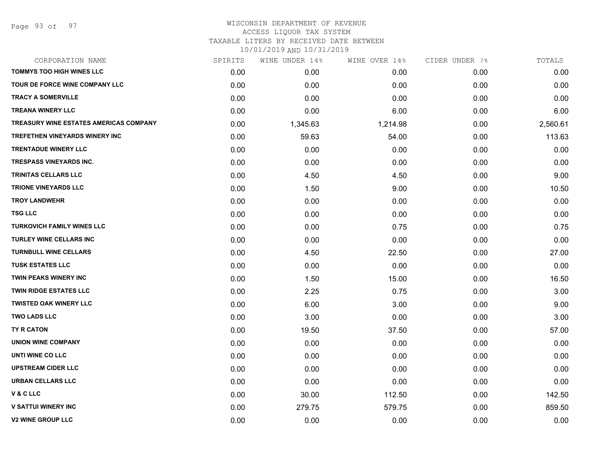#### WISCONSIN DEPARTMENT OF REVENUE ACCESS LIQUOR TAX SYSTEM

TAXABLE LITERS BY RECEIVED DATE BETWEEN

| CORPORATION NAME                              | SPIRITS | WINE UNDER 14% | WINE OVER 14% | CIDER UNDER 7% | TOTALS   |
|-----------------------------------------------|---------|----------------|---------------|----------------|----------|
| <b>TOMMYS TOO HIGH WINES LLC</b>              | 0.00    | 0.00           | 0.00          | 0.00           | 0.00     |
| <b>TOUR DE FORCE WINE COMPANY LLC</b>         | 0.00    | 0.00           | 0.00          | 0.00           | 0.00     |
| <b>TRACY A SOMERVILLE</b>                     | 0.00    | 0.00           | 0.00          | 0.00           | 0.00     |
| <b>TREANA WINERY LLC</b>                      | 0.00    | 0.00           | 6.00          | 0.00           | 6.00     |
| <b>TREASURY WINE ESTATES AMERICAS COMPANY</b> | 0.00    | 1,345.63       | 1,214.98      | 0.00           | 2,560.61 |
| <b>TREFETHEN VINEYARDS WINERY INC</b>         | 0.00    | 59.63          | 54.00         | 0.00           | 113.63   |
| <b>TRENTADUE WINERY LLC</b>                   | 0.00    | 0.00           | 0.00          | 0.00           | 0.00     |
| <b>TRESPASS VINEYARDS INC.</b>                | 0.00    | 0.00           | 0.00          | 0.00           | 0.00     |
| <b>TRINITAS CELLARS LLC</b>                   | 0.00    | 4.50           | 4.50          | 0.00           | 9.00     |
| <b>TRIONE VINEYARDS LLC</b>                   | 0.00    | 1.50           | 9.00          | 0.00           | 10.50    |
| <b>TROY LANDWEHR</b>                          | 0.00    | 0.00           | 0.00          | 0.00           | 0.00     |
| <b>TSG LLC</b>                                | 0.00    | 0.00           | 0.00          | 0.00           | 0.00     |
| <b>TURKOVICH FAMILY WINES LLC</b>             | 0.00    | 0.00           | 0.75          | 0.00           | 0.75     |
| <b>TURLEY WINE CELLARS INC</b>                | 0.00    | 0.00           | 0.00          | 0.00           | 0.00     |
| <b>TURNBULL WINE CELLARS</b>                  | 0.00    | 4.50           | 22.50         | 0.00           | 27.00    |
| <b>TUSK ESTATES LLC</b>                       | 0.00    | 0.00           | 0.00          | 0.00           | 0.00     |
| <b>TWIN PEAKS WINERY INC</b>                  | 0.00    | 1.50           | 15.00         | 0.00           | 16.50    |
| <b>TWIN RIDGE ESTATES LLC</b>                 | 0.00    | 2.25           | 0.75          | 0.00           | 3.00     |
| <b>TWISTED OAK WINERY LLC</b>                 | 0.00    | 6.00           | 3.00          | 0.00           | 9.00     |
| <b>TWO LADS LLC</b>                           | 0.00    | 3.00           | 0.00          | 0.00           | 3.00     |
| TY R CATON                                    | 0.00    | 19.50          | 37.50         | 0.00           | 57.00    |
| <b>UNION WINE COMPANY</b>                     | 0.00    | 0.00           | 0.00          | 0.00           | 0.00     |
| UNTI WINE CO LLC                              | 0.00    | 0.00           | 0.00          | 0.00           | 0.00     |
| <b>UPSTREAM CIDER LLC</b>                     | 0.00    | 0.00           | 0.00          | 0.00           | 0.00     |
| <b>URBAN CELLARS LLC</b>                      | 0.00    | 0.00           | 0.00          | 0.00           | 0.00     |
| <b>V&amp;CLLC</b>                             | 0.00    | 30.00          | 112.50        | 0.00           | 142.50   |
| <b>V SATTUI WINERY INC</b>                    | 0.00    | 279.75         | 579.75        | 0.00           | 859.50   |
| <b>V2 WINE GROUP LLC</b>                      | 0.00    | 0.00           | 0.00          | 0.00           | 0.00     |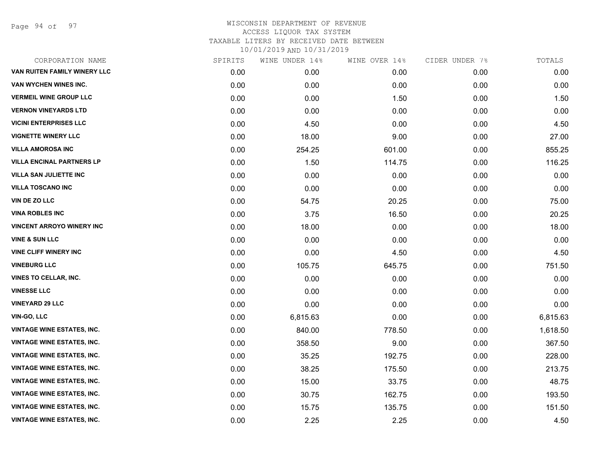Page 94 of 97

| CORPORATION NAME                  | SPIRITS | WINE UNDER 14% | WINE OVER 14% | CIDER UNDER 7% | TOTALS   |
|-----------------------------------|---------|----------------|---------------|----------------|----------|
| VAN RUITEN FAMILY WINERY LLC      | 0.00    | 0.00           | 0.00          | 0.00           | 0.00     |
| VAN WYCHEN WINES INC.             | 0.00    | 0.00           | 0.00          | 0.00           | 0.00     |
| <b>VERMEIL WINE GROUP LLC</b>     | 0.00    | 0.00           | 1.50          | 0.00           | 1.50     |
| <b>VERNON VINEYARDS LTD</b>       | 0.00    | 0.00           | 0.00          | 0.00           | 0.00     |
| <b>VICINI ENTERPRISES LLC</b>     | 0.00    | 4.50           | 0.00          | 0.00           | 4.50     |
| <b>VIGNETTE WINERY LLC</b>        | 0.00    | 18.00          | 9.00          | 0.00           | 27.00    |
| <b>VILLA AMOROSA INC</b>          | 0.00    | 254.25         | 601.00        | 0.00           | 855.25   |
| <b>VILLA ENCINAL PARTNERS LP</b>  | 0.00    | 1.50           | 114.75        | 0.00           | 116.25   |
| <b>VILLA SAN JULIETTE INC</b>     | 0.00    | 0.00           | 0.00          | 0.00           | 0.00     |
| <b>VILLA TOSCANO INC</b>          | 0.00    | 0.00           | 0.00          | 0.00           | 0.00     |
| VIN DE ZO LLC                     | 0.00    | 54.75          | 20.25         | 0.00           | 75.00    |
| <b>VINA ROBLES INC</b>            | 0.00    | 3.75           | 16.50         | 0.00           | 20.25    |
| <b>VINCENT ARROYO WINERY INC</b>  | 0.00    | 18.00          | 0.00          | 0.00           | 18.00    |
| <b>VINE &amp; SUN LLC</b>         | 0.00    | 0.00           | 0.00          | 0.00           | 0.00     |
| <b>VINE CLIFF WINERY INC</b>      | 0.00    | 0.00           | 4.50          | 0.00           | 4.50     |
| <b>VINEBURG LLC</b>               | 0.00    | 105.75         | 645.75        | 0.00           | 751.50   |
| <b>VINES TO CELLAR, INC.</b>      | 0.00    | 0.00           | 0.00          | 0.00           | 0.00     |
| <b>VINESSE LLC</b>                | 0.00    | 0.00           | 0.00          | 0.00           | 0.00     |
| <b>VINEYARD 29 LLC</b>            | 0.00    | 0.00           | 0.00          | 0.00           | 0.00     |
| VIN-GO, LLC                       | 0.00    | 6,815.63       | 0.00          | 0.00           | 6,815.63 |
| <b>VINTAGE WINE ESTATES, INC.</b> | 0.00    | 840.00         | 778.50        | 0.00           | 1,618.50 |
| <b>VINTAGE WINE ESTATES, INC.</b> | 0.00    | 358.50         | 9.00          | 0.00           | 367.50   |
| <b>VINTAGE WINE ESTATES, INC.</b> | 0.00    | 35.25          | 192.75        | 0.00           | 228.00   |
| <b>VINTAGE WINE ESTATES, INC.</b> | 0.00    | 38.25          | 175.50        | 0.00           | 213.75   |
| <b>VINTAGE WINE ESTATES, INC.</b> | 0.00    | 15.00          | 33.75         | 0.00           | 48.75    |
| <b>VINTAGE WINE ESTATES, INC.</b> | 0.00    | 30.75          | 162.75        | 0.00           | 193.50   |
| <b>VINTAGE WINE ESTATES, INC.</b> | 0.00    | 15.75          | 135.75        | 0.00           | 151.50   |
| <b>VINTAGE WINE ESTATES, INC.</b> | 0.00    | 2.25           | 2.25          | 0.00           | 4.50     |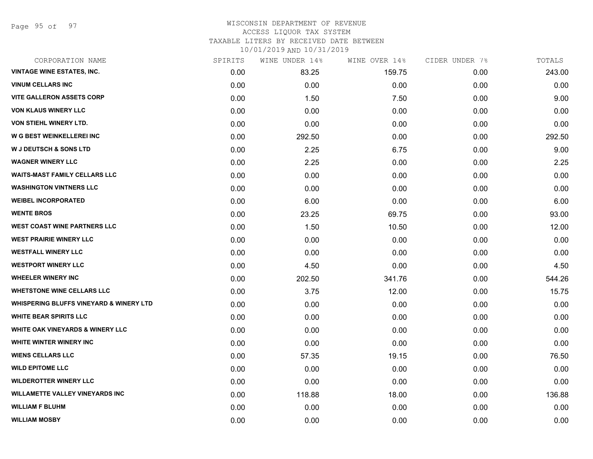Page 95 of 97

#### WISCONSIN DEPARTMENT OF REVENUE ACCESS LIQUOR TAX SYSTEM TAXABLE LITERS BY RECEIVED DATE BETWEEN

| CORPORATION NAME                                   | SPIRITS | WINE UNDER 14% | WINE OVER 14% | CIDER UNDER 7% | TOTALS |
|----------------------------------------------------|---------|----------------|---------------|----------------|--------|
| <b>VINTAGE WINE ESTATES, INC.</b>                  | 0.00    | 83.25          | 159.75        | 0.00           | 243.00 |
| <b>VINUM CELLARS INC</b>                           | 0.00    | 0.00           | 0.00          | 0.00           | 0.00   |
| <b>VITE GALLERON ASSETS CORP</b>                   | 0.00    | 1.50           | 7.50          | 0.00           | 9.00   |
| <b>VON KLAUS WINERY LLC</b>                        | 0.00    | 0.00           | 0.00          | 0.00           | 0.00   |
| <b>VON STIEHL WINERY LTD.</b>                      | 0.00    | 0.00           | 0.00          | 0.00           | 0.00   |
| W G BEST WEINKELLEREI INC                          | 0.00    | 292.50         | 0.00          | 0.00           | 292.50 |
| <b>W J DEUTSCH &amp; SONS LTD</b>                  | 0.00    | 2.25           | 6.75          | 0.00           | 9.00   |
| <b>WAGNER WINERY LLC</b>                           | 0.00    | 2.25           | 0.00          | 0.00           | 2.25   |
| <b>WAITS-MAST FAMILY CELLARS LLC</b>               | 0.00    | 0.00           | 0.00          | 0.00           | 0.00   |
| <b>WASHINGTON VINTNERS LLC</b>                     | 0.00    | 0.00           | 0.00          | 0.00           | 0.00   |
| <b>WEIBEL INCORPORATED</b>                         | 0.00    | 6.00           | 0.00          | 0.00           | 6.00   |
| <b>WENTE BROS</b>                                  | 0.00    | 23.25          | 69.75         | 0.00           | 93.00  |
| <b>WEST COAST WINE PARTNERS LLC</b>                | 0.00    | 1.50           | 10.50         | 0.00           | 12.00  |
| <b>WEST PRAIRIE WINERY LLC</b>                     | 0.00    | 0.00           | 0.00          | 0.00           | 0.00   |
| <b>WESTFALL WINERY LLC</b>                         | 0.00    | 0.00           | 0.00          | 0.00           | 0.00   |
| <b>WESTPORT WINERY LLC</b>                         | 0.00    | 4.50           | 0.00          | 0.00           | 4.50   |
| <b>WHEELER WINERY INC</b>                          | 0.00    | 202.50         | 341.76        | 0.00           | 544.26 |
| <b>WHETSTONE WINE CELLARS LLC</b>                  | 0.00    | 3.75           | 12.00         | 0.00           | 15.75  |
| <b>WHISPERING BLUFFS VINEYARD &amp; WINERY LTD</b> | 0.00    | 0.00           | 0.00          | 0.00           | 0.00   |
| <b>WHITE BEAR SPIRITS LLC</b>                      | 0.00    | 0.00           | 0.00          | 0.00           | 0.00   |
| <b>WHITE OAK VINEYARDS &amp; WINERY LLC</b>        | 0.00    | 0.00           | 0.00          | 0.00           | 0.00   |
| WHITE WINTER WINERY INC                            | 0.00    | 0.00           | 0.00          | 0.00           | 0.00   |
| <b>WIENS CELLARS LLC</b>                           | 0.00    | 57.35          | 19.15         | 0.00           | 76.50  |
| <b>WILD EPITOME LLC</b>                            | 0.00    | 0.00           | 0.00          | 0.00           | 0.00   |
| <b>WILDEROTTER WINERY LLC</b>                      | 0.00    | 0.00           | 0.00          | 0.00           | 0.00   |
| <b>WILLAMETTE VALLEY VINEYARDS INC</b>             | 0.00    | 118.88         | 18.00         | 0.00           | 136.88 |
| <b>WILLIAM F BLUHM</b>                             | 0.00    | 0.00           | 0.00          | 0.00           | 0.00   |
| <b>WILLIAM MOSBY</b>                               | 0.00    | 0.00           | 0.00          | 0.00           | 0.00   |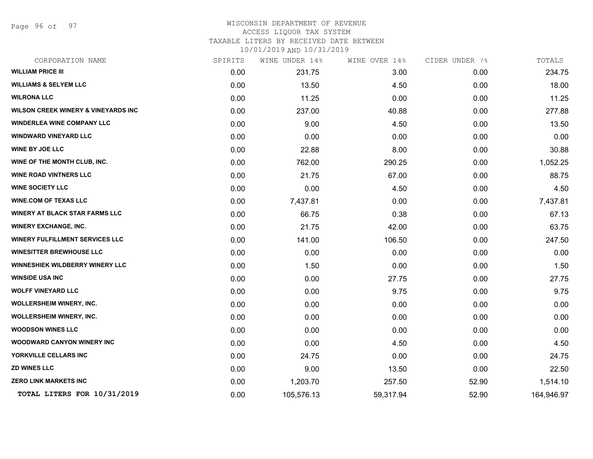Page 96 of 97

# WISCONSIN DEPARTMENT OF REVENUE ACCESS LIQUOR TAX SYSTEM TAXABLE LITERS BY RECEIVED DATE BETWEEN

| CORPORATION NAME                               | SPIRITS | WINE UNDER 14% | WINE OVER 14% | CIDER UNDER 7% | TOTALS     |
|------------------------------------------------|---------|----------------|---------------|----------------|------------|
| <b>WILLIAM PRICE III</b>                       | 0.00    | 231.75         | 3.00          | 0.00           | 234.75     |
| <b>WILLIAMS &amp; SELYEM LLC</b>               | 0.00    | 13.50          | 4.50          | 0.00           | 18.00      |
| <b>WILRONA LLC</b>                             | 0.00    | 11.25          | 0.00          | 0.00           | 11.25      |
| <b>WILSON CREEK WINERY &amp; VINEYARDS INC</b> | 0.00    | 237.00         | 40.88         | 0.00           | 277.88     |
| <b>WINDERLEA WINE COMPANY LLC</b>              | 0.00    | 9.00           | 4.50          | 0.00           | 13.50      |
| <b>WINDWARD VINEYARD LLC</b>                   | 0.00    | 0.00           | 0.00          | 0.00           | 0.00       |
| WINE BY JOE LLC                                | 0.00    | 22.88          | 8.00          | 0.00           | 30.88      |
| WINE OF THE MONTH CLUB, INC.                   | 0.00    | 762.00         | 290.25        | 0.00           | 1,052.25   |
| <b>WINE ROAD VINTNERS LLC</b>                  | 0.00    | 21.75          | 67.00         | 0.00           | 88.75      |
| <b>WINE SOCIETY LLC</b>                        | 0.00    | 0.00           | 4.50          | 0.00           | 4.50       |
| <b>WINE.COM OF TEXAS LLC</b>                   | 0.00    | 7,437.81       | 0.00          | 0.00           | 7,437.81   |
| <b>WINERY AT BLACK STAR FARMS LLC</b>          | 0.00    | 66.75          | 0.38          | 0.00           | 67.13      |
| <b>WINERY EXCHANGE, INC.</b>                   | 0.00    | 21.75          | 42.00         | 0.00           | 63.75      |
| <b>WINERY FULFILLMENT SERVICES LLC</b>         | 0.00    | 141.00         | 106.50        | 0.00           | 247.50     |
| <b>WINESITTER BREWHOUSE LLC</b>                | 0.00    | 0.00           | 0.00          | 0.00           | 0.00       |
| WINNESHIEK WILDBERRY WINERY LLC                | 0.00    | 1.50           | 0.00          | 0.00           | 1.50       |
| <b>WINSIDE USA INC</b>                         | 0.00    | 0.00           | 27.75         | 0.00           | 27.75      |
| <b>WOLFF VINEYARD LLC</b>                      | 0.00    | 0.00           | 9.75          | 0.00           | 9.75       |
| <b>WOLLERSHEIM WINERY, INC.</b>                | 0.00    | 0.00           | 0.00          | 0.00           | 0.00       |
| <b>WOLLERSHEIM WINERY, INC.</b>                | 0.00    | 0.00           | 0.00          | 0.00           | 0.00       |
| <b>WOODSON WINES LLC</b>                       | 0.00    | 0.00           | 0.00          | 0.00           | 0.00       |
| <b>WOODWARD CANYON WINERY INC</b>              | 0.00    | 0.00           | 4.50          | 0.00           | 4.50       |
| YORKVILLE CELLARS INC                          | 0.00    | 24.75          | 0.00          | 0.00           | 24.75      |
| <b>ZD WINES LLC</b>                            | 0.00    | 9.00           | 13.50         | 0.00           | 22.50      |
| <b>ZERO LINK MARKETS INC</b>                   | 0.00    | 1,203.70       | 257.50        | 52.90          | 1,514.10   |
| TOTAL LITERS FOR 10/31/2019                    | 0.00    | 105,576.13     | 59,317.94     | 52.90          | 164,946.97 |